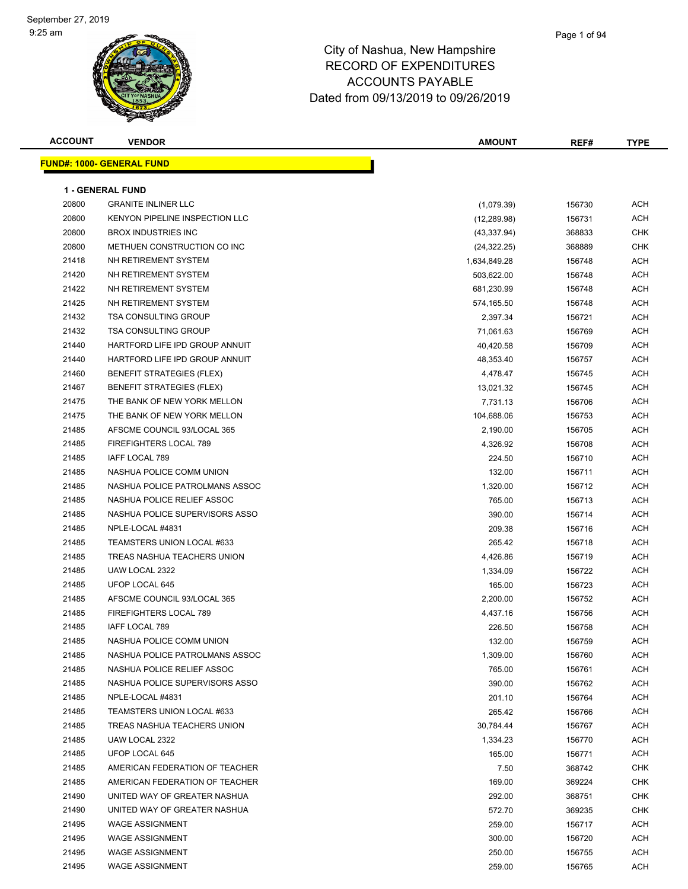#### Page 1 of 94

| <b>ACCOUNT</b> | <b>VENDOR</b>                    | AMOUNT       | REF#   | <b>TYPE</b> |
|----------------|----------------------------------|--------------|--------|-------------|
|                | <b>FUND#: 1000- GENERAL FUND</b> |              |        |             |
|                |                                  |              |        |             |
|                | <b>1 - GENERAL FUND</b>          |              |        |             |
| 20800          | <b>GRANITE INLINER LLC</b>       | (1,079.39)   | 156730 | <b>ACH</b>  |
| 20800          | KENYON PIPELINE INSPECTION LLC   | (12, 289.98) | 156731 | ACH         |
| 20800          | <b>BROX INDUSTRIES INC</b>       | (43, 337.94) | 368833 | CHK         |
| 20800          | METHUEN CONSTRUCTION CO INC      | (24, 322.25) | 368889 | CHK         |
| 21418          | NH RETIREMENT SYSTEM             | 1,634,849.28 | 156748 | ACH         |
| 21420          | NH RETIREMENT SYSTEM             | 503,622.00   | 156748 | ACH         |
| 21422          | NH RETIREMENT SYSTEM             | 681,230.99   | 156748 | ACH         |
| 21425          | NH RETIREMENT SYSTEM             | 574,165.50   | 156748 | ACH         |
| 21432          | <b>TSA CONSULTING GROUP</b>      | 2,397.34     | 156721 | ACH         |
| 21432          | <b>TSA CONSULTING GROUP</b>      | 71,061.63    | 156769 | ACH         |
| 21440          | HARTFORD LIFE IPD GROUP ANNUIT   | 40,420.58    | 156709 | ACH         |
| 21440          | HARTFORD LIFE IPD GROUP ANNUIT   | 48,353.40    | 156757 | ACH         |
| 21460          | <b>BENEFIT STRATEGIES (FLEX)</b> | 4,478.47     | 156745 | ACH         |
| 21467          | <b>BENEFIT STRATEGIES (FLEX)</b> | 13,021.32    | 156745 | ACH         |
| 21475          | THE BANK OF NEW YORK MELLON      | 7,731.13     | 156706 | ACH         |
| 21475          | THE BANK OF NEW YORK MELLON      | 104,688.06   | 156753 | ACH         |
| 21485          | AFSCME COUNCIL 93/LOCAL 365      | 2,190.00     | 156705 | ACH         |
| 21485          | <b>FIREFIGHTERS LOCAL 789</b>    | 4,326.92     | 156708 | ACH         |
| 21485          | IAFF LOCAL 789                   | 224.50       | 156710 | ACH         |
| 21485          | NASHUA POLICE COMM UNION         | 132.00       | 156711 | <b>ACH</b>  |
| 21485          | NASHUA POLICE PATROLMANS ASSOC   | 1,320.00     | 156712 | ACH         |
| 21485          | NASHUA POLICE RELIEF ASSOC       | 765.00       | 156713 | <b>ACH</b>  |
| 21485          | NASHUA POLICE SUPERVISORS ASSO   | 390.00       | 156714 | <b>ACH</b>  |
| 21485          | NPLE-LOCAL #4831                 | 209.38       | 156716 | ACH         |
| 21485          | TEAMSTERS UNION LOCAL #633       | 265.42       | 156718 | ACH         |
| 21485          | TREAS NASHUA TEACHERS UNION      | 4,426.86     | 156719 | ACH         |
| 21485          | UAW LOCAL 2322                   | 1,334.09     | 156722 | ACH         |
| 21485          | UFOP LOCAL 645                   | 165.00       | 156723 | ACH         |
| 21485          | AFSCME COUNCIL 93/LOCAL 365      | 2,200.00     | 156752 | ACH         |
| 21485          | FIREFIGHTERS LOCAL 789           | 4,437.16     | 156756 | ACH         |
| 21485          | IAFF LOCAL 789                   | 226.50       | 156758 | <b>ACH</b>  |
| 21485          | NASHUA POLICE COMM UNION         | 132.00       | 156759 | <b>ACH</b>  |
| 21485          | NASHUA POLICE PATROLMANS ASSOC   | 1,309.00     | 156760 | <b>ACH</b>  |
| 21485          | NASHUA POLICE RELIEF ASSOC       | 765.00       | 156761 | <b>ACH</b>  |
| 21485          | NASHUA POLICE SUPERVISORS ASSO   | 390.00       | 156762 | ACH         |
| 21485          | NPLE-LOCAL #4831                 | 201.10       | 156764 | ACH         |
| 21485          | TEAMSTERS UNION LOCAL #633       | 265.42       | 156766 | ACH         |
| 21485          | TREAS NASHUA TEACHERS UNION      | 30,784.44    | 156767 | ACH         |
| 21485          | UAW LOCAL 2322                   | 1,334.23     | 156770 | ACH         |
| 21485          | UFOP LOCAL 645                   | 165.00       | 156771 | ACH         |
| 21485          | AMERICAN FEDERATION OF TEACHER   | 7.50         | 368742 | CHK         |
| 21485          | AMERICAN FEDERATION OF TEACHER   | 169.00       | 369224 | <b>CHK</b>  |
| 21490          | UNITED WAY OF GREATER NASHUA     | 292.00       | 368751 | CHK         |
| 21490          | UNITED WAY OF GREATER NASHUA     | 572.70       | 369235 | CHK         |
| 21495          | <b>WAGE ASSIGNMENT</b>           | 259.00       | 156717 | ACH         |
| 21495          | <b>WAGE ASSIGNMENT</b>           | 300.00       | 156720 | ACH         |
| 21495          | <b>WAGE ASSIGNMENT</b>           | 250.00       | 156755 | ACH         |
| 21495          | <b>WAGE ASSIGNMENT</b>           | 259.00       | 156765 | ACH         |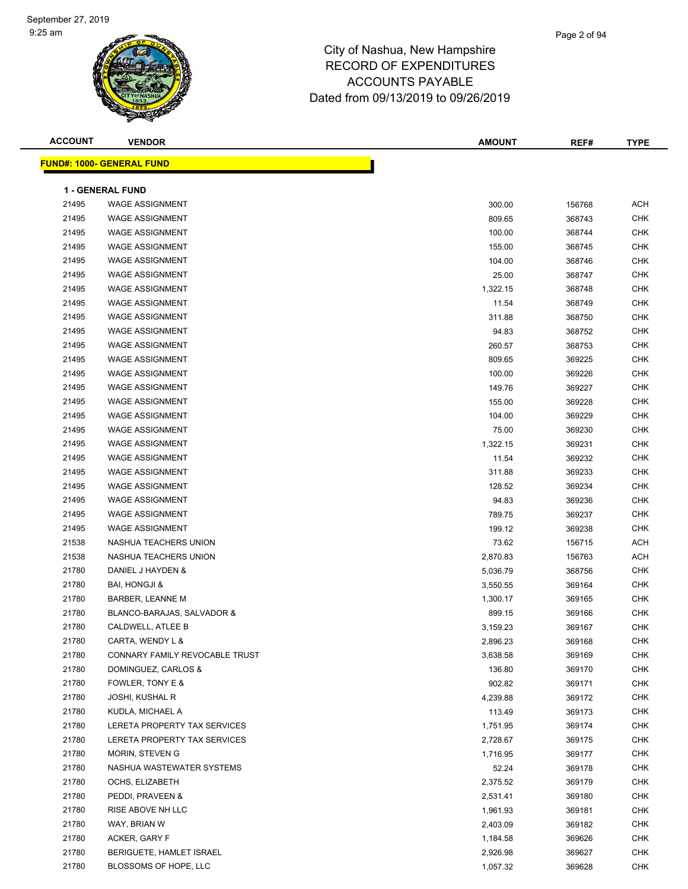| <b>ACCOUNT</b> | <b>VENDOR</b>                                    | <b>AMOUNT</b> | REF#   | <b>TYPE</b>              |
|----------------|--------------------------------------------------|---------------|--------|--------------------------|
|                | <u>FUND#: 1000- GENERAL FUND</u>                 |               |        |                          |
|                | 1 - GENERAL FUND                                 |               |        |                          |
| 21495          | <b>WAGE ASSIGNMENT</b>                           | 300.00        | 156768 | <b>ACH</b>               |
| 21495          | <b>WAGE ASSIGNMENT</b>                           | 809.65        | 368743 | <b>CHK</b>               |
| 21495          | <b>WAGE ASSIGNMENT</b>                           | 100.00        | 368744 | <b>CHK</b>               |
| 21495          | <b>WAGE ASSIGNMENT</b>                           |               |        | <b>CHK</b>               |
| 21495          | <b>WAGE ASSIGNMENT</b>                           | 155.00        | 368745 |                          |
|                |                                                  | 104.00        | 368746 | <b>CHK</b><br><b>CHK</b> |
| 21495<br>21495 | <b>WAGE ASSIGNMENT</b><br><b>WAGE ASSIGNMENT</b> | 25.00         | 368747 |                          |
|                |                                                  | 1,322.15      | 368748 | <b>CHK</b>               |
| 21495          | <b>WAGE ASSIGNMENT</b>                           | 11.54         | 368749 | <b>CHK</b>               |
| 21495          | <b>WAGE ASSIGNMENT</b>                           | 311.88        | 368750 | <b>CHK</b>               |
| 21495          | <b>WAGE ASSIGNMENT</b>                           | 94.83         | 368752 | <b>CHK</b>               |
| 21495          | <b>WAGE ASSIGNMENT</b>                           | 260.57        | 368753 | <b>CHK</b>               |
| 21495          | <b>WAGE ASSIGNMENT</b>                           | 809.65        | 369225 | <b>CHK</b>               |
| 21495          | <b>WAGE ASSIGNMENT</b>                           | 100.00        | 369226 | <b>CHK</b>               |
| 21495          | <b>WAGE ASSIGNMENT</b>                           | 149.76        | 369227 | <b>CHK</b>               |
| 21495          | <b>WAGE ASSIGNMENT</b>                           | 155.00        | 369228 | <b>CHK</b>               |
| 21495          | <b>WAGE ASSIGNMENT</b>                           | 104.00        | 369229 | <b>CHK</b>               |
| 21495          | <b>WAGE ASSIGNMENT</b>                           | 75.00         | 369230 | <b>CHK</b>               |
| 21495          | <b>WAGE ASSIGNMENT</b>                           | 1,322.15      | 369231 | <b>CHK</b>               |
| 21495          | <b>WAGE ASSIGNMENT</b>                           | 11.54         | 369232 | <b>CHK</b>               |
| 21495          | <b>WAGE ASSIGNMENT</b>                           | 311.88        | 369233 | <b>CHK</b>               |
| 21495          | <b>WAGE ASSIGNMENT</b>                           | 128.52        | 369234 | <b>CHK</b>               |
| 21495          | <b>WAGE ASSIGNMENT</b>                           | 94.83         | 369236 | CHK                      |
| 21495          | <b>WAGE ASSIGNMENT</b>                           | 789.75        | 369237 | <b>CHK</b>               |
| 21495          | <b>WAGE ASSIGNMENT</b>                           | 199.12        | 369238 | <b>CHK</b>               |
| 21538          | NASHUA TEACHERS UNION                            | 73.62         | 156715 | <b>ACH</b>               |
| 21538          | NASHUA TEACHERS UNION                            | 2,870.83      | 156763 | <b>ACH</b>               |
| 21780          | DANIEL J HAYDEN &                                | 5,036.79      | 368756 | <b>CHK</b>               |
| 21780          | <b>BAI, HONGJI &amp;</b>                         | 3,550.55      | 369164 | <b>CHK</b>               |
| 21780          | <b>BARBER, LEANNE M</b>                          | 1,300.17      | 369165 | <b>CHK</b>               |
| 21780          | BLANCO-BARAJAS, SALVADOR &                       | 899.15        | 369166 | <b>CHK</b>               |
| 21780          | CALDWELL, ATLEE B                                | 3,159.23      | 369167 | <b>CHK</b>               |
| 21780          | CARTA, WENDY L &                                 | 2,896.23      | 369168 | <b>CHK</b>               |
| 21780          | CONNARY FAMILY REVOCABLE TRUST                   | 3,638.58      | 369169 | CHK                      |
| 21780          | DOMINGUEZ, CARLOS &                              | 136.80        | 369170 | <b>CHK</b>               |
| 21780          | FOWLER, TONY E &                                 | 902.82        | 369171 | <b>CHK</b>               |
| 21780          | <b>JOSHI, KUSHAL R</b>                           | 4,239.88      | 369172 | <b>CHK</b>               |
| 21780          | KUDLA, MICHAEL A                                 | 113.49        | 369173 | <b>CHK</b>               |
| 21780          | LERETA PROPERTY TAX SERVICES                     | 1,751.95      | 369174 | <b>CHK</b>               |
| 21780          | LERETA PROPERTY TAX SERVICES                     | 2,728.67      | 369175 | <b>CHK</b>               |
| 21780          | MORIN, STEVEN G                                  | 1,716.95      | 369177 | <b>CHK</b>               |
| 21780          | NASHUA WASTEWATER SYSTEMS                        | 52.24         | 369178 | <b>CHK</b>               |
| 21780          | OCHS, ELIZABETH                                  | 2,375.52      | 369179 | <b>CHK</b>               |
| 21780          | PEDDI, PRAVEEN &                                 | 2,531.41      | 369180 | <b>CHK</b>               |
| 21780          | RISE ABOVE NH LLC                                | 1,961.93      | 369181 | <b>CHK</b>               |
| 21780          | WAY, BRIAN W                                     | 2,403.09      | 369182 | <b>CHK</b>               |
| 21780          | ACKER, GARY F                                    | 1,184.58      | 369626 | <b>CHK</b>               |
| 21780          | BERIGUETE, HAMLET ISRAEL                         | 2,926.98      | 369627 | <b>CHK</b>               |
| 21780          | BLOSSOMS OF HOPE, LLC                            | 1,057.32      | 369628 | <b>CHK</b>               |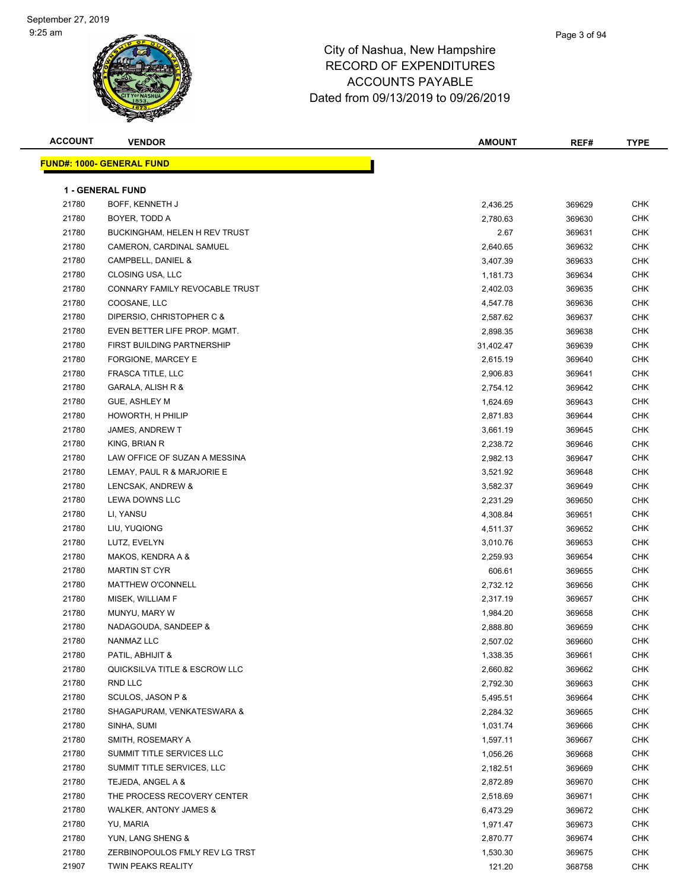| <b>ACCOUNT</b> | <b>VENDOR</b>                     | AMOUNT    | REF#   | <b>TYPE</b> |
|----------------|-----------------------------------|-----------|--------|-------------|
|                | <b>FUND#: 1000- GENERAL FUND</b>  |           |        |             |
|                |                                   |           |        |             |
|                | <b>1 - GENERAL FUND</b>           |           |        |             |
| 21780          | BOFF, KENNETH J                   | 2,436.25  | 369629 | <b>CHK</b>  |
| 21780          | BOYER, TODD A                     | 2,780.63  | 369630 | <b>CHK</b>  |
| 21780          | BUCKINGHAM, HELEN H REV TRUST     | 2.67      | 369631 | <b>CHK</b>  |
| 21780          | CAMERON, CARDINAL SAMUEL          | 2,640.65  | 369632 | <b>CHK</b>  |
| 21780          | CAMPBELL, DANIEL &                | 3,407.39  | 369633 | <b>CHK</b>  |
| 21780          | CLOSING USA, LLC                  | 1,181.73  | 369634 | <b>CHK</b>  |
| 21780          | CONNARY FAMILY REVOCABLE TRUST    | 2,402.03  | 369635 | CHK         |
| 21780          | COOSANE, LLC                      | 4,547.78  | 369636 | CHK         |
| 21780          | DIPERSIO, CHRISTOPHER C &         | 2,587.62  | 369637 | <b>CHK</b>  |
| 21780          | EVEN BETTER LIFE PROP. MGMT.      | 2,898.35  | 369638 | <b>CHK</b>  |
| 21780          | FIRST BUILDING PARTNERSHIP        | 31,402.47 | 369639 | <b>CHK</b>  |
| 21780          | FORGIONE, MARCEY E                | 2,615.19  | 369640 | <b>CHK</b>  |
| 21780          | FRASCA TITLE, LLC                 | 2,906.83  | 369641 | CHK         |
| 21780          | GARALA, ALISH R &                 | 2,754.12  | 369642 | <b>CHK</b>  |
| 21780          | GUE, ASHLEY M                     | 1,624.69  | 369643 | CHK         |
| 21780          | HOWORTH, H PHILIP                 | 2,871.83  | 369644 | <b>CHK</b>  |
| 21780          | JAMES, ANDREW T                   | 3,661.19  | 369645 | CHK         |
| 21780          | KING, BRIAN R                     | 2,238.72  | 369646 | CHK         |
| 21780          | LAW OFFICE OF SUZAN A MESSINA     | 2,982.13  | 369647 | CHK         |
| 21780          | LEMAY, PAUL R & MARJORIE E        | 3,521.92  | 369648 | <b>CHK</b>  |
| 21780          | LENCSAK, ANDREW &                 | 3,582.37  | 369649 | CHK         |
| 21780          | LEWA DOWNS LLC                    | 2,231.29  | 369650 | <b>CHK</b>  |
| 21780          | LI, YANSU                         | 4,308.84  | 369651 | <b>CHK</b>  |
| 21780          | LIU, YUQIONG                      | 4,511.37  | 369652 | <b>CHK</b>  |
| 21780          | LUTZ, EVELYN                      | 3,010.76  | 369653 | <b>CHK</b>  |
| 21780          | MAKOS, KENDRA A &                 | 2,259.93  | 369654 | <b>CHK</b>  |
| 21780          | <b>MARTIN ST CYR</b>              | 606.61    | 369655 | CHK         |
| 21780          | <b>MATTHEW O'CONNELL</b>          | 2,732.12  | 369656 | CHK         |
| 21780          | MISEK, WILLIAM F                  | 2,317.19  | 369657 | CHK         |
| 21780          | MUNYU, MARY W                     | 1,984.20  | 369658 | CHK         |
| 21780          | NADAGOUDA, SANDEEP &              | 2,888.80  | 369659 | <b>CHK</b>  |
| 21780          | NANMAZ LLC                        | 2,507.02  | 369660 | CHK         |
| 21780          | PATIL, ABHIJIT &                  | 1,338.35  | 369661 | <b>CHK</b>  |
| 21780          | QUICKSILVA TITLE & ESCROW LLC     | 2,660.82  | 369662 | <b>CHK</b>  |
| 21780          | RND LLC                           | 2,792.30  | 369663 | <b>CHK</b>  |
| 21780          | SCULOS, JASON P &                 | 5,495.51  | 369664 | <b>CHK</b>  |
| 21780          | SHAGAPURAM, VENKATESWARA &        | 2,284.32  | 369665 | <b>CHK</b>  |
| 21780          | SINHA, SUMI                       | 1,031.74  | 369666 | <b>CHK</b>  |
| 21780          | SMITH, ROSEMARY A                 | 1,597.11  | 369667 | CHK         |
| 21780          | SUMMIT TITLE SERVICES LLC         | 1,056.26  | 369668 | CHK         |
| 21780          | SUMMIT TITLE SERVICES, LLC        | 2,182.51  | 369669 | CHK         |
| 21780          | TEJEDA, ANGEL A &                 | 2,872.89  | 369670 | <b>CHK</b>  |
| 21780          | THE PROCESS RECOVERY CENTER       | 2,518.69  | 369671 | <b>CHK</b>  |
| 21780          | <b>WALKER, ANTONY JAMES &amp;</b> | 6,473.29  | 369672 | <b>CHK</b>  |
| 21780          | YU, MARIA                         | 1,971.47  | 369673 | CHK         |
| 21780          | YUN, LANG SHENG &                 | 2,870.77  | 369674 | CHK         |
| 21780          | ZERBINOPOULOS FMLY REV LG TRST    | 1,530.30  | 369675 | <b>CHK</b>  |
| 21907          | TWIN PEAKS REALITY                | 121.20    | 368758 | <b>CHK</b>  |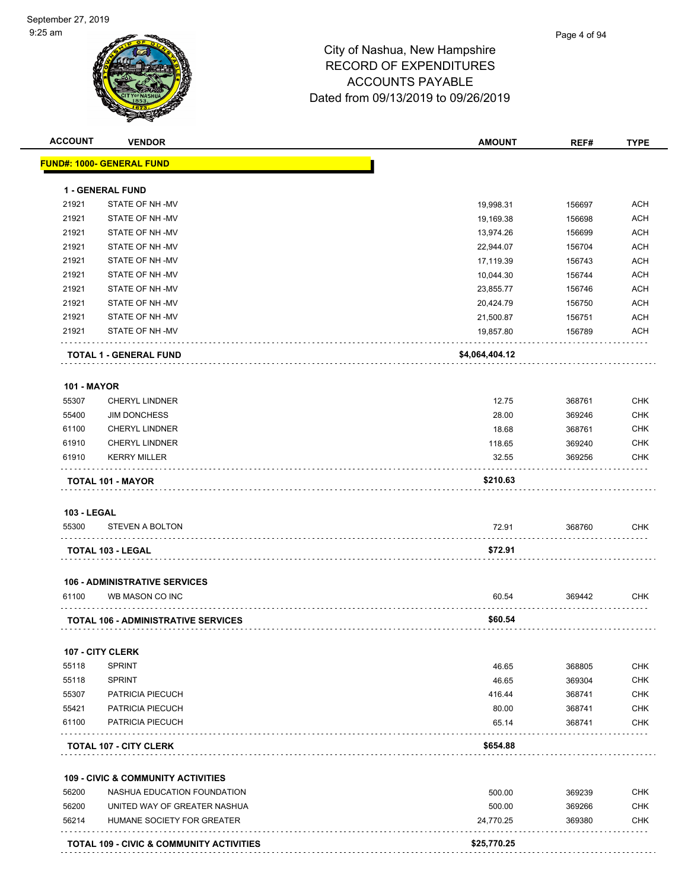| <b>ACCOUNT</b>     | <b>VENDOR</b>                                 | <b>AMOUNT</b>  | REF#   | <b>TYPE</b> |
|--------------------|-----------------------------------------------|----------------|--------|-------------|
|                    | <u> FUND#: 1000- GENERAL FUND</u>             |                |        |             |
|                    | <b>1 - GENERAL FUND</b>                       |                |        |             |
| 21921              | STATE OF NH-MV                                | 19,998.31      | 156697 | <b>ACH</b>  |
| 21921              | STATE OF NH-MV                                | 19,169.38      | 156698 | <b>ACH</b>  |
| 21921              | STATE OF NH-MV                                | 13,974.26      | 156699 | <b>ACH</b>  |
| 21921              | STATE OF NH-MV                                | 22,944.07      | 156704 | <b>ACH</b>  |
| 21921              | STATE OF NH-MV                                | 17,119.39      | 156743 | <b>ACH</b>  |
| 21921              | STATE OF NH-MV                                | 10,044.30      | 156744 | <b>ACH</b>  |
| 21921              | STATE OF NH-MV                                | 23,855.77      | 156746 | <b>ACH</b>  |
| 21921              | STATE OF NH-MV                                | 20,424.79      | 156750 | <b>ACH</b>  |
| 21921              | STATE OF NH-MV                                | 21,500.87      | 156751 | <b>ACH</b>  |
| 21921              | STATE OF NH-MV                                | 19,857.80      | 156789 | <b>ACH</b>  |
|                    | <b>TOTAL 1 - GENERAL FUND</b>                 | \$4,064,404.12 |        |             |
| <b>101 - MAYOR</b> |                                               |                |        |             |
| 55307              | <b>CHERYL LINDNER</b>                         | 12.75          | 368761 | <b>CHK</b>  |
| 55400              | <b>JIM DONCHESS</b>                           | 28.00          | 369246 | <b>CHK</b>  |
| 61100              | <b>CHERYL LINDNER</b>                         | 18.68          | 368761 | <b>CHK</b>  |
| 61910              | <b>CHERYL LINDNER</b>                         | 118.65         | 369240 | <b>CHK</b>  |
| 61910              | <b>KERRY MILLER</b>                           | 32.55          | 369256 | <b>CHK</b>  |
|                    | <b>TOTAL 101 - MAYOR</b>                      | \$210.63       |        |             |
| <b>103 - LEGAL</b> |                                               |                |        |             |
| 55300              | <b>STEVEN A BOLTON</b>                        | 72.91          | 368760 | <b>CHK</b>  |
|                    | <b>TOTAL 103 - LEGAL</b>                      | \$72.91        |        |             |
|                    | <b>106 - ADMINISTRATIVE SERVICES</b>          |                |        |             |
| 61100              | WB MASON CO INC                               | 60.54          | 369442 | <b>CHK</b>  |
|                    | <b>TOTAL 106 - ADMINISTRATIVE SERVICES</b>    | \$60.54        |        |             |
|                    | 107 - CITY CLERK                              |                |        |             |
| 55118              | <b>SPRINT</b>                                 | 46.65          | 368805 | <b>CHK</b>  |
| 55118              | <b>SPRINT</b>                                 | 46.65          | 369304 | <b>CHK</b>  |
| 55307              | PATRICIA PIECUCH                              | 416.44         | 368741 | <b>CHK</b>  |
| 55421              | PATRICIA PIECUCH                              | 80.00          | 368741 | <b>CHK</b>  |
| 61100              | PATRICIA PIECUCH                              | 65.14          | 368741 | <b>CHK</b>  |
|                    | <b>TOTAL 107 - CITY CLERK</b>                 | \$654.88       |        |             |
|                    | <b>109 - CIVIC &amp; COMMUNITY ACTIVITIES</b> |                |        |             |
| 56200              | NASHUA EDUCATION FOUNDATION                   | 500.00         | 369239 | <b>CHK</b>  |
| 56200              | UNITED WAY OF GREATER NASHUA                  | 500.00         | 369266 | <b>CHK</b>  |
| 56214              | HUMANE SOCIETY FOR GREATER                    | 24,770.25      | 369380 | <b>CHK</b>  |
|                    | TOTAL 109 - CIVIC & COMMUNITY ACTIVITIES      | \$25,770.25    |        |             |
|                    |                                               |                |        |             |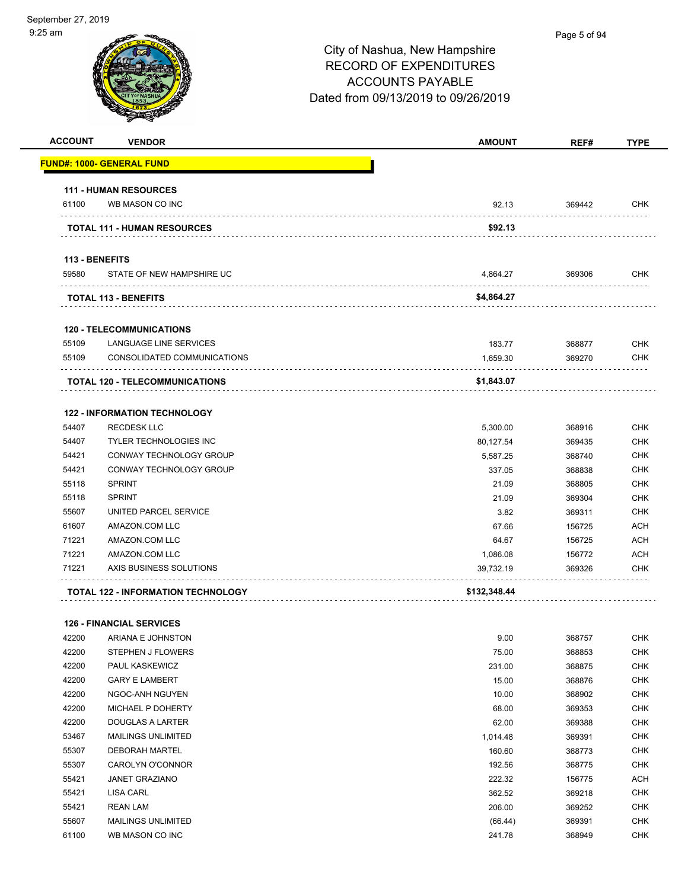| <b>ACCOUNT</b> | <b>VENDOR</b>                             | <b>AMOUNT</b> | REF#   | <b>TYPE</b> |
|----------------|-------------------------------------------|---------------|--------|-------------|
|                | FUND#: 1000- GENERAL FUND                 |               |        |             |
|                | <b>111 - HUMAN RESOURCES</b>              |               |        |             |
| 61100          | WB MASON CO INC                           | 92.13         | 369442 | <b>CHK</b>  |
|                | <b>TOTAL 111 - HUMAN RESOURCES</b>        | \$92.13       |        |             |
| 113 - BENEFITS |                                           |               |        |             |
| 59580          | STATE OF NEW HAMPSHIRE UC                 | 4,864.27      | 369306 | <b>CHK</b>  |
|                | <b>TOTAL 113 - BENEFITS</b>               | \$4,864.27    |        |             |
|                | <b>120 - TELECOMMUNICATIONS</b>           |               |        |             |
| 55109          | LANGUAGE LINE SERVICES                    | 183.77        | 368877 | <b>CHK</b>  |
| 55109          | CONSOLIDATED COMMUNICATIONS               | 1,659.30      | 369270 | <b>CHK</b>  |
|                | <b>TOTAL 120 - TELECOMMUNICATIONS</b>     | \$1,843.07    |        |             |
|                | <b>122 - INFORMATION TECHNOLOGY</b>       |               |        |             |
| 54407          | <b>RECDESK LLC</b>                        | 5,300.00      | 368916 | <b>CHK</b>  |
| 54407          | <b>TYLER TECHNOLOGIES INC</b>             | 80,127.54     | 369435 | <b>CHK</b>  |
| 54421          | CONWAY TECHNOLOGY GROUP                   | 5,587.25      | 368740 | <b>CHK</b>  |
| 54421          | CONWAY TECHNOLOGY GROUP                   | 337.05        | 368838 | <b>CHK</b>  |
| 55118          | <b>SPRINT</b>                             | 21.09         | 368805 | CHK         |
| 55118          | <b>SPRINT</b>                             | 21.09         | 369304 | <b>CHK</b>  |
| 55607          | UNITED PARCEL SERVICE                     | 3.82          | 369311 | <b>CHK</b>  |
| 61607          | AMAZON.COM LLC                            | 67.66         | 156725 | ACH         |
| 71221          | AMAZON.COM LLC                            | 64.67         | 156725 | <b>ACH</b>  |
| 71221          | AMAZON.COM LLC                            | 1,086.08      | 156772 | <b>ACH</b>  |
| 71221          | AXIS BUSINESS SOLUTIONS                   | 39,732.19     | 369326 | <b>CHK</b>  |
|                | <b>TOTAL 122 - INFORMATION TECHNOLOGY</b> | \$132,348.44  |        |             |
|                |                                           |               |        |             |
|                | <b>126 - FINANCIAL SERVICES</b>           |               |        |             |
| 42200          | ARIANA E JOHNSTON                         | 9.00          | 368757 | <b>CHK</b>  |
| 42200          | <b>STEPHEN J FLOWERS</b>                  | 75.00         | 368853 | <b>CHK</b>  |
| 42200          | PAUL KASKEWICZ                            | 231.00        | 368875 | <b>CHK</b>  |
| 42200          | <b>GARY E LAMBERT</b>                     | 15.00         | 368876 | <b>CHK</b>  |
| 42200          | NGOC-ANH NGUYEN                           | 10.00         | 368902 | <b>CHK</b>  |
| 42200          | MICHAEL P DOHERTY                         | 68.00         | 369353 | <b>CHK</b>  |
| 42200          | <b>DOUGLAS A LARTER</b>                   | 62.00         | 369388 | <b>CHK</b>  |
| 53467          | <b>MAILINGS UNLIMITED</b>                 | 1,014.48      | 369391 | <b>CHK</b>  |
| 55307          | <b>DEBORAH MARTEL</b>                     | 160.60        | 368773 | <b>CHK</b>  |
| 55307          | CAROLYN O'CONNOR                          | 192.56        | 368775 | <b>CHK</b>  |
| 55421          | <b>JANET GRAZIANO</b>                     | 222.32        | 156775 | <b>ACH</b>  |
| 55421          | LISA CARL                                 | 362.52        | 369218 | <b>CHK</b>  |
| 55421          | <b>REAN LAM</b>                           | 206.00        | 369252 | CHK         |

 MAILINGS UNLIMITED (66.44) 369391 CHK WB MASON CO INC 241.78 368949 CHK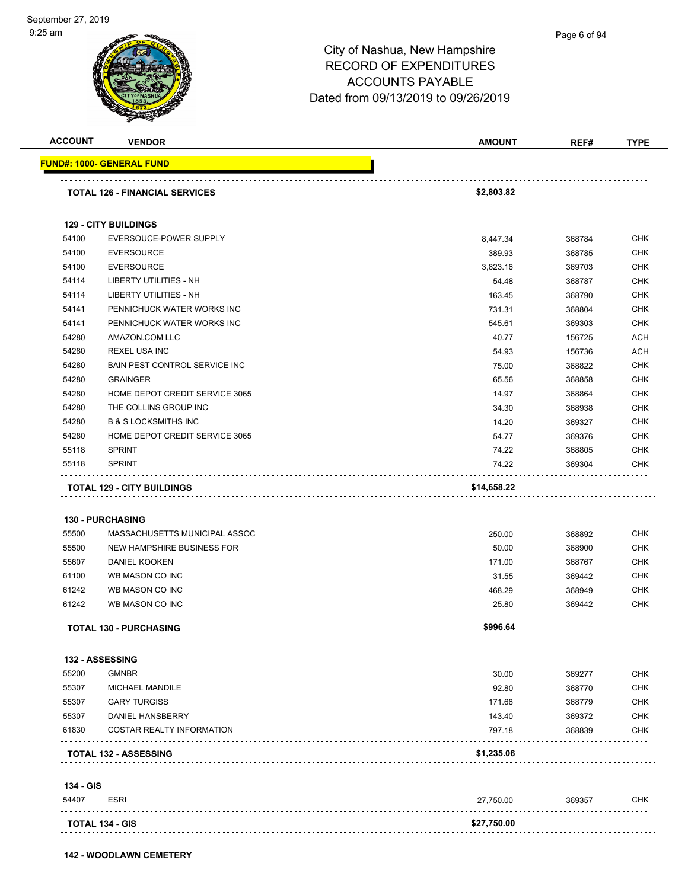| <b>ACCOUNT</b> | <b>VENDOR</b>                         | <b>AMOUNT</b> | REF#   | <b>TYPE</b> |
|----------------|---------------------------------------|---------------|--------|-------------|
|                | <u> FUND#: 1000- GENERAL FUND</u>     |               |        |             |
|                | <b>TOTAL 126 - FINANCIAL SERVICES</b> | \$2,803.82    |        |             |
|                |                                       |               |        |             |
|                | <b>129 - CITY BUILDINGS</b>           |               |        |             |
| 54100          | EVERSOUCE-POWER SUPPLY                | 8,447.34      | 368784 | CHK         |
| 54100          | <b>EVERSOURCE</b>                     | 389.93        | 368785 | <b>CHK</b>  |
| 54100          | <b>EVERSOURCE</b>                     | 3,823.16      | 369703 | <b>CHK</b>  |
| 54114          | LIBERTY UTILITIES - NH                | 54.48         | 368787 | <b>CHK</b>  |
| 54114          | LIBERTY UTILITIES - NH                | 163.45        | 368790 | <b>CHK</b>  |
| 54141          | PENNICHUCK WATER WORKS INC            | 731.31        | 368804 | <b>CHK</b>  |
| 54141          | PENNICHUCK WATER WORKS INC            | 545.61        | 369303 | <b>CHK</b>  |
| 54280          | AMAZON.COM LLC                        | 40.77         | 156725 | <b>ACH</b>  |
| 54280          | <b>REXEL USA INC</b>                  | 54.93         | 156736 | <b>ACH</b>  |
| 54280          | BAIN PEST CONTROL SERVICE INC         | 75.00         | 368822 | <b>CHK</b>  |
| 54280          | <b>GRAINGER</b>                       | 65.56         | 368858 | <b>CHK</b>  |
| 54280          | HOME DEPOT CREDIT SERVICE 3065        | 14.97         | 368864 | <b>CHK</b>  |
| 54280          | THE COLLINS GROUP INC                 | 34.30         | 368938 | <b>CHK</b>  |
| 54280          | <b>B &amp; S LOCKSMITHS INC</b>       | 14.20         | 369327 | <b>CHK</b>  |
| 54280          | HOME DEPOT CREDIT SERVICE 3065        | 54.77         | 369376 | <b>CHK</b>  |
| 55118          | <b>SPRINT</b>                         | 74.22         | 368805 | <b>CHK</b>  |
| 55118          | <b>SPRINT</b>                         | 74.22         | 369304 | CHK         |
|                |                                       |               |        |             |
|                | <b>TOTAL 129 - CITY BUILDINGS</b>     | \$14,658.22   |        |             |
|                |                                       |               |        |             |
|                | <b>130 - PURCHASING</b>               |               |        | <b>CHK</b>  |
| 55500          | MASSACHUSETTS MUNICIPAL ASSOC         | 250.00        | 368892 |             |
| 55500          | NEW HAMPSHIRE BUSINESS FOR            | 50.00         | 368900 | <b>CHK</b>  |
| 55607          | <b>DANIEL KOOKEN</b>                  | 171.00        | 368767 | <b>CHK</b>  |
| 61100          | WB MASON CO INC                       | 31.55         | 369442 | <b>CHK</b>  |
| 61242          | WB MASON CO INC                       | 468.29        | 368949 | <b>CHK</b>  |
| 61242          | WB MASON CO INC                       | 25.80         | 369442 | CHK         |
|                | <b>TOTAL 130 - PURCHASING</b>         | \$996.64      |        |             |
|                | <b>132 - ASSESSING</b>                |               |        |             |
| 55200          | <b>GMNBR</b>                          | 30.00         | 369277 | <b>CHK</b>  |
| 55307          | <b>MICHAEL MANDILE</b>                | 92.80         | 368770 | <b>CHK</b>  |
| 55307          | <b>GARY TURGISS</b>                   | 171.68        | 368779 | <b>CHK</b>  |
| 55307          | DANIEL HANSBERRY                      | 143.40        | 369372 | <b>CHK</b>  |
| 61830          | COSTAR REALTY INFORMATION             | 797.18        | 368839 | CHK         |
|                | <b>TOTAL 132 - ASSESSING</b>          | \$1,235.06    |        |             |
|                |                                       |               |        |             |
| 134 - GIS      |                                       |               |        |             |
| 54407          | <b>ESRI</b>                           | 27,750.00     | 369357 | <b>CHK</b>  |
|                | <b>TOTAL 134 - GIS</b>                | \$27,750.00   |        |             |

**142 - WOODLAWN CEMETERY**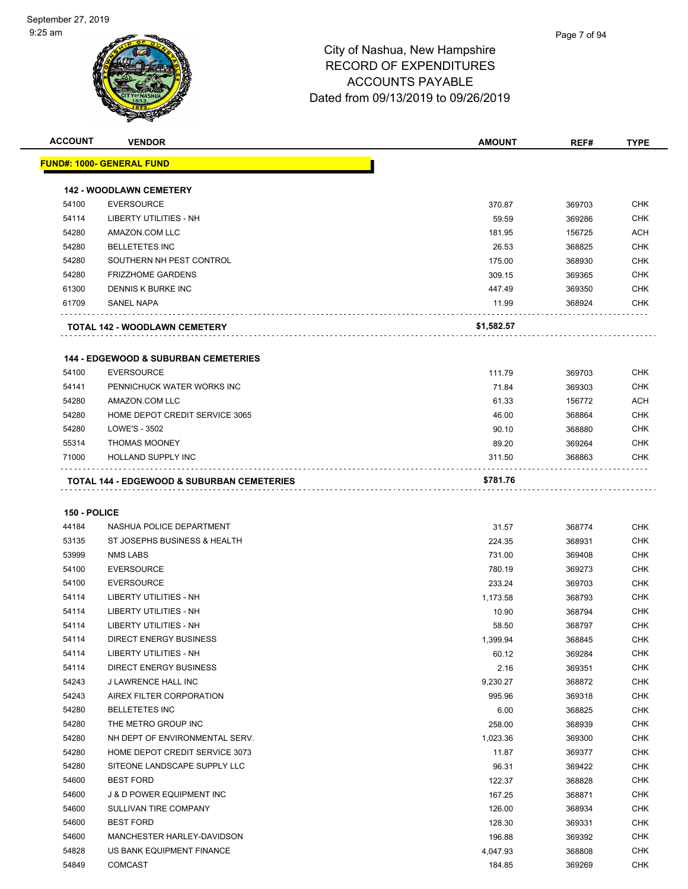| <b>ACCOUNT</b> | <b>VENDOR</b>                                         | <b>AMOUNT</b> | REF#   | <b>TYPE</b> |
|----------------|-------------------------------------------------------|---------------|--------|-------------|
|                | <b>FUND#: 1000- GENERAL FUND</b>                      |               |        |             |
|                |                                                       |               |        |             |
|                | <b>142 - WOODLAWN CEMETERY</b>                        |               |        |             |
| 54100          | <b>EVERSOURCE</b>                                     | 370.87        | 369703 | <b>CHK</b>  |
| 54114          | <b>LIBERTY UTILITIES - NH</b>                         | 59.59         | 369286 | <b>CHK</b>  |
| 54280          | AMAZON.COM LLC                                        | 181.95        | 156725 | <b>ACH</b>  |
| 54280          | <b>BELLETETES INC</b>                                 | 26.53         | 368825 | <b>CHK</b>  |
| 54280          | SOUTHERN NH PEST CONTROL                              | 175.00        | 368930 | <b>CHK</b>  |
| 54280          | <b>FRIZZHOME GARDENS</b>                              | 309.15        | 369365 | <b>CHK</b>  |
| 61300          | DENNIS K BURKE INC                                    | 447.49        | 369350 | <b>CHK</b>  |
| 61709          | <b>SANEL NAPA</b>                                     | 11.99         | 368924 | <b>CHK</b>  |
|                | <b>TOTAL 142 - WOODLAWN CEMETERY</b>                  | \$1,582.57    |        |             |
|                |                                                       |               |        |             |
|                | <b>144 - EDGEWOOD &amp; SUBURBAN CEMETERIES</b>       |               |        |             |
| 54100          | <b>EVERSOURCE</b>                                     | 111.79        | 369703 | <b>CHK</b>  |
| 54141          | PENNICHUCK WATER WORKS INC                            | 71.84         | 369303 | <b>CHK</b>  |
| 54280          | AMAZON.COM LLC                                        | 61.33         | 156772 | ACH         |
| 54280          | HOME DEPOT CREDIT SERVICE 3065                        | 46.00         | 368864 | <b>CHK</b>  |
| 54280          | LOWE'S - 3502                                         | 90.10         | 368880 | <b>CHK</b>  |
| 55314          | <b>THOMAS MOONEY</b>                                  | 89.20         | 369264 | <b>CHK</b>  |
| 71000          | HOLLAND SUPPLY INC                                    | 311.50        | 368863 | <b>CHK</b>  |
|                | <b>TOTAL 144 - EDGEWOOD &amp; SUBURBAN CEMETERIES</b> | \$781.76      |        |             |
|                |                                                       |               |        |             |
| 150 - POLICE   |                                                       |               |        |             |
| 44184          | NASHUA POLICE DEPARTMENT                              | 31.57         | 368774 | <b>CHK</b>  |
| 53135          | ST JOSEPHS BUSINESS & HEALTH                          | 224.35        | 368931 | <b>CHK</b>  |
| 53999          | <b>NMS LABS</b>                                       | 731.00        | 369408 | <b>CHK</b>  |
| 54100          | <b>EVERSOURCE</b>                                     | 780.19        | 369273 | <b>CHK</b>  |
| 54100          | <b>EVERSOURCE</b>                                     | 233.24        | 369703 | <b>CHK</b>  |
| 54114          | LIBERTY UTILITIES - NH                                | 1,173.58      | 368793 | <b>CHK</b>  |
| 54114          | LIBERTY UTILITIES - NH                                | 10.90         | 368794 | <b>CHK</b>  |
| 54114          | LIBERTY UTILITIES - NH                                | 58.50         | 368797 | <b>CHK</b>  |
| 54114          | DIRECT ENERGY BUSINESS                                | 1,399.94      | 368845 | <b>CHK</b>  |
| 54114          | LIBERTY UTILITIES - NH                                | 60.12         | 369284 | CHK         |
| 54114          | <b>DIRECT ENERGY BUSINESS</b>                         | 2.16          | 369351 | <b>CHK</b>  |
| 54243          | J LAWRENCE HALL INC                                   | 9,230.27      | 368872 | <b>CHK</b>  |
| 54243          | AIREX FILTER CORPORATION                              | 995.96        | 369318 | <b>CHK</b>  |
| 54280          | <b>BELLETETES INC</b>                                 | 6.00          | 368825 | <b>CHK</b>  |
| 54280          | THE METRO GROUP INC                                   |               |        | <b>CHK</b>  |
| 54280          | NH DEPT OF ENVIRONMENTAL SERV.                        | 258.00        | 368939 | <b>CHK</b>  |
|                | HOME DEPOT CREDIT SERVICE 3073                        | 1,023.36      | 369300 |             |
| 54280          |                                                       | 11.87         | 369377 | <b>CHK</b>  |
| 54280          | SITEONE LANDSCAPE SUPPLY LLC                          | 96.31         | 369422 | <b>CHK</b>  |
| 54600          | <b>BEST FORD</b>                                      | 122.37        | 368828 | <b>CHK</b>  |
| 54600          | J & D POWER EQUIPMENT INC                             | 167.25        | 368871 | <b>CHK</b>  |
| 54600          | SULLIVAN TIRE COMPANY                                 | 126.00        | 368934 | <b>CHK</b>  |
| 54600          | <b>BEST FORD</b>                                      | 128.30        | 369331 | <b>CHK</b>  |
| 54600          | MANCHESTER HARLEY-DAVIDSON                            | 196.88        | 369392 | <b>CHK</b>  |
| 54828          | US BANK EQUIPMENT FINANCE                             | 4,047.93      | 368808 | <b>CHK</b>  |
| 54849          | <b>COMCAST</b>                                        | 184.85        | 369269 | <b>CHK</b>  |
|                |                                                       |               |        |             |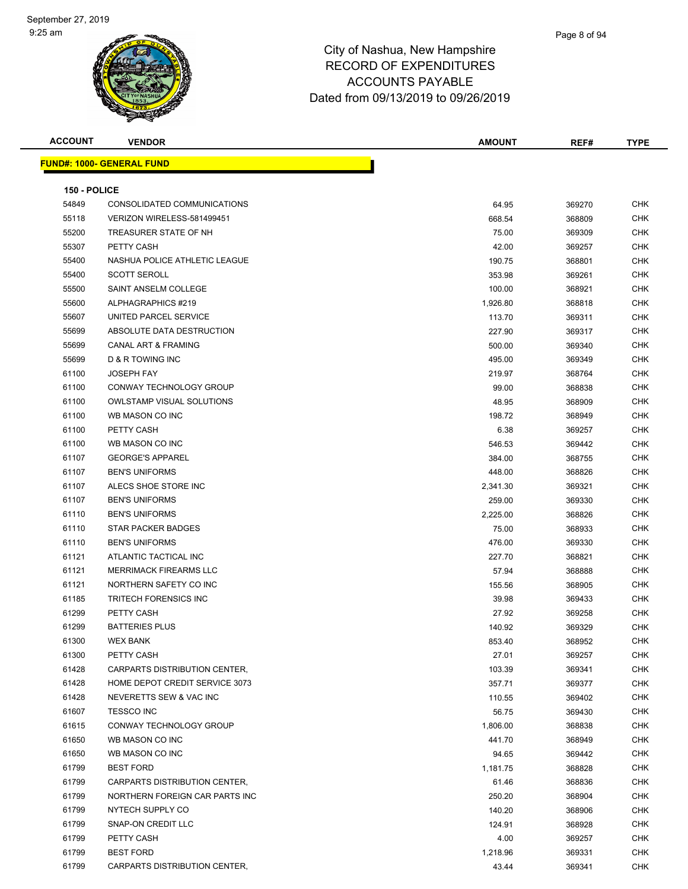| <b>ACCOUNT</b> | <b>VENDOR</b>                     | <b>AMOUNT</b> | REF#   | <b>TYPE</b> |
|----------------|-----------------------------------|---------------|--------|-------------|
|                | <u> FUND#: 1000- GENERAL FUND</u> |               |        |             |
|                |                                   |               |        |             |
| 150 - POLICE   |                                   |               |        |             |
| 54849          | CONSOLIDATED COMMUNICATIONS       | 64.95         | 369270 | <b>CHK</b>  |
| 55118          | VERIZON WIRELESS-581499451        | 668.54        | 368809 | <b>CHK</b>  |
| 55200          | TREASURER STATE OF NH             | 75.00         | 369309 | <b>CHK</b>  |
| 55307          | PETTY CASH                        | 42.00         | 369257 | <b>CHK</b>  |
| 55400          | NASHUA POLICE ATHLETIC LEAGUE     | 190.75        | 368801 | CHK         |
| 55400          | <b>SCOTT SEROLL</b>               | 353.98        | 369261 | <b>CHK</b>  |
| 55500          | SAINT ANSELM COLLEGE              | 100.00        | 368921 | <b>CHK</b>  |
| 55600          | ALPHAGRAPHICS #219                | 1,926.80      | 368818 | CHK         |
| 55607          | UNITED PARCEL SERVICE             | 113.70        | 369311 | <b>CHK</b>  |
| 55699          | ABSOLUTE DATA DESTRUCTION         | 227.90        | 369317 | CHK         |
| 55699          | <b>CANAL ART &amp; FRAMING</b>    | 500.00        | 369340 | CHK         |
| 55699          | D & R TOWING INC                  | 495.00        | 369349 | <b>CHK</b>  |
| 61100          | <b>JOSEPH FAY</b>                 | 219.97        | 368764 | CHK         |
| 61100          | CONWAY TECHNOLOGY GROUP           | 99.00         | 368838 | CHK         |
| 61100          | <b>OWLSTAMP VISUAL SOLUTIONS</b>  | 48.95         | 368909 | CHK         |
| 61100          | WB MASON CO INC                   | 198.72        | 368949 | CHK         |
| 61100          | PETTY CASH                        | 6.38          | 369257 | CHK         |
| 61100          | WB MASON CO INC                   | 546.53        | 369442 | CHK         |
| 61107          | <b>GEORGE'S APPAREL</b>           | 384.00        | 368755 | CHK         |
| 61107          | <b>BEN'S UNIFORMS</b>             | 448.00        | 368826 | <b>CHK</b>  |
| 61107          | ALECS SHOE STORE INC              | 2,341.30      | 369321 | CHK         |
| 61107          | <b>BEN'S UNIFORMS</b>             | 259.00        | 369330 | <b>CHK</b>  |
| 61110          | <b>BEN'S UNIFORMS</b>             | 2,225.00      | 368826 | <b>CHK</b>  |
| 61110          | <b>STAR PACKER BADGES</b>         | 75.00         | 368933 | CHK         |
| 61110          | <b>BEN'S UNIFORMS</b>             | 476.00        | 369330 | CHK         |
| 61121          | ATLANTIC TACTICAL INC             | 227.70        | 368821 | CHK         |
| 61121          | <b>MERRIMACK FIREARMS LLC</b>     | 57.94         | 368888 | CHK         |
| 61121          | NORTHERN SAFETY CO INC            | 155.56        | 368905 | CHK         |
| 61185          | <b>TRITECH FORENSICS INC</b>      | 39.98         | 369433 | CHK         |
| 61299          | PETTY CASH                        | 27.92         | 369258 | CHK         |
| 61299          | <b>BATTERIES PLUS</b>             | 140.92        | 369329 | <b>CHK</b>  |
| 61300          | <b>WEX BANK</b>                   | 853.40        | 368952 | <b>CHK</b>  |
| 61300          | PETTY CASH                        | 27.01         | 369257 | <b>CHK</b>  |
| 61428          | CARPARTS DISTRIBUTION CENTER,     | 103.39        | 369341 | <b>CHK</b>  |
| 61428          | HOME DEPOT CREDIT SERVICE 3073    | 357.71        | 369377 | CHK         |
| 61428          | NEVERETTS SEW & VAC INC           | 110.55        | 369402 | <b>CHK</b>  |
| 61607          | <b>TESSCO INC</b>                 | 56.75         | 369430 | CHK         |
| 61615          | CONWAY TECHNOLOGY GROUP           | 1,806.00      | 368838 | CHK         |
| 61650          | WB MASON CO INC                   | 441.70        | 368949 | <b>CHK</b>  |
| 61650          | WB MASON CO INC                   | 94.65         | 369442 | CHK         |
| 61799          | <b>BEST FORD</b>                  | 1,181.75      | 368828 | CHK         |
| 61799          | CARPARTS DISTRIBUTION CENTER,     | 61.46         | 368836 | <b>CHK</b>  |
| 61799          | NORTHERN FOREIGN CAR PARTS INC    | 250.20        | 368904 | CHK         |
| 61799          | NYTECH SUPPLY CO                  | 140.20        | 368906 | <b>CHK</b>  |
| 61799          | SNAP-ON CREDIT LLC                | 124.91        | 368928 | CHK         |
| 61799          | PETTY CASH                        | 4.00          | 369257 | CHK         |
| 61799          | <b>BEST FORD</b>                  | 1,218.96      | 369331 | CHK         |
| 61799          | CARPARTS DISTRIBUTION CENTER,     | 43.44         | 369341 | CHK         |
|                |                                   |               |        |             |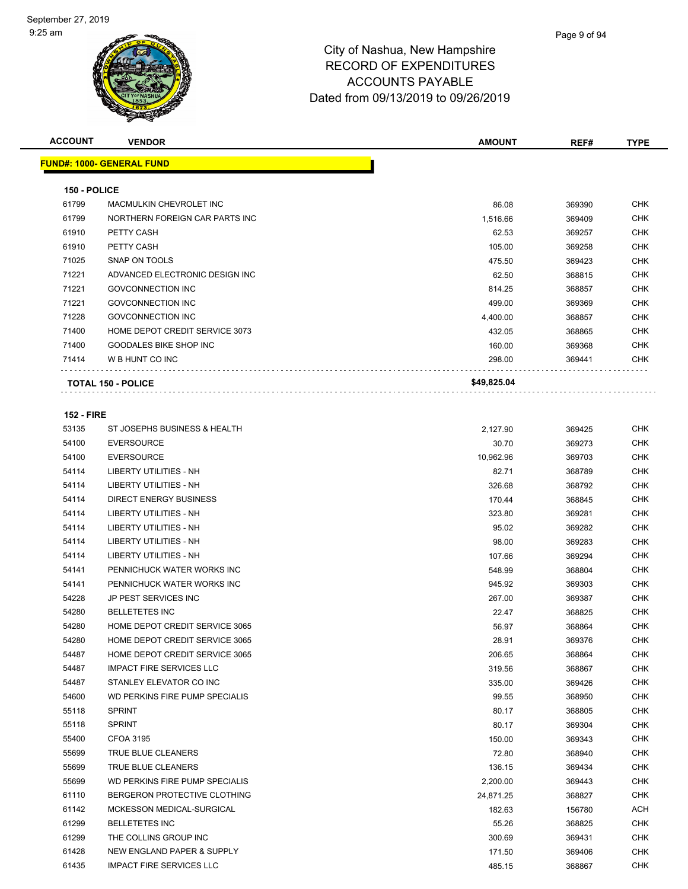

| <b>ACCOUNT</b>        | <b>VENDOR</b>                                             | <b>AMOUNT</b> | REF#             | <b>TYPE</b> |
|-----------------------|-----------------------------------------------------------|---------------|------------------|-------------|
|                       | <u> FUND#: 1000- GENERAL FUND</u>                         |               |                  |             |
|                       |                                                           |               |                  |             |
| 150 - POLICE<br>61799 |                                                           | 86.08         |                  | CHK         |
| 61799                 | MACMULKIN CHEVROLET INC<br>NORTHERN FOREIGN CAR PARTS INC |               | 369390           | CHK         |
|                       |                                                           | 1,516.66      | 369409           |             |
| 61910                 | PETTY CASH                                                | 62.53         | 369257           | CHK         |
| 61910                 | PETTY CASH                                                | 105.00        | 369258           | CHK         |
| 71025                 | SNAP ON TOOLS                                             | 475.50        | 369423           | <b>CHK</b>  |
| 71221                 | ADVANCED ELECTRONIC DESIGN INC                            | 62.50         | 368815           | CHK         |
| 71221                 | <b>GOVCONNECTION INC</b>                                  | 814.25        | 368857           | <b>CHK</b>  |
| 71221                 | <b>GOVCONNECTION INC</b>                                  | 499.00        | 369369           | <b>CHK</b>  |
| 71228                 | <b>GOVCONNECTION INC</b>                                  | 4,400.00      | 368857           | CHK         |
| 71400                 | HOME DEPOT CREDIT SERVICE 3073                            | 432.05        | 368865           | CHK         |
| 71400                 | <b>GOODALES BIKE SHOP INC</b>                             | 160.00        | 369368           | <b>CHK</b>  |
| 71414                 | W B HUNT CO INC                                           | 298.00        | 369441           | CHK         |
|                       | <b>TOTAL 150 - POLICE</b>                                 | \$49,825.04   |                  |             |
|                       |                                                           |               |                  |             |
| <b>152 - FIRE</b>     |                                                           |               |                  |             |
| 53135                 | ST JOSEPHS BUSINESS & HEALTH                              | 2,127.90      | 369425           | <b>CHK</b>  |
| 54100                 | <b>EVERSOURCE</b>                                         | 30.70         | 369273           | <b>CHK</b>  |
| 54100                 | <b>EVERSOURCE</b>                                         | 10.962.96     | 369703           | CHK         |
| 54114                 | LIBERTY UTILITIES - NH                                    | 82.71         | 368789           | <b>CHK</b>  |
| 54114                 | LIBERTY UTILITIES - NH                                    | 326.68        | 368792           | CHK         |
| 54114                 | <b>DIRECT ENERGY BUSINESS</b>                             | 170.44        | 368845           | CHK         |
| 54114                 | LIBERTY UTILITIES - NH                                    | 323.80        | 369281           | <b>CHK</b>  |
| 54114                 | LIBERTY UTILITIES - NH                                    | 95.02         | 369282           | CHK         |
| 54114                 | LIBERTY UTILITIES - NH                                    | 98.00         | 369283           | CHK         |
| 54114                 | LIBERTY UTILITIES - NH                                    | 107.66        | 369294           | <b>CHK</b>  |
| 54141                 | PENNICHUCK WATER WORKS INC                                | 548.99        | 368804           | CHK         |
| 54141                 | PENNICHUCK WATER WORKS INC                                | 945.92        | 369303           | <b>CHK</b>  |
| 54228                 | JP PEST SERVICES INC                                      | 267.00        | 369387           | CHK         |
| 54280                 | <b>BELLETETES INC</b>                                     | 22.47         | 368825           | CHK         |
| 54280                 | HOME DEPOT CREDIT SERVICE 3065                            | 56.97         | 368864           | <b>CHK</b>  |
| 54280                 | HOME DEPOT CREDIT SERVICE 3065                            | 28.91         | 369376           | <b>CHK</b>  |
| 54487                 | HOME DEPOT CREDIT SERVICE 3065                            | 206.65        | 368864           | CHK         |
| 54487                 | <b>IMPACT FIRE SERVICES LLC</b>                           | 319.56        | 368867           | CHK         |
| 54487                 | STANLEY ELEVATOR CO INC                                   | 335.00        | 369426           | CHK         |
| 54600                 | WD PERKINS FIRE PUMP SPECIALIS                            | 99.55         | 368950           | CHK         |
| 55118                 | <b>SPRINT</b>                                             | 80.17         | 368805           | <b>CHK</b>  |
| 55118                 | <b>SPRINT</b>                                             | 80.17         | 369304           | CHK         |
| 55400                 | <b>CFOA 3195</b>                                          | 150.00        | 369343           | <b>CHK</b>  |
| 55699                 | TRUE BLUE CLEANERS                                        | 72.80         | 368940           | <b>CHK</b>  |
| 55699                 | TRUE BLUE CLEANERS                                        | 136.15        | 369434           | <b>CHK</b>  |
| 55699                 | <b>WD PERKINS FIRE PUMP SPECIALIS</b>                     | 2,200.00      | 369443           | <b>CHK</b>  |
| 61110                 | BERGERON PROTECTIVE CLOTHING                              | 24,871.25     | 368827           | CHK         |
| 61142                 | MCKESSON MEDICAL-SURGICAL                                 | 182.63        | 156780           | <b>ACH</b>  |
| 61299                 | <b>BELLETETES INC</b>                                     | 55.26         | 368825           | CHK         |
| 61299                 | THE COLLINS GROUP INC                                     | 300.69        | 369431           | CHK         |
| 61428                 | NEW ENGLAND PAPER & SUPPLY                                | 171.50        |                  | <b>CHK</b>  |
| 61435                 | <b>IMPACT FIRE SERVICES LLC</b>                           | 485.15        | 369406<br>368867 | <b>CHK</b>  |
|                       |                                                           |               |                  |             |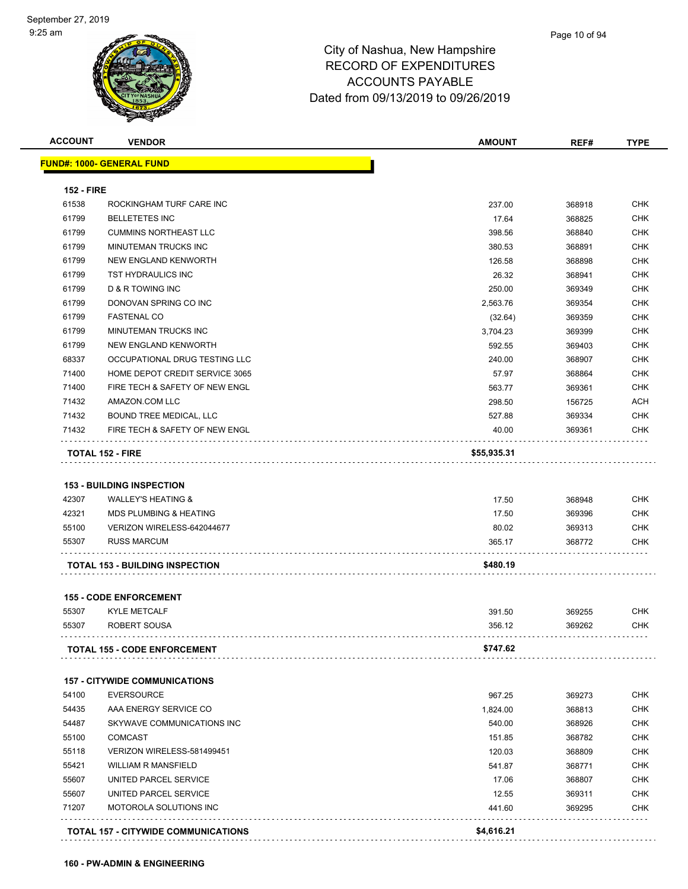| <b>FUND#: 1000- GENERAL FUND</b><br><b>152 - FIRE</b><br>61538<br>61799<br><b>BELLETETES INC</b><br>61799<br>61799<br>61799<br>61799<br>61799<br>D & R TOWING INC<br>61799<br>61799<br><b>FASTENAL CO</b><br>61799<br>61799<br>68337<br>71400<br>71400<br>71432<br>AMAZON.COM LLC<br>71432<br>71432<br><b>TOTAL 152 - FIRE</b><br><b>153 - BUILDING INSPECTION</b><br>42307<br><b>WALLEY'S HEATING &amp;</b><br>42321<br><b>MDS PLUMBING &amp; HEATING</b><br>55100<br>55307<br><b>RUSS MARCUM</b><br><b>TOTAL 153 - BUILDING INSPECTION</b><br><b>155 - CODE ENFORCEMENT</b><br>55307<br><b>KYLE METCALF</b><br>55307<br>ROBERT SOUSA<br><b>TOTAL 155 - CODE ENFORCEMENT</b><br><b>157 - CITYWIDE COMMUNICATIONS</b><br>54100<br><b>EVERSOURCE</b><br>54435<br>54487<br>55100<br><b>COMCAST</b><br>55118<br>55421<br>55607 | <b>VENDOR</b>                  | <b>AMOUNT</b> | REF#   | <b>TYPE</b> |
|-----------------------------------------------------------------------------------------------------------------------------------------------------------------------------------------------------------------------------------------------------------------------------------------------------------------------------------------------------------------------------------------------------------------------------------------------------------------------------------------------------------------------------------------------------------------------------------------------------------------------------------------------------------------------------------------------------------------------------------------------------------------------------------------------------------------------------|--------------------------------|---------------|--------|-------------|
|                                                                                                                                                                                                                                                                                                                                                                                                                                                                                                                                                                                                                                                                                                                                                                                                                             |                                |               |        |             |
|                                                                                                                                                                                                                                                                                                                                                                                                                                                                                                                                                                                                                                                                                                                                                                                                                             |                                |               |        |             |
|                                                                                                                                                                                                                                                                                                                                                                                                                                                                                                                                                                                                                                                                                                                                                                                                                             | ROCKINGHAM TURF CARE INC       | 237.00        | 368918 | <b>CHK</b>  |
|                                                                                                                                                                                                                                                                                                                                                                                                                                                                                                                                                                                                                                                                                                                                                                                                                             |                                | 17.64         | 368825 | <b>CHK</b>  |
|                                                                                                                                                                                                                                                                                                                                                                                                                                                                                                                                                                                                                                                                                                                                                                                                                             | <b>CUMMINS NORTHEAST LLC</b>   | 398.56        | 368840 | <b>CHK</b>  |
|                                                                                                                                                                                                                                                                                                                                                                                                                                                                                                                                                                                                                                                                                                                                                                                                                             | <b>MINUTEMAN TRUCKS INC</b>    | 380.53        | 368891 | <b>CHK</b>  |
|                                                                                                                                                                                                                                                                                                                                                                                                                                                                                                                                                                                                                                                                                                                                                                                                                             | NEW ENGLAND KENWORTH           | 126.58        | 368898 | <b>CHK</b>  |
|                                                                                                                                                                                                                                                                                                                                                                                                                                                                                                                                                                                                                                                                                                                                                                                                                             | TST HYDRAULICS INC             | 26.32         | 368941 | <b>CHK</b>  |
|                                                                                                                                                                                                                                                                                                                                                                                                                                                                                                                                                                                                                                                                                                                                                                                                                             |                                | 250.00        | 369349 | <b>CHK</b>  |
|                                                                                                                                                                                                                                                                                                                                                                                                                                                                                                                                                                                                                                                                                                                                                                                                                             | DONOVAN SPRING CO INC          | 2,563.76      | 369354 | <b>CHK</b>  |
|                                                                                                                                                                                                                                                                                                                                                                                                                                                                                                                                                                                                                                                                                                                                                                                                                             |                                | (32.64)       | 369359 | <b>CHK</b>  |
|                                                                                                                                                                                                                                                                                                                                                                                                                                                                                                                                                                                                                                                                                                                                                                                                                             | MINUTEMAN TRUCKS INC           | 3,704.23      | 369399 | <b>CHK</b>  |
|                                                                                                                                                                                                                                                                                                                                                                                                                                                                                                                                                                                                                                                                                                                                                                                                                             | NEW ENGLAND KENWORTH           | 592.55        | 369403 | <b>CHK</b>  |
|                                                                                                                                                                                                                                                                                                                                                                                                                                                                                                                                                                                                                                                                                                                                                                                                                             | OCCUPATIONAL DRUG TESTING LLC  | 240.00        | 368907 | <b>CHK</b>  |
|                                                                                                                                                                                                                                                                                                                                                                                                                                                                                                                                                                                                                                                                                                                                                                                                                             | HOME DEPOT CREDIT SERVICE 3065 | 57.97         | 368864 | <b>CHK</b>  |
|                                                                                                                                                                                                                                                                                                                                                                                                                                                                                                                                                                                                                                                                                                                                                                                                                             | FIRE TECH & SAFETY OF NEW ENGL | 563.77        | 369361 | <b>CHK</b>  |
|                                                                                                                                                                                                                                                                                                                                                                                                                                                                                                                                                                                                                                                                                                                                                                                                                             |                                | 298.50        | 156725 | <b>ACH</b>  |
|                                                                                                                                                                                                                                                                                                                                                                                                                                                                                                                                                                                                                                                                                                                                                                                                                             | BOUND TREE MEDICAL, LLC        | 527.88        | 369334 | <b>CHK</b>  |
|                                                                                                                                                                                                                                                                                                                                                                                                                                                                                                                                                                                                                                                                                                                                                                                                                             | FIRE TECH & SAFETY OF NEW ENGL | 40.00         | 369361 | <b>CHK</b>  |
|                                                                                                                                                                                                                                                                                                                                                                                                                                                                                                                                                                                                                                                                                                                                                                                                                             |                                | \$55,935.31   |        |             |
|                                                                                                                                                                                                                                                                                                                                                                                                                                                                                                                                                                                                                                                                                                                                                                                                                             |                                |               |        |             |
|                                                                                                                                                                                                                                                                                                                                                                                                                                                                                                                                                                                                                                                                                                                                                                                                                             |                                | 17.50         | 368948 | <b>CHK</b>  |
|                                                                                                                                                                                                                                                                                                                                                                                                                                                                                                                                                                                                                                                                                                                                                                                                                             |                                | 17.50         | 369396 | <b>CHK</b>  |
|                                                                                                                                                                                                                                                                                                                                                                                                                                                                                                                                                                                                                                                                                                                                                                                                                             | VERIZON WIRELESS-642044677     | 80.02         |        | <b>CHK</b>  |
|                                                                                                                                                                                                                                                                                                                                                                                                                                                                                                                                                                                                                                                                                                                                                                                                                             |                                |               | 369313 | <b>CHK</b>  |
|                                                                                                                                                                                                                                                                                                                                                                                                                                                                                                                                                                                                                                                                                                                                                                                                                             |                                | 365.17        | 368772 |             |
|                                                                                                                                                                                                                                                                                                                                                                                                                                                                                                                                                                                                                                                                                                                                                                                                                             |                                | \$480.19      |        |             |
|                                                                                                                                                                                                                                                                                                                                                                                                                                                                                                                                                                                                                                                                                                                                                                                                                             |                                |               |        |             |
|                                                                                                                                                                                                                                                                                                                                                                                                                                                                                                                                                                                                                                                                                                                                                                                                                             |                                | 391.50        | 369255 | CHK         |
|                                                                                                                                                                                                                                                                                                                                                                                                                                                                                                                                                                                                                                                                                                                                                                                                                             |                                | 356.12        | 369262 | <b>CHK</b>  |
|                                                                                                                                                                                                                                                                                                                                                                                                                                                                                                                                                                                                                                                                                                                                                                                                                             |                                | \$747.62      |        |             |
|                                                                                                                                                                                                                                                                                                                                                                                                                                                                                                                                                                                                                                                                                                                                                                                                                             |                                |               |        |             |
|                                                                                                                                                                                                                                                                                                                                                                                                                                                                                                                                                                                                                                                                                                                                                                                                                             |                                | 967.25        | 369273 | <b>CHK</b>  |
|                                                                                                                                                                                                                                                                                                                                                                                                                                                                                                                                                                                                                                                                                                                                                                                                                             | AAA ENERGY SERVICE CO          | 1,824.00      | 368813 | <b>CHK</b>  |
|                                                                                                                                                                                                                                                                                                                                                                                                                                                                                                                                                                                                                                                                                                                                                                                                                             | SKYWAVE COMMUNICATIONS INC     | 540.00        | 368926 | <b>CHK</b>  |
|                                                                                                                                                                                                                                                                                                                                                                                                                                                                                                                                                                                                                                                                                                                                                                                                                             |                                | 151.85        | 368782 | <b>CHK</b>  |
|                                                                                                                                                                                                                                                                                                                                                                                                                                                                                                                                                                                                                                                                                                                                                                                                                             | VERIZON WIRELESS-581499451     | 120.03        | 368809 | <b>CHK</b>  |
|                                                                                                                                                                                                                                                                                                                                                                                                                                                                                                                                                                                                                                                                                                                                                                                                                             | <b>WILLIAM R MANSFIELD</b>     | 541.87        | 368771 | <b>CHK</b>  |
|                                                                                                                                                                                                                                                                                                                                                                                                                                                                                                                                                                                                                                                                                                                                                                                                                             | UNITED PARCEL SERVICE          | 17.06         | 368807 | <b>CHK</b>  |
| 55607                                                                                                                                                                                                                                                                                                                                                                                                                                                                                                                                                                                                                                                                                                                                                                                                                       | UNITED PARCEL SERVICE          | 12.55         | 369311 | <b>CHK</b>  |
| 71207                                                                                                                                                                                                                                                                                                                                                                                                                                                                                                                                                                                                                                                                                                                                                                                                                       | MOTOROLA SOLUTIONS INC         | 441.60        | 369295 | <b>CHK</b>  |
|                                                                                                                                                                                                                                                                                                                                                                                                                                                                                                                                                                                                                                                                                                                                                                                                                             |                                |               |        |             |

**160 - PW-ADMIN & ENGINEERING**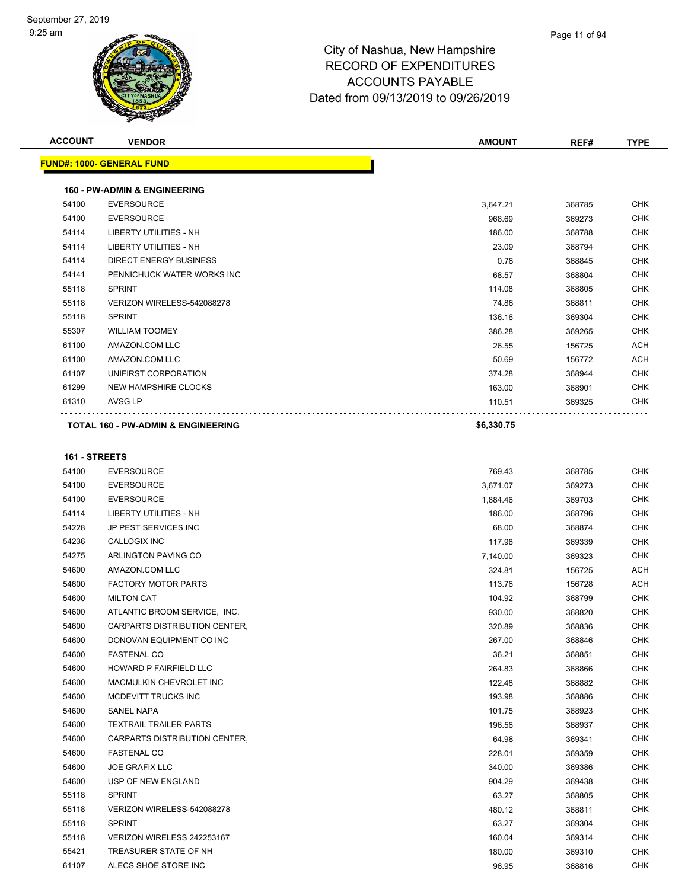| <b>ACCOUNT</b> | <b>VENDOR</b>                           | <b>AMOUNT</b> | REF#   | <b>TYPE</b>        |
|----------------|-----------------------------------------|---------------|--------|--------------------|
|                | <b>FUND#: 1000- GENERAL FUND</b>        |               |        |                    |
|                | <b>160 - PW-ADMIN &amp; ENGINEERING</b> |               |        |                    |
| 54100          | <b>EVERSOURCE</b>                       | 3,647.21      | 368785 | <b>CHK</b>         |
| 54100          | <b>EVERSOURCE</b>                       | 968.69        | 369273 | <b>CHK</b>         |
| 54114          | <b>LIBERTY UTILITIES - NH</b>           | 186.00        | 368788 | <b>CHK</b>         |
| 54114          | <b>LIBERTY UTILITIES - NH</b>           | 23.09         | 368794 | <b>CHK</b>         |
| 54114          | <b>DIRECT ENERGY BUSINESS</b>           | 0.78          | 368845 | <b>CHK</b>         |
| 54141          | PENNICHUCK WATER WORKS INC              | 68.57         | 368804 | <b>CHK</b>         |
| 55118          | <b>SPRINT</b>                           | 114.08        | 368805 | <b>CHK</b>         |
| 55118          | VERIZON WIRELESS-542088278              | 74.86         | 368811 | <b>CHK</b>         |
| 55118          | <b>SPRINT</b>                           | 136.16        | 369304 | <b>CHK</b>         |
| 55307          | <b>WILLIAM TOOMEY</b>                   | 386.28        | 369265 | <b>CHK</b>         |
| 61100          | AMAZON.COM LLC                          | 26.55         | 156725 | <b>ACH</b>         |
| 61100          | AMAZON.COM LLC                          | 50.69         | 156772 | <b>ACH</b>         |
| 61107          | UNIFIRST CORPORATION                    | 374.28        | 368944 | <b>CHK</b>         |
| 61299          | <b>NEW HAMPSHIRE CLOCKS</b>             | 163.00        | 368901 | <b>CHK</b>         |
| 61310          | AVSG LP                                 | 110.51        | 369325 | <b>CHK</b>         |
|                | TOTAL 160 - PW-ADMIN & ENGINEERING      | \$6,330.75    |        |                    |
| 161 - STREETS  |                                         |               |        |                    |
| 54100          | <b>EVERSOURCE</b>                       | 769.43        | 368785 | CHK                |
| 54100          | <b>EVERSOURCE</b>                       | 3,671.07      | 369273 | <b>CHK</b>         |
| 54100          | <b>EVERSOURCE</b>                       | 1,884.46      | 369703 | <b>CHK</b>         |
| 54114          | LIBERTY UTILITIES - NH                  | 186.00        | 368796 | <b>CHK</b>         |
| 54228          | JP PEST SERVICES INC                    | 68.00         | 368874 | <b>CHK</b>         |
| 54236          | <b>CALLOGIX INC</b>                     | 117.98        | 369339 | <b>CHK</b>         |
| 54275          | ARLINGTON PAVING CO                     | 7,140.00      | 369323 | <b>CHK</b>         |
| 54600          | AMAZON.COM LLC                          | 324.81        | 156725 | <b>ACH</b>         |
| 54600          | <b>FACTORY MOTOR PARTS</b>              | 113.76        | 156728 | <b>ACH</b>         |
| 54600          | <b>MILTON CAT</b>                       | 104.92        | 368799 | <b>CHK</b>         |
| EAOOO          | ATLANTIC RROOM CERVICE INC              | 0.2000        | 000000 | C <sub>1</sub> 11Z |

| 54600 | <b>FACTORY MOTOR PARTS</b>           | 113.76 | 156728 | ACH        |
|-------|--------------------------------------|--------|--------|------------|
| 54600 | <b>MILTON CAT</b>                    | 104.92 | 368799 | CHK        |
| 54600 | ATLANTIC BROOM SERVICE, INC.         | 930.00 | 368820 | CHK        |
| 54600 | CARPARTS DISTRIBUTION CENTER.        | 320.89 | 368836 | <b>CHK</b> |
| 54600 | DONOVAN EQUIPMENT CO INC             | 267.00 | 368846 | <b>CHK</b> |
| 54600 | <b>FASTENAL CO</b>                   | 36.21  | 368851 | <b>CHK</b> |
| 54600 | <b>HOWARD P FAIRFIELD LLC</b>        | 264.83 | 368866 | <b>CHK</b> |
| 54600 | MACMULKIN CHEVROLET INC              | 122.48 | 368882 | <b>CHK</b> |
| 54600 | MCDEVITT TRUCKS INC                  | 193.98 | 368886 | <b>CHK</b> |
| 54600 | <b>SANEL NAPA</b>                    | 101.75 | 368923 | <b>CHK</b> |
| 54600 | <b>TEXTRAIL TRAILER PARTS</b>        | 196.56 | 368937 | <b>CHK</b> |
| 54600 | <b>CARPARTS DISTRIBUTION CENTER.</b> | 64.98  | 369341 | <b>CHK</b> |
| 54600 | <b>FASTENAL CO</b>                   | 228.01 | 369359 | <b>CHK</b> |
| 54600 | <b>JOE GRAFIX LLC</b>                | 340.00 | 369386 | <b>CHK</b> |
| 54600 | <b>USP OF NEW ENGLAND</b>            | 904.29 | 369438 | <b>CHK</b> |
| 55118 | <b>SPRINT</b>                        | 63.27  | 368805 | <b>CHK</b> |
| 55118 | VERIZON WIRELESS-542088278           | 480.12 | 368811 | <b>CHK</b> |
| 55118 | <b>SPRINT</b>                        | 63.27  | 369304 | <b>CHK</b> |
| 55118 | VERIZON WIRELESS 242253167           | 160.04 | 369314 | <b>CHK</b> |
| 55421 | TREASURER STATE OF NH                | 180.00 | 369310 | <b>CHK</b> |
| 61107 | ALECS SHOE STORE INC                 | 96.95  | 368816 | <b>CHK</b> |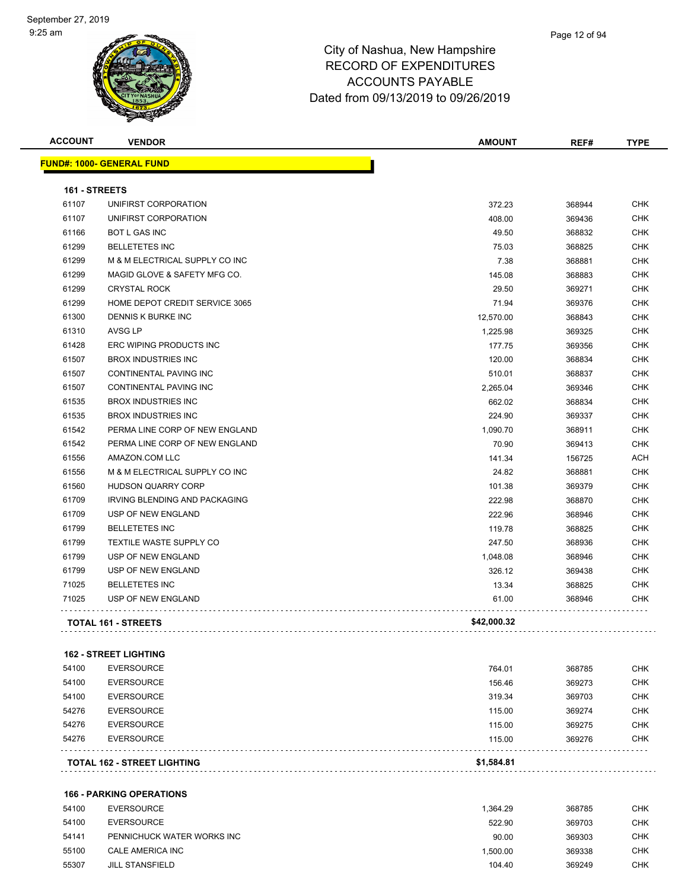| <b>ACCOUNT</b> | <b>VENDOR</b>                    | <b>AMOUNT</b> | REF#   | <b>TYPE</b> |
|----------------|----------------------------------|---------------|--------|-------------|
|                | <b>FUND#: 1000- GENERAL FUND</b> |               |        |             |
| 161 - STREETS  |                                  |               |        |             |
| 61107          | UNIFIRST CORPORATION             | 372.23        | 368944 | <b>CHK</b>  |
| 61107          | UNIFIRST CORPORATION             | 408.00        | 369436 | <b>CHK</b>  |
| 61166          | <b>BOT L GAS INC</b>             | 49.50         | 368832 | <b>CHK</b>  |
| 61299          | <b>BELLETETES INC</b>            | 75.03         | 368825 | <b>CHK</b>  |
| 61299          | M & M ELECTRICAL SUPPLY CO INC   | 7.38          | 368881 | <b>CHK</b>  |
| 61299          | MAGID GLOVE & SAFETY MFG CO.     | 145.08        | 368883 | <b>CHK</b>  |
| 61299          | <b>CRYSTAL ROCK</b>              | 29.50         | 369271 | <b>CHK</b>  |
| 61299          | HOME DEPOT CREDIT SERVICE 3065   | 71.94         | 369376 | <b>CHK</b>  |
| 61300          | DENNIS K BURKE INC               | 12,570.00     | 368843 | <b>CHK</b>  |
| 61310          | AVSG LP                          | 1,225.98      | 369325 | <b>CHK</b>  |
| 61428          | ERC WIPING PRODUCTS INC          | 177.75        | 369356 | CHK         |
| 61507          | <b>BROX INDUSTRIES INC</b>       | 120.00        | 368834 | <b>CHK</b>  |
| 61507          | CONTINENTAL PAVING INC           | 510.01        | 368837 | <b>CHK</b>  |
| 61507          | <b>CONTINENTAL PAVING INC</b>    | 2,265.04      | 369346 | <b>CHK</b>  |
| 61535          | <b>BROX INDUSTRIES INC</b>       | 662.02        | 368834 | <b>CHK</b>  |
| 61535          | <b>BROX INDUSTRIES INC</b>       | 224.90        | 369337 | <b>CHK</b>  |
| 61542          | PERMA LINE CORP OF NEW ENGLAND   | 1,090.70      | 368911 | <b>CHK</b>  |
| 61542          | PERMA LINE CORP OF NEW ENGLAND   | 70.90         | 369413 | <b>CHK</b>  |
| 61556          | AMAZON.COM LLC                   | 141.34        | 156725 | <b>ACH</b>  |
| 61556          | M & M ELECTRICAL SUPPLY CO INC   | 24.82         | 368881 | CHK         |
| 61560          | <b>HUDSON QUARRY CORP</b>        | 101.38        | 369379 | <b>CHK</b>  |
| 61709          | IRVING BLENDING AND PACKAGING    | 222.98        | 368870 | <b>CHK</b>  |
| 61709          | USP OF NEW ENGLAND               | 222.96        | 368946 | <b>CHK</b>  |
| 61799          | <b>BELLETETES INC</b>            | 119.78        | 368825 | CHK         |
| 61799          | <b>TEXTILE WASTE SUPPLY CO</b>   | 247.50        | 368936 | <b>CHK</b>  |
| 61799          | USP OF NEW ENGLAND               | 1,048.08      | 368946 | <b>CHK</b>  |
| 61799          | USP OF NEW ENGLAND               | 326.12        | 369438 | <b>CHK</b>  |
| 71025          | <b>BELLETETES INC</b>            | 13.34         | 368825 | CHK         |
| 71025          | USP OF NEW ENGLAND               | 61.00         | 368946 | <b>CHK</b>  |
|                | <b>TOTAL 161 - STREETS</b>       | \$42,000.32   |        |             |

|       | <b>TOTAL 162 - STREET LIGHTING</b> | \$1.584.81 |        |            |
|-------|------------------------------------|------------|--------|------------|
| 54276 | <b>EVERSOURCE</b>                  | 115.00     | 369276 | <b>CHK</b> |
| 54276 | <b>EVERSOURCE</b>                  | 115.00     | 369275 | <b>CHK</b> |
| 54276 | <b>EVERSOURCE</b>                  | 115.00     | 369274 | <b>CHK</b> |
| 54100 | <b>EVERSOURCE</b>                  | 319.34     | 369703 | <b>CHK</b> |
| 54100 | <b>EVERSOURCE</b>                  | 156.46     | 369273 | <b>CHK</b> |
| 54100 | <b>EVERSOURCE</b>                  | 764.01     | 368785 | CHK        |

#### **166 - PARKING OPERATIONS**

| 54100 | EVERSOURCE                 | 1.364.29 | 368785 | <b>CHK</b> |
|-------|----------------------------|----------|--------|------------|
| 54100 | EVERSOURCE                 | 522.90   | 369703 | <b>CHK</b> |
| 54141 | PENNICHUCK WATER WORKS INC | 90.00    | 369303 | CHK        |
| 55100 | CALE AMERICA INC           | 1.500.00 | 369338 | <b>CHK</b> |
| 55307 | <b>JILL STANSFIELD</b>     | 104.40   | 369249 | <b>CHK</b> |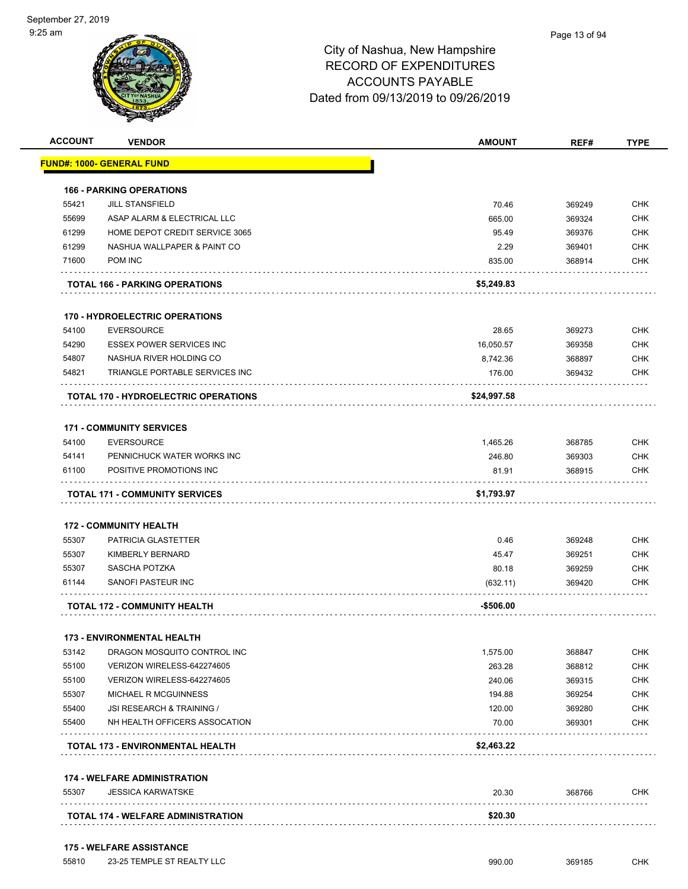

|                |                                                                       |                     | REF#             |                                                                                                                                                               |
|----------------|-----------------------------------------------------------------------|---------------------|------------------|---------------------------------------------------------------------------------------------------------------------------------------------------------------|
|                | <u> FUND#: 1000- GENERAL FUND</u>                                     |                     |                  |                                                                                                                                                               |
|                |                                                                       |                     |                  |                                                                                                                                                               |
|                | <b>166 - PARKING OPERATIONS</b><br><b>JILL STANSFIELD</b>             |                     |                  | <b>CHK</b>                                                                                                                                                    |
| 55421          |                                                                       | 70.46               | 369249           |                                                                                                                                                               |
| 55699          | ASAP ALARM & ELECTRICAL LLC                                           | 665.00              | 369324           | <b>CHK</b>                                                                                                                                                    |
| 61299          | HOME DEPOT CREDIT SERVICE 3065                                        | 95.49               | 369376           | <b>CHK</b>                                                                                                                                                    |
| 61299          | NASHUA WALLPAPER & PAINT CO                                           | 2.29                | 369401           | <b>CHK</b>                                                                                                                                                    |
| 71600          | POM INC                                                               | 835.00              | 368914           | CHK                                                                                                                                                           |
|                | <b>TOTAL 166 - PARKING OPERATIONS</b>                                 | \$5,249.83          |                  |                                                                                                                                                               |
|                | <b>170 - HYDROELECTRIC OPERATIONS</b>                                 |                     |                  |                                                                                                                                                               |
| 54100          | <b>EVERSOURCE</b>                                                     | 28.65               | 369273           | <b>CHK</b>                                                                                                                                                    |
| 54290          | <b>ESSEX POWER SERVICES INC</b>                                       | 16,050.57           | 369358           | <b>CHK</b>                                                                                                                                                    |
| 54807          | NASHUA RIVER HOLDING CO                                               |                     |                  | <b>CHK</b>                                                                                                                                                    |
| 54821          |                                                                       | 8,742.36            | 368897           |                                                                                                                                                               |
|                | TRIANGLE PORTABLE SERVICES INC                                        | 176.00              | 369432           | CHK                                                                                                                                                           |
|                | <b>TOTAL 170 - HYDROELECTRIC OPERATIONS</b>                           | \$24,997.58         |                  |                                                                                                                                                               |
|                | <b>171 - COMMUNITY SERVICES</b>                                       |                     |                  |                                                                                                                                                               |
| 54100          | <b>EVERSOURCE</b>                                                     | 1,465.26            | 368785           | <b>CHK</b>                                                                                                                                                    |
|                | PENNICHUCK WATER WORKS INC                                            | 246.80              | 369303           | <b>CHK</b>                                                                                                                                                    |
|                |                                                                       |                     |                  |                                                                                                                                                               |
| 54141<br>61100 | POSITIVE PROMOTIONS INC<br>.<br><b>TOTAL 171 - COMMUNITY SERVICES</b> | 81.91<br>\$1,793.97 | 368915           |                                                                                                                                                               |
|                | <b>172 - COMMUNITY HEALTH</b>                                         |                     |                  |                                                                                                                                                               |
| 55307          | PATRICIA GLASTETTER                                                   | 0.46                | 369248           |                                                                                                                                                               |
| 55307          | KIMBERLY BERNARD                                                      | 45.47               | 369251           |                                                                                                                                                               |
| 55307          | SASCHA POTZKA                                                         |                     |                  |                                                                                                                                                               |
| 61144          | SANOFI PASTEUR INC                                                    | 80.18<br>(632.11)   | 369259<br>369420 |                                                                                                                                                               |
|                | <b>TOTAL 172 - COMMUNITY HEALTH</b>                                   | -\$506.00           |                  |                                                                                                                                                               |
|                |                                                                       |                     |                  |                                                                                                                                                               |
|                | 173 - ENVIRONMENTAL HEALTH                                            |                     |                  |                                                                                                                                                               |
| 53142          | DRAGON MOSQUITO CONTROL INC                                           | 1,575.00            | 368847           |                                                                                                                                                               |
|                | VERIZON WIRELESS-642274605                                            | 263.28              | 368812           |                                                                                                                                                               |
| 55100<br>55100 | VERIZON WIRELESS-642274605                                            | 240.06              | 369315           |                                                                                                                                                               |
| 55307          | MICHAEL R MCGUINNESS                                                  | 194.88              | 369254           |                                                                                                                                                               |
| 55400          | JSI RESEARCH & TRAINING /                                             | 120.00              | 369280           |                                                                                                                                                               |
|                | NH HEALTH OFFICERS ASSOCATION                                         | 70.00               | 369301           |                                                                                                                                                               |
| 55400          | TOTAL 173 - ENVIRONMENTAL HEALTH                                      | \$2,463.22          |                  |                                                                                                                                                               |
|                | <b>174 - WELFARE ADMINISTRATION</b>                                   |                     |                  |                                                                                                                                                               |
| 55307          | <b>JESSICA KARWATSKE</b>                                              | 20.30               | 368766           | <b>CHK</b><br><b>CHK</b><br><b>CHK</b><br><b>CHK</b><br>CHK<br><b>CHK</b><br><b>CHK</b><br><b>CHK</b><br><b>CHK</b><br><b>CHK</b><br><b>CHK</b><br><b>CHK</b> |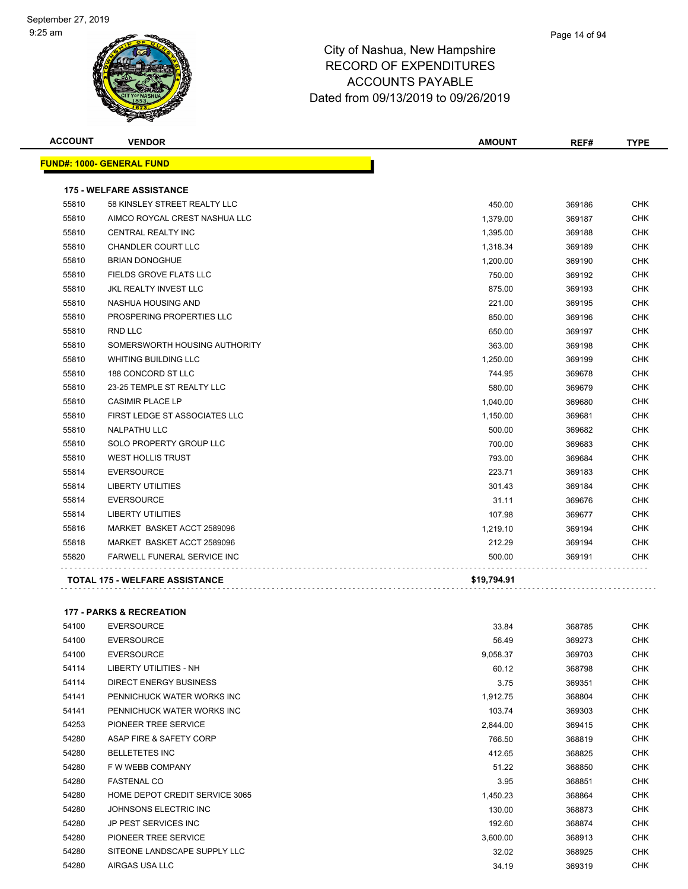|       | <b>VENDOR</b>                         | <b>AMOUNT</b> | REF#   | <b>TYPE</b> |
|-------|---------------------------------------|---------------|--------|-------------|
|       | <b>FUND#: 1000- GENERAL FUND</b>      |               |        |             |
|       | <b>175 - WELFARE ASSISTANCE</b>       |               |        |             |
| 55810 | 58 KINSLEY STREET REALTY LLC          | 450.00        | 369186 | <b>CHK</b>  |
| 55810 | AIMCO ROYCAL CREST NASHUA LLC         | 1,379.00      | 369187 | <b>CHK</b>  |
| 55810 | <b>CENTRAL REALTY INC</b>             | 1,395.00      | 369188 | <b>CHK</b>  |
| 55810 | <b>CHANDLER COURT LLC</b>             | 1,318.34      | 369189 | <b>CHK</b>  |
| 55810 | <b>BRIAN DONOGHUE</b>                 | 1,200.00      | 369190 | <b>CHK</b>  |
| 55810 | <b>FIELDS GROVE FLATS LLC</b>         | 750.00        | 369192 | <b>CHK</b>  |
| 55810 | <b>JKL REALTY INVEST LLC</b>          | 875.00        | 369193 | <b>CHK</b>  |
| 55810 | NASHUA HOUSING AND                    | 221.00        | 369195 | <b>CHK</b>  |
| 55810 | PROSPERING PROPERTIES LLC             | 850.00        | 369196 | <b>CHK</b>  |
| 55810 | RND LLC                               | 650.00        | 369197 | <b>CHK</b>  |
| 55810 | SOMERSWORTH HOUSING AUTHORITY         | 363.00        | 369198 | <b>CHK</b>  |
| 55810 | <b>WHITING BUILDING LLC</b>           | 1,250.00      | 369199 | <b>CHK</b>  |
| 55810 | 188 CONCORD ST LLC                    | 744.95        | 369678 | <b>CHK</b>  |
| 55810 | 23-25 TEMPLE ST REALTY LLC            | 580.00        | 369679 | <b>CHK</b>  |
| 55810 | <b>CASIMIR PLACE LP</b>               | 1,040.00      | 369680 | <b>CHK</b>  |
| 55810 | FIRST LEDGE ST ASSOCIATES LLC         | 1,150.00      | 369681 | <b>CHK</b>  |
| 55810 | <b>NALPATHU LLC</b>                   | 500.00        | 369682 | <b>CHK</b>  |
| 55810 | SOLO PROPERTY GROUP LLC               | 700.00        | 369683 | <b>CHK</b>  |
| 55810 | <b>WEST HOLLIS TRUST</b>              | 793.00        | 369684 | <b>CHK</b>  |
| 55814 | <b>EVERSOURCE</b>                     | 223.71        | 369183 | CHK         |
| 55814 | <b>LIBERTY UTILITIES</b>              | 301.43        | 369184 | <b>CHK</b>  |
| 55814 | <b>EVERSOURCE</b>                     | 31.11         | 369676 | <b>CHK</b>  |
| 55814 | <b>LIBERTY UTILITIES</b>              | 107.98        | 369677 | <b>CHK</b>  |
| 55816 | MARKET BASKET ACCT 2589096            | 1,219.10      | 369194 | <b>CHK</b>  |
| 55818 | MARKET BASKET ACCT 2589096            | 212.29        | 369194 | <b>CHK</b>  |
| 55820 | <b>FARWELL FUNERAL SERVICE INC</b>    | 500.00        | 369191 | <b>CHK</b>  |
|       | <b>TOTAL 175 - WELFARE ASSISTANCE</b> | \$19,794.91   |        |             |

#### **177 - PARKS & RECREATION**

| 54100 | <b>EVERSOURCE</b>              | 33.84    | 368785 | <b>CHK</b> |
|-------|--------------------------------|----------|--------|------------|
| 54100 | <b>EVERSOURCE</b>              | 56.49    | 369273 | <b>CHK</b> |
| 54100 | <b>EVERSOURCE</b>              | 9,058.37 | 369703 | <b>CHK</b> |
| 54114 | LIBERTY UTILITIES - NH         | 60.12    | 368798 | <b>CHK</b> |
| 54114 | <b>DIRECT ENERGY BUSINESS</b>  | 3.75     | 369351 | <b>CHK</b> |
| 54141 | PENNICHUCK WATER WORKS INC     | 1,912.75 | 368804 | CHK        |
| 54141 | PENNICHUCK WATER WORKS INC     | 103.74   | 369303 | CHK        |
| 54253 | PIONEER TREE SERVICE           | 2,844.00 | 369415 | CHK        |
| 54280 | ASAP FIRE & SAFETY CORP        | 766.50   | 368819 | <b>CHK</b> |
| 54280 | <b>BELLETETES INC</b>          | 412.65   | 368825 | <b>CHK</b> |
| 54280 | F W WEBB COMPANY               | 51.22    | 368850 | <b>CHK</b> |
| 54280 | <b>FASTENAL CO</b>             | 3.95     | 368851 | CHK        |
| 54280 | HOME DEPOT CREDIT SERVICE 3065 | 1,450.23 | 368864 | CHK        |
| 54280 | JOHNSONS ELECTRIC INC          | 130.00   | 368873 | CHK        |
| 54280 | <b>JP PEST SERVICES INC</b>    | 192.60   | 368874 | CHK        |
| 54280 | PIONEER TREE SERVICE           | 3,600.00 | 368913 | CHK        |
| 54280 | SITEONE LANDSCAPE SUPPLY LLC   | 32.02    | 368925 | CHK        |
| 54280 | AIRGAS USA LLC                 | 34.19    | 369319 | CHK        |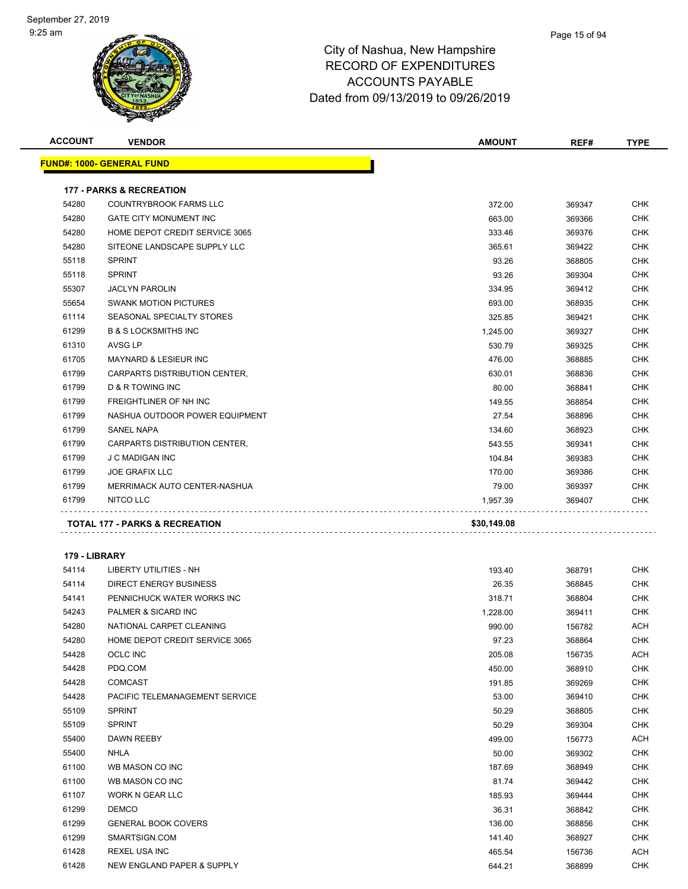| <b>ACCOUNT</b>         | <b>VENDOR</b>                       | <b>AMOUNT</b> | REF#   | <b>TYPE</b> |
|------------------------|-------------------------------------|---------------|--------|-------------|
|                        | <u> FUND#: 1000- GENERAL FUND</u>   |               |        |             |
|                        |                                     |               |        |             |
|                        | <b>177 - PARKS &amp; RECREATION</b> |               |        |             |
| 54280                  | <b>COUNTRYBROOK FARMS LLC</b>       | 372.00        | 369347 | <b>CHK</b>  |
| 54280                  | <b>GATE CITY MONUMENT INC</b>       | 663.00        | 369366 | <b>CHK</b>  |
| 54280                  | HOME DEPOT CREDIT SERVICE 3065      | 333.46        | 369376 | CHK         |
| 54280                  | SITEONE LANDSCAPE SUPPLY LLC        | 365.61        | 369422 | <b>CHK</b>  |
| 55118                  | <b>SPRINT</b>                       | 93.26         | 368805 | <b>CHK</b>  |
| 55118                  | <b>SPRINT</b>                       | 93.26         | 369304 | CHK         |
| 55307                  | <b>JACLYN PAROLIN</b>               | 334.95        | 369412 | <b>CHK</b>  |
| 55654                  | <b>SWANK MOTION PICTURES</b>        | 693.00        | 368935 | CHK         |
| 61114                  | SEASONAL SPECIALTY STORES           | 325.85        | 369421 | <b>CHK</b>  |
| 61299                  | <b>B &amp; S LOCKSMITHS INC</b>     | 1,245.00      | 369327 | <b>CHK</b>  |
| 61310                  | AVSG LP                             | 530.79        | 369325 | <b>CHK</b>  |
| 61705                  | MAYNARD & LESIEUR INC               | 476.00        | 368885 | CHK         |
| 61799                  | CARPARTS DISTRIBUTION CENTER,       | 630.01        | 368836 | <b>CHK</b>  |
| 61799                  | <b>D &amp; R TOWING INC</b>         | 80.00         | 368841 | CHK         |
| 61799                  | FREIGHTLINER OF NH INC              | 149.55        | 368854 | <b>CHK</b>  |
| 61799                  | NASHUA OUTDOOR POWER EQUIPMENT      | 27.54         | 368896 | CHK         |
| 61799                  | SANEL NAPA                          | 134.60        | 368923 | CHK         |
| 61799                  | CARPARTS DISTRIBUTION CENTER,       | 543.55        | 369341 | <b>CHK</b>  |
| 61799                  | <b>J C MADIGAN INC</b>              | 104.84        | 369383 | CHK         |
| 61799                  | <b>JOE GRAFIX LLC</b>               | 170.00        | 369386 | <b>CHK</b>  |
| 61799                  | MERRIMACK AUTO CENTER-NASHUA        | 79.00         | 369397 | CHK         |
| 61799                  | NITCO LLC                           | 1,957.39      | 369407 | CHK         |
|                        |                                     |               |        |             |
|                        | TOTAL 177 - PARKS & RECREATION      | \$30,149.08   |        |             |
|                        |                                     |               |        |             |
| 179 - LIBRARY<br>54114 | LIBERTY UTILITIES - NH              | 193.40        |        | <b>CHK</b>  |
|                        |                                     |               | 368791 |             |
| 54114                  | <b>DIRECT ENERGY BUSINESS</b>       | 26.35         | 368845 | CHK         |
| 54141                  | PENNICHUCK WATER WORKS INC          | 318.71        | 368804 | CHK         |
| 54243                  | <b>PALMER &amp; SICARD INC</b>      | 1,228.00      | 369411 | CHK         |
| 54280                  | NATIONAL CARPET CLEANING            | 990.00        | 156782 | ACH         |
| 54280                  | HOME DEPOT CREDIT SERVICE 3065      | 97.23         | 368864 | <b>CHK</b>  |
| 54428                  | OCLC INC                            | 205.08        | 156735 | ACH         |
| 54428                  | PDQ.COM                             | 450.00        | 368910 | CHK         |
| 54428                  | <b>COMCAST</b>                      | 191.85        | 369269 | CHK         |
| 54428                  | PACIFIC TELEMANAGEMENT SERVICE      | 53.00         | 369410 | CHK         |
| 55109                  | <b>SPRINT</b>                       | 50.29         | 368805 | CHK         |
| 55109                  | <b>SPRINT</b>                       | 50.29         | 369304 | <b>CHK</b>  |
| 55400                  | DAWN REEBY                          | 499.00        | 156773 | ACH         |
| 55400                  | NHLA                                | 50.00         | 369302 | CHK         |
| 61100                  | WB MASON CO INC                     | 187.69        | 368949 | <b>CHK</b>  |
| 61100                  | WB MASON CO INC                     | 81.74         | 369442 | <b>CHK</b>  |
| 61107                  | WORK N GEAR LLC                     | 185.93        | 369444 | <b>CHK</b>  |
| 61299                  | <b>DEMCO</b>                        | 36.31         | 368842 | <b>CHK</b>  |
| 61299                  | <b>GENERAL BOOK COVERS</b>          | 136.00        | 368856 | CHK         |
| 61299                  | SMARTSIGN.COM                       | 141.40        | 368927 | <b>CHK</b>  |
| 61428                  | REXEL USA INC                       | 465.54        | 156736 | <b>ACH</b>  |
| 61428                  | NEW ENGLAND PAPER & SUPPLY          | 644.21        | 368899 | <b>CHK</b>  |
|                        |                                     |               |        |             |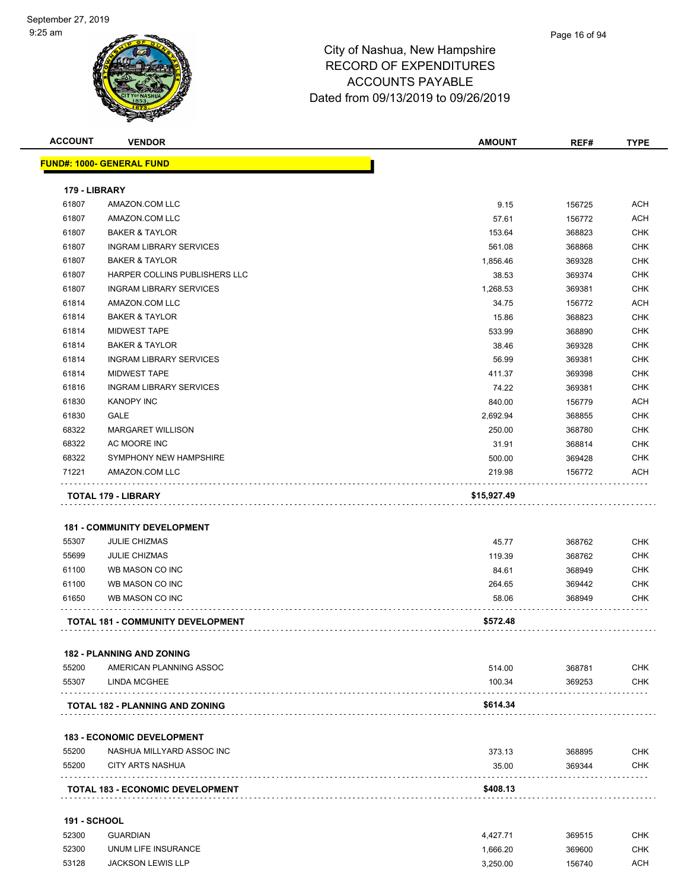

| <b>ACCOUNT</b>      | <b>VENDOR</b>                            | <b>AMOUNT</b> | REF#   | <b>TYPE</b> |
|---------------------|------------------------------------------|---------------|--------|-------------|
|                     | <b>FUND#: 1000- GENERAL FUND</b>         |               |        |             |
|                     |                                          |               |        |             |
| 179 - LIBRARY       |                                          |               |        |             |
| 61807               | AMAZON.COM LLC                           | 9.15          | 156725 | <b>ACH</b>  |
| 61807               | AMAZON.COM LLC                           | 57.61         | 156772 | <b>ACH</b>  |
| 61807               | <b>BAKER &amp; TAYLOR</b>                | 153.64        | 368823 | <b>CHK</b>  |
| 61807               | <b>INGRAM LIBRARY SERVICES</b>           | 561.08        | 368868 | <b>CHK</b>  |
| 61807               | <b>BAKER &amp; TAYLOR</b>                | 1,856.46      | 369328 | <b>CHK</b>  |
| 61807               | HARPER COLLINS PUBLISHERS LLC            | 38.53         | 369374 | <b>CHK</b>  |
| 61807               | <b>INGRAM LIBRARY SERVICES</b>           | 1,268.53      | 369381 | <b>CHK</b>  |
| 61814               | AMAZON.COM LLC                           | 34.75         | 156772 | <b>ACH</b>  |
| 61814               | <b>BAKER &amp; TAYLOR</b>                | 15.86         | 368823 | <b>CHK</b>  |
| 61814               | <b>MIDWEST TAPE</b>                      | 533.99        | 368890 | <b>CHK</b>  |
| 61814               | <b>BAKER &amp; TAYLOR</b>                | 38.46         | 369328 | <b>CHK</b>  |
| 61814               | <b>INGRAM LIBRARY SERVICES</b>           | 56.99         | 369381 | <b>CHK</b>  |
| 61814               | <b>MIDWEST TAPE</b>                      | 411.37        | 369398 | <b>CHK</b>  |
| 61816               | <b>INGRAM LIBRARY SERVICES</b>           | 74.22         | 369381 | <b>CHK</b>  |
| 61830               | <b>KANOPY INC</b>                        | 840.00        | 156779 | <b>ACH</b>  |
| 61830               | GALE                                     | 2,692.94      | 368855 | <b>CHK</b>  |
| 68322               | <b>MARGARET WILLISON</b>                 | 250.00        | 368780 | <b>CHK</b>  |
| 68322               | AC MOORE INC                             | 31.91         | 368814 | <b>CHK</b>  |
| 68322               | SYMPHONY NEW HAMPSHIRE                   | 500.00        | 369428 | <b>CHK</b>  |
| 71221               | AMAZON.COM LLC                           | 219.98        | 156772 | <b>ACH</b>  |
|                     | <b>TOTAL 179 - LIBRARY</b>               | \$15,927.49   |        |             |
|                     |                                          |               |        |             |
|                     | <b>181 - COMMUNITY DEVELOPMENT</b>       |               |        |             |
| 55307               | <b>JULIE CHIZMAS</b>                     | 45.77         | 368762 | <b>CHK</b>  |
| 55699               | <b>JULIE CHIZMAS</b>                     | 119.39        | 368762 | <b>CHK</b>  |
| 61100               | WB MASON CO INC                          | 84.61         | 368949 | <b>CHK</b>  |
| 61100               | WB MASON CO INC                          | 264.65        | 369442 | <b>CHK</b>  |
| 61650               | WB MASON CO INC                          | 58.06         | 368949 | <b>CHK</b>  |
|                     |                                          |               |        |             |
|                     | <b>TOTAL 181 - COMMUNITY DEVELOPMENT</b> | \$572.48      |        |             |
|                     |                                          |               |        |             |
|                     | <b>182 - PLANNING AND ZONING</b>         |               |        |             |
| 55200               | AMERICAN PLANNING ASSOC                  | 514.00        | 368781 | <b>CHK</b>  |
| 55307               | LINDA MCGHEE                             | 100.34        | 369253 | <b>CHK</b>  |
|                     | TOTAL 182 - PLANNING AND ZONING          | \$614.34      |        |             |
|                     |                                          |               |        |             |
|                     | <b>183 - ECONOMIC DEVELOPMENT</b>        |               |        |             |
| 55200               | NASHUA MILLYARD ASSOC INC                | 373.13        | 368895 | <b>CHK</b>  |
| 55200               | <b>CITY ARTS NASHUA</b>                  | 35.00         | 369344 | <b>CHK</b>  |
|                     | .                                        |               |        |             |
|                     | <b>TOTAL 183 - ECONOMIC DEVELOPMENT</b>  | \$408.13      |        |             |
| <b>191 - SCHOOL</b> |                                          |               |        |             |
| 52300               | <b>GUARDIAN</b>                          | 4,427.71      | 369515 | <b>CHK</b>  |
| 52300               | UNUM LIFE INSURANCE                      | 1,666.20      | 369600 | <b>CHK</b>  |
|                     |                                          |               |        |             |

JACKSON LEWIS LLP 3,250.00 156740 ACH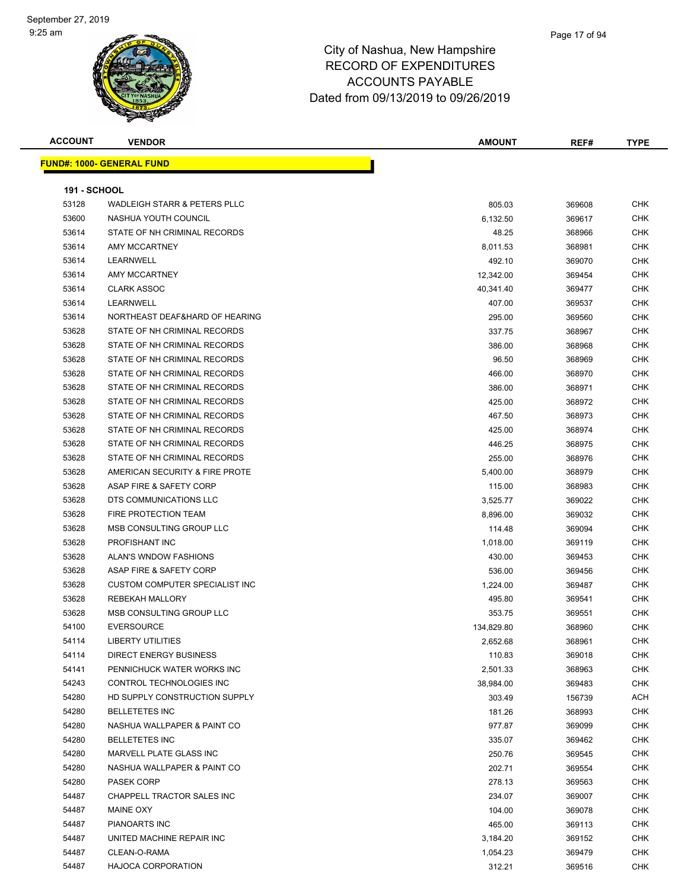#### Page 17 of 94

| <b>ACCOUNT</b>      | <b>VENDOR</b>                           | <b>AMOUNT</b>        | REF#             | <b>TYPE</b> |  |
|---------------------|-----------------------------------------|----------------------|------------------|-------------|--|
|                     | <b>FUND#: 1000- GENERAL FUND</b>        |                      |                  |             |  |
|                     |                                         |                      |                  |             |  |
| <b>191 - SCHOOL</b> |                                         |                      |                  |             |  |
| 53128               | <b>WADLEIGH STARR &amp; PETERS PLLC</b> | 805.03               | 369608           | CHK         |  |
| 53600               | NASHUA YOUTH COUNCIL                    | 6,132.50             | 369617           | <b>CHK</b>  |  |
| 53614               | STATE OF NH CRIMINAL RECORDS            | 48.25                | 368966           | CHK         |  |
| 53614               | AMY MCCARTNEY                           | 8,011.53             | 368981           | CHK         |  |
| 53614               | LEARNWELL                               | 492.10               | 369070           | <b>CHK</b>  |  |
| 53614               | <b>AMY MCCARTNEY</b>                    | 12,342.00            | 369454           | <b>CHK</b>  |  |
| 53614               | <b>CLARK ASSOC</b>                      | 40,341.40            | 369477           | CHK         |  |
| 53614               | LEARNWELL                               | 407.00               | 369537           | <b>CHK</b>  |  |
| 53614               | NORTHEAST DEAF&HARD OF HEARING          | 295.00               | 369560           | CHK         |  |
| 53628               | STATE OF NH CRIMINAL RECORDS            | 337.75               | 368967           | <b>CHK</b>  |  |
| 53628               | STATE OF NH CRIMINAL RECORDS            | 386.00               | 368968           | <b>CHK</b>  |  |
| 53628               | STATE OF NH CRIMINAL RECORDS            | 96.50                | 368969           | <b>CHK</b>  |  |
| 53628               | STATE OF NH CRIMINAL RECORDS            | 466.00               | 368970           | CHK         |  |
| 53628               | STATE OF NH CRIMINAL RECORDS            | 386.00               | 368971           | CHK         |  |
| 53628               | STATE OF NH CRIMINAL RECORDS            | 425.00               | 368972           | <b>CHK</b>  |  |
| 53628               | STATE OF NH CRIMINAL RECORDS            | 467.50               | 368973           | CHK         |  |
| 53628               | STATE OF NH CRIMINAL RECORDS            | 425.00               | 368974           | <b>CHK</b>  |  |
| 53628               | STATE OF NH CRIMINAL RECORDS            | 446.25               | 368975           | CHK         |  |
| 53628               | STATE OF NH CRIMINAL RECORDS            | 255.00               | 368976           | CHK         |  |
| 53628               | AMERICAN SECURITY & FIRE PROTE          | 5,400.00             | 368979           | <b>CHK</b>  |  |
| 53628               | ASAP FIRE & SAFETY CORP                 | 115.00               | 368983           | <b>CHK</b>  |  |
| 53628               | DTS COMMUNICATIONS LLC                  | 3,525.77             | 369022           | <b>CHK</b>  |  |
| 53628               | FIRE PROTECTION TEAM                    | 8,896.00             | 369032           | CHK         |  |
| 53628               | MSB CONSULTING GROUP LLC                | 114.48               | 369094           | <b>CHK</b>  |  |
| 53628               | PROFISHANT INC                          | 1,018.00             | 369119           | <b>CHK</b>  |  |
| 53628               | ALAN'S WNDOW FASHIONS                   | 430.00               | 369453           | <b>CHK</b>  |  |
| 53628               | ASAP FIRE & SAFETY CORP                 | 536.00               | 369456           | <b>CHK</b>  |  |
| 53628               | <b>CUSTOM COMPUTER SPECIALIST INC</b>   | 1,224.00             | 369487           | <b>CHK</b>  |  |
| 53628               | <b>REBEKAH MALLORY</b>                  | 495.80               | 369541           | <b>CHK</b>  |  |
| 53628               | MSB CONSULTING GROUP LLC                | 353.75               | 369551           | <b>CHK</b>  |  |
| 54100               | <b>EVERSOURCE</b>                       | 134,829.80           | 368960           | <b>CHK</b>  |  |
| 54114               | <b>LIBERTY UTILITIES</b>                | 2,652.68             | 368961           | CHK         |  |
| 54114               | <b>DIRECT ENERGY BUSINESS</b>           | 110.83               | 369018           | <b>CHK</b>  |  |
| 54141               | PENNICHUCK WATER WORKS INC              | 2,501.33             | 368963           | <b>CHK</b>  |  |
| 54243               | CONTROL TECHNOLOGIES INC                | 38,984.00            | 369483           | <b>CHK</b>  |  |
| 54280               | HD SUPPLY CONSTRUCTION SUPPLY           | 303.49               | 156739           | ACH         |  |
| 54280               | <b>BELLETETES INC</b>                   | 181.26               | 368993           | <b>CHK</b>  |  |
| 54280               | NASHUA WALLPAPER & PAINT CO             | 977.87               | 369099           | <b>CHK</b>  |  |
| 54280               | <b>BELLETETES INC</b>                   | 335.07               | 369462           | <b>CHK</b>  |  |
| 54280               | <b>MARVELL PLATE GLASS INC</b>          | 250.76               | 369545           | <b>CHK</b>  |  |
| 54280               | NASHUA WALLPAPER & PAINT CO             | 202.71               |                  | <b>CHK</b>  |  |
| 54280               | PASEK CORP                              | 278.13               | 369554<br>369563 | <b>CHK</b>  |  |
| 54487               | CHAPPELL TRACTOR SALES INC              | 234.07               | 369007           | <b>CHK</b>  |  |
| 54487               | <b>MAINE OXY</b>                        | 104.00               | 369078           | <b>CHK</b>  |  |
| 54487               | PIANOARTS INC                           | 465.00               | 369113           | CHK         |  |
| 54487               | UNITED MACHINE REPAIR INC               |                      | 369152           | <b>CHK</b>  |  |
| 54487               | CLEAN-O-RAMA                            | 3,184.20<br>1,054.23 | 369479           | CHK         |  |
| 54487               | <b>HAJOCA CORPORATION</b>               | 312.21               | 369516           | <b>CHK</b>  |  |
|                     |                                         |                      |                  |             |  |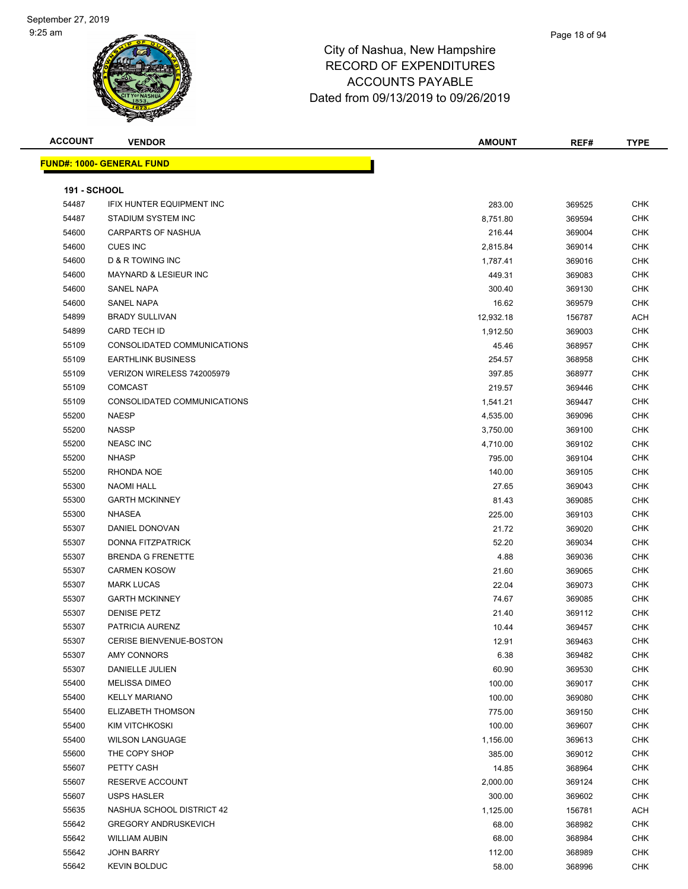#### Page 18 of 94

| <b>ACCOUNT</b>      | <b>VENDOR</b>                    | <b>AMOUNT</b> | REF#   | <b>TYPE</b> |
|---------------------|----------------------------------|---------------|--------|-------------|
|                     | <b>FUND#: 1000- GENERAL FUND</b> |               |        |             |
|                     |                                  |               |        |             |
| <b>191 - SCHOOL</b> |                                  |               |        |             |
| 54487               | <b>IFIX HUNTER EQUIPMENT INC</b> | 283.00        | 369525 | <b>CHK</b>  |
| 54487               | STADIUM SYSTEM INC               | 8,751.80      | 369594 | <b>CHK</b>  |
| 54600               | <b>CARPARTS OF NASHUA</b>        | 216.44        | 369004 | <b>CHK</b>  |
| 54600               | <b>CUES INC</b>                  | 2,815.84      | 369014 | <b>CHK</b>  |
| 54600               | <b>D &amp; R TOWING INC</b>      | 1,787.41      | 369016 | <b>CHK</b>  |
| 54600               | <b>MAYNARD &amp; LESIEUR INC</b> | 449.31        | 369083 | <b>CHK</b>  |
| 54600               | <b>SANEL NAPA</b>                | 300.40        | 369130 | <b>CHK</b>  |
| 54600               | SANEL NAPA                       | 16.62         | 369579 | <b>CHK</b>  |
| 54899               | <b>BRADY SULLIVAN</b>            | 12,932.18     | 156787 | <b>ACH</b>  |
| 54899               | <b>CARD TECH ID</b>              | 1,912.50      | 369003 | <b>CHK</b>  |
| 55109               | CONSOLIDATED COMMUNICATIONS      | 45.46         | 368957 | <b>CHK</b>  |
| 55109               | <b>EARTHLINK BUSINESS</b>        | 254.57        | 368958 | <b>CHK</b>  |
| 55109               | VERIZON WIRELESS 742005979       | 397.85        | 368977 | <b>CHK</b>  |
| 55109               | <b>COMCAST</b>                   | 219.57        | 369446 | <b>CHK</b>  |
| 55109               | CONSOLIDATED COMMUNICATIONS      | 1,541.21      | 369447 | <b>CHK</b>  |
| 55200               | <b>NAESP</b>                     | 4,535.00      | 369096 | <b>CHK</b>  |
| 55200               | <b>NASSP</b>                     | 3,750.00      | 369100 | CHK         |
| 55200               | <b>NEASC INC</b>                 | 4,710.00      | 369102 | <b>CHK</b>  |
| 55200               | <b>NHASP</b>                     | 795.00        | 369104 | <b>CHK</b>  |
| 55200               | RHONDA NOE                       | 140.00        | 369105 | <b>CHK</b>  |
| 55300               | <b>NAOMI HALL</b>                | 27.65         | 369043 | <b>CHK</b>  |
| 55300               | <b>GARTH MCKINNEY</b>            | 81.43         | 369085 | <b>CHK</b>  |
| 55300               | <b>NHASEA</b>                    | 225.00        | 369103 | <b>CHK</b>  |
| 55307               | DANIEL DONOVAN                   | 21.72         | 369020 | CHK         |
| 55307               | DONNA FITZPATRICK                | 52.20         | 369034 | <b>CHK</b>  |
| 55307               | <b>BRENDA G FRENETTE</b>         | 4.88          | 369036 | <b>CHK</b>  |
| 55307               | <b>CARMEN KOSOW</b>              | 21.60         | 369065 | <b>CHK</b>  |
| 55307               | <b>MARK LUCAS</b>                | 22.04         | 369073 | CHK         |
| 55307               | <b>GARTH MCKINNEY</b>            | 74.67         | 369085 | <b>CHK</b>  |
| 55307               | <b>DENISE PETZ</b>               | 21.40         | 369112 | <b>CHK</b>  |
| 55307               | PATRICIA AURENZ                  | 10.44         | 369457 | <b>CHK</b>  |
| 55307               | CERISE BIENVENUE-BOSTON          | 12.91         | 369463 | <b>CHK</b>  |
| 55307               | AMY CONNORS                      | 6.38          | 369482 | <b>CHK</b>  |
| 55307               | DANIELLE JULIEN                  | 60.90         | 369530 | <b>CHK</b>  |
| 55400               | <b>MELISSA DIMEO</b>             | 100.00        | 369017 | CHK         |
| 55400               | <b>KELLY MARIANO</b>             | 100.00        | 369080 | <b>CHK</b>  |
| 55400               | ELIZABETH THOMSON                | 775.00        | 369150 | <b>CHK</b>  |
| 55400               | KIM VITCHKOSKI                   | 100.00        | 369607 | <b>CHK</b>  |
| 55400               | <b>WILSON LANGUAGE</b>           | 1,156.00      | 369613 | <b>CHK</b>  |
| 55600               | THE COPY SHOP                    | 385.00        | 369012 | CHK         |
| 55607               | PETTY CASH                       | 14.85         | 368964 | CHK         |
| 55607               | <b>RESERVE ACCOUNT</b>           | 2,000.00      | 369124 | <b>CHK</b>  |
| 55607               | <b>USPS HASLER</b>               | 300.00        | 369602 | <b>CHK</b>  |
| 55635               | NASHUA SCHOOL DISTRICT 42        | 1,125.00      | 156781 | <b>ACH</b>  |
| 55642               | <b>GREGORY ANDRUSKEVICH</b>      | 68.00         | 368982 | <b>CHK</b>  |
| 55642               | <b>WILLIAM AUBIN</b>             | 68.00         | 368984 | CHK         |
| 55642               | <b>JOHN BARRY</b>                | 112.00        | 368989 | <b>CHK</b>  |
| 55642               | <b>KEVIN BOLDUC</b>              | 58.00         | 368996 | <b>CHK</b>  |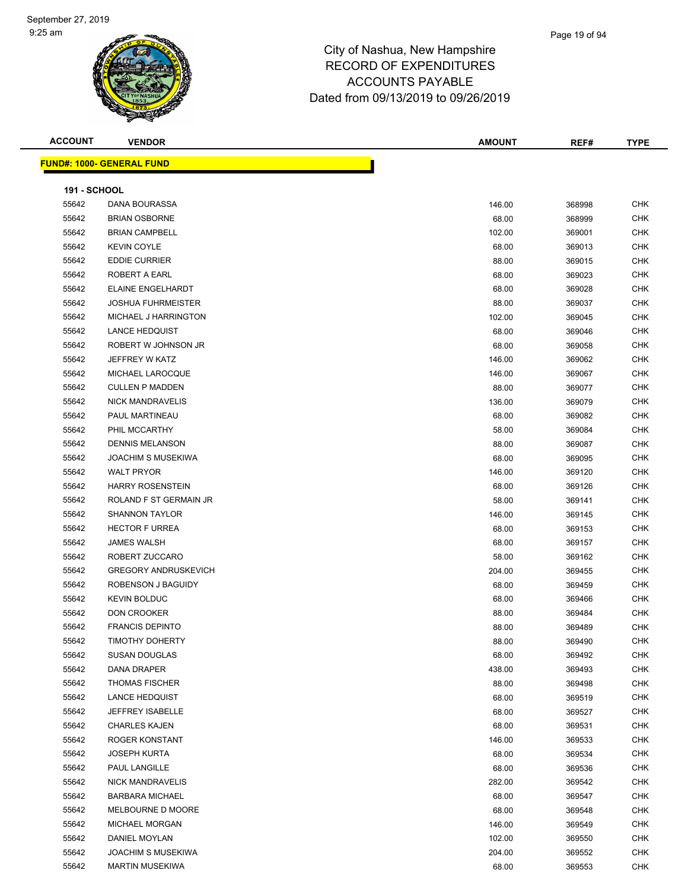| <b>ACCOUNT</b>      | <b>VENDOR</b>                    | <b>AMOUNT</b> | REF#   | <b>TYPE</b> |
|---------------------|----------------------------------|---------------|--------|-------------|
|                     | <b>FUND#: 1000- GENERAL FUND</b> |               |        |             |
|                     |                                  |               |        |             |
| <b>191 - SCHOOL</b> |                                  |               |        |             |
| 55642               | DANA BOURASSA                    | 146.00        | 368998 | <b>CHK</b>  |
| 55642               | <b>BRIAN OSBORNE</b>             | 68.00         | 368999 | <b>CHK</b>  |
| 55642               | <b>BRIAN CAMPBELL</b>            | 102.00        | 369001 | CHK         |
| 55642               | <b>KEVIN COYLE</b>               | 68.00         | 369013 | <b>CHK</b>  |
| 55642               | <b>EDDIE CURRIER</b>             | 88.00         | 369015 | <b>CHK</b>  |
| 55642               | ROBERT A EARL                    | 68.00         | 369023 | CHK         |
| 55642               | <b>ELAINE ENGELHARDT</b>         | 68.00         | 369028 | <b>CHK</b>  |
| 55642               | <b>JOSHUA FUHRMEISTER</b>        | 88.00         | 369037 | CHK         |
| 55642               | MICHAEL J HARRINGTON             | 102.00        | 369045 | CHK         |
| 55642               | <b>LANCE HEDQUIST</b>            | 68.00         | 369046 | <b>CHK</b>  |
| 55642               | ROBERT W JOHNSON JR              | 68.00         | 369058 | <b>CHK</b>  |
| 55642               | JEFFREY W KATZ                   | 146.00        | 369062 | <b>CHK</b>  |
| 55642               | MICHAEL LAROCQUE                 | 146.00        | 369067 | <b>CHK</b>  |
| 55642               | <b>CULLEN P MADDEN</b>           | 88.00         | 369077 | CHK         |
| 55642               | <b>NICK MANDRAVELIS</b>          | 136.00        | 369079 | <b>CHK</b>  |
| 55642               | PAUL MARTINEAU                   | 68.00         | 369082 | <b>CHK</b>  |
| 55642               | PHIL MCCARTHY                    | 58.00         | 369084 | <b>CHK</b>  |
| 55642               | <b>DENNIS MELANSON</b>           | 88.00         | 369087 | <b>CHK</b>  |
| 55642               | <b>JOACHIM S MUSEKIWA</b>        | 68.00         | 369095 | CHK         |
| 55642               | <b>WALT PRYOR</b>                | 146.00        | 369120 | <b>CHK</b>  |
| 55642               | <b>HARRY ROSENSTEIN</b>          | 68.00         | 369126 | <b>CHK</b>  |
| 55642               | ROLAND F ST GERMAIN JR           | 58.00         | 369141 | <b>CHK</b>  |
| 55642               | <b>SHANNON TAYLOR</b>            | 146.00        | 369145 | <b>CHK</b>  |
| 55642               | <b>HECTOR F URREA</b>            | 68.00         | 369153 | <b>CHK</b>  |
| 55642               | <b>JAMES WALSH</b>               | 68.00         | 369157 | CHK         |
| 55642               | ROBERT ZUCCARO                   | 58.00         | 369162 | <b>CHK</b>  |
| 55642               | <b>GREGORY ANDRUSKEVICH</b>      | 204.00        | 369455 | <b>CHK</b>  |
| 55642               | ROBENSON J BAGUIDY               | 68.00         | 369459 | <b>CHK</b>  |
| 55642               | <b>KEVIN BOLDUC</b>              | 68.00         | 369466 | <b>CHK</b>  |
| 55642               | <b>DON CROOKER</b>               | 88.00         | 369484 | CHK         |
| 55642               | <b>FRANCIS DEPINTO</b>           | 88.00         | 369489 | <b>CHK</b>  |
| 55642               | <b>TIMOTHY DOHERTY</b>           | 88.00         | 369490 | CHK         |
| 55642               | <b>SUSAN DOUGLAS</b>             | 68.00         | 369492 | <b>CHK</b>  |
| 55642               | DANA DRAPER                      | 438.00        | 369493 | <b>CHK</b>  |
| 55642               | <b>THOMAS FISCHER</b>            | 88.00         | 369498 | <b>CHK</b>  |
| 55642               | <b>LANCE HEDQUIST</b>            | 68.00         | 369519 | <b>CHK</b>  |
| 55642               | JEFFREY ISABELLE                 | 68.00         | 369527 | <b>CHK</b>  |
| 55642               | <b>CHARLES KAJEN</b>             | 68.00         | 369531 | <b>CHK</b>  |
| 55642               | <b>ROGER KONSTANT</b>            | 146.00        | 369533 | CHK         |
| 55642               | <b>JOSEPH KURTA</b>              | 68.00         | 369534 | CHK         |
| 55642               | PAUL LANGILLE                    | 68.00         | 369536 | <b>CHK</b>  |
| 55642               | NICK MANDRAVELIS                 | 282.00        | 369542 | <b>CHK</b>  |
| 55642               | <b>BARBARA MICHAEL</b>           | 68.00         | 369547 | <b>CHK</b>  |
| 55642               | MELBOURNE D MOORE                | 68.00         | 369548 | CHK         |
| 55642               | <b>MICHAEL MORGAN</b>            | 146.00        | 369549 | CHK         |
| 55642               | DANIEL MOYLAN                    | 102.00        | 369550 | <b>CHK</b>  |
| 55642               | <b>JOACHIM S MUSEKIWA</b>        | 204.00        | 369552 | CHK         |
| 55642               | <b>MARTIN MUSEKIWA</b>           | 68.00         | 369553 | <b>CHK</b>  |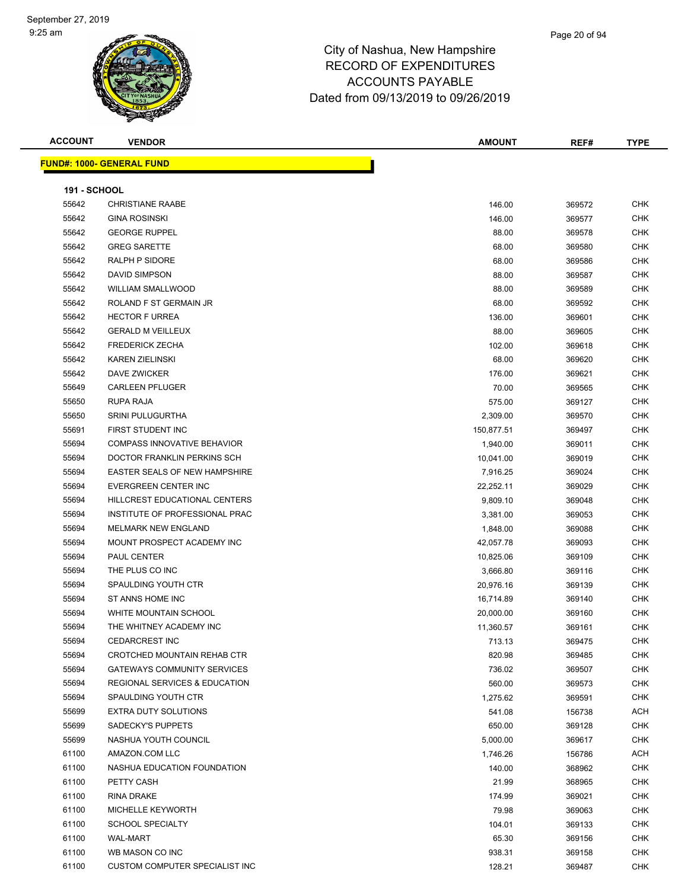**ACCOUNT VENDOR AMOUNT REF# TYPE**

**191 - SCHOOL**

**FUND#: 1000- GENERAL FUND**

55642 CHRISTIANE RAABE 55642 GINA ROSINSKI

| 146.00 | 369572 | <b>CHK</b> |
|--------|--------|------------|
| 146.00 | 369577 | <b>CHK</b> |
| 88.00  | 369578 | <b>CHK</b> |
| 68.00  | 369580 | <b>CHK</b> |

| 55642 | <b>GEORGE RUPPEL</b>                 | 88.00      | 369578 | CHK        |
|-------|--------------------------------------|------------|--------|------------|
| 55642 | <b>GREG SARETTE</b>                  | 68.00      | 369580 | <b>CHK</b> |
| 55642 | RALPH P SIDORE                       | 68.00      | 369586 | <b>CHK</b> |
| 55642 | DAVID SIMPSON                        | 88.00      | 369587 | <b>CHK</b> |
| 55642 | <b>WILLIAM SMALLWOOD</b>             | 88.00      | 369589 | <b>CHK</b> |
| 55642 | ROLAND F ST GERMAIN JR               | 68.00      | 369592 | <b>CHK</b> |
| 55642 | <b>HECTOR F URREA</b>                | 136.00     | 369601 | <b>CHK</b> |
| 55642 | <b>GERALD M VEILLEUX</b>             | 88.00      | 369605 | <b>CHK</b> |
| 55642 | <b>FREDERICK ZECHA</b>               | 102.00     | 369618 | <b>CHK</b> |
| 55642 | <b>KAREN ZIELINSKI</b>               | 68.00      | 369620 | <b>CHK</b> |
| 55642 | DAVE ZWICKER                         | 176.00     | 369621 | <b>CHK</b> |
| 55649 | <b>CARLEEN PFLUGER</b>               | 70.00      | 369565 | <b>CHK</b> |
| 55650 | RUPA RAJA                            | 575.00     | 369127 | <b>CHK</b> |
| 55650 | <b>SRINI PULUGURTHA</b>              | 2,309.00   | 369570 | <b>CHK</b> |
| 55691 | FIRST STUDENT INC                    | 150,877.51 | 369497 | CHK        |
| 55694 | <b>COMPASS INNOVATIVE BEHAVIOR</b>   | 1,940.00   | 369011 | <b>CHK</b> |
| 55694 | DOCTOR FRANKLIN PERKINS SCH          | 10,041.00  | 369019 | <b>CHK</b> |
| 55694 | <b>EASTER SEALS OF NEW HAMPSHIRE</b> | 7,916.25   | 369024 | <b>CHK</b> |
| 55694 | EVERGREEN CENTER INC                 | 22,252.11  | 369029 | <b>CHK</b> |
| 55694 | HILLCREST EDUCATIONAL CENTERS        | 9,809.10   | 369048 | <b>CHK</b> |
| 55694 | INSTITUTE OF PROFESSIONAL PRAC       | 3,381.00   | 369053 | <b>CHK</b> |
| 55694 | MELMARK NEW ENGLAND                  | 1,848.00   | 369088 | <b>CHK</b> |
| 55694 | MOUNT PROSPECT ACADEMY INC           | 42,057.78  | 369093 | <b>CHK</b> |
| 55694 | PAUL CENTER                          | 10,825.06  | 369109 | <b>CHK</b> |
| 55694 | THE PLUS CO INC                      | 3,666.80   | 369116 | <b>CHK</b> |
| 55694 | SPAULDING YOUTH CTR                  | 20,976.16  | 369139 | CHK        |
| 55694 | ST ANNS HOME INC                     | 16,714.89  | 369140 | CHK        |
| 55694 | WHITE MOUNTAIN SCHOOL                | 20,000.00  | 369160 | <b>CHK</b> |
| 55694 | THE WHITNEY ACADEMY INC              | 11,360.57  | 369161 | <b>CHK</b> |
| 55694 | <b>CEDARCREST INC</b>                | 713.13     | 369475 | <b>CHK</b> |
| 55694 | CROTCHED MOUNTAIN REHAB CTR          | 820.98     | 369485 | <b>CHK</b> |
| 55694 | <b>GATEWAYS COMMUNITY SERVICES</b>   | 736.02     | 369507 | <b>CHK</b> |
| 55694 | REGIONAL SERVICES & EDUCATION        | 560.00     | 369573 | <b>CHK</b> |
| 55694 | SPAULDING YOUTH CTR                  | 1,275.62   | 369591 | <b>CHK</b> |
| 55699 | <b>EXTRA DUTY SOLUTIONS</b>          | 541.08     | 156738 | ACH        |
| 55699 | <b>SADECKY'S PUPPETS</b>             | 650.00     | 369128 | <b>CHK</b> |
| 55699 | NASHUA YOUTH COUNCIL                 | 5,000.00   | 369617 | <b>CHK</b> |
| 61100 | AMAZON.COM LLC                       | 1,746.26   | 156786 | <b>ACH</b> |
| 61100 | NASHUA EDUCATION FOUNDATION          | 140.00     | 368962 | <b>CHK</b> |
| 61100 | PETTY CASH                           | 21.99      | 368965 | <b>CHK</b> |
| 61100 | RINA DRAKE                           | 174.99     | 369021 | <b>CHK</b> |
| 61100 | MICHELLE KEYWORTH                    | 79.98      | 369063 | <b>CHK</b> |
| 61100 | <b>SCHOOL SPECIALTY</b>              | 104.01     | 369133 | <b>CHK</b> |
| 61100 | <b>WAL-MART</b>                      | 65.30      | 369156 | <b>CHK</b> |
| 61100 | WB MASON CO INC                      | 938.31     | 369158 | <b>CHK</b> |

CUSTOM COMPUTER SPECIALIST INC 128.21 369487 CHK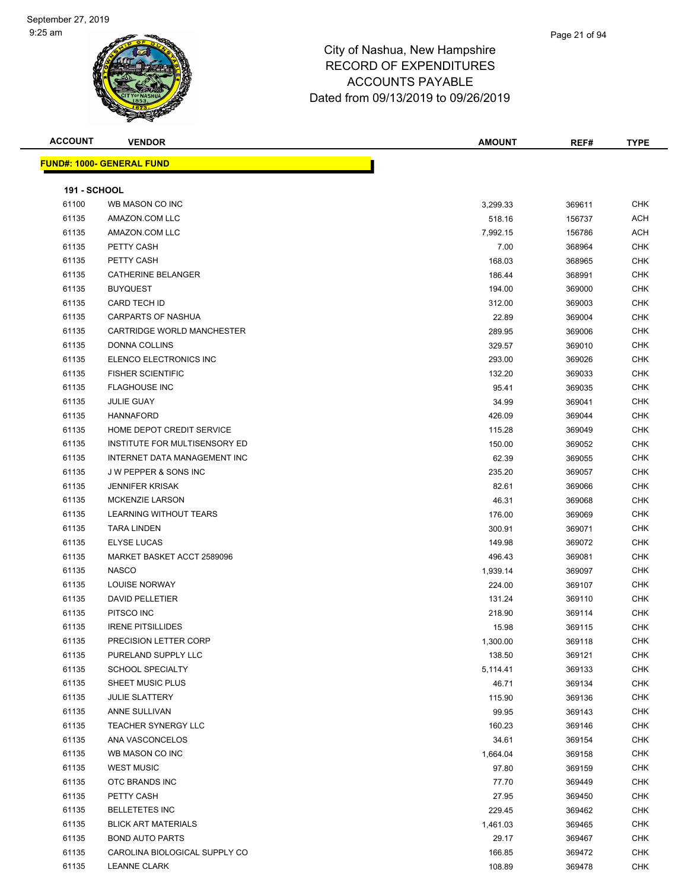| <b>ACCOUNT</b>      | <b>VENDOR</b>                    | <b>AMOUNT</b> | REF#   | <b>TYPE</b> |
|---------------------|----------------------------------|---------------|--------|-------------|
|                     | <b>FUND#: 1000- GENERAL FUND</b> |               |        |             |
|                     |                                  |               |        |             |
| <b>191 - SCHOOL</b> |                                  |               |        |             |
| 61100               | WB MASON CO INC                  | 3,299.33      | 369611 | <b>CHK</b>  |
| 61135               | AMAZON.COM LLC                   | 518.16        | 156737 | <b>ACH</b>  |
| 61135               | AMAZON.COM LLC                   | 7,992.15      | 156786 | <b>ACH</b>  |
| 61135               | PETTY CASH                       | 7.00          | 368964 | <b>CHK</b>  |
| 61135               | PETTY CASH                       | 168.03        | 368965 | <b>CHK</b>  |
| 61135               | <b>CATHERINE BELANGER</b>        | 186.44        | 368991 | <b>CHK</b>  |
| 61135               | <b>BUYQUEST</b>                  | 194.00        | 369000 | <b>CHK</b>  |
| 61135               | CARD TECH ID                     | 312.00        | 369003 | <b>CHK</b>  |
| 61135               | <b>CARPARTS OF NASHUA</b>        | 22.89         | 369004 | <b>CHK</b>  |
| 61135               | CARTRIDGE WORLD MANCHESTER       | 289.95        | 369006 | <b>CHK</b>  |
| 61135               | <b>DONNA COLLINS</b>             | 329.57        | 369010 | <b>CHK</b>  |
| 61135               | ELENCO ELECTRONICS INC           | 293.00        | 369026 | <b>CHK</b>  |
| 61135               | <b>FISHER SCIENTIFIC</b>         | 132.20        | 369033 | <b>CHK</b>  |
| 61135               | <b>FLAGHOUSE INC</b>             | 95.41         | 369035 | <b>CHK</b>  |
| 61135               | <b>JULIE GUAY</b>                | 34.99         | 369041 | <b>CHK</b>  |
| 61135               | <b>HANNAFORD</b>                 | 426.09        | 369044 | <b>CHK</b>  |
| 61135               | HOME DEPOT CREDIT SERVICE        | 115.28        | 369049 | <b>CHK</b>  |
| 61135               | INSTITUTE FOR MULTISENSORY ED    | 150.00        | 369052 | <b>CHK</b>  |
| 61135               | INTERNET DATA MANAGEMENT INC     | 62.39         | 369055 | <b>CHK</b>  |
| 61135               | J W PEPPER & SONS INC            | 235.20        | 369057 | <b>CHK</b>  |
| 61135               | <b>JENNIFER KRISAK</b>           | 82.61         | 369066 | <b>CHK</b>  |
| 61135               | <b>MCKENZIE LARSON</b>           | 46.31         | 369068 | <b>CHK</b>  |
| 61135               | LEARNING WITHOUT TEARS           | 176.00        | 369069 | <b>CHK</b>  |
| 61135               | <b>TARA LINDEN</b>               | 300.91        | 369071 | <b>CHK</b>  |
| 61135               | <b>ELYSE LUCAS</b>               | 149.98        | 369072 | <b>CHK</b>  |
| 61135               | MARKET BASKET ACCT 2589096       | 496.43        | 369081 | <b>CHK</b>  |
| 61135               | <b>NASCO</b>                     | 1,939.14      | 369097 | <b>CHK</b>  |
| 61135               | <b>LOUISE NORWAY</b>             | 224.00        | 369107 | <b>CHK</b>  |
| 61135               | <b>DAVID PELLETIER</b>           | 131.24        | 369110 | <b>CHK</b>  |
| 61135               | PITSCO INC                       | 218.90        | 369114 | <b>CHK</b>  |
| 61135               | <b>IRENE PITSILLIDES</b>         | 15.98         | 369115 | <b>CHK</b>  |
| 61135               | PRECISION LETTER CORP            | 1,300.00      | 369118 | <b>CHK</b>  |
| 61135               | PURELAND SUPPLY LLC              | 138.50        | 369121 | <b>CHK</b>  |
| 61135               | <b>SCHOOL SPECIALTY</b>          | 5,114.41      | 369133 | <b>CHK</b>  |
| 61135               | SHEET MUSIC PLUS                 | 46.71         | 369134 | <b>CHK</b>  |
| 61135               | <b>JULIE SLATTERY</b>            | 115.90        | 369136 | <b>CHK</b>  |
| 61135               | ANNE SULLIVAN                    | 99.95         | 369143 | <b>CHK</b>  |
| 61135               | TEACHER SYNERGY LLC              |               |        | <b>CHK</b>  |
|                     |                                  | 160.23        | 369146 |             |
| 61135               | ANA VASCONCELOS                  | 34.61         | 369154 | <b>CHK</b>  |
| 61135               | WB MASON CO INC                  | 1,664.04      | 369158 | <b>CHK</b>  |
| 61135               | <b>WEST MUSIC</b>                | 97.80         | 369159 | <b>CHK</b>  |

 OTC BRANDS INC 77.70 369449 CHK PETTY CASH 27.95 369450 CHK BELLETETES INC 229.45 369462 CHK BLICK ART MATERIALS 1,461.03 369465 CHK BOND AUTO PARTS 29.17 369467 CHK er 61135 CAROLINA BIOLOGICAL SUPPLY CO And the state of the state of the state of the state of the state of the state of the state of the state of the state of the state of the state of the state of the state of the state LEANNE CLARK 108.89 369478 CHK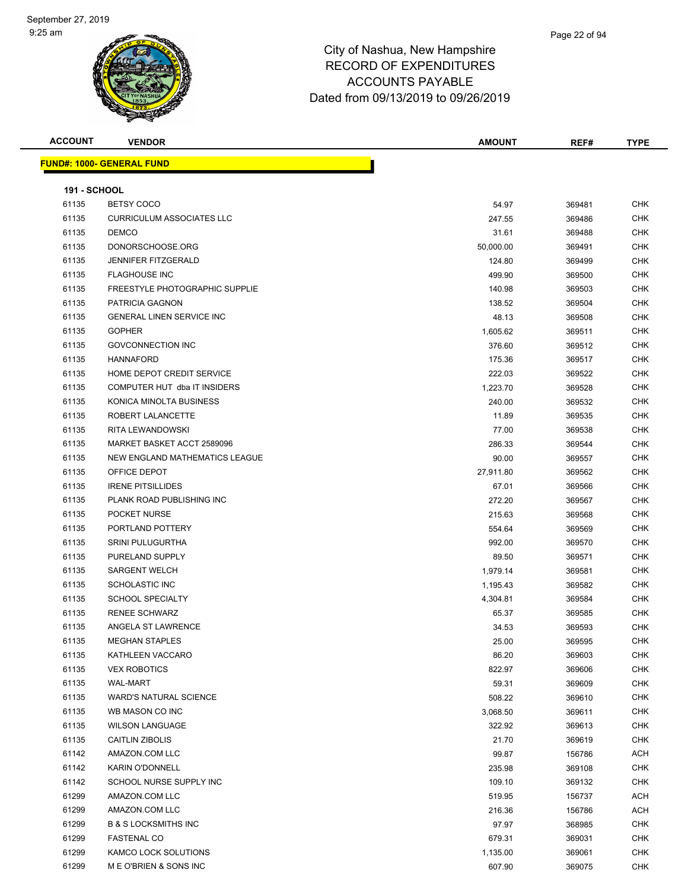#### City of Nashua, New Hampshire RECORD OF EXPENDITURES ACCOUNTS PAYABLE

Dated from 09/13/2019 to 09/26/2019

| <b>ACCOUNT</b>      | <b>VENDOR</b>                    | <b>AMOUNT</b> | REF#   | <b>TYPE</b> |
|---------------------|----------------------------------|---------------|--------|-------------|
|                     | <b>FUND#: 1000- GENERAL FUND</b> |               |        |             |
|                     |                                  |               |        |             |
| <b>191 - SCHOOL</b> |                                  |               |        |             |
| 61135               | <b>BETSY COCO</b>                | 54.97         | 369481 | <b>CHK</b>  |
| 61135               | <b>CURRICULUM ASSOCIATES LLC</b> | 247.55        | 369486 | <b>CHK</b>  |
| 61135               | <b>DEMCO</b>                     | 31.61         | 369488 | <b>CHK</b>  |
| 61135               | DONORSCHOOSE.ORG                 | 50,000.00     | 369491 | <b>CHK</b>  |
| 61135               | <b>JENNIFER FITZGERALD</b>       | 124.80        | 369499 | <b>CHK</b>  |
| 61135               | <b>FLAGHOUSE INC</b>             | 499.90        | 369500 | <b>CHK</b>  |
| 61135               | FREESTYLE PHOTOGRAPHIC SUPPLIE   | 140.98        | 369503 | <b>CHK</b>  |
| 61135               | PATRICIA GAGNON                  | 138.52        | 369504 | <b>CHK</b>  |
| 61135               | <b>GENERAL LINEN SERVICE INC</b> | 48.13         | 369508 | <b>CHK</b>  |
| 61135               | <b>GOPHER</b>                    | 1,605.62      | 369511 | <b>CHK</b>  |
| 61135               | <b>GOVCONNECTION INC</b>         | 376.60        | 369512 | <b>CHK</b>  |
| 61135               | <b>HANNAFORD</b>                 | 175.36        | 369517 | <b>CHK</b>  |
| 61135               | HOME DEPOT CREDIT SERVICE        | 222.03        | 369522 | <b>CHK</b>  |
| 61135               | COMPUTER HUT dba IT INSIDERS     | 1,223.70      | 369528 | <b>CHK</b>  |
| 61135               | KONICA MINOLTA BUSINESS          | 240.00        | 369532 | <b>CHK</b>  |
| 61135               | ROBERT LALANCETTE                | 11.89         | 369535 | <b>CHK</b>  |
| 61135               | RITA LEWANDOWSKI                 | 77.00         | 369538 | <b>CHK</b>  |
| 61135               | MARKET BASKET ACCT 2589096       | 286.33        | 369544 | <b>CHK</b>  |
| 61135               | NEW ENGLAND MATHEMATICS LEAGUE   | 90.00         | 369557 | <b>CHK</b>  |
| 61135               | OFFICE DEPOT                     | 27,911.80     | 369562 | <b>CHK</b>  |
| 61135               | <b>IRENE PITSILLIDES</b>         | 67.01         | 369566 | <b>CHK</b>  |
| 61135               | PLANK ROAD PUBLISHING INC        | 272.20        | 369567 | <b>CHK</b>  |
| 61135               | POCKET NURSE                     | 215.63        | 369568 | <b>CHK</b>  |
| 61135               | PORTLAND POTTERY                 | 554.64        | 369569 | <b>CHK</b>  |
| 61135               | <b>SRINI PULUGURTHA</b>          | 992.00        | 369570 | <b>CHK</b>  |
| 61135               | PURELAND SUPPLY                  | 89.50         | 369571 | <b>CHK</b>  |
| 61135               | <b>SARGENT WELCH</b>             | 1,979.14      | 369581 | <b>CHK</b>  |
| 61135               | <b>SCHOLASTIC INC</b>            | 1,195.43      | 369582 | <b>CHK</b>  |
| 61135               | <b>SCHOOL SPECIALTY</b>          | 4,304.81      | 369584 | <b>CHK</b>  |
| 61135               | <b>RENEE SCHWARZ</b>             | 65.37         | 369585 | <b>CHK</b>  |
| 61135               | ANGELA ST LAWRENCE               | 34.53         | 369593 | <b>CHK</b>  |
| 61135               | <b>MEGHAN STAPLES</b>            | 25.00         | 369595 | <b>CHK</b>  |
| 61135               | KATHLEEN VACCARO                 | 86.20         | 369603 | <b>CHK</b>  |
| 61135               | <b>VEX ROBOTICS</b>              | 822.97        | 369606 | <b>CHK</b>  |
| 61135               | <b>WAL-MART</b>                  | 59.31         | 369609 | <b>CHK</b>  |
| 61135               | <b>WARD'S NATURAL SCIENCE</b>    | 508.22        | 369610 | <b>CHK</b>  |
| 61135               | WB MASON CO INC                  | 3,068.50      | 369611 | <b>CHK</b>  |
| 61135               | <b>WILSON LANGUAGE</b>           | 322.92        | 369613 | <b>CHK</b>  |
| 61135               | CAITLIN ZIBOLIS                  | 21.70         | 369619 | <b>CHK</b>  |
| 61142               | AMAZON.COM LLC                   | 99.87         | 156786 | <b>ACH</b>  |
| 61142               | <b>KARIN O'DONNELL</b>           | 235.98        | 369108 | <b>CHK</b>  |
| 61142               | SCHOOL NURSE SUPPLY INC          | 109.10        | 369132 | <b>CHK</b>  |
| 61299               | AMAZON.COM LLC                   | 519.95        | 156737 | <b>ACH</b>  |
| 61299               | AMAZON.COM LLC                   | 216.36        | 156786 | <b>ACH</b>  |
| 61299               | <b>B &amp; S LOCKSMITHS INC</b>  | 97.97         | 368985 | <b>CHK</b>  |
| 61299               | <b>FASTENAL CO</b>               | 679.31        | 369031 | <b>CHK</b>  |
| 61299               | KAMCO LOCK SOLUTIONS             | 1,135.00      | 369061 | <b>CHK</b>  |
| 61299               | M E O'BRIEN & SONS INC           | 607.90        | 369075 | <b>CHK</b>  |
|                     |                                  |               |        |             |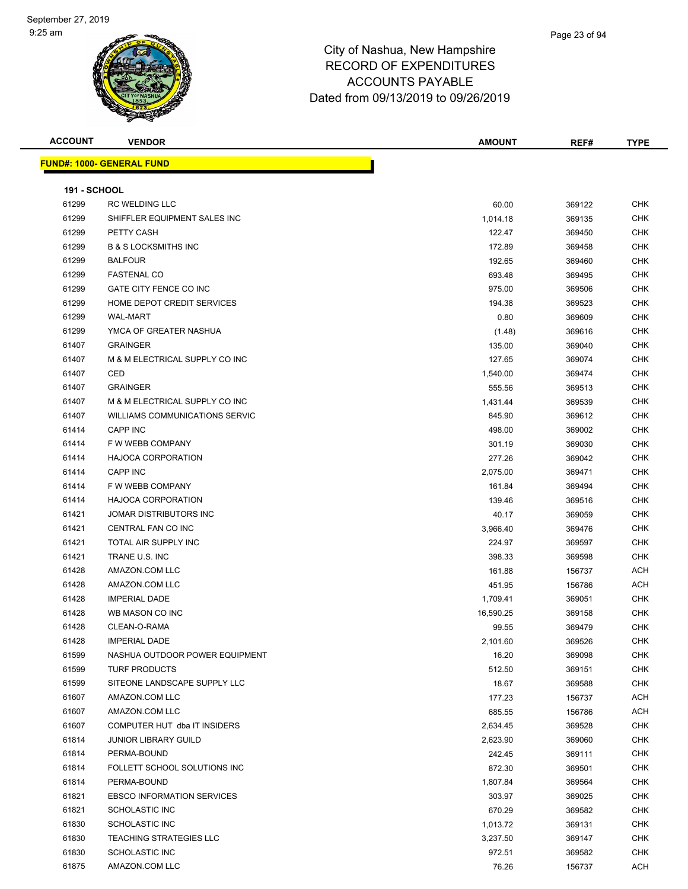#### Page 23 of 94

| <b>ACCOUNT</b>      | <b>VENDOR</b>                     | <b>AMOUNT</b> | REF#   | <b>TYPE</b> |
|---------------------|-----------------------------------|---------------|--------|-------------|
|                     | <b>FUND#: 1000- GENERAL FUND</b>  |               |        |             |
|                     |                                   |               |        |             |
| <b>191 - SCHOOL</b> |                                   |               |        |             |
| 61299               | <b>RC WELDING LLC</b>             | 60.00         | 369122 | <b>CHK</b>  |
| 61299               | SHIFFLER EQUIPMENT SALES INC      | 1,014.18      | 369135 | <b>CHK</b>  |
| 61299               | PETTY CASH                        | 122.47        | 369450 | <b>CHK</b>  |
| 61299               | <b>B &amp; S LOCKSMITHS INC</b>   | 172.89        | 369458 | <b>CHK</b>  |
| 61299               | <b>BALFOUR</b>                    | 192.65        | 369460 | <b>CHK</b>  |
| 61299               | <b>FASTENAL CO</b>                | 693.48        | 369495 | <b>CHK</b>  |
| 61299               | GATE CITY FENCE CO INC            | 975.00        | 369506 | <b>CHK</b>  |
| 61299               | HOME DEPOT CREDIT SERVICES        | 194.38        | 369523 | <b>CHK</b>  |
| 61299               | <b>WAL-MART</b>                   | 0.80          | 369609 | <b>CHK</b>  |
| 61299               | YMCA OF GREATER NASHUA            | (1.48)        | 369616 | <b>CHK</b>  |
| 61407               | <b>GRAINGER</b>                   | 135.00        | 369040 | <b>CHK</b>  |
| 61407               | M & M ELECTRICAL SUPPLY CO INC    | 127.65        | 369074 | CHK         |
| 61407               | CED                               | 1,540.00      | 369474 | <b>CHK</b>  |
| 61407               | <b>GRAINGER</b>                   | 555.56        | 369513 | <b>CHK</b>  |
| 61407               | M & M ELECTRICAL SUPPLY CO INC    | 1,431.44      | 369539 | <b>CHK</b>  |
| 61407               | WILLIAMS COMMUNICATIONS SERVIC    | 845.90        | 369612 | <b>CHK</b>  |
| 61414               | <b>CAPP INC</b>                   | 498.00        | 369002 | <b>CHK</b>  |
| 61414               | F W WEBB COMPANY                  | 301.19        | 369030 | CHK         |
| 61414               | <b>HAJOCA CORPORATION</b>         | 277.26        | 369042 | <b>CHK</b>  |
| 61414               | <b>CAPP INC</b>                   | 2,075.00      | 369471 | <b>CHK</b>  |
| 61414               | F W WEBB COMPANY                  | 161.84        | 369494 | <b>CHK</b>  |
| 61414               | <b>HAJOCA CORPORATION</b>         | 139.46        | 369516 | CHK         |
| 61421               | JOMAR DISTRIBUTORS INC            | 40.17         | 369059 | <b>CHK</b>  |
| 61421               | CENTRAL FAN CO INC                | 3,966.40      | 369476 | <b>CHK</b>  |
| 61421               | TOTAL AIR SUPPLY INC              | 224.97        | 369597 | <b>CHK</b>  |
| 61421               | TRANE U.S. INC                    | 398.33        | 369598 | <b>CHK</b>  |
| 61428               | AMAZON.COM LLC                    | 161.88        | 156737 | ACH         |
| 61428               | AMAZON.COM LLC                    | 451.95        | 156786 | ACH         |
| 61428               | <b>IMPERIAL DADE</b>              | 1,709.41      | 369051 | <b>CHK</b>  |
| 61428               | WB MASON CO INC                   | 16,590.25     | 369158 | <b>CHK</b>  |
| 61428               | CLEAN-O-RAMA                      | 99.55         | 369479 | <b>CHK</b>  |
| 61428               | <b>IMPERIAL DADE</b>              | 2,101.60      | 369526 | CHK         |
| 61599               | NASHUA OUTDOOR POWER EQUIPMENT    | 16.20         | 369098 | <b>CHK</b>  |
| 61599               | <b>TURF PRODUCTS</b>              | 512.50        | 369151 | <b>CHK</b>  |
| 61599               | SITEONE LANDSCAPE SUPPLY LLC      | 18.67         | 369588 | <b>CHK</b>  |
| 61607               | AMAZON.COM LLC                    | 177.23        | 156737 | ACH         |
| 61607               | AMAZON.COM LLC                    | 685.55        | 156786 | <b>ACH</b>  |
| 61607               | COMPUTER HUT dba IT INSIDERS      | 2,634.45      | 369528 | CHK         |
| 61814               | <b>JUNIOR LIBRARY GUILD</b>       | 2,623.90      | 369060 | <b>CHK</b>  |
| 61814               | PERMA-BOUND                       | 242.45        | 369111 | <b>CHK</b>  |
| 61814               | FOLLETT SCHOOL SOLUTIONS INC      | 872.30        | 369501 | CHK         |
| 61814               | PERMA-BOUND                       | 1,807.84      | 369564 | <b>CHK</b>  |
| 61821               | <b>EBSCO INFORMATION SERVICES</b> | 303.97        | 369025 | CHK         |
| 61821               | <b>SCHOLASTIC INC</b>             | 670.29        | 369582 | CHK         |
| 61830               | <b>SCHOLASTIC INC</b>             | 1,013.72      | 369131 | CHK         |
| 61830               | <b>TEACHING STRATEGIES LLC</b>    | 3,237.50      | 369147 | CHK         |
| 61830               | <b>SCHOLASTIC INC</b>             | 972.51        | 369582 | CHK         |
| 61875               | AMAZON.COM LLC                    | 76.26         | 156737 | ACH         |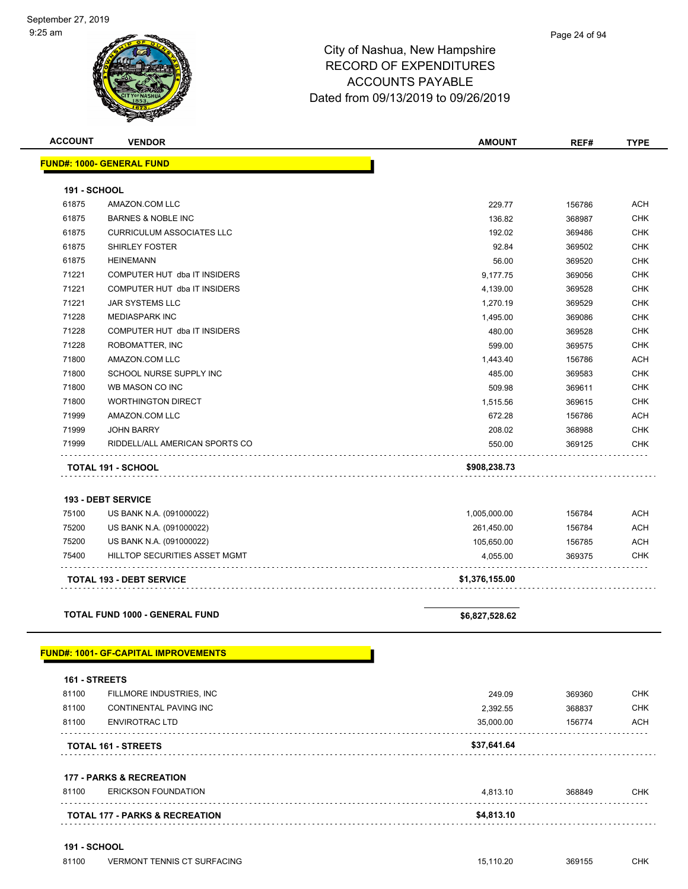| <b>AMOUNT</b>  | REF#   | <b>TYPE</b> |
|----------------|--------|-------------|
|                |        |             |
|                |        |             |
|                |        |             |
| 229.77         | 156786 | <b>ACH</b>  |
| 136.82         | 368987 | <b>CHK</b>  |
| 192.02         | 369486 | CHK         |
| 92.84          | 369502 | <b>CHK</b>  |
| 56.00          | 369520 | <b>CHK</b>  |
| 9,177.75       | 369056 | <b>CHK</b>  |
| 4,139.00       | 369528 | <b>CHK</b>  |
| 1,270.19       | 369529 | <b>CHK</b>  |
| 1,495.00       | 369086 | <b>CHK</b>  |
| 480.00         | 369528 | <b>CHK</b>  |
| 599.00         | 369575 | <b>CHK</b>  |
| 1,443.40       | 156786 | <b>ACH</b>  |
| 485.00         | 369583 | <b>CHK</b>  |
| 509.98         | 369611 | CHK         |
| 1,515.56       | 369615 | <b>CHK</b>  |
| 672.28         | 156786 | ACH         |
| 208.02         | 368988 | CHK         |
| 550.00         | 369125 | <b>CHK</b>  |
| \$908,238.73   |        |             |
|                |        |             |
|                |        |             |
| 1,005,000.00   | 156784 | ACH         |
| 261,450.00     | 156784 | ACH         |
| 105,650.00     | 156785 | <b>ACH</b>  |
| 4,055.00       | 369375 | CHK         |
|                |        |             |
| \$1,376,155.00 |        |             |
|                |        |             |
| \$6,827,528.62 |        |             |
|                |        |             |
|                |        |             |
|                |        |             |
| 249.09         | 369360 | CHK         |
| 2,392.55       | 368837 | CHK         |
| 35,000.00      | 156774 | ACH         |
| \$37,641.64    |        |             |
|                |        |             |
|                |        |             |
| 4,813.10       | 368849 | CHK         |
| \$4,813.10     |        |             |
|                |        |             |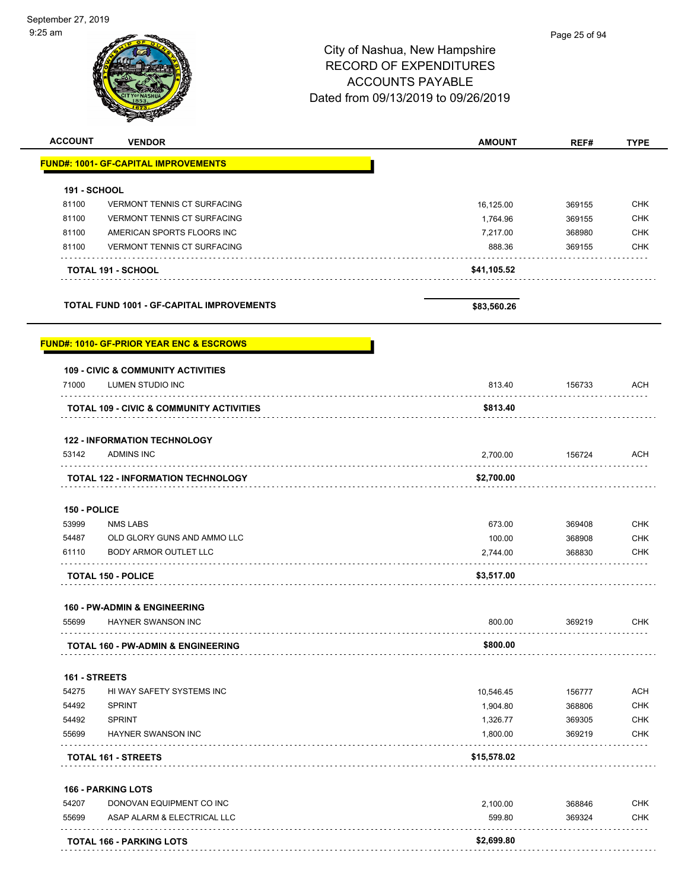| :25 am              |                                                     |                                     | Page 25 of 94 |             |
|---------------------|-----------------------------------------------------|-------------------------------------|---------------|-------------|
|                     |                                                     | City of Nashua, New Hampshire       |               |             |
|                     |                                                     | <b>RECORD OF EXPENDITURES</b>       |               |             |
|                     |                                                     |                                     |               |             |
|                     |                                                     | <b>ACCOUNTS PAYABLE</b>             |               |             |
|                     |                                                     | Dated from 09/13/2019 to 09/26/2019 |               |             |
|                     |                                                     |                                     |               |             |
| <b>ACCOUNT</b>      | <b>VENDOR</b>                                       | <b>AMOUNT</b>                       | REF#          | <b>TYPE</b> |
|                     | <b>FUND#: 1001- GF-CAPITAL IMPROVEMENTS</b>         |                                     |               |             |
| <b>191 - SCHOOL</b> |                                                     |                                     |               |             |
| 81100               | <b>VERMONT TENNIS CT SURFACING</b>                  | 16,125.00                           | 369155        | <b>CHK</b>  |
| 81100               | <b>VERMONT TENNIS CT SURFACING</b>                  | 1,764.96                            | 369155        | <b>CHK</b>  |
| 81100               | AMERICAN SPORTS FLOORS INC                          | 7,217.00                            | 368980        | <b>CHK</b>  |
| 81100               | <b>VERMONT TENNIS CT SURFACING</b>                  | 888.36                              | 369155        | <b>CHK</b>  |
|                     | TOTAL 191 - SCHOOL                                  | \$41,105.52                         |               |             |
|                     |                                                     |                                     |               |             |
|                     | <b>TOTAL FUND 1001 - GF-CAPITAL IMPROVEMENTS</b>    | \$83,560.26                         |               |             |
|                     | <b>FUND#: 1010- GF-PRIOR YEAR ENC &amp; ESCROWS</b> |                                     |               |             |
|                     | <b>109 - CIVIC &amp; COMMUNITY ACTIVITIES</b>       |                                     |               |             |
| 71000               | LUMEN STUDIO INC                                    | 813.40                              | 156733        | ACH         |
|                     | <b>TOTAL 109 - CIVIC &amp; COMMUNITY ACTIVITIES</b> | \$813.40                            |               |             |
|                     | <b>122 - INFORMATION TECHNOLOGY</b>                 |                                     |               |             |
| 53142               | <b>ADMINS INC</b>                                   | 2,700.00                            | 156724        | ACH         |
|                     | <b>TOTAL 122 - INFORMATION TECHNOLOGY</b>           | \$2,700.00                          |               |             |
| 150 - POLICE        |                                                     |                                     |               |             |
| 53999               | <b>NMS LABS</b>                                     | 673.00                              | 369408        | <b>CHK</b>  |
| 54487               | OLD GLORY GUNS AND AMMO LLC                         | 100.00                              | 368908        | <b>CHK</b>  |
| 61110               | <b>BODY ARMOR OUTLET LLC</b>                        | 2,744.00                            | 368830        | <b>CHK</b>  |
|                     | <b>TOTAL 150 - POLICE</b>                           | \$3,517.00                          |               |             |
|                     | 160 - PW-ADMIN & ENGINEERING                        |                                     |               |             |
| 55699               | HAYNER SWANSON INC<br>.                             | 800.00                              | 369219        | <b>CHK</b>  |
|                     | <b>TOTAL 160 - PW-ADMIN &amp; ENGINEERING</b>       | \$800.00                            |               |             |
| 161 - STREETS       |                                                     |                                     |               |             |
| 54275               | HI WAY SAFETY SYSTEMS INC                           | 10,546.45                           | 156777        | <b>ACH</b>  |
| 54492               | <b>SPRINT</b>                                       | 1,904.80                            | 368806        | <b>CHK</b>  |
| 54492               | <b>SPRINT</b>                                       | 1,326.77                            | 369305        | <b>CHK</b>  |
| 55699               | <b>HAYNER SWANSON INC</b>                           | 1,800.00                            | 369219        | <b>CHK</b>  |
|                     | TOTAL 161 - STREETS                                 | \$15,578.02                         |               |             |
|                     | <b>166 - PARKING LOTS</b>                           |                                     |               |             |
| 54207               | DONOVAN EQUIPMENT CO INC                            | 2,100.00                            | 368846        | <b>CHK</b>  |
| 55699               | ASAP ALARM & ELECTRICAL LLC                         | 599.80                              | 369324        | <b>CHK</b>  |
|                     |                                                     |                                     |               |             |
|                     | <b>TOTAL 166 - PARKING LOTS</b>                     | \$2,699.80                          |               |             |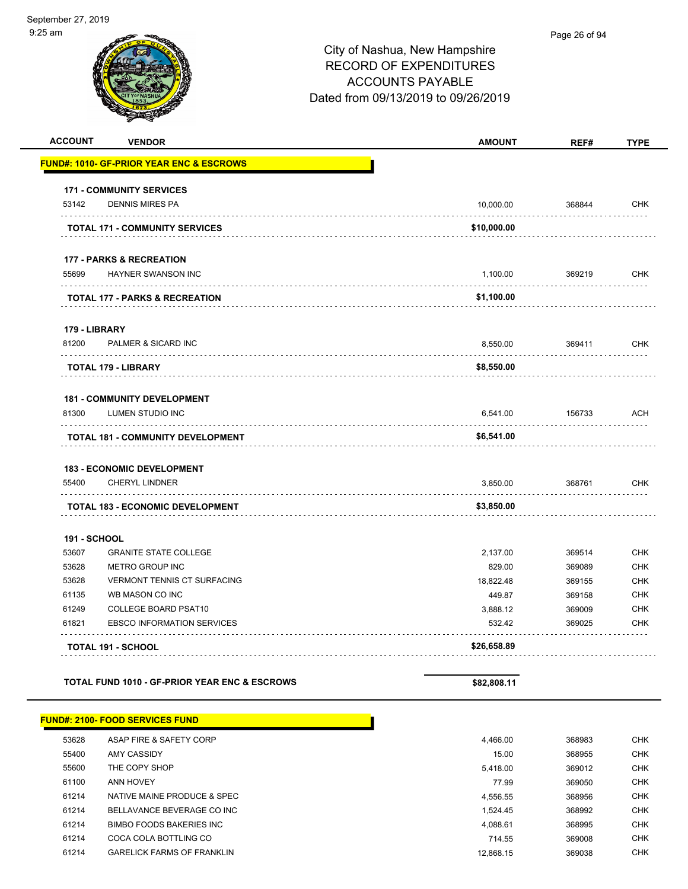|                     |                                                      | City of Nashua, New Hampshire<br><b>RECORD OF EXPENDITURES</b><br><b>ACCOUNTS PAYABLE</b><br>Dated from 09/13/2019 to 09/26/2019 |        |             |
|---------------------|------------------------------------------------------|----------------------------------------------------------------------------------------------------------------------------------|--------|-------------|
| <b>ACCOUNT</b>      | <b>VENDOR</b>                                        | <b>AMOUNT</b>                                                                                                                    | REF#   | <b>TYPE</b> |
|                     | <u> FUND#: 1010- GF-PRIOR YEAR ENC &amp; ESCROWS</u> |                                                                                                                                  |        |             |
|                     | <b>171 - COMMUNITY SERVICES</b>                      |                                                                                                                                  |        |             |
| 53142               | <b>DENNIS MIRES PA</b><br>.                          | 10,000.00                                                                                                                        | 368844 | <b>CHK</b>  |
|                     | <b>TOTAL 171 - COMMUNITY SERVICES</b>                | \$10,000.00                                                                                                                      |        |             |
|                     | <b>177 - PARKS &amp; RECREATION</b>                  |                                                                                                                                  |        |             |
| 55699               | <b>HAYNER SWANSON INC</b>                            | 1,100.00                                                                                                                         | 369219 | <b>CHK</b>  |
|                     | <b>TOTAL 177 - PARKS &amp; RECREATION</b>            | \$1,100.00                                                                                                                       |        |             |
| 179 - LIBRARY       |                                                      |                                                                                                                                  |        |             |
| 81200               | <b>PALMER &amp; SICARD INC</b>                       | 8,550.00                                                                                                                         | 369411 | <b>CHK</b>  |
|                     | <b>TOTAL 179 - LIBRARY</b>                           | \$8,550.00                                                                                                                       |        |             |
|                     | <b>181 - COMMUNITY DEVELOPMENT</b>                   |                                                                                                                                  |        |             |
| 81300               | LUMEN STUDIO INC                                     | 6,541.00                                                                                                                         | 156733 | <b>ACH</b>  |
|                     | TOTAL 181 - COMMUNITY DEVELOPMENT                    | \$6,541.00                                                                                                                       |        |             |
|                     | <b>183 - ECONOMIC DEVELOPMENT</b>                    |                                                                                                                                  |        |             |
| 55400               | <b>CHERYL LINDNER</b><br>.                           | 3,850.00                                                                                                                         | 368761 | <b>CHK</b>  |
|                     | <b>TOTAL 183 - ECONOMIC DEVELOPMENT</b>              | \$3,850.00                                                                                                                       |        |             |
| <b>191 - SCHOOL</b> |                                                      |                                                                                                                                  |        |             |
| 53607               | <b>GRANITE STATE COLLEGE</b>                         | 2,137.00                                                                                                                         | 369514 | CHK         |
| 53628               | <b>METRO GROUP INC</b>                               | 829.00                                                                                                                           | 369089 | CHK         |
| 53628               | <b>VERMONT TENNIS CT SURFACING</b>                   | 18,822.48                                                                                                                        | 369155 | <b>CHK</b>  |
| 61135               | WB MASON CO INC                                      | 449.87                                                                                                                           | 369158 | <b>CHK</b>  |
| 61249               | COLLEGE BOARD PSAT10                                 | 3,888.12                                                                                                                         | 369009 | <b>CHK</b>  |
| 61821               | <b>EBSCO INFORMATION SERVICES</b>                    | 532.42                                                                                                                           | 369025 | <b>CHK</b>  |
|                     | <b>TOTAL 191 - SCHOOL</b>                            | \$26,658.89                                                                                                                      |        |             |

```
TOTAL FUND 1010 - GF-PRIOR YEAR ENC & ESCROWS $82,808.11
```
**FUND#: 2100- FOOD SERVICES FUND** ASAP FIRE & SAFETY CORP 4,466.00 368983 CHK AMY CASSIDY 15.00 368955 CHK THE COPY SHOP 5,418.00 369012 CHK ANN HOVEY 77.99 369050 CHK NATIVE MAINE PRODUCE & SPEC 4,556.55 368956 CHK BELLAVANCE BEVERAGE CO INC 1,524.45 368992 CHK BIMBO FOODS BAKERIES INC 4,088.61 368995 CHK edia 61214 Coca Cola Bottling Control 10 and 20 and 20 and 20 and 20 and 214.55 369008 CHK GARELICK FARMS OF FRANKLIN 12,868.15 369038 CHK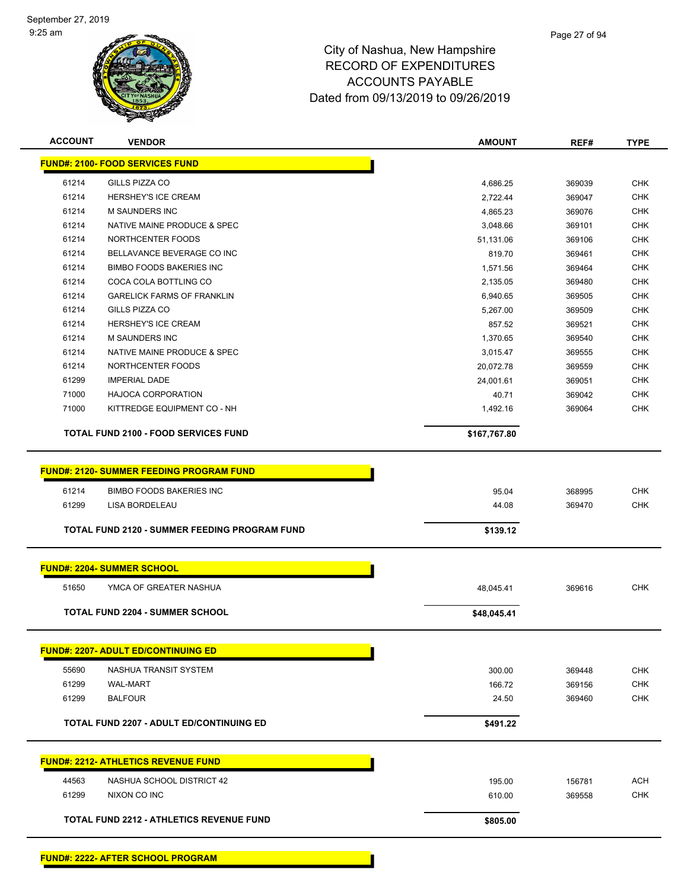

| <b>ACCOUNT</b> | <b>VENDOR</b>                                        | <b>AMOUNT</b>       | REF#             | <b>TYPE</b>              |
|----------------|------------------------------------------------------|---------------------|------------------|--------------------------|
|                | <b>FUND#: 2100- FOOD SERVICES FUND</b>               |                     |                  |                          |
|                |                                                      |                     |                  |                          |
| 61214          | GILLS PIZZA CO                                       | 4,686.25            | 369039           | <b>CHK</b>               |
| 61214          | <b>HERSHEY'S ICE CREAM</b>                           | 2,722.44            | 369047           | CHK                      |
| 61214<br>61214 | <b>M SAUNDERS INC</b><br>NATIVE MAINE PRODUCE & SPEC | 4,865.23            | 369076           | <b>CHK</b>               |
| 61214          | NORTHCENTER FOODS                                    | 3,048.66            | 369101           | <b>CHK</b><br>CHK        |
| 61214          | BELLAVANCE BEVERAGE CO INC                           | 51,131.06<br>819.70 | 369106<br>369461 | <b>CHK</b>               |
| 61214          | <b>BIMBO FOODS BAKERIES INC.</b>                     |                     |                  | <b>CHK</b>               |
| 61214          | COCA COLA BOTTLING CO                                | 1,571.56            | 369464           |                          |
|                |                                                      | 2,135.05            | 369480           | <b>CHK</b>               |
| 61214<br>61214 | <b>GARELICK FARMS OF FRANKLIN</b><br>GILLS PIZZA CO  | 6,940.65            | 369505           | <b>CHK</b><br><b>CHK</b> |
|                | HERSHEY'S ICE CREAM                                  | 5,267.00            | 369509           |                          |
| 61214<br>61214 | M SAUNDERS INC                                       | 857.52              | 369521           | <b>CHK</b><br><b>CHK</b> |
|                |                                                      | 1,370.65            | 369540           |                          |
| 61214          | NATIVE MAINE PRODUCE & SPEC                          | 3,015.47            | 369555           | <b>CHK</b>               |
| 61214          | NORTHCENTER FOODS                                    | 20,072.78           | 369559           | <b>CHK</b>               |
| 61299          | <b>IMPERIAL DADE</b><br><b>HAJOCA CORPORATION</b>    | 24,001.61           | 369051           | <b>CHK</b>               |
| 71000          |                                                      | 40.71               | 369042           | CHK                      |
| 71000          | KITTREDGE EQUIPMENT CO - NH                          | 1,492.16            | 369064           | <b>CHK</b>               |
|                | <b>TOTAL FUND 2100 - FOOD SERVICES FUND</b>          | \$167,767.80        |                  |                          |
|                |                                                      |                     |                  |                          |
|                | <b>FUND#: 2120- SUMMER FEEDING PROGRAM FUND</b>      |                     |                  |                          |
| 61214          | <b>BIMBO FOODS BAKERIES INC</b>                      | 95.04               |                  | <b>CHK</b>               |
| 61299          | LISA BORDELEAU                                       |                     | 368995           | <b>CHK</b>               |
|                |                                                      | 44.08               | 369470           |                          |
|                | TOTAL FUND 2120 - SUMMER FEEDING PROGRAM FUND        | \$139.12            |                  |                          |
|                |                                                      |                     |                  |                          |
|                | <b>FUND#: 2204- SUMMER SCHOOL</b>                    |                     |                  |                          |
| 51650          | YMCA OF GREATER NASHUA                               | 48,045.41           | 369616           | <b>CHK</b>               |
|                |                                                      |                     |                  |                          |
|                | <b>TOTAL FUND 2204 - SUMMER SCHOOL</b>               | \$48,045.41         |                  |                          |
|                | <b>FUND#: 2207- ADULT ED/CONTINUING ED</b>           |                     |                  |                          |
|                |                                                      |                     |                  |                          |
| 55690          | NASHUA TRANSIT SYSTEM                                | 300.00              | 369448           | <b>CHK</b>               |
| 61299          | <b>WAL-MART</b>                                      | 166.72              | 369156           | <b>CHK</b>               |
| 61299          | <b>BALFOUR</b>                                       | 24.50               | 369460           | <b>CHK</b>               |
|                | <b>TOTAL FUND 2207 - ADULT ED/CONTINUING ED</b>      | \$491.22            |                  |                          |
|                |                                                      |                     |                  |                          |
|                | <b>FUND#: 2212- ATHLETICS REVENUE FUND</b>           |                     |                  |                          |
| 44563          | NASHUA SCHOOL DISTRICT 42                            | 195.00              | 156781           | <b>ACH</b>               |
| 61299          | NIXON CO INC                                         | 610.00              | 369558           | <b>CHK</b>               |
|                | <b>TOTAL FUND 2212 - ATHLETICS REVENUE FUND</b>      | \$805.00            |                  |                          |
|                |                                                      |                     |                  |                          |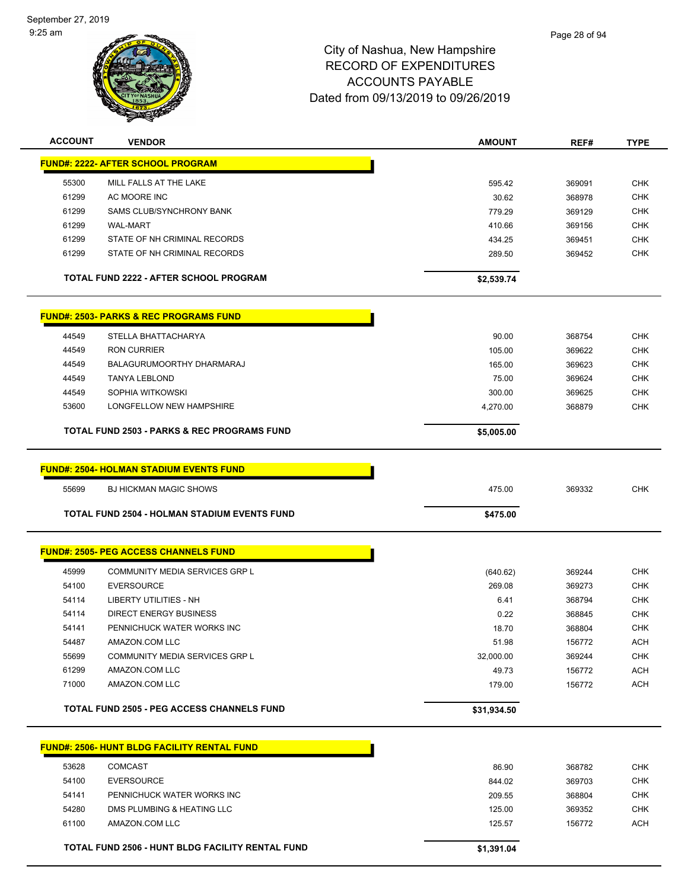

| <b>ACCOUNT</b> | <b>VENDOR</b>                                          | <b>AMOUNT</b>   | REF#             | <b>TYPE</b> |
|----------------|--------------------------------------------------------|-----------------|------------------|-------------|
|                | <b>FUND#: 2222- AFTER SCHOOL PROGRAM</b>               |                 |                  |             |
| 55300          | MILL FALLS AT THE LAKE                                 | 595.42          | 369091           | <b>CHK</b>  |
| 61299          | AC MOORE INC                                           | 30.62           | 368978           | <b>CHK</b>  |
| 61299          | <b>SAMS CLUB/SYNCHRONY BANK</b>                        | 779.29          | 369129           | <b>CHK</b>  |
| 61299          | <b>WAL-MART</b>                                        | 410.66          | 369156           | <b>CHK</b>  |
| 61299          | STATE OF NH CRIMINAL RECORDS                           | 434.25          | 369451           | <b>CHK</b>  |
| 61299          | STATE OF NH CRIMINAL RECORDS                           | 289.50          | 369452           | <b>CHK</b>  |
|                | <b>TOTAL FUND 2222 - AFTER SCHOOL PROGRAM</b>          | \$2,539.74      |                  |             |
|                | <b>FUND#: 2503- PARKS &amp; REC PROGRAMS FUND</b>      |                 |                  |             |
| 44549          | STELLA BHATTACHARYA                                    | 90.00           | 368754           | <b>CHK</b>  |
| 44549          | <b>RON CURRIER</b>                                     | 105.00          | 369622           | <b>CHK</b>  |
| 44549          | BALAGURUMOORTHY DHARMARAJ                              | 165.00          | 369623           | <b>CHK</b>  |
| 44549          | <b>TANYA LEBLOND</b>                                   | 75.00           | 369624           | <b>CHK</b>  |
| 44549          | SOPHIA WITKOWSKI                                       | 300.00          | 369625           | <b>CHK</b>  |
| 53600          | LONGFELLOW NEW HAMPSHIRE                               | 4,270.00        | 368879           | <b>CHK</b>  |
|                | <b>TOTAL FUND 2503 - PARKS &amp; REC PROGRAMS FUND</b> | \$5,005.00      |                  |             |
|                | <b>FUND#: 2504- HOLMAN STADIUM EVENTS FUND</b>         |                 |                  |             |
| 55699          | <b>BJ HICKMAN MAGIC SHOWS</b>                          | 475.00          | 369332           | <b>CHK</b>  |
|                | <b>TOTAL FUND 2504 - HOLMAN STADIUM EVENTS FUND</b>    | \$475.00        |                  |             |
|                |                                                        |                 |                  |             |
|                | <b>FUND#: 2505- PEG ACCESS CHANNELS FUND</b>           |                 |                  |             |
| 45999          | <b>COMMUNITY MEDIA SERVICES GRP L</b>                  | (640.62)        | 369244           | <b>CHK</b>  |
| 54100          | <b>EVERSOURCE</b>                                      | 269.08          | 369273           | <b>CHK</b>  |
| 54114          | LIBERTY UTILITIES - NH                                 | 6.41            | 368794           | CHK         |
| 54114          | <b>DIRECT ENERGY BUSINESS</b>                          | 0.22            | 368845           | <b>CHK</b>  |
| 54141          | PENNICHUCK WATER WORKS INC                             | 18.70           | 368804           | <b>CHK</b>  |
| 54487          | AMAZON.COM LLC                                         | 51.98           | 156772           | <b>ACH</b>  |
| 55699          | <b>COMMUNITY MEDIA SERVICES GRP L</b>                  | 32,000.00       | 369244           | <b>CHK</b>  |
| 61299          | AMAZON.COM LLC                                         | 49.73           | 156772           | <b>ACH</b>  |
| 71000          | AMAZON.COM LLC                                         | 179.00          | 156772           | <b>ACH</b>  |
|                | <b>TOTAL FUND 2505 - PEG ACCESS CHANNELS FUND</b>      | \$31,934.50     |                  |             |
|                | <b>FUND#: 2506- HUNT BLDG FACILITY RENTAL FUND</b>     |                 |                  |             |
| 53628          | <b>COMCAST</b>                                         |                 |                  | <b>CHK</b>  |
| 54100          | <b>EVERSOURCE</b>                                      | 86.90<br>844.02 | 368782<br>369703 | CHK         |
| 54141          | PENNICHUCK WATER WORKS INC                             | 209.55          | 368804           | <b>CHK</b>  |
| 54280          | DMS PLUMBING & HEATING LLC                             | 125.00          | 369352           | <b>CHK</b>  |
| 61100          | AMAZON.COM LLC                                         | 125.57          | 156772           | <b>ACH</b>  |
|                |                                                        |                 |                  |             |
|                | TOTAL FUND 2506 - HUNT BLDG FACILITY RENTAL FUND       | \$1,391.04      |                  |             |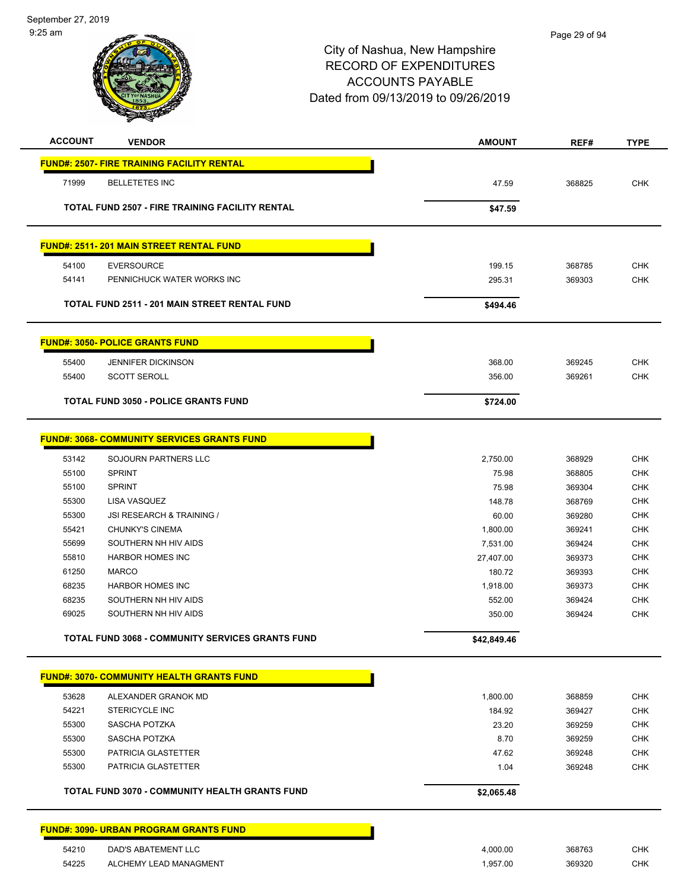| <b>ACCOUNT</b> | <b>VENDOR</b>                                          | <b>AMOUNT</b>    | REF#             | <b>TYPE</b>              |
|----------------|--------------------------------------------------------|------------------|------------------|--------------------------|
|                | <b>FUND#: 2507- FIRE TRAINING FACILITY RENTAL</b>      |                  |                  |                          |
| 71999          | <b>BELLETETES INC</b>                                  | 47.59            | 368825           | <b>CHK</b>               |
|                |                                                        |                  |                  |                          |
|                | <b>TOTAL FUND 2507 - FIRE TRAINING FACILITY RENTAL</b> | \$47.59          |                  |                          |
|                | <b>FUND#: 2511-201 MAIN STREET RENTAL FUND</b>         |                  |                  |                          |
|                |                                                        |                  |                  |                          |
| 54100<br>54141 | <b>EVERSOURCE</b><br>PENNICHUCK WATER WORKS INC        | 199.15<br>295.31 | 368785<br>369303 | <b>CHK</b><br><b>CHK</b> |
|                |                                                        |                  |                  |                          |
|                | <b>TOTAL FUND 2511 - 201 MAIN STREET RENTAL FUND</b>   | \$494.46         |                  |                          |
|                | <b>FUND#: 3050- POLICE GRANTS FUND</b>                 |                  |                  |                          |
| 55400          | <b>JENNIFER DICKINSON</b>                              | 368.00           | 369245           | <b>CHK</b>               |
| 55400          | <b>SCOTT SEROLL</b>                                    | 356.00           | 369261           | CHK                      |
|                |                                                        |                  |                  |                          |
|                | <b>TOTAL FUND 3050 - POLICE GRANTS FUND</b>            | \$724.00         |                  |                          |
|                | <b>FUND#: 3068- COMMUNITY SERVICES GRANTS FUND</b>     |                  |                  |                          |
| 53142          | SOJOURN PARTNERS LLC                                   | 2,750.00         | 368929           | <b>CHK</b>               |
| 55100          | <b>SPRINT</b>                                          | 75.98            | 368805           | <b>CHK</b>               |
| 55100          | <b>SPRINT</b>                                          | 75.98            | 369304           | <b>CHK</b>               |
| 55300          | LISA VASQUEZ                                           | 148.78           | 368769           | <b>CHK</b>               |
| 55300          | <b>JSI RESEARCH &amp; TRAINING /</b>                   | 60.00            | 369280           | <b>CHK</b>               |
| 55421          | <b>CHUNKY'S CINEMA</b>                                 | 1,800.00         | 369241           | <b>CHK</b>               |
| 55699          | SOUTHERN NH HIV AIDS                                   | 7,531.00         | 369424           | <b>CHK</b>               |
| 55810          | <b>HARBOR HOMES INC</b>                                | 27,407.00        | 369373           | <b>CHK</b>               |
| 61250          | <b>MARCO</b>                                           | 180.72           | 369393           | <b>CHK</b>               |
| 68235          | <b>HARBOR HOMES INC</b>                                | 1,918.00         | 369373           | <b>CHK</b>               |
| 68235          | SOUTHERN NH HIV AIDS                                   | 552.00           | 369424           | <b>CHK</b>               |
| 69025          | SOUTHERN NH HIV AIDS                                   | 350.00           | 369424           | <b>CHK</b>               |
|                | TOTAL FUND 3068 - COMMUNITY SERVICES GRANTS FUND       | \$42,849.46      |                  |                          |
|                | <b>FUND#: 3070- COMMUNITY HEALTH GRANTS FUND</b>       |                  |                  |                          |
|                |                                                        |                  |                  |                          |
| 53628          | ALEXANDER GRANOK MD                                    | 1,800.00         | 368859           | <b>CHK</b>               |
| 54221<br>55300 | <b>STERICYCLE INC</b><br>SASCHA POTZKA                 | 184.92<br>23.20  | 369427           | <b>CHK</b><br><b>CHK</b> |
| 55300          | SASCHA POTZKA                                          | 8.70             | 369259           | <b>CHK</b>               |
| 55300          | PATRICIA GLASTETTER                                    | 47.62            | 369259<br>369248 | <b>CHK</b>               |
| 55300          | PATRICIA GLASTETTER                                    | 1.04             | 369248           | <b>CHK</b>               |
|                | TOTAL FUND 3070 - COMMUNITY HEALTH GRANTS FUND         | \$2,065.48       |                  |                          |
|                |                                                        |                  |                  |                          |
|                | <b>FUND#: 3090- URBAN PROGRAM GRANTS FUND</b>          |                  |                  |                          |
| 54210          | DAD'S ABATEMENT LLC                                    | 4,000.00         | 368763           | <b>CHK</b>               |
| 54225          | ALCHEMY LEAD MANAGMENT                                 | 1,957.00         | 369320           | <b>CHK</b>               |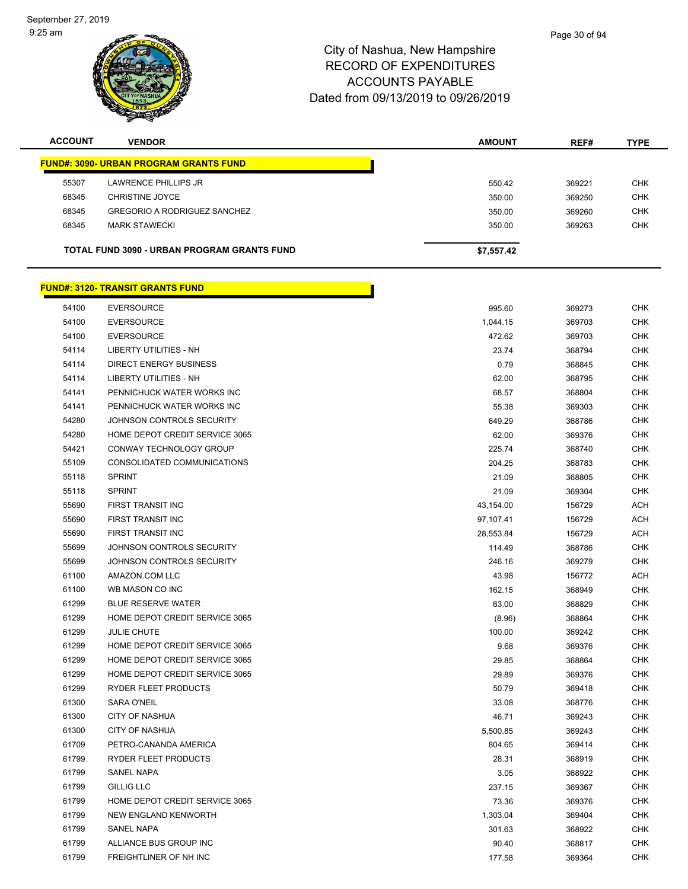

| <b>ACCOUNT</b> | <b>VENDOR</b>                                      | <b>AMOUNT</b> | REF#   | <b>TYPE</b> |
|----------------|----------------------------------------------------|---------------|--------|-------------|
|                | <b>FUND#: 3090- URBAN PROGRAM GRANTS FUND</b>      |               |        |             |
| 55307          | LAWRENCE PHILLIPS JR                               | 550.42        | 369221 | <b>CHK</b>  |
| 68345          | CHRISTINE JOYCE                                    | 350.00        | 369250 | <b>CHK</b>  |
| 68345          | <b>GREGORIO A RODRIGUEZ SANCHEZ</b>                | 350.00        | 369260 | <b>CHK</b>  |
| 68345          | <b>MARK STAWECKI</b>                               | 350.00        | 369263 | <b>CHK</b>  |
|                | <b>TOTAL FUND 3090 - URBAN PROGRAM GRANTS FUND</b> | \$7,557.42    |        |             |
|                | <b>FUND#: 3120- TRANSIT GRANTS FUND</b>            |               |        |             |
| 54100          | EVERSOURCE                                         | <b>QQ5 60</b> | 360273 | <b>CHK</b>  |

| 54100 | <b>EVERSOURCE</b>              | 995.60    | 369273 | CHK        |
|-------|--------------------------------|-----------|--------|------------|
| 54100 | <b>EVERSOURCE</b>              | 1,044.15  | 369703 | <b>CHK</b> |
| 54100 | <b>EVERSOURCE</b>              | 472.62    | 369703 | <b>CHK</b> |
| 54114 | <b>LIBERTY UTILITIES - NH</b>  | 23.74     | 368794 | <b>CHK</b> |
| 54114 | <b>DIRECT ENERGY BUSINESS</b>  | 0.79      | 368845 | <b>CHK</b> |
| 54114 | <b>LIBERTY UTILITIES - NH</b>  | 62.00     | 368795 | <b>CHK</b> |
| 54141 | PENNICHUCK WATER WORKS INC     | 68.57     | 368804 | <b>CHK</b> |
| 54141 | PENNICHUCK WATER WORKS INC     | 55.38     | 369303 | <b>CHK</b> |
| 54280 | JOHNSON CONTROLS SECURITY      | 649.29    | 368786 | <b>CHK</b> |
| 54280 | HOME DEPOT CREDIT SERVICE 3065 | 62.00     | 369376 | <b>CHK</b> |
| 54421 | CONWAY TECHNOLOGY GROUP        | 225.74    | 368740 | CHK        |
| 55109 | CONSOLIDATED COMMUNICATIONS    | 204.25    | 368783 | <b>CHK</b> |
| 55118 | <b>SPRINT</b>                  | 21.09     | 368805 | <b>CHK</b> |
| 55118 | <b>SPRINT</b>                  | 21.09     | 369304 | <b>CHK</b> |
| 55690 | FIRST TRANSIT INC              | 43,154.00 | 156729 | <b>ACH</b> |
| 55690 | FIRST TRANSIT INC              | 97,107.41 | 156729 | <b>ACH</b> |
| 55690 | FIRST TRANSIT INC              | 28,553.84 | 156729 | <b>ACH</b> |
| 55699 | JOHNSON CONTROLS SECURITY      | 114.49    | 368786 | <b>CHK</b> |
| 55699 | JOHNSON CONTROLS SECURITY      | 246.16    | 369279 | <b>CHK</b> |
| 61100 | AMAZON.COM LLC                 | 43.98     | 156772 | <b>ACH</b> |
| 61100 | WB MASON CO INC                | 162.15    | 368949 | <b>CHK</b> |
| 61299 | <b>BLUE RESERVE WATER</b>      | 63.00     | 368829 | <b>CHK</b> |
| 61299 | HOME DEPOT CREDIT SERVICE 3065 | (8.96)    | 368864 | <b>CHK</b> |
| 61299 | <b>JULIE CHUTE</b>             | 100.00    | 369242 | <b>CHK</b> |
| 61299 | HOME DEPOT CREDIT SERVICE 3065 | 9.68      | 369376 | <b>CHK</b> |
| 61299 | HOME DEPOT CREDIT SERVICE 3065 | 29.85     | 368864 | <b>CHK</b> |
| 61299 | HOME DEPOT CREDIT SERVICE 3065 | 29.89     | 369376 | <b>CHK</b> |
| 61299 | RYDER FLEET PRODUCTS           | 50.79     | 369418 | <b>CHK</b> |
| 61300 | SARA O'NEIL                    | 33.08     | 368776 | <b>CHK</b> |
| 61300 | <b>CITY OF NASHUA</b>          | 46.71     | 369243 | <b>CHK</b> |
| 61300 | <b>CITY OF NASHUA</b>          | 5,500.85  | 369243 | <b>CHK</b> |
| 61709 | PETRO-CANANDA AMERICA          | 804.65    | 369414 | <b>CHK</b> |
| 61799 | RYDER FLEET PRODUCTS           | 28.31     | 368919 | CHK        |
| 61799 | <b>SANEL NAPA</b>              | 3.05      | 368922 | <b>CHK</b> |
| 61799 | <b>GILLIG LLC</b>              | 237.15    | 369367 | <b>CHK</b> |
| 61799 | HOME DEPOT CREDIT SERVICE 3065 | 73.36     | 369376 | <b>CHK</b> |
| 61799 | NEW ENGLAND KENWORTH           | 1,303.04  | 369404 | <b>CHK</b> |
| 61799 | <b>SANEL NAPA</b>              | 301.63    | 368922 | <b>CHK</b> |
| 61799 | ALLIANCE BUS GROUP INC         | 90.40     | 368817 | <b>CHK</b> |
| 61799 | <b>FREIGHTLINER OF NH INC</b>  | 177.58    | 369364 | <b>CHK</b> |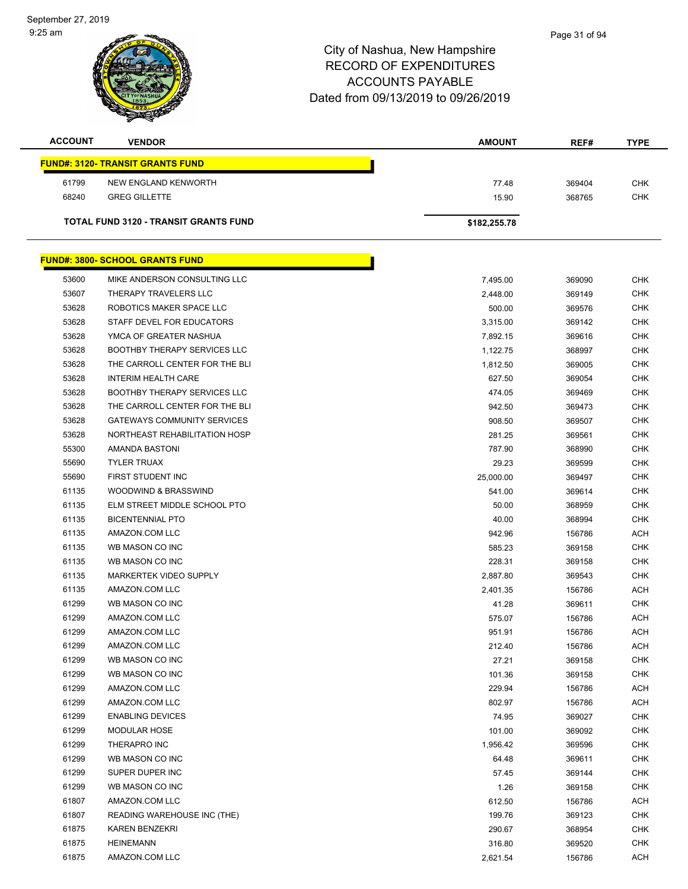| <b>ACCOUNT</b> | <b>VENDOR</b>                                | <b>AMOUNT</b> | REF#   | <b>TYPE</b> |
|----------------|----------------------------------------------|---------------|--------|-------------|
|                | <b>FUND#: 3120- TRANSIT GRANTS FUND</b>      |               |        |             |
| 61799          | NEW ENGLAND KENWORTH                         | 77.48         | 369404 | <b>CHK</b>  |
| 68240          | <b>GREG GILLETTE</b>                         | 15.90         | 368765 | <b>CHK</b>  |
|                |                                              |               |        |             |
|                | <b>TOTAL FUND 3120 - TRANSIT GRANTS FUND</b> | \$182,255.78  |        |             |
|                | <b>FUND#: 3800- SCHOOL GRANTS FUND</b>       |               |        |             |
|                |                                              |               |        |             |
| 53600          | MIKE ANDERSON CONSULTING LLC                 | 7,495.00      | 369090 | <b>CHK</b>  |
| 53607          | THERAPY TRAVELERS LLC                        | 2,448.00      | 369149 | <b>CHK</b>  |
| 53628          | ROBOTICS MAKER SPACE LLC                     | 500.00        | 369576 | <b>CHK</b>  |
| 53628          | STAFF DEVEL FOR EDUCATORS                    | 3,315.00      | 369142 | CHK         |
| 53628          | YMCA OF GREATER NASHUA                       | 7,892.15      | 369616 | CHK         |
| 53628          | <b>BOOTHBY THERAPY SERVICES LLC</b>          | 1,122.75      | 368997 | <b>CHK</b>  |
| 53628          | THE CARROLL CENTER FOR THE BLI               | 1,812.50      | 369005 | <b>CHK</b>  |
| 53628          | <b>INTERIM HEALTH CARE</b>                   | 627.50        | 369054 | <b>CHK</b>  |
| 53628          | <b>BOOTHBY THERAPY SERVICES LLC</b>          | 474.05        | 369469 | <b>CHK</b>  |
| 53628          | THE CARROLL CENTER FOR THE BLI               | 942.50        | 369473 | CHK         |
| 53628          | <b>GATEWAYS COMMUNITY SERVICES</b>           | 908.50        | 369507 | <b>CHK</b>  |
| 53628          | NORTHEAST REHABILITATION HOSP                | 281.25        | 369561 | <b>CHK</b>  |
| 55300          | AMANDA BASTONI                               | 787.90        | 368990 | CHK         |
| 55690          | <b>TYLER TRUAX</b>                           | 29.23         | 369599 | <b>CHK</b>  |
| 55690          | FIRST STUDENT INC                            | 25,000.00     | 369497 | <b>CHK</b>  |
| 61135          | WOODWIND & BRASSWIND                         | 541.00        | 369614 | CHK         |
| 61135          | ELM STREET MIDDLE SCHOOL PTO                 | 50.00         | 368959 | <b>CHK</b>  |
| 61135          | <b>BICENTENNIAL PTO</b>                      | 40.00         | 368994 | CHK         |
| 61135          | AMAZON.COM LLC                               | 942.96        | 156786 | <b>ACH</b>  |
| 61135          | WB MASON CO INC                              | 585.23        | 369158 | <b>CHK</b>  |
| 61135          | WB MASON CO INC                              | 228.31        | 369158 | CHK         |
| 61135          | <b>MARKERTEK VIDEO SUPPLY</b>                | 2,887.80      | 369543 | <b>CHK</b>  |
| 61135          | AMAZON.COM LLC                               | 2,401.35      | 156786 | <b>ACH</b>  |
| 61299          | WB MASON CO INC                              | 41.28         | 369611 | CHK         |
| 61299          | AMAZON.COM LLC                               | 575.07        | 156786 | <b>ACH</b>  |
| 61299          | AMAZON.COM LLC                               | 951.91        | 156786 | <b>ACH</b>  |
| 61299          | AMAZON.COM LLC                               | 212.40        | 156786 | <b>ACH</b>  |
| 61299          | WB MASON CO INC                              | 27.21         | 369158 | <b>CHK</b>  |
| 61299          | WB MASON CO INC                              | 101.36        | 369158 | <b>CHK</b>  |
| 61299          | AMAZON.COM LLC                               | 229.94        | 156786 | <b>ACH</b>  |
| 61299          | AMAZON.COM LLC                               | 802.97        | 156786 | <b>ACH</b>  |
| 61299          | <b>ENABLING DEVICES</b>                      | 74.95         | 369027 | CHK         |
| 61299          | <b>MODULAR HOSE</b>                          | 101.00        | 369092 | <b>CHK</b>  |
| 61299          | THERAPRO INC                                 | 1,956.42      | 369596 | <b>CHK</b>  |
| 61299          | WB MASON CO INC                              | 64.48         | 369611 | <b>CHK</b>  |
| 61299          | SUPER DUPER INC                              | 57.45         | 369144 | <b>CHK</b>  |
| 61299          | WB MASON CO INC                              | 1.26          | 369158 | CHK         |
| 61807          | AMAZON.COM LLC                               | 612.50        | 156786 | <b>ACH</b>  |
| 61807          | READING WAREHOUSE INC (THE)                  | 199.76        | 369123 | <b>CHK</b>  |
| 61875          | <b>KAREN BENZEKRI</b>                        | 290.67        | 368954 | CHK         |
| 61875          | <b>HEINEMANN</b>                             | 316.80        | 369520 | <b>CHK</b>  |
| 61875          | AMAZON.COM LLC                               | 2,621.54      | 156786 | <b>ACH</b>  |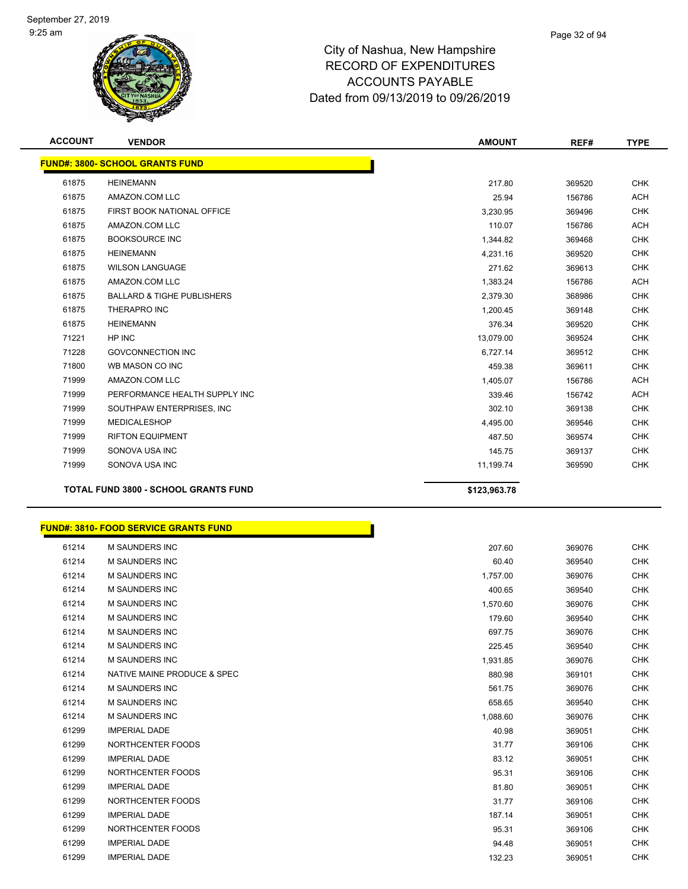

| <b>ACCOUNT</b> | <b>VENDOR</b>                               | <b>AMOUNT</b> | REF#   | <b>TYPE</b> |
|----------------|---------------------------------------------|---------------|--------|-------------|
|                | <b>FUND#: 3800- SCHOOL GRANTS FUND</b>      |               |        |             |
| 61875          | <b>HEINEMANN</b>                            | 217.80        | 369520 | <b>CHK</b>  |
| 61875          | AMAZON.COM LLC                              | 25.94         | 156786 | <b>ACH</b>  |
| 61875          | FIRST BOOK NATIONAL OFFICE                  | 3,230.95      | 369496 | <b>CHK</b>  |
| 61875          | AMAZON.COM LLC                              | 110.07        | 156786 | <b>ACH</b>  |
| 61875          | <b>BOOKSOURCE INC</b>                       | 1,344.82      | 369468 | <b>CHK</b>  |
| 61875          | <b>HEINEMANN</b>                            | 4,231.16      | 369520 | <b>CHK</b>  |
| 61875          | <b>WILSON LANGUAGE</b>                      | 271.62        | 369613 | <b>CHK</b>  |
| 61875          | AMAZON.COM LLC                              | 1,383.24      | 156786 | <b>ACH</b>  |
| 61875          | <b>BALLARD &amp; TIGHE PUBLISHERS</b>       | 2,379.30      | 368986 | <b>CHK</b>  |
| 61875          | THERAPRO INC                                | 1,200.45      | 369148 | <b>CHK</b>  |
| 61875          | <b>HEINEMANN</b>                            | 376.34        | 369520 | <b>CHK</b>  |
| 71221          | HP INC                                      | 13,079.00     | 369524 | <b>CHK</b>  |
| 71228          | <b>GOVCONNECTION INC</b>                    | 6,727.14      | 369512 | <b>CHK</b>  |
| 71800          | WB MASON CO INC                             | 459.38        | 369611 | <b>CHK</b>  |
| 71999          | AMAZON.COM LLC                              | 1,405.07      | 156786 | <b>ACH</b>  |
| 71999          | PERFORMANCE HEALTH SUPPLY INC               | 339.46        | 156742 | <b>ACH</b>  |
| 71999          | SOUTHPAW ENTERPRISES, INC                   | 302.10        | 369138 | <b>CHK</b>  |
| 71999          | <b>MEDICALESHOP</b>                         | 4,495.00      | 369546 | <b>CHK</b>  |
| 71999          | <b>RIFTON EQUIPMENT</b>                     | 487.50        | 369574 | <b>CHK</b>  |
| 71999          | SONOVA USA INC                              | 145.75        | 369137 | <b>CHK</b>  |
| 71999          | SONOVA USA INC                              | 11,199.74     | 369590 | <b>CHK</b>  |
|                | <b>TOTAL FUND 3800 - SCHOOL GRANTS FUND</b> | \$123,963.78  |        |             |

| <b>FUND#: 3810- FOOD SERVICE GRANTS FUND</b> |          |        |            |
|----------------------------------------------|----------|--------|------------|
| <b>M SAUNDERS INC</b><br>61214               | 207.60   | 369076 | <b>CHK</b> |
| 61214<br><b>M SAUNDERS INC</b>               | 60.40    | 369540 | <b>CHK</b> |
| 61214<br>M SAUNDERS INC                      | 1,757.00 | 369076 | <b>CHK</b> |
| 61214<br><b>M SAUNDERS INC</b>               | 400.65   | 369540 | <b>CHK</b> |
| 61214<br><b>M SAUNDERS INC</b>               | 1,570.60 | 369076 | <b>CHK</b> |
| 61214<br><b>M SAUNDERS INC</b>               | 179.60   | 369540 | <b>CHK</b> |
| 61214<br><b>M SAUNDERS INC</b>               | 697.75   | 369076 | <b>CHK</b> |
| 61214<br>M SAUNDERS INC                      | 225.45   | 369540 | <b>CHK</b> |
| 61214<br>M SAUNDERS INC                      | 1,931.85 | 369076 | <b>CHK</b> |
| 61214<br>NATIVE MAINE PRODUCE & SPEC         | 880.98   | 369101 | <b>CHK</b> |
| 61214<br>M SAUNDERS INC                      | 561.75   | 369076 | <b>CHK</b> |
| 61214<br><b>M SAUNDERS INC</b>               | 658.65   | 369540 | <b>CHK</b> |
| 61214<br><b>M SAUNDERS INC</b>               | 1,088.60 | 369076 | <b>CHK</b> |
| 61299<br><b>IMPERIAL DADE</b>                | 40.98    | 369051 | <b>CHK</b> |
| NORTHCENTER FOODS<br>61299                   | 31.77    | 369106 | <b>CHK</b> |
| 61299<br><b>IMPERIAL DADE</b>                | 83.12    | 369051 | <b>CHK</b> |
| NORTHCENTER FOODS<br>61299                   | 95.31    | 369106 | <b>CHK</b> |
| 61299<br><b>IMPERIAL DADE</b>                | 81.80    | 369051 | <b>CHK</b> |
| 61299<br>NORTHCENTER FOODS                   | 31.77    | 369106 | <b>CHK</b> |
| 61299<br><b>IMPERIAL DADE</b>                | 187.14   | 369051 | <b>CHK</b> |
| 61299<br>NORTHCENTER FOODS                   | 95.31    | 369106 | <b>CHK</b> |
| 61299<br><b>IMPERIAL DADE</b>                | 94.48    | 369051 | <b>CHK</b> |
| 61299<br><b>IMPERIAL DADE</b>                | 132.23   | 369051 | <b>CHK</b> |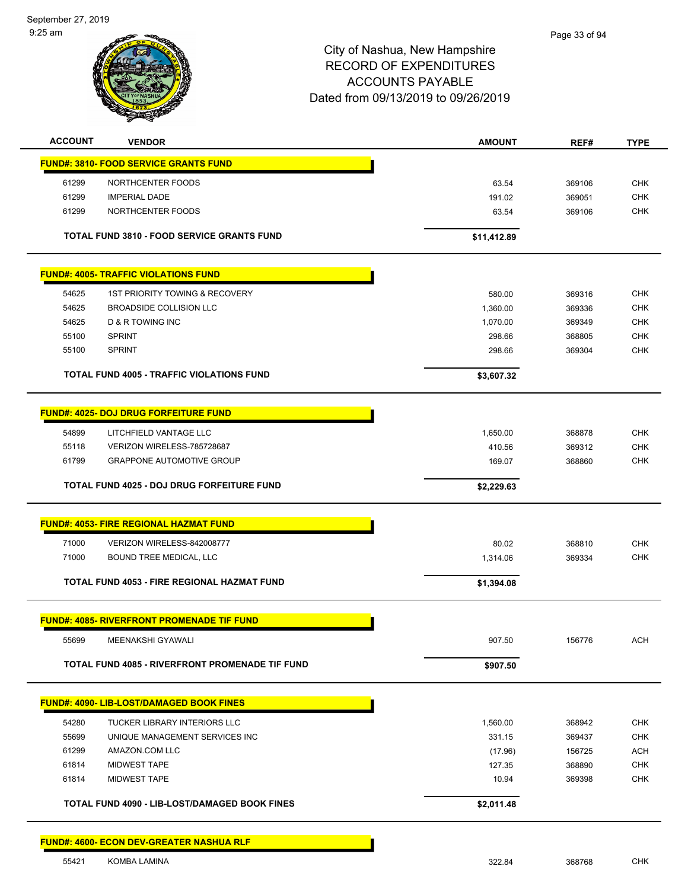| <b>ACCOUNT</b><br>61299<br>61299<br>61299<br>54625<br>54625<br>54625<br>55100<br><b>SPRINT</b><br>55100 | <b>VENDOR</b><br><b>FUND#: 3810- FOOD SERVICE GRANTS FUND</b><br>NORTHCENTER FOODS<br><b>IMPERIAL DADE</b><br>NORTHCENTER FOODS<br><b>TOTAL FUND 3810 - FOOD SERVICE GRANTS FUND</b><br><b>FUND#: 4005- TRAFFIC VIOLATIONS FUND</b><br><b>1ST PRIORITY TOWING &amp; RECOVERY</b><br><b>BROADSIDE COLLISION LLC</b><br><b>D &amp; R TOWING INC</b><br><b>SPRINT</b> | <b>AMOUNT</b><br>63.54<br>191.02<br>63.54<br>\$11,412.89 | REF#<br>369106<br>369051<br>369106 | <b>TYPE</b><br><b>CHK</b><br><b>CHK</b><br><b>CHK</b> |
|---------------------------------------------------------------------------------------------------------|--------------------------------------------------------------------------------------------------------------------------------------------------------------------------------------------------------------------------------------------------------------------------------------------------------------------------------------------------------------------|----------------------------------------------------------|------------------------------------|-------------------------------------------------------|
|                                                                                                         |                                                                                                                                                                                                                                                                                                                                                                    |                                                          |                                    |                                                       |
|                                                                                                         |                                                                                                                                                                                                                                                                                                                                                                    |                                                          |                                    |                                                       |
|                                                                                                         |                                                                                                                                                                                                                                                                                                                                                                    |                                                          |                                    |                                                       |
|                                                                                                         |                                                                                                                                                                                                                                                                                                                                                                    |                                                          |                                    |                                                       |
|                                                                                                         |                                                                                                                                                                                                                                                                                                                                                                    |                                                          |                                    |                                                       |
|                                                                                                         |                                                                                                                                                                                                                                                                                                                                                                    |                                                          |                                    |                                                       |
|                                                                                                         |                                                                                                                                                                                                                                                                                                                                                                    |                                                          |                                    |                                                       |
|                                                                                                         |                                                                                                                                                                                                                                                                                                                                                                    | 580.00                                                   | 369316                             | <b>CHK</b>                                            |
|                                                                                                         |                                                                                                                                                                                                                                                                                                                                                                    | 1,360.00                                                 | 369336                             | <b>CHK</b>                                            |
|                                                                                                         |                                                                                                                                                                                                                                                                                                                                                                    | 1,070.00                                                 | 369349                             | <b>CHK</b>                                            |
|                                                                                                         |                                                                                                                                                                                                                                                                                                                                                                    | 298.66<br>298.66                                         | 368805<br>369304                   | <b>CHK</b><br><b>CHK</b>                              |
|                                                                                                         | <b>TOTAL FUND 4005 - TRAFFIC VIOLATIONS FUND</b>                                                                                                                                                                                                                                                                                                                   | \$3,607.32                                               |                                    |                                                       |
|                                                                                                         |                                                                                                                                                                                                                                                                                                                                                                    |                                                          |                                    |                                                       |
|                                                                                                         | <b>FUND#: 4025- DOJ DRUG FORFEITURE FUND</b>                                                                                                                                                                                                                                                                                                                       |                                                          |                                    |                                                       |
| 54899                                                                                                   | LITCHFIELD VANTAGE LLC                                                                                                                                                                                                                                                                                                                                             | 1,650.00                                                 | 368878                             | <b>CHK</b>                                            |
| 55118                                                                                                   | VERIZON WIRELESS-785728687                                                                                                                                                                                                                                                                                                                                         | 410.56                                                   | 369312                             | <b>CHK</b>                                            |
| 61799                                                                                                   | <b>GRAPPONE AUTOMOTIVE GROUP</b>                                                                                                                                                                                                                                                                                                                                   | 169.07                                                   | 368860                             | <b>CHK</b>                                            |
|                                                                                                         | TOTAL FUND 4025 - DOJ DRUG FORFEITURE FUND                                                                                                                                                                                                                                                                                                                         | \$2,229.63                                               |                                    |                                                       |
|                                                                                                         | <b>FUND#: 4053- FIRE REGIONAL HAZMAT FUND</b>                                                                                                                                                                                                                                                                                                                      |                                                          |                                    |                                                       |
| 71000                                                                                                   | VERIZON WIRELESS-842008777                                                                                                                                                                                                                                                                                                                                         | 80.02                                                    | 368810                             | CHK                                                   |
| 71000                                                                                                   | BOUND TREE MEDICAL, LLC                                                                                                                                                                                                                                                                                                                                            | 1,314.06                                                 | 369334                             | <b>CHK</b>                                            |
|                                                                                                         | <b>TOTAL FUND 4053 - FIRE REGIONAL HAZMAT FUND</b>                                                                                                                                                                                                                                                                                                                 | \$1,394.08                                               |                                    |                                                       |
|                                                                                                         |                                                                                                                                                                                                                                                                                                                                                                    |                                                          |                                    |                                                       |
| 55699                                                                                                   | <b>FUND#: 4085- RIVERFRONT PROMENADE TIF FUND</b><br>MEENAKSHI GYAWALI                                                                                                                                                                                                                                                                                             | 907.50                                                   | 156776                             | <b>ACH</b>                                            |
|                                                                                                         | TOTAL FUND 4085 - RIVERFRONT PROMENADE TIF FUND                                                                                                                                                                                                                                                                                                                    | \$907.50                                                 |                                    |                                                       |
|                                                                                                         |                                                                                                                                                                                                                                                                                                                                                                    |                                                          |                                    |                                                       |
|                                                                                                         | FUND#: 4090- LIB-LOST/DAMAGED BOOK FINES                                                                                                                                                                                                                                                                                                                           |                                                          |                                    |                                                       |
| 54280                                                                                                   | TUCKER LIBRARY INTERIORS LLC                                                                                                                                                                                                                                                                                                                                       | 1,560.00                                                 | 368942                             | <b>CHK</b>                                            |
| 55699<br>61299                                                                                          | UNIQUE MANAGEMENT SERVICES INC<br>AMAZON.COM LLC                                                                                                                                                                                                                                                                                                                   | 331.15                                                   | 369437<br>156725                   | <b>CHK</b><br><b>ACH</b>                              |
| 61814                                                                                                   | <b>MIDWEST TAPE</b>                                                                                                                                                                                                                                                                                                                                                | (17.96)<br>127.35                                        | 368890                             | <b>CHK</b>                                            |
| 61814                                                                                                   | <b>MIDWEST TAPE</b>                                                                                                                                                                                                                                                                                                                                                | 10.94                                                    | 369398                             | <b>CHK</b>                                            |
|                                                                                                         | TOTAL FUND 4090 - LIB-LOST/DAMAGED BOOK FINES                                                                                                                                                                                                                                                                                                                      | \$2,011.48                                               |                                    |                                                       |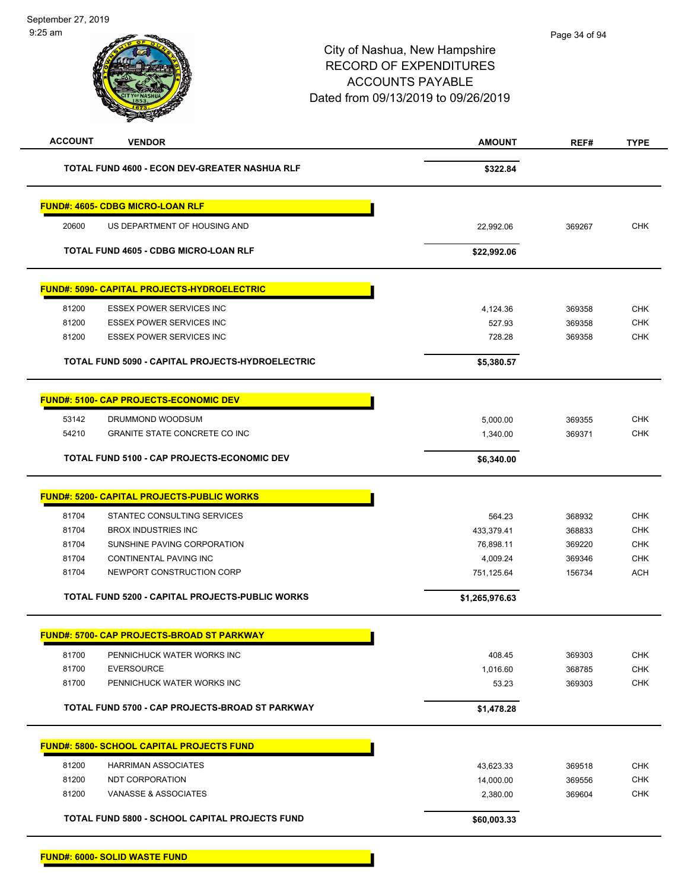| <b>ACCOUNT</b> | <b>VENDOR</b>                                      | <b>AMOUNT</b>  | REF#   | <b>TYPE</b> |
|----------------|----------------------------------------------------|----------------|--------|-------------|
|                | TOTAL FUND 4600 - ECON DEV-GREATER NASHUA RLF      | \$322.84       |        |             |
|                | <b>FUND#: 4605- CDBG MICRO-LOAN RLF</b>            |                |        |             |
| 20600          | US DEPARTMENT OF HOUSING AND                       | 22,992.06      | 369267 | <b>CHK</b>  |
|                | <b>TOTAL FUND 4605 - CDBG MICRO-LOAN RLF</b>       | \$22,992.06    |        |             |
|                | <b>FUND#: 5090- CAPITAL PROJECTS-HYDROELECTRIC</b> |                |        |             |
| 81200          | <b>ESSEX POWER SERVICES INC</b>                    | 4,124.36       | 369358 | <b>CHK</b>  |
| 81200          | <b>ESSEX POWER SERVICES INC</b>                    | 527.93         | 369358 | <b>CHK</b>  |
| 81200          | <b>ESSEX POWER SERVICES INC</b>                    | 728.28         | 369358 | <b>CHK</b>  |
|                | TOTAL FUND 5090 - CAPITAL PROJECTS-HYDROELECTRIC   | \$5,380.57     |        |             |
|                | <b>FUND#: 5100- CAP PROJECTS-ECONOMIC DEV</b>      |                |        |             |
| 53142          | DRUMMOND WOODSUM                                   | 5,000.00       | 369355 | <b>CHK</b>  |
| 54210          | <b>GRANITE STATE CONCRETE CO INC</b>               | 1,340.00       | 369371 | <b>CHK</b>  |
|                | TOTAL FUND 5100 - CAP PROJECTS-ECONOMIC DEV        | \$6,340.00     |        |             |
|                | <b>FUND#: 5200- CAPITAL PROJECTS-PUBLIC WORKS</b>  |                |        |             |
| 81704          | STANTEC CONSULTING SERVICES                        | 564.23         | 368932 | <b>CHK</b>  |
| 81704          | <b>BROX INDUSTRIES INC</b>                         | 433,379.41     | 368833 | CHK         |
| 81704          | SUNSHINE PAVING CORPORATION                        | 76,898.11      | 369220 | <b>CHK</b>  |
| 81704          | CONTINENTAL PAVING INC                             | 4,009.24       | 369346 | <b>CHK</b>  |
| 81704          | NEWPORT CONSTRUCTION CORP                          | 751,125.64     | 156734 | <b>ACH</b>  |
|                | TOTAL FUND 5200 - CAPITAL PROJECTS-PUBLIC WORKS    | \$1,265,976.63 |        |             |
|                | <u> FUND#: 5700- CAP PROJECTS-BROAD ST PARKWAY</u> |                |        |             |
| 81700          | PENNICHUCK WATER WORKS INC                         | 408.45         | 369303 | <b>CHK</b>  |
| 81700          | <b>EVERSOURCE</b>                                  | 1,016.60       | 368785 | <b>CHK</b>  |
| 81700          | PENNICHUCK WATER WORKS INC                         | 53.23          | 369303 | <b>CHK</b>  |
|                | TOTAL FUND 5700 - CAP PROJECTS-BROAD ST PARKWAY    | \$1,478.28     |        |             |
|                | <b>FUND#: 5800- SCHOOL CAPITAL PROJECTS FUND</b>   |                |        |             |
| 81200          | <b>HARRIMAN ASSOCIATES</b>                         | 43,623.33      | 369518 | <b>CHK</b>  |
| 81200          | NDT CORPORATION                                    | 14,000.00      | 369556 | <b>CHK</b>  |
| 81200          | VANASSE & ASSOCIATES                               | 2,380.00       | 369604 | <b>CHK</b>  |
|                | TOTAL FUND 5800 - SCHOOL CAPITAL PROJECTS FUND     | \$60,003.33    |        |             |
|                |                                                    |                |        |             |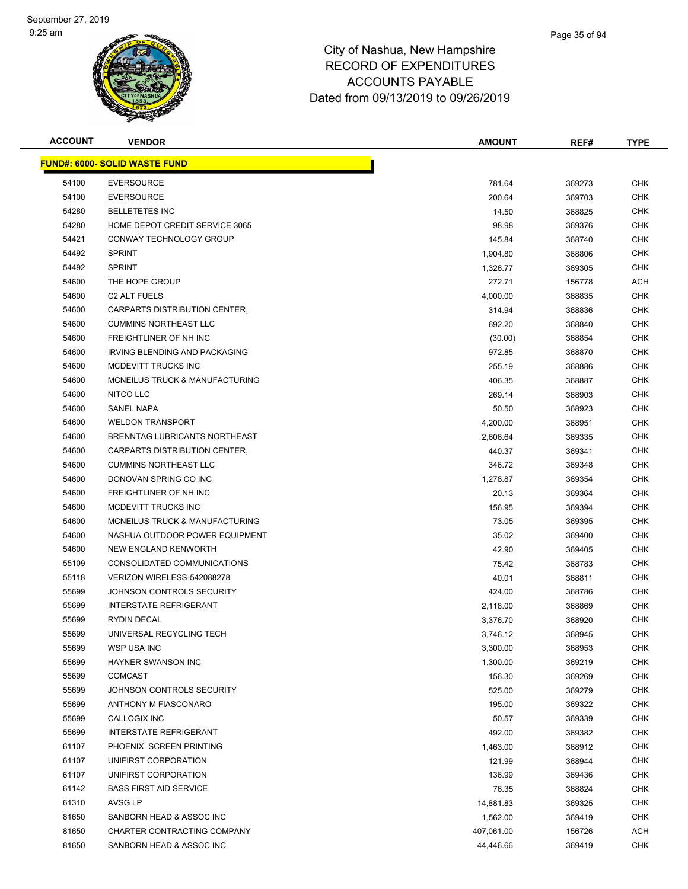

| <b>ACCOUNT</b> | <b>VENDOR</b>                        | <b>AMOUNT</b> | REF#   | <b>TYPE</b> |
|----------------|--------------------------------------|---------------|--------|-------------|
|                | <b>FUND#: 6000- SOLID WASTE FUND</b> |               |        |             |
| 54100          | <b>EVERSOURCE</b>                    | 781.64        | 369273 | CHK         |
| 54100          | <b>EVERSOURCE</b>                    | 200.64        | 369703 | <b>CHK</b>  |
| 54280          | <b>BELLETETES INC</b>                | 14.50         | 368825 | CHK         |
| 54280          | HOME DEPOT CREDIT SERVICE 3065       | 98.98         | 369376 | CHK         |
| 54421          | CONWAY TECHNOLOGY GROUP              | 145.84        | 368740 | <b>CHK</b>  |
| 54492          | <b>SPRINT</b>                        | 1,904.80      | 368806 | CHK         |
| 54492          | <b>SPRINT</b>                        | 1,326.77      | 369305 | CHK         |
| 54600          | THE HOPE GROUP                       | 272.71        | 156778 | ACH         |
| 54600          | C <sub>2</sub> ALT FUELS             | 4,000.00      | 368835 | CHK         |
| 54600          | CARPARTS DISTRIBUTION CENTER,        | 314.94        | 368836 | CHK         |
| 54600          | <b>CUMMINS NORTHEAST LLC</b>         | 692.20        | 368840 | CHK         |
| 54600          | FREIGHTLINER OF NH INC               | (30.00)       | 368854 | CHK         |
| 54600          | IRVING BLENDING AND PACKAGING        | 972.85        | 368870 | CHK         |
| 54600          | MCDEVITT TRUCKS INC                  | 255.19        | 368886 | CHK         |
| 54600          | MCNEILUS TRUCK & MANUFACTURING       | 406.35        | 368887 | CHK         |
| 54600          | NITCO LLC                            | 269.14        | 368903 | <b>CHK</b>  |
| 54600          | SANEL NAPA                           | 50.50         | 368923 | CHK         |
| 54600          | <b>WELDON TRANSPORT</b>              | 4,200.00      | 368951 | CHK         |
| 54600          | BRENNTAG LUBRICANTS NORTHEAST        | 2,606.64      | 369335 | CHK         |
| 54600          | CARPARTS DISTRIBUTION CENTER,        | 440.37        | 369341 | CHK         |
| 54600          | <b>CUMMINS NORTHEAST LLC</b>         | 346.72        | 369348 | <b>CHK</b>  |
| 54600          | DONOVAN SPRING CO INC                | 1,278.87      | 369354 | CHK         |
| 54600          | FREIGHTLINER OF NH INC               | 20.13         | 369364 | CHK         |
| 54600          | MCDEVITT TRUCKS INC                  | 156.95        | 369394 | <b>CHK</b>  |
| 54600          | MCNEILUS TRUCK & MANUFACTURING       | 73.05         | 369395 | CHK         |
| 54600          | NASHUA OUTDOOR POWER EQUIPMENT       | 35.02         | 369400 | CHK         |
| 54600          | NEW ENGLAND KENWORTH                 | 42.90         | 369405 | <b>CHK</b>  |
| 55109          | CONSOLIDATED COMMUNICATIONS          | 75.42         | 368783 | CHK         |
| 55118          | VERIZON WIRELESS-542088278           | 40.01         | 368811 | CHK         |
| 55699          | JOHNSON CONTROLS SECURITY            | 424.00        | 368786 | CHK         |
| 55699          | <b>INTERSTATE REFRIGERANT</b>        | 2,118.00      | 368869 | CHK         |
| 55699          | <b>RYDIN DECAL</b>                   | 3,376.70      | 368920 | <b>CHK</b>  |
| 55699          | UNIVERSAL RECYCLING TECH             | 3,746.12      | 368945 | CHK         |
| 55699          | <b>WSP USA INC</b>                   | 3,300.00      | 368953 | <b>CHK</b>  |
| 55699          | <b>HAYNER SWANSON INC</b>            | 1,300.00      | 369219 | <b>CHK</b>  |
| 55699          | <b>COMCAST</b>                       | 156.30        | 369269 | CHK         |
| 55699          | JOHNSON CONTROLS SECURITY            | 525.00        | 369279 | <b>CHK</b>  |
| 55699          | ANTHONY M FIASCONARO                 | 195.00        | 369322 | <b>CHK</b>  |
| 55699          | CALLOGIX INC                         | 50.57         | 369339 | <b>CHK</b>  |
| 55699          | <b>INTERSTATE REFRIGERANT</b>        | 492.00        | 369382 | <b>CHK</b>  |
| 61107          | PHOENIX SCREEN PRINTING              | 1,463.00      | 368912 | <b>CHK</b>  |
| 61107          | UNIFIRST CORPORATION                 | 121.99        | 368944 | CHK         |
| 61107          | UNIFIRST CORPORATION                 | 136.99        | 369436 | <b>CHK</b>  |
| 61142          | <b>BASS FIRST AID SERVICE</b>        | 76.35         | 368824 | CHK         |
| 61310          | AVSG LP                              | 14,881.83     | 369325 | CHK         |
| 81650          | SANBORN HEAD & ASSOC INC             | 1,562.00      | 369419 | CHK         |
| 81650          | CHARTER CONTRACTING COMPANY          | 407,061.00    | 156726 | ACH         |
| 81650          | SANBORN HEAD & ASSOC INC             | 44,446.66     | 369419 | <b>CHK</b>  |
|                |                                      |               |        |             |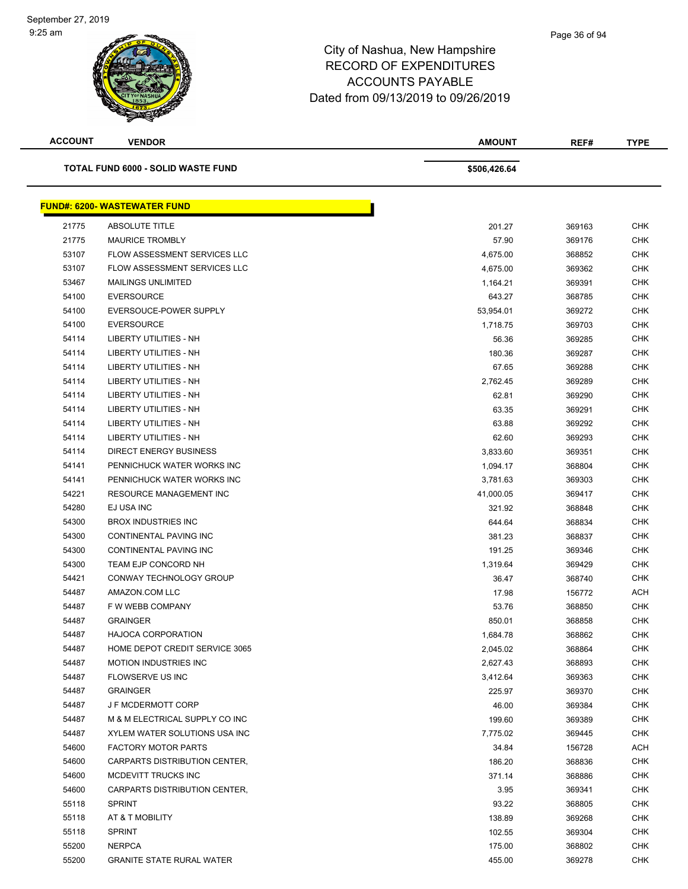| <b>ACCOUNT</b> | <b>VENDOR</b>                       | <b>AMOUNT</b> | REF#   | <b>TYPE</b> |
|----------------|-------------------------------------|---------------|--------|-------------|
|                | TOTAL FUND 6000 - SOLID WASTE FUND  | \$506,426.64  |        |             |
|                | <b>FUND#: 6200- WASTEWATER FUND</b> |               |        |             |
| 21775          | <b>ABSOLUTE TITLE</b>               | 201.27        | 369163 | <b>CHK</b>  |
| 21775          | <b>MAURICE TROMBLY</b>              | 57.90         | 369176 | <b>CHK</b>  |
| 53107          | FLOW ASSESSMENT SERVICES LLC        | 4,675.00      | 368852 | <b>CHK</b>  |
| 53107          | FLOW ASSESSMENT SERVICES LLC        | 4,675.00      | 369362 | <b>CHK</b>  |
| 53467          | <b>MAILINGS UNLIMITED</b>           | 1,164.21      | 369391 | <b>CHK</b>  |
| 54100          | <b>EVERSOURCE</b>                   | 643.27        | 368785 | <b>CHK</b>  |
| 54100          | EVERSOUCE-POWER SUPPLY              | 53,954.01     | 369272 | <b>CHK</b>  |
| 54100          | <b>EVERSOURCE</b>                   | 1,718.75      | 369703 | <b>CHK</b>  |
| 54114          | LIBERTY UTILITIES - NH              | 56.36         | 369285 | <b>CHK</b>  |
| 54114          | <b>LIBERTY UTILITIES - NH</b>       | 180.36        | 369287 | <b>CHK</b>  |
| 54114          | <b>LIBERTY UTILITIES - NH</b>       | 67.65         | 369288 | <b>CHK</b>  |
| 54114          | <b>LIBERTY UTILITIES - NH</b>       | 2,762.45      | 369289 | <b>CHK</b>  |
| 54114          | <b>LIBERTY UTILITIES - NH</b>       | 62.81         | 369290 | <b>CHK</b>  |
| 54114          | <b>LIBERTY UTILITIES - NH</b>       | 63.35         | 369291 | <b>CHK</b>  |
| 54114          | <b>LIBERTY UTILITIES - NH</b>       | 63.88         | 369292 | <b>CHK</b>  |
| 54114          | <b>LIBERTY UTILITIES - NH</b>       | 62.60         | 369293 | <b>CHK</b>  |
| 54114          | <b>DIRECT ENERGY BUSINESS</b>       | 3,833.60      | 369351 | <b>CHK</b>  |
| 54141          | PENNICHUCK WATER WORKS INC          | 1,094.17      | 368804 | <b>CHK</b>  |
| 54141          | PENNICHUCK WATER WORKS INC          | 3,781.63      | 369303 | <b>CHK</b>  |
| 54221          | <b>RESOURCE MANAGEMENT INC</b>      | 41,000.05     | 369417 | CHK         |
| 54280          | EJ USA INC                          | 321.92        | 368848 | <b>CHK</b>  |
| 54300          | <b>BROX INDUSTRIES INC</b>          | 644.64        | 368834 | <b>CHK</b>  |
| 54300          | CONTINENTAL PAVING INC              | 381.23        | 368837 | <b>CHK</b>  |
| 54300          | CONTINENTAL PAVING INC              | 191.25        | 369346 | <b>CHK</b>  |
| 54300          | TEAM EJP CONCORD NH                 | 1,319.64      | 369429 | <b>CHK</b>  |
| 54421          | CONWAY TECHNOLOGY GROUP             | 36.47         | 368740 | <b>CHK</b>  |
| 54487          | AMAZON.COM LLC                      | 17.98         | 156772 | ACH         |
| 54487          | F W WEBB COMPANY                    | 53.76         | 368850 | CHK         |
| 54487          | <b>GRAINGER</b>                     | 850.01        | 368858 | <b>CHK</b>  |
| 54487          | <b>HAJOCA CORPORATION</b>           | 1,684.78      | 368862 | CHK         |
| 54487          | HOME DEPOT CREDIT SERVICE 3065      | 2,045.02      | 368864 | <b>CHK</b>  |
| 54487          | <b>MOTION INDUSTRIES INC</b>        | 2,627.43      | 368893 | <b>CHK</b>  |
| 54487          | FLOWSERVE US INC                    | 3,412.64      | 369363 | CHK         |
| 54487          | <b>GRAINGER</b>                     | 225.97        | 369370 | <b>CHK</b>  |
| 54487          | J F MCDERMOTT CORP                  | 46.00         | 369384 | CHK         |
| 54487          | M & M ELECTRICAL SUPPLY CO INC      | 199.60        | 369389 | <b>CHK</b>  |
| 54487          | XYLEM WATER SOLUTIONS USA INC       | 7,775.02      | 369445 | <b>CHK</b>  |
| 54600          | <b>FACTORY MOTOR PARTS</b>          | 34.84         | 156728 | ACH         |
| 54600          | CARPARTS DISTRIBUTION CENTER,       | 186.20        | 368836 | CHK         |
| 54600          | MCDEVITT TRUCKS INC                 | 371.14        | 368886 | CHK         |
| 54600          | CARPARTS DISTRIBUTION CENTER,       | 3.95          | 369341 | <b>CHK</b>  |
| 55118          | <b>SPRINT</b>                       | 93.22         | 368805 | <b>CHK</b>  |
| 55118          | AT & T MOBILITY                     | 138.89        | 369268 | CHK         |
| 55118          | <b>SPRINT</b>                       | 102.55        | 369304 | CHK         |
| 55200          | <b>NERPCA</b>                       | 175.00        | 368802 | <b>CHK</b>  |
| 55200          | <b>GRANITE STATE RURAL WATER</b>    | 455.00        | 369278 | <b>CHK</b>  |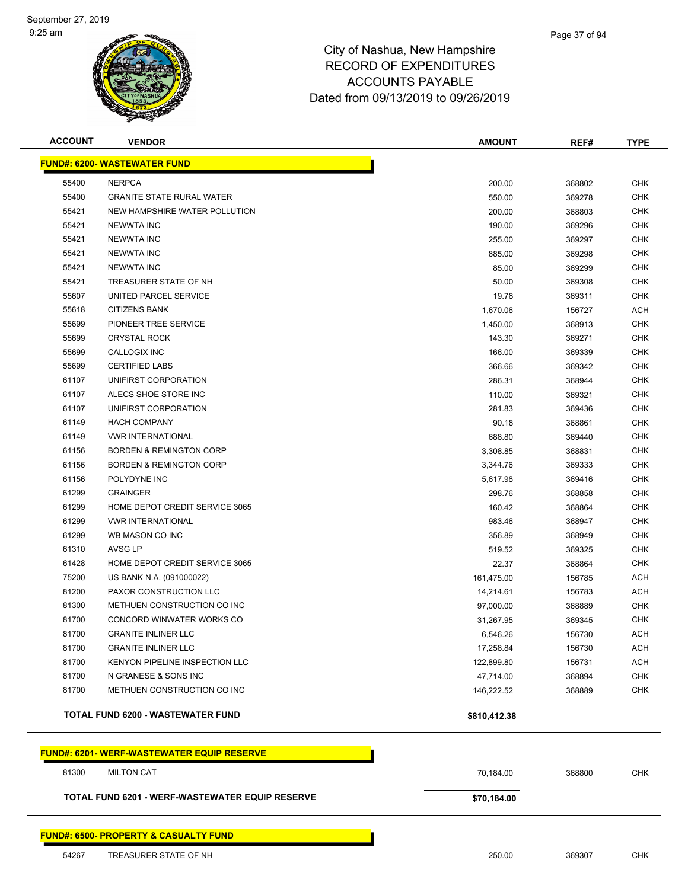

# City of Nashua, New Hampshire RECORD OF EXPENDITURES ACCOUNTS PAYABLE Dated from 09/13/2019 to 09/26/2019

| <b>ACCOUNT</b> | <b>VENDOR</b>                                     | <b>AMOUNT</b> | REF#   | <b>TYPE</b> |  |  |  |  |  |
|----------------|---------------------------------------------------|---------------|--------|-------------|--|--|--|--|--|
|                | <b>FUND#: 6200- WASTEWATER FUND</b>               |               |        |             |  |  |  |  |  |
| 55400          | <b>NERPCA</b>                                     | 200.00        | 368802 | <b>CHK</b>  |  |  |  |  |  |
| 55400          | <b>GRANITE STATE RURAL WATER</b>                  | 550.00        | 369278 | <b>CHK</b>  |  |  |  |  |  |
| 55421          | NEW HAMPSHIRE WATER POLLUTION                     | 200.00        | 368803 | <b>CHK</b>  |  |  |  |  |  |
| 55421          | <b>NEWWTA INC</b>                                 | 190.00        | 369296 | <b>CHK</b>  |  |  |  |  |  |
| 55421          | <b>NEWWTA INC</b>                                 | 255.00        |        | <b>CHK</b>  |  |  |  |  |  |
| 55421          | <b>NEWWTA INC</b>                                 | 885.00        | 369297 | <b>CHK</b>  |  |  |  |  |  |
| 55421          | <b>NEWWTA INC</b>                                 |               | 369298 | <b>CHK</b>  |  |  |  |  |  |
| 55421          | TREASURER STATE OF NH                             | 85.00         | 369299 |             |  |  |  |  |  |
|                |                                                   | 50.00         | 369308 | <b>CHK</b>  |  |  |  |  |  |
| 55607          | UNITED PARCEL SERVICE                             | 19.78         | 369311 | <b>CHK</b>  |  |  |  |  |  |
| 55618          | <b>CITIZENS BANK</b>                              | 1,670.06      | 156727 | <b>ACH</b>  |  |  |  |  |  |
| 55699          | PIONEER TREE SERVICE                              | 1,450.00      | 368913 | <b>CHK</b>  |  |  |  |  |  |
| 55699          | <b>CRYSTAL ROCK</b>                               | 143.30        | 369271 | CHK         |  |  |  |  |  |
| 55699          | CALLOGIX INC                                      | 166.00        | 369339 | <b>CHK</b>  |  |  |  |  |  |
| 55699          | <b>CERTIFIED LABS</b>                             | 366.66        | 369342 | <b>CHK</b>  |  |  |  |  |  |
| 61107          | UNIFIRST CORPORATION                              | 286.31        | 368944 | <b>CHK</b>  |  |  |  |  |  |
| 61107          | ALECS SHOE STORE INC                              | 110.00        | 369321 | <b>CHK</b>  |  |  |  |  |  |
| 61107          | UNIFIRST CORPORATION                              | 281.83        | 369436 | <b>CHK</b>  |  |  |  |  |  |
| 61149          | <b>HACH COMPANY</b>                               | 90.18         | 368861 | <b>CHK</b>  |  |  |  |  |  |
| 61149          | <b>VWR INTERNATIONAL</b>                          | 688.80        | 369440 | <b>CHK</b>  |  |  |  |  |  |
| 61156          | <b>BORDEN &amp; REMINGTON CORP</b>                | 3,308.85      | 368831 | <b>CHK</b>  |  |  |  |  |  |
| 61156          | <b>BORDEN &amp; REMINGTON CORP</b>                | 3,344.76      | 369333 | <b>CHK</b>  |  |  |  |  |  |
| 61156          | POLYDYNE INC                                      | 5,617.98      | 369416 | <b>CHK</b>  |  |  |  |  |  |
| 61299          | <b>GRAINGER</b>                                   | 298.76        | 368858 | <b>CHK</b>  |  |  |  |  |  |
| 61299          | HOME DEPOT CREDIT SERVICE 3065                    | 160.42        | 368864 | <b>CHK</b>  |  |  |  |  |  |
| 61299          | <b>VWR INTERNATIONAL</b>                          | 983.46        | 368947 | <b>CHK</b>  |  |  |  |  |  |
| 61299          | WB MASON CO INC                                   | 356.89        | 368949 | <b>CHK</b>  |  |  |  |  |  |
| 61310          | AVSG LP                                           | 519.52        | 369325 | <b>CHK</b>  |  |  |  |  |  |
| 61428          | HOME DEPOT CREDIT SERVICE 3065                    | 22.37         | 368864 | <b>CHK</b>  |  |  |  |  |  |
| 75200          | US BANK N.A. (091000022)                          | 161,475.00    | 156785 | <b>ACH</b>  |  |  |  |  |  |
| 81200          | PAXOR CONSTRUCTION LLC                            | 14,214.61     | 156783 | <b>ACH</b>  |  |  |  |  |  |
| 81300          | METHUEN CONSTRUCTION CO INC                       | 97,000.00     | 368889 | <b>CHK</b>  |  |  |  |  |  |
| 81700          | CONCORD WINWATER WORKS CO                         | 31,267.95     | 369345 | <b>CHK</b>  |  |  |  |  |  |
| 81700          | <b>GRANITE INLINER LLC</b>                        | 6,546.26      | 156730 | <b>ACH</b>  |  |  |  |  |  |
| 81700          | <b>GRANITE INLINER LLC</b>                        | 17,258.84     | 156730 | <b>ACH</b>  |  |  |  |  |  |
| 81700          | KENYON PIPELINE INSPECTION LLC                    | 122,899.80    | 156731 | <b>ACH</b>  |  |  |  |  |  |
| 81700          | N GRANESE & SONS INC                              | 47,714.00     | 368894 | CHK         |  |  |  |  |  |
| 81700          | METHUEN CONSTRUCTION CO INC                       | 146,222.52    | 368889 | CHK         |  |  |  |  |  |
|                | <b>TOTAL FUND 6200 - WASTEWATER FUND</b>          | \$810,412.38  |        |             |  |  |  |  |  |
|                | <b>FUND#: 6201- WERF-WASTEWATER EQUIP RESERVE</b> |               |        |             |  |  |  |  |  |
| 81300          | <b>MILTON CAT</b>                                 | 70,184.00     | 368800 | <b>CHK</b>  |  |  |  |  |  |
|                | TOTAL FUND 6201 - WERF-WASTEWATER EQUIP RESERVE   | \$70,184.00   |        |             |  |  |  |  |  |

#### **FUND#: 6500- PROPERTY & CASUALTY FUND**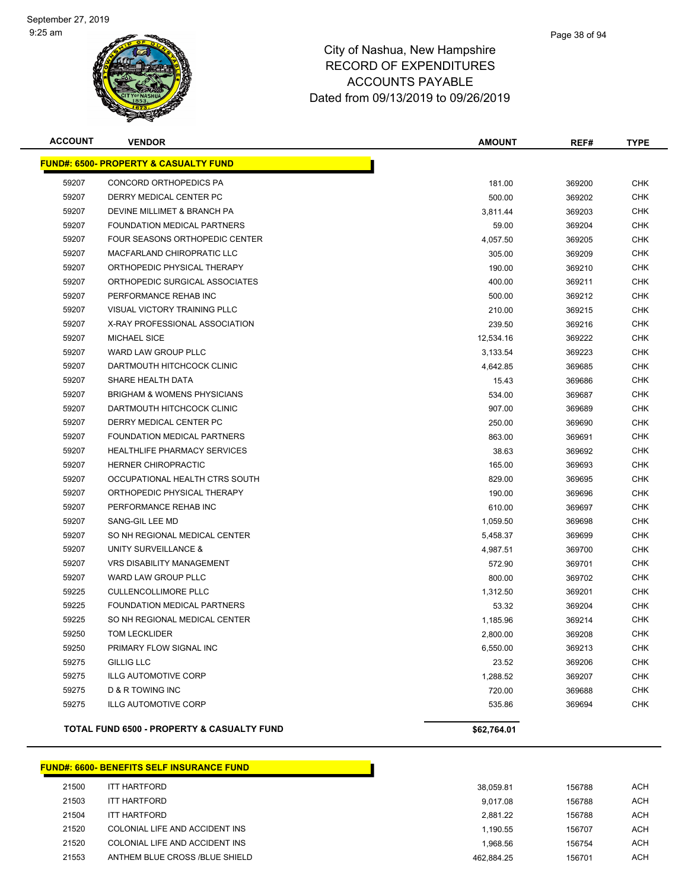#### Page 38 of 94

# City of Nashua, New Hampshire RECORD OF EXPENDITURES ACCOUNTS PAYABLE Dated from 09/13/2019 to 09/26/2019

| <b>ACCOUNT</b> | <b>VENDOR</b>                                    | <b>AMOUNT</b> | REF#   | <b>TYPE</b> |
|----------------|--------------------------------------------------|---------------|--------|-------------|
|                | <b>FUND#: 6500- PROPERTY &amp; CASUALTY FUND</b> |               |        |             |
| 59207          | CONCORD ORTHOPEDICS PA                           | 181.00        | 369200 | <b>CHK</b>  |
| 59207          | DERRY MEDICAL CENTER PC                          | 500.00        | 369202 | <b>CHK</b>  |
| 59207          | DEVINE MILLIMET & BRANCH PA                      | 3,811.44      | 369203 | <b>CHK</b>  |
| 59207          | FOUNDATION MEDICAL PARTNERS                      | 59.00         | 369204 | <b>CHK</b>  |
| 59207          | FOUR SEASONS ORTHOPEDIC CENTER                   | 4,057.50      | 369205 | <b>CHK</b>  |
| 59207          | MACFARLAND CHIROPRATIC LLC                       | 305.00        | 369209 | <b>CHK</b>  |
| 59207          | ORTHOPEDIC PHYSICAL THERAPY                      | 190.00        | 369210 | <b>CHK</b>  |
| 59207          | ORTHOPEDIC SURGICAL ASSOCIATES                   | 400.00        | 369211 | <b>CHK</b>  |
| 59207          | PERFORMANCE REHAB INC                            | 500.00        | 369212 | CHK         |
| 59207          | VISUAL VICTORY TRAINING PLLC                     | 210.00        | 369215 | <b>CHK</b>  |
| 59207          | X-RAY PROFESSIONAL ASSOCIATION                   | 239.50        | 369216 | <b>CHK</b>  |
| 59207          | <b>MICHAEL SICE</b>                              | 12,534.16     | 369222 | <b>CHK</b>  |
| 59207          | WARD LAW GROUP PLLC                              | 3,133.54      | 369223 | <b>CHK</b>  |
| 59207          | DARTMOUTH HITCHCOCK CLINIC                       | 4,642.85      | 369685 | <b>CHK</b>  |
| 59207          | SHARE HEALTH DATA                                | 15.43         | 369686 | CHK         |
| 59207          | <b>BRIGHAM &amp; WOMENS PHYSICIANS</b>           | 534.00        | 369687 | <b>CHK</b>  |
| 59207          | DARTMOUTH HITCHCOCK CLINIC                       | 907.00        | 369689 | <b>CHK</b>  |
| 59207          | DERRY MEDICAL CENTER PC                          | 250.00        | 369690 | <b>CHK</b>  |
| 59207          | FOUNDATION MEDICAL PARTNERS                      | 863.00        | 369691 | <b>CHK</b>  |
| 59207          | <b>HEALTHLIFE PHARMACY SERVICES</b>              | 38.63         | 369692 | <b>CHK</b>  |
| 59207          | HERNER CHIROPRACTIC                              | 165.00        | 369693 | <b>CHK</b>  |
| 59207          | OCCUPATIONAL HEALTH CTRS SOUTH                   | 829.00        | 369695 | <b>CHK</b>  |
| 59207          | ORTHOPEDIC PHYSICAL THERAPY                      | 190.00        | 369696 | <b>CHK</b>  |
| 59207          | PERFORMANCE REHAB INC                            | 610.00        | 369697 | <b>CHK</b>  |
| 59207          | SANG-GIL LEE MD                                  | 1,059.50      | 369698 | <b>CHK</b>  |
| 59207          | SO NH REGIONAL MEDICAL CENTER                    | 5,458.37      | 369699 | <b>CHK</b>  |
| 59207          | UNITY SURVEILLANCE &                             | 4,987.51      | 369700 | <b>CHK</b>  |
| 59207          | <b>VRS DISABILITY MANAGEMENT</b>                 | 572.90        | 369701 | <b>CHK</b>  |
| 59207          | <b>WARD LAW GROUP PLLC</b>                       | 800.00        | 369702 | <b>CHK</b>  |
| 59225          | <b>CULLENCOLLIMORE PLLC</b>                      | 1,312.50      | 369201 | <b>CHK</b>  |
| 59225          | FOUNDATION MEDICAL PARTNERS                      | 53.32         | 369204 | <b>CHK</b>  |
| 59225          | SO NH REGIONAL MEDICAL CENTER                    | 1,185.96      | 369214 | <b>CHK</b>  |
| 59250          | <b>TOM LECKLIDER</b>                             | 2,800.00      | 369208 | <b>CHK</b>  |
| 59250          | PRIMARY FLOW SIGNAL INC                          | 6,550.00      | 369213 | <b>CHK</b>  |
| 59275          | <b>GILLIG LLC</b>                                | 23.52         | 369206 | CHK         |
| 59275          | <b>ILLG AUTOMOTIVE CORP</b>                      | 1,288.52      | 369207 | <b>CHK</b>  |
| 59275          | D & R TOWING INC                                 | 720.00        | 369688 | <b>CHK</b>  |
| 59275          | <b>ILLG AUTOMOTIVE CORP</b>                      | 535.86        | 369694 | <b>CHK</b>  |
|                | TOTAL FUND 6500 - PROPERTY & CASUALTY FUND       | \$62,764.01   |        |             |
|                |                                                  |               |        |             |

#### **FUND#: 6600- BENEFITS SELF INSURANCE FUND**

| 21500 | ITT HARTFORD                   | 38.059.81  | 156788 | ACH        |
|-------|--------------------------------|------------|--------|------------|
| 21503 | ITT HARTFORD                   | 9.017.08   | 156788 | <b>ACH</b> |
| 21504 | <b>ITT HARTFORD</b>            | 2.881.22   | 156788 | <b>ACH</b> |
| 21520 | COLONIAL LIFE AND ACCIDENT INS | 1.190.55   | 156707 | <b>ACH</b> |
| 21520 | COLONIAL LIFE AND ACCIDENT INS | 1.968.56   | 156754 | <b>ACH</b> |
| 21553 | ANTHEM BLUE CROSS /BLUE SHIELD | 462.884.25 | 156701 | ACH        |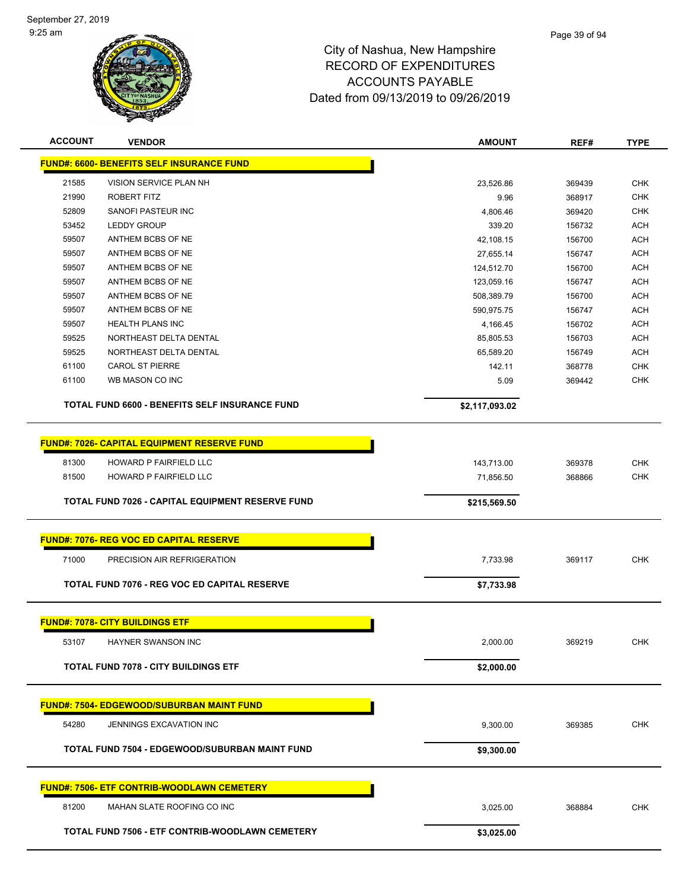

| <b>ACCOUNT</b> | <b>VENDOR</b>                                       | <b>AMOUNT</b>  | REF#   | <b>TYPE</b> |
|----------------|-----------------------------------------------------|----------------|--------|-------------|
|                | <b>FUND#: 6600- BENEFITS SELF INSURANCE FUND</b>    |                |        |             |
| 21585          | VISION SERVICE PLAN NH                              | 23,526.86      | 369439 | <b>CHK</b>  |
| 21990          | ROBERT FITZ                                         | 9.96           | 368917 | <b>CHK</b>  |
| 52809          | <b>SANOFI PASTEUR INC</b>                           | 4,806.46       | 369420 | <b>CHK</b>  |
| 53452          | <b>LEDDY GROUP</b>                                  | 339.20         | 156732 | <b>ACH</b>  |
| 59507          | ANTHEM BCBS OF NE                                   | 42,108.15      | 156700 | <b>ACH</b>  |
| 59507          | ANTHEM BCBS OF NE                                   | 27,655.14      | 156747 | <b>ACH</b>  |
| 59507          | ANTHEM BCBS OF NE                                   | 124,512.70     | 156700 | <b>ACH</b>  |
| 59507          | ANTHEM BCBS OF NE                                   | 123,059.16     | 156747 | <b>ACH</b>  |
| 59507          | ANTHEM BCBS OF NE                                   | 508,389.79     | 156700 | <b>ACH</b>  |
| 59507          | ANTHEM BCBS OF NE                                   | 590,975.75     | 156747 | <b>ACH</b>  |
| 59507          | <b>HEALTH PLANS INC</b>                             | 4,166.45       | 156702 | ACH         |
| 59525          | NORTHEAST DELTA DENTAL                              | 85,805.53      | 156703 | <b>ACH</b>  |
| 59525          | NORTHEAST DELTA DENTAL                              | 65,589.20      | 156749 | <b>ACH</b>  |
| 61100          | <b>CAROL ST PIERRE</b>                              | 142.11         | 368778 | <b>CHK</b>  |
| 61100          | WB MASON CO INC                                     | 5.09           | 369442 | <b>CHK</b>  |
|                | TOTAL FUND 6600 - BENEFITS SELF INSURANCE FUND      | \$2,117,093.02 |        |             |
|                | <b>FUND#: 7026- CAPITAL EQUIPMENT RESERVE FUND</b>  |                |        |             |
| 81300          | HOWARD P FAIRFIELD LLC                              | 143,713.00     | 369378 | <b>CHK</b>  |
| 81500          | HOWARD P FAIRFIELD LLC                              | 71,856.50      | 368866 | <b>CHK</b>  |
|                |                                                     |                |        |             |
|                | TOTAL FUND 7026 - CAPITAL EQUIPMENT RESERVE FUND    | \$215,569.50   |        |             |
|                | <b>FUND#: 7076- REG VOC ED CAPITAL RESERVE</b>      |                |        |             |
| 71000          | PRECISION AIR REFRIGERATION                         | 7,733.98       | 369117 | <b>CHK</b>  |
|                | <b>TOTAL FUND 7076 - REG VOC ED CAPITAL RESERVE</b> | \$7,733.98     |        |             |
|                | <b>FUND#: 7078- CITY BUILDINGS ETF</b>              |                |        |             |
|                |                                                     |                |        |             |
| 53107          | HAYNER SWANSON INC                                  | 2,000.00       | 369219 | <b>CHK</b>  |
|                | <b>TOTAL FUND 7078 - CITY BUILDINGS ETF</b>         | \$2,000.00     |        |             |
|                | <b>FUND#: 7504- EDGEWOOD/SUBURBAN MAINT FUND</b>    |                |        |             |
| 54280          | JENNINGS EXCAVATION INC                             | 9,300.00       | 369385 | <b>CHK</b>  |
|                | TOTAL FUND 7504 - EDGEWOOD/SUBURBAN MAINT FUND      | \$9,300.00     |        |             |
|                |                                                     |                |        |             |
|                | <b>FUND#: 7506- ETF CONTRIB-WOODLAWN CEMETERY</b>   |                |        |             |
| 81200          | MAHAN SLATE ROOFING CO INC                          | 3,025.00       | 368884 | <b>CHK</b>  |
|                | TOTAL FUND 7506 - ETF CONTRIB-WOODLAWN CEMETERY     | \$3,025.00     |        |             |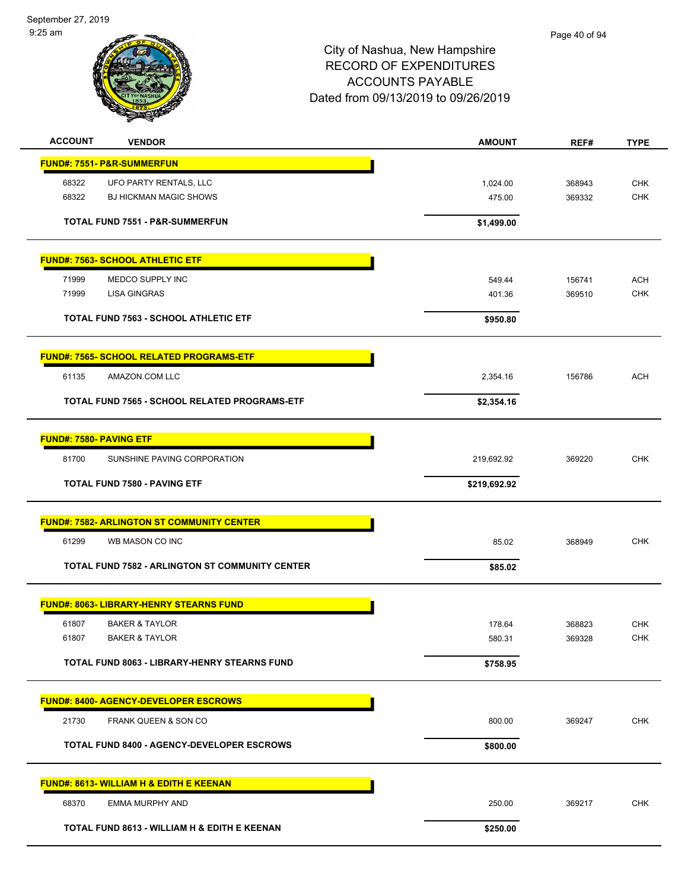September 27, 2019 9:25 am



| <b>ACCOUNT</b>                 | <b>VENDOR</b>                                          | <b>AMOUNT</b> | REF#   | <b>TYPE</b> |
|--------------------------------|--------------------------------------------------------|---------------|--------|-------------|
|                                | FUND#: 7551- P&R-SUMMERFUN                             |               |        |             |
| 68322                          | UFO PARTY RENTALS, LLC                                 | 1,024.00      | 368943 | <b>CHK</b>  |
| 68322                          | <b>BJ HICKMAN MAGIC SHOWS</b>                          | 475.00        | 369332 | CHK         |
|                                | <b>TOTAL FUND 7551 - P&amp;R-SUMMERFUN</b>             |               |        |             |
|                                |                                                        | \$1,499.00    |        |             |
|                                | <b>FUND#: 7563- SCHOOL ATHLETIC ETF</b>                |               |        |             |
| 71999                          | MEDCO SUPPLY INC                                       | 549.44        | 156741 | <b>ACH</b>  |
| 71999                          | LISA GINGRAS                                           | 401.36        | 369510 | <b>CHK</b>  |
|                                | <b>TOTAL FUND 7563 - SCHOOL ATHLETIC ETF</b>           | \$950.80      |        |             |
|                                |                                                        |               |        |             |
|                                | <b>FUND#: 7565- SCHOOL RELATED PROGRAMS-ETF</b>        |               |        |             |
| 61135                          | AMAZON.COM LLC                                         | 2,354.16      | 156786 | <b>ACH</b>  |
|                                | TOTAL FUND 7565 - SCHOOL RELATED PROGRAMS-ETF          | \$2,354.16    |        |             |
|                                |                                                        |               |        |             |
| <b>FUND#: 7580- PAVING ETF</b> |                                                        |               |        |             |
| 81700                          | SUNSHINE PAVING CORPORATION                            | 219,692.92    | 369220 | <b>CHK</b>  |
|                                | <b>TOTAL FUND 7580 - PAVING ETF</b>                    | \$219,692.92  |        |             |
|                                |                                                        |               |        |             |
|                                | <b>FUND#: 7582- ARLINGTON ST COMMUNITY CENTER</b>      |               |        |             |
| 61299                          | WB MASON CO INC                                        | 85.02         | 368949 | <b>CHK</b>  |
|                                | <b>TOTAL FUND 7582 - ARLINGTON ST COMMUNITY CENTER</b> | \$85.02       |        |             |
|                                |                                                        |               |        |             |
|                                | <b>FUND#: 8063- LIBRARY-HENRY STEARNS FUND</b>         |               |        |             |
| 61807                          | <b>BAKER &amp; TAYLOR</b>                              | 178.64        | 368823 | <b>CHK</b>  |
| 61807                          | <b>BAKER &amp; TAYLOR</b>                              | 580.31        | 369328 | <b>CHK</b>  |
|                                | TOTAL FUND 8063 - LIBRARY-HENRY STEARNS FUND           | \$758.95      |        |             |
|                                |                                                        |               |        |             |
|                                | <b>FUND#: 8400- AGENCY-DEVELOPER ESCROWS</b>           |               |        |             |
| 21730                          | FRANK QUEEN & SON CO                                   | 800.00        | 369247 | <b>CHK</b>  |
|                                | TOTAL FUND 8400 - AGENCY-DEVELOPER ESCROWS             | \$800.00      |        |             |
|                                |                                                        |               |        |             |
|                                | <b>FUND#: 8613- WILLIAM H &amp; EDITH E KEENAN</b>     |               |        |             |
| 68370                          | <b>EMMA MURPHY AND</b>                                 | 250.00        | 369217 | <b>CHK</b>  |
|                                | TOTAL FUND 8613 - WILLIAM H & EDITH E KEENAN           | \$250.00      |        |             |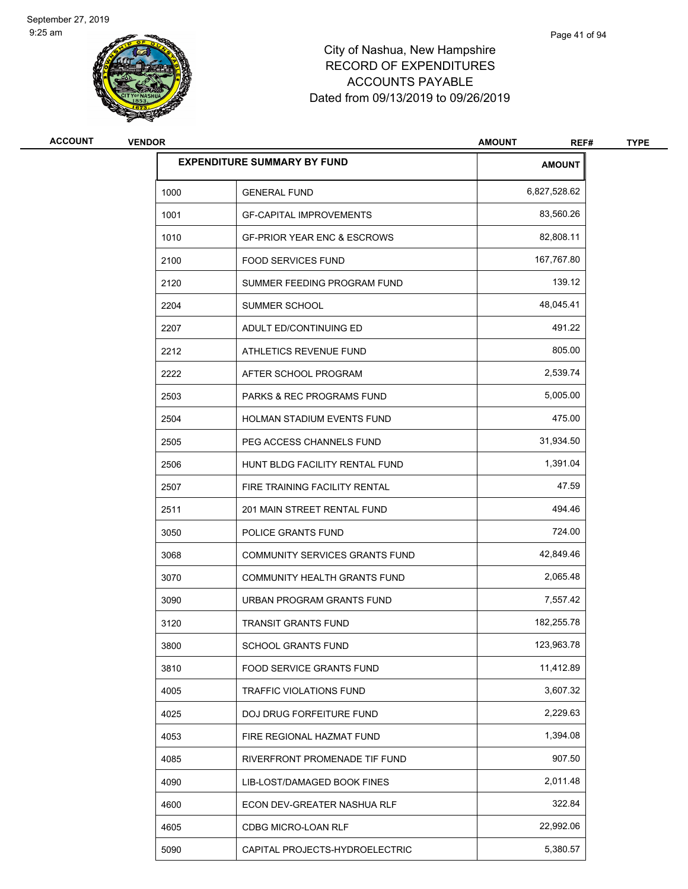

| <b>ACCOUNT</b> | <b>VENDOR</b> |                                        | <b>AMOUNT</b><br>REF# | <b>TYPE</b> |
|----------------|---------------|----------------------------------------|-----------------------|-------------|
|                |               | <b>EXPENDITURE SUMMARY BY FUND</b>     | <b>AMOUNT</b>         |             |
|                | 1000          | <b>GENERAL FUND</b>                    | 6,827,528.62          |             |
|                | 1001          | <b>GF-CAPITAL IMPROVEMENTS</b>         | 83,560.26             |             |
|                | 1010          | <b>GF-PRIOR YEAR ENC &amp; ESCROWS</b> | 82,808.11             |             |
|                | 2100          | <b>FOOD SERVICES FUND</b>              | 167,767.80            |             |
|                | 2120          | SUMMER FEEDING PROGRAM FUND            | 139.12                |             |
|                | 2204          | SUMMER SCHOOL                          | 48,045.41             |             |
|                | 2207          | ADULT ED/CONTINUING ED                 | 491.22                |             |
|                | 2212          | ATHLETICS REVENUE FUND                 | 805.00                |             |
|                | 2222          | AFTER SCHOOL PROGRAM                   | 2,539.74              |             |
|                | 2503          | PARKS & REC PROGRAMS FUND              | 5,005.00              |             |
|                | 2504          | HOLMAN STADIUM EVENTS FUND             | 475.00                |             |
|                | 2505          | PEG ACCESS CHANNELS FUND               | 31,934.50             |             |
|                | 2506          | HUNT BLDG FACILITY RENTAL FUND         | 1,391.04              |             |
|                | 2507          | FIRE TRAINING FACILITY RENTAL          | 47.59                 |             |
|                | 2511          | 201 MAIN STREET RENTAL FUND            | 494.46                |             |
|                | 3050          | POLICE GRANTS FUND                     | 724.00                |             |
|                | 3068          | COMMUNITY SERVICES GRANTS FUND         | 42,849.46             |             |
|                | 3070          | COMMUNITY HEALTH GRANTS FUND           | 2,065.48              |             |
|                | 3090          | URBAN PROGRAM GRANTS FUND              | 7,557.42              |             |
|                | 3120          | <b>TRANSIT GRANTS FUND</b>             | 182,255.78            |             |
|                | 3800          | SCHOOL GRANTS FUND                     | 123,963.78            |             |
|                | 3810          | FOOD SERVICE GRANTS FUND               | 11,412.89             |             |
|                | 4005          | TRAFFIC VIOLATIONS FUND                | 3,607.32              |             |
|                | 4025          | DOJ DRUG FORFEITURE FUND               | 2,229.63              |             |
|                | 4053          | FIRE REGIONAL HAZMAT FUND              | 1,394.08              |             |
|                | 4085          | RIVERFRONT PROMENADE TIF FUND          | 907.50                |             |
|                | 4090          | LIB-LOST/DAMAGED BOOK FINES            | 2,011.48              |             |
|                | 4600          | ECON DEV-GREATER NASHUA RLF            | 322.84                |             |
|                | 4605          | CDBG MICRO-LOAN RLF                    | 22,992.06             |             |
|                | 5090          | CAPITAL PROJECTS-HYDROELECTRIC         | 5,380.57              |             |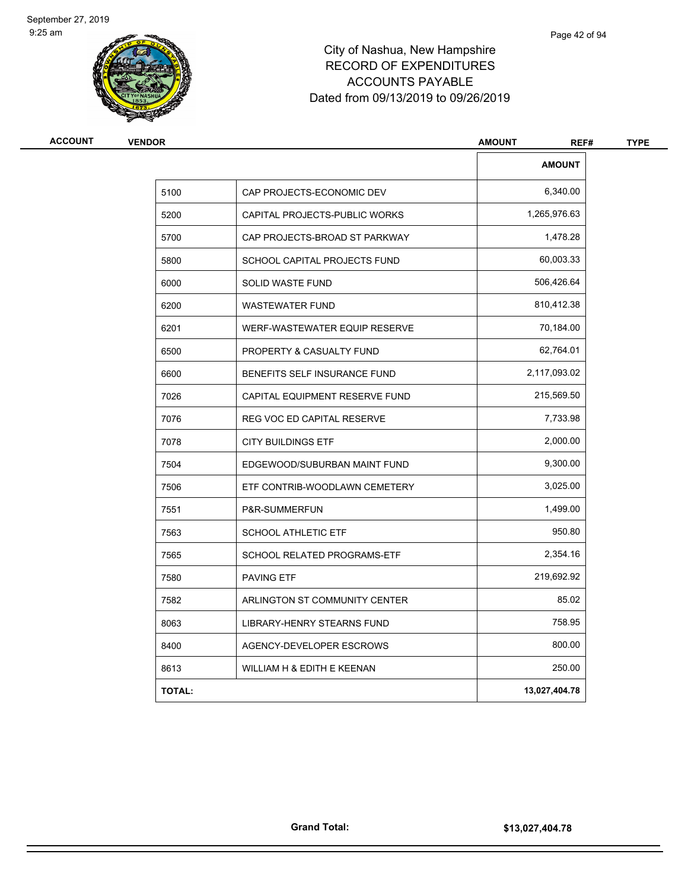

| <b>VENDOR</b> |                                     | <b>AMOUNT</b><br>REF# | <b>TYPE</b> |
|---------------|-------------------------------------|-----------------------|-------------|
|               |                                     | <b>AMOUNT</b>         |             |
| 5100          | CAP PROJECTS-ECONOMIC DEV           | 6,340.00              |             |
| 5200          | CAPITAL PROJECTS-PUBLIC WORKS       | 1,265,976.63          |             |
| 5700          | CAP PROJECTS-BROAD ST PARKWAY       | 1,478.28              |             |
| 5800          | SCHOOL CAPITAL PROJECTS FUND        | 60,003.33             |             |
| 6000          | SOLID WASTE FUND                    | 506,426.64            |             |
| 6200          | <b>WASTEWATER FUND</b>              | 810,412.38            |             |
| 6201          | WERF-WASTEWATER EQUIP RESERVE       | 70,184.00             |             |
| 6500          | <b>PROPERTY &amp; CASUALTY FUND</b> | 62,764.01             |             |
| 6600          | BENEFITS SELF INSURANCE FUND        | 2,117,093.02          |             |
| 7026          | CAPITAL EQUIPMENT RESERVE FUND      | 215,569.50            |             |
| 7076          | REG VOC ED CAPITAL RESERVE          | 7,733.98              |             |
| 7078          | <b>CITY BUILDINGS ETF</b>           | 2,000.00              |             |
| 7504          | EDGEWOOD/SUBURBAN MAINT FUND        | 9,300.00              |             |
| 7506          | ETF CONTRIB-WOODLAWN CEMETERY       | 3,025.00              |             |
| 7551          | P&R-SUMMERFUN                       | 1,499.00              |             |
| 7563          | <b>SCHOOL ATHLETIC ETF</b>          | 950.80                |             |
| 7565          | SCHOOL RELATED PROGRAMS-ETF         | 2,354.16              |             |
| 7580          | <b>PAVING ETF</b>                   | 219,692.92            |             |
| 7582          | ARLINGTON ST COMMUNITY CENTER       | 85.02                 |             |
| 8063          | LIBRARY-HENRY STEARNS FUND          | 758.95                |             |
| 8400          | AGENCY-DEVELOPER ESCROWS            | 800.00                |             |
| 8613          | WILLIAM H & EDITH E KEENAN          | 250.00                |             |
| <b>TOTAL:</b> |                                     | 13,027,404.78         |             |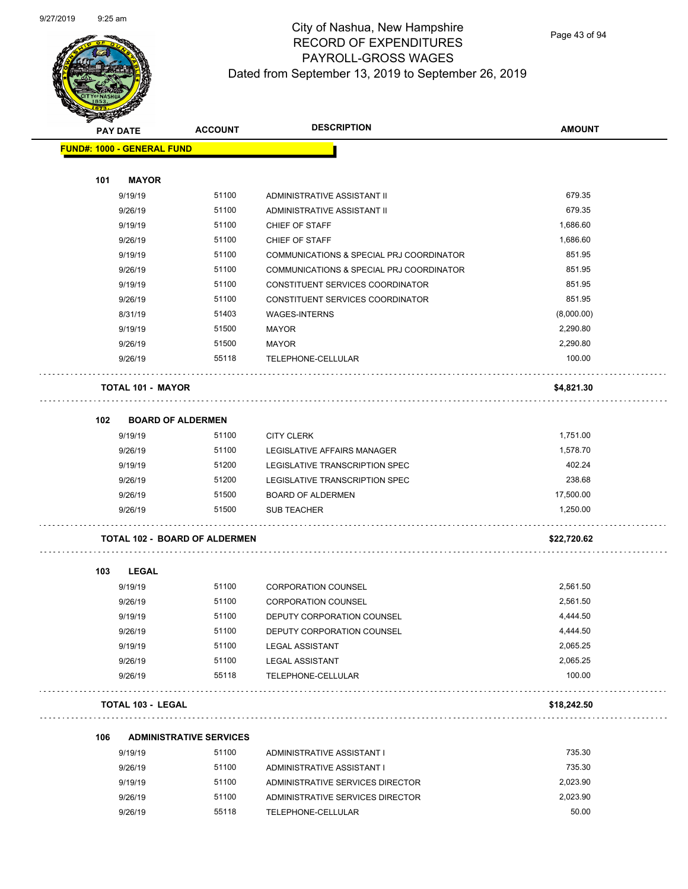$\overline{\phantom{0}}$ 



## City of Nashua, New Hampshire RECORD OF EXPENDITURES PAYROLL-GROSS WAGES Dated from September 13, 2019 to September 26, 2019

| <b>PAY DATE</b>                   | <b>ACCOUNT</b>                       | <b>DESCRIPTION</b>                       | <b>AMOUNT</b> |
|-----------------------------------|--------------------------------------|------------------------------------------|---------------|
| <b>FUND#: 1000 - GENERAL FUND</b> |                                      |                                          |               |
|                                   |                                      |                                          |               |
| 101<br><b>MAYOR</b>               |                                      |                                          |               |
| 9/19/19                           | 51100                                | ADMINISTRATIVE ASSISTANT II              | 679.35        |
| 9/26/19                           | 51100                                | ADMINISTRATIVE ASSISTANT II              | 679.35        |
| 9/19/19                           | 51100                                | CHIEF OF STAFF                           | 1,686.60      |
| 9/26/19                           | 51100                                | CHIEF OF STAFF                           | 1,686.60      |
| 9/19/19                           | 51100                                | COMMUNICATIONS & SPECIAL PRJ COORDINATOR | 851.95        |
| 9/26/19                           | 51100                                | COMMUNICATIONS & SPECIAL PRJ COORDINATOR | 851.95        |
| 9/19/19                           | 51100                                | CONSTITUENT SERVICES COORDINATOR         | 851.95        |
| 9/26/19                           | 51100                                | CONSTITUENT SERVICES COORDINATOR         | 851.95        |
| 8/31/19                           | 51403                                | <b>WAGES-INTERNS</b>                     | (8,000.00)    |
| 9/19/19                           | 51500                                | MAYOR                                    | 2,290.80      |
| 9/26/19                           | 51500                                | <b>MAYOR</b>                             | 2,290.80      |
| 9/26/19                           | 55118                                | TELEPHONE-CELLULAR                       | 100.00        |
| <b>TOTAL 101 - MAYOR</b>          |                                      |                                          | \$4,821.30    |
| 102                               | <b>BOARD OF ALDERMEN</b>             |                                          |               |
| 9/19/19                           | 51100                                | <b>CITY CLERK</b>                        | 1,751.00      |
| 9/26/19                           | 51100                                | LEGISLATIVE AFFAIRS MANAGER              | 1,578.70      |
| 9/19/19                           | 51200                                | LEGISLATIVE TRANSCRIPTION SPEC           | 402.24        |
| 9/26/19                           | 51200                                | LEGISLATIVE TRANSCRIPTION SPEC           | 238.68        |
| 9/26/19                           | 51500                                | <b>BOARD OF ALDERMEN</b>                 | 17,500.00     |
| 9/26/19                           | 51500                                | <b>SUB TEACHER</b>                       | 1,250.00      |
|                                   | <b>TOTAL 102 - BOARD OF ALDERMEN</b> |                                          | \$22,720.62   |
| 103<br>LEGAL                      |                                      |                                          |               |
| 9/19/19                           | 51100                                | <b>CORPORATION COUNSEL</b>               | 2,561.50      |
| 9/26/19                           | 51100                                | <b>CORPORATION COUNSEL</b>               | 2,561.50      |
| 9/19/19                           | 51100                                | DEPUTY CORPORATION COUNSEL               | 4,444.50      |
| 9/26/19                           | 51100                                | DEPUTY CORPORATION COUNSEL               | 4,444.50      |
| 9/19/19                           | 51100                                | <b>LEGAL ASSISTANT</b>                   | 2,065.25      |
| 9/26/19                           | 51100                                | <b>LEGAL ASSISTANT</b>                   | 2,065.25      |
| 9/26/19                           | 55118                                | TELEPHONE-CELLULAR                       | 100.00        |
| TOTAL 103 - LEGAL                 |                                      |                                          | \$18,242.50   |
| 106                               | <b>ADMINISTRATIVE SERVICES</b>       |                                          |               |
| 9/19/19                           | 51100                                | ADMINISTRATIVE ASSISTANT I               | 735.30        |
| 9/26/19                           | 51100                                | ADMINISTRATIVE ASSISTANT I               | 735.30        |
| 9/19/19                           | 51100                                | ADMINISTRATIVE SERVICES DIRECTOR         | 2,023.90      |
| 9/26/19                           | 51100                                | ADMINISTRATIVE SERVICES DIRECTOR         | 2,023.90      |

9/26/19 55118 TELEPHONE-CELLULAR 50.00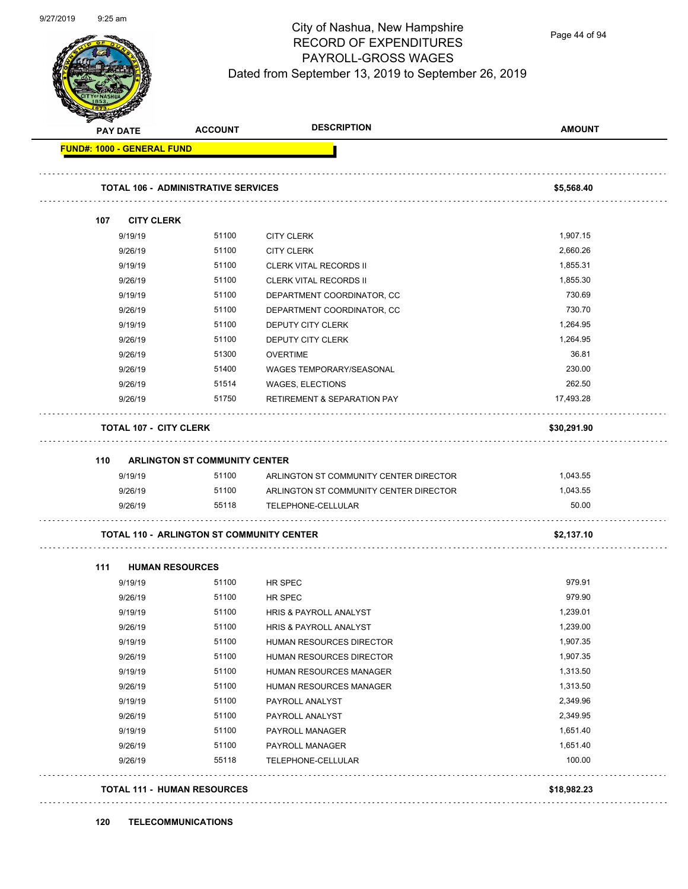

Page 44 of 94

| <b>FUND#: 1000 - GENERAL FUND</b> |                                                  |                                        | <b>AMOUNT</b> |
|-----------------------------------|--------------------------------------------------|----------------------------------------|---------------|
|                                   |                                                  |                                        |               |
|                                   | <b>TOTAL 106 - ADMINISTRATIVE SERVICES</b>       |                                        | \$5,568.40    |
| 107                               | <b>CITY CLERK</b>                                |                                        |               |
| 9/19/19                           | 51100                                            | <b>CITY CLERK</b>                      | 1,907.15      |
| 9/26/19                           | 51100                                            | <b>CITY CLERK</b>                      | 2,660.26      |
| 9/19/19                           | 51100                                            | <b>CLERK VITAL RECORDS II</b>          | 1,855.31      |
| 9/26/19                           | 51100                                            | <b>CLERK VITAL RECORDS II</b>          | 1,855.30      |
| 9/19/19                           | 51100                                            | DEPARTMENT COORDINATOR, CC             | 730.69        |
| 9/26/19                           | 51100                                            | DEPARTMENT COORDINATOR, CC             | 730.70        |
| 9/19/19                           | 51100                                            | DEPUTY CITY CLERK                      | 1,264.95      |
| 9/26/19                           | 51100                                            | DEPUTY CITY CLERK                      | 1,264.95      |
| 9/26/19                           | 51300                                            | <b>OVERTIME</b>                        | 36.81         |
| 9/26/19                           | 51400                                            | WAGES TEMPORARY/SEASONAL               | 230.00        |
| 9/26/19                           | 51514                                            | WAGES, ELECTIONS                       | 262.50        |
| 9/26/19                           | 51750                                            | <b>RETIREMENT &amp; SEPARATION PAY</b> | 17,493.28     |
|                                   | <b>TOTAL 107 - CITY CLERK</b>                    |                                        | \$30,291.90   |
|                                   |                                                  |                                        |               |
|                                   |                                                  |                                        |               |
| 110<br>9/19/19                    | ARLINGTON ST COMMUNITY CENTER                    |                                        |               |
|                                   |                                                  |                                        |               |
|                                   | 51100                                            | ARLINGTON ST COMMUNITY CENTER DIRECTOR | 1,043.55      |
| 9/26/19                           | 51100                                            | ARLINGTON ST COMMUNITY CENTER DIRECTOR | 1,043.55      |
| 9/26/19                           | 55118                                            | TELEPHONE-CELLULAR                     | 50.00         |
|                                   | <b>TOTAL 110 - ARLINGTON ST COMMUNITY CENTER</b> |                                        | \$2,137.10    |
| 111                               | <b>HUMAN RESOURCES</b>                           |                                        |               |
| 9/19/19                           | 51100                                            | HR SPEC                                | 979.91        |
| 9/26/19                           | 51100                                            | <b>HR SPEC</b>                         | 979.90        |
| 9/19/19                           | 51100                                            | HRIS & PAYROLL ANALYST                 | 1,239.01      |
| 9/26/19                           | 51100                                            | HRIS & PAYROLL ANALYST                 | 1,239.00      |
| 9/19/19                           | 51100                                            | HUMAN RESOURCES DIRECTOR               | 1,907.35      |
| 9/26/19                           | 51100                                            | HUMAN RESOURCES DIRECTOR               | 1,907.35      |
| 9/19/19                           | 51100                                            | HUMAN RESOURCES MANAGER                | 1,313.50      |
| 9/26/19                           | 51100                                            | HUMAN RESOURCES MANAGER                | 1,313.50      |
| 9/19/19                           | 51100                                            | PAYROLL ANALYST                        | 2,349.96      |
| 9/26/19                           | 51100                                            | PAYROLL ANALYST                        | 2,349.95      |
| 9/19/19                           | 51100                                            | PAYROLL MANAGER                        | 1,651.40      |
| 9/26/19                           | 51100                                            | PAYROLL MANAGER                        | 1,651.40      |
| 9/26/19                           | 55118                                            | TELEPHONE-CELLULAR                     | 100.00        |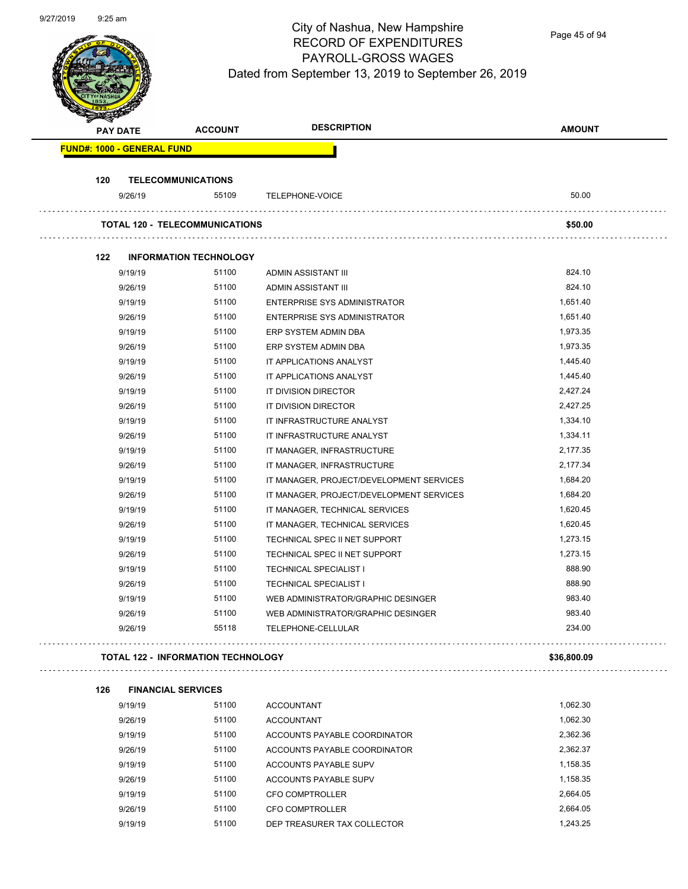

Page 45 of 94

|     | <b>PAY DATE</b>                   | <b>ACCOUNT</b>                            | <b>DESCRIPTION</b>                       | <b>AMOUNT</b> |
|-----|-----------------------------------|-------------------------------------------|------------------------------------------|---------------|
|     | <b>FUND#: 1000 - GENERAL FUND</b> |                                           |                                          |               |
| 120 |                                   | <b>TELECOMMUNICATIONS</b>                 |                                          |               |
|     | 9/26/19                           | 55109                                     | <b>TELEPHONE-VOICE</b>                   | 50.00         |
|     |                                   | <b>TOTAL 120 - TELECOMMUNICATIONS</b>     |                                          | \$50.00       |
| 122 |                                   | <b>INFORMATION TECHNOLOGY</b>             |                                          |               |
|     | 9/19/19                           | 51100                                     | ADMIN ASSISTANT III                      | 824.10        |
|     | 9/26/19                           | 51100                                     | ADMIN ASSISTANT III                      | 824.10        |
|     | 9/19/19                           | 51100                                     | ENTERPRISE SYS ADMINISTRATOR             | 1,651.40      |
|     | 9/26/19                           | 51100                                     | ENTERPRISE SYS ADMINISTRATOR             | 1,651.40      |
|     | 9/19/19                           | 51100                                     | ERP SYSTEM ADMIN DBA                     | 1,973.35      |
|     | 9/26/19                           | 51100                                     | ERP SYSTEM ADMIN DBA                     | 1,973.35      |
|     | 9/19/19                           | 51100                                     | IT APPLICATIONS ANALYST                  | 1,445.40      |
|     | 9/26/19                           | 51100                                     | IT APPLICATIONS ANALYST                  | 1,445.40      |
|     | 9/19/19                           | 51100                                     | IT DIVISION DIRECTOR                     | 2,427.24      |
|     | 9/26/19                           | 51100                                     | IT DIVISION DIRECTOR                     | 2,427.25      |
|     | 9/19/19                           | 51100                                     | IT INFRASTRUCTURE ANALYST                | 1,334.10      |
|     | 9/26/19                           | 51100                                     | IT INFRASTRUCTURE ANALYST                | 1,334.11      |
|     | 9/19/19                           | 51100                                     | IT MANAGER, INFRASTRUCTURE               | 2,177.35      |
|     | 9/26/19                           | 51100                                     | IT MANAGER, INFRASTRUCTURE               | 2,177.34      |
|     | 9/19/19                           | 51100                                     | IT MANAGER, PROJECT/DEVELOPMENT SERVICES | 1,684.20      |
|     | 9/26/19                           | 51100                                     | IT MANAGER, PROJECT/DEVELOPMENT SERVICES | 1,684.20      |
|     | 9/19/19                           | 51100                                     | IT MANAGER, TECHNICAL SERVICES           | 1,620.45      |
|     | 9/26/19                           | 51100                                     | IT MANAGER, TECHNICAL SERVICES           | 1,620.45      |
|     | 9/19/19                           | 51100                                     | TECHNICAL SPEC II NET SUPPORT            | 1,273.15      |
|     | 9/26/19                           | 51100                                     | TECHNICAL SPEC II NET SUPPORT            | 1,273.15      |
|     | 9/19/19                           | 51100                                     | <b>TECHNICAL SPECIALIST I</b>            | 888.90        |
|     | 9/26/19                           | 51100                                     | <b>TECHNICAL SPECIALIST I</b>            | 888.90        |
|     | 9/19/19                           | 51100                                     | WEB ADMINISTRATOR/GRAPHIC DESINGER       | 983.40        |
|     | 9/26/19                           | 51100                                     | WEB ADMINISTRATOR/GRAPHIC DESINGER       | 983.40        |
|     | 9/26/19                           | 55118                                     | TELEPHONE-CELLULAR                       | 234.00        |
|     |                                   | <b>TOTAL 122 - INFORMATION TECHNOLOGY</b> |                                          | \$36,800.09   |
| 126 |                                   | <b>FINANCIAL SERVICES</b>                 |                                          |               |
|     | 9/19/19                           | 51100                                     | <b>ACCOUNTANT</b>                        | 1,062.30      |
|     | 9/26/19                           | 51100                                     | <b>ACCOUNTANT</b>                        | 1,062.30      |
|     | 9/19/19                           | 51100                                     | ACCOUNTS PAYABLE COORDINATOR             | 2,362.36      |
|     | 9/26/19                           | 51100                                     | ACCOUNTS PAYABLE COORDINATOR             | 2,362.37      |
|     | 9/19/19                           | 51100                                     | ACCOUNTS PAYABLE SUPV                    | 1,158.35      |
|     | 9/26/19                           | 51100                                     | ACCOUNTS PAYABLE SUPV                    | 1,158.35      |
|     | 9/19/19                           | 51100                                     | <b>CFO COMPTROLLER</b>                   | 2,664.05      |
|     | 9/26/19                           | 51100                                     | <b>CFO COMPTROLLER</b>                   | 2,664.05      |
|     | 9/19/19                           | 51100                                     | DEP TREASURER TAX COLLECTOR              | 1,243.25      |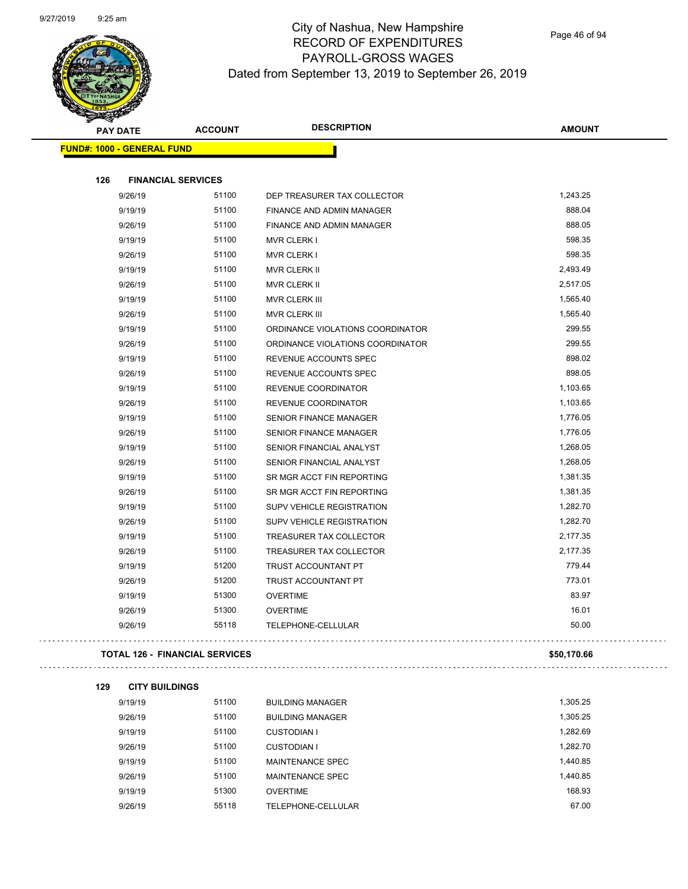$\mathbb{R}^{2}$ 

. . . . . . . . . . . . .



## City of Nashua, New Hampshire RECORD OF EXPENDITURES PAYROLL-GROSS WAGES Dated from September 13, 2019 to September 26, 2019

|     | <b>PAY DATE</b>                   | <b>ACCOUNT</b>                        | <b>DESCRIPTION</b>               | <b>AMOUNT</b> |
|-----|-----------------------------------|---------------------------------------|----------------------------------|---------------|
|     | <b>FUND#: 1000 - GENERAL FUND</b> |                                       |                                  |               |
|     |                                   |                                       |                                  |               |
| 126 | <b>FINANCIAL SERVICES</b>         |                                       |                                  |               |
|     | 9/26/19                           | 51100                                 | DEP TREASURER TAX COLLECTOR      | 1,243.25      |
|     | 9/19/19                           | 51100                                 | FINANCE AND ADMIN MANAGER        | 888.04        |
|     | 9/26/19                           | 51100                                 | FINANCE AND ADMIN MANAGER        | 888.05        |
|     | 9/19/19                           | 51100                                 | <b>MVR CLERK I</b>               | 598.35        |
|     | 9/26/19                           | 51100                                 | <b>MVR CLERK I</b>               | 598.35        |
|     | 9/19/19                           | 51100                                 | MVR CLERK II                     | 2,493.49      |
|     | 9/26/19                           | 51100                                 | <b>MVR CLERK II</b>              | 2,517.05      |
|     | 9/19/19                           | 51100                                 | <b>MVR CLERK III</b>             | 1,565.40      |
|     | 9/26/19                           | 51100                                 | <b>MVR CLERK III</b>             | 1,565.40      |
|     | 9/19/19                           | 51100                                 | ORDINANCE VIOLATIONS COORDINATOR | 299.55        |
|     | 9/26/19                           | 51100                                 | ORDINANCE VIOLATIONS COORDINATOR | 299.55        |
|     | 9/19/19                           | 51100                                 | REVENUE ACCOUNTS SPEC            | 898.02        |
|     | 9/26/19                           | 51100                                 | REVENUE ACCOUNTS SPEC            | 898.05        |
|     | 9/19/19                           | 51100                                 | REVENUE COORDINATOR              | 1,103.65      |
|     | 9/26/19                           | 51100                                 | REVENUE COORDINATOR              | 1,103.65      |
|     | 9/19/19                           | 51100                                 | SENIOR FINANCE MANAGER           | 1,776.05      |
|     | 9/26/19                           | 51100                                 | SENIOR FINANCE MANAGER           | 1,776.05      |
|     | 9/19/19                           | 51100                                 | SENIOR FINANCIAL ANALYST         | 1,268.05      |
|     | 9/26/19                           | 51100                                 | SENIOR FINANCIAL ANALYST         | 1,268.05      |
|     | 9/19/19                           | 51100                                 | SR MGR ACCT FIN REPORTING        | 1,381.35      |
|     | 9/26/19                           | 51100                                 | SR MGR ACCT FIN REPORTING        | 1,381.35      |
|     | 9/19/19                           | 51100                                 | SUPV VEHICLE REGISTRATION        | 1,282.70      |
|     | 9/26/19                           | 51100                                 | SUPV VEHICLE REGISTRATION        | 1,282.70      |
|     | 9/19/19                           | 51100                                 | TREASURER TAX COLLECTOR          | 2,177.35      |
|     | 9/26/19                           | 51100                                 | TREASURER TAX COLLECTOR          | 2,177.35      |
|     | 9/19/19                           | 51200                                 | TRUST ACCOUNTANT PT              | 779.44        |
|     | 9/26/19                           | 51200                                 | TRUST ACCOUNTANT PT              | 773.01        |
|     | 9/19/19                           | 51300                                 | <b>OVERTIME</b>                  | 83.97         |
|     | 9/26/19                           | 51300                                 | <b>OVERTIME</b>                  | 16.01         |
|     | 9/26/19                           | 55118                                 | TELEPHONE-CELLULAR               | 50.00         |
|     |                                   | <b>TOTAL 126 - FINANCIAL SERVICES</b> |                                  | \$50,170.66   |

#### 

| 129 | <b>CITY BUILDINGS</b> |       |                         |          |
|-----|-----------------------|-------|-------------------------|----------|
|     | 9/19/19               | 51100 | <b>BUILDING MANAGER</b> | 1,305.25 |
|     | 9/26/19               | 51100 | <b>BUILDING MANAGER</b> | 1,305.25 |
|     | 9/19/19               | 51100 | CUSTODIAN I             | 1,282.69 |
|     | 9/26/19               | 51100 | CUSTODIAN I             | 1,282.70 |
|     | 9/19/19               | 51100 | <b>MAINTENANCE SPEC</b> | 1.440.85 |
|     | 9/26/19               | 51100 | MAINTENANCE SPEC        | 1,440.85 |
|     | 9/19/19               | 51300 | <b>OVERTIME</b>         | 168.93   |
|     | 9/26/19               | 55118 | TELEPHONE-CELLULAR      | 67.00    |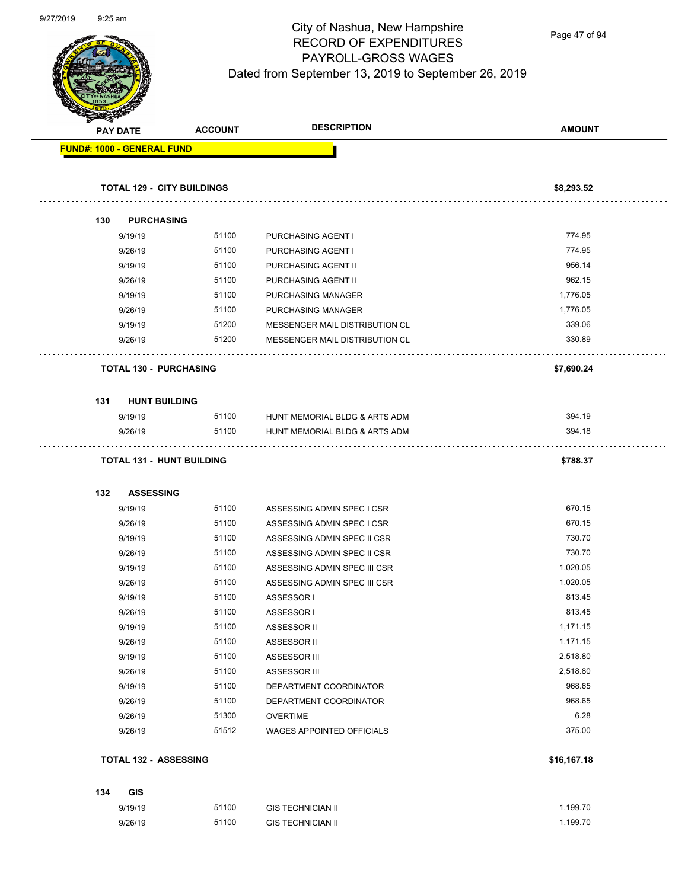

Page 47 of 94

|     | <b>Service</b><br><b>PAY DATE</b> | <b>ACCOUNT</b>                    | <b>DESCRIPTION</b>               | <b>AMOUNT</b> |
|-----|-----------------------------------|-----------------------------------|----------------------------------|---------------|
|     | FUND#: 1000 - GENERAL FUND        |                                   |                                  |               |
|     |                                   | <b>TOTAL 129 - CITY BUILDINGS</b> |                                  | \$8,293.52    |
| 130 | <b>PURCHASING</b>                 |                                   |                                  |               |
|     | 9/19/19                           | 51100                             | PURCHASING AGENT I               | 774.95        |
|     | 9/26/19                           | 51100                             | PURCHASING AGENT I               | 774.95        |
|     | 9/19/19                           | 51100                             | PURCHASING AGENT II              | 956.14        |
|     | 9/26/19                           | 51100                             | PURCHASING AGENT II              | 962.15        |
|     | 9/19/19                           | 51100                             | PURCHASING MANAGER               | 1,776.05      |
|     | 9/26/19                           | 51100                             | PURCHASING MANAGER               | 1,776.05      |
|     | 9/19/19                           | 51200                             | MESSENGER MAIL DISTRIBUTION CL   | 339.06        |
|     | 9/26/19                           | 51200                             | MESSENGER MAIL DISTRIBUTION CL   | 330.89        |
|     | <b>TOTAL 130 - PURCHASING</b>     |                                   |                                  | \$7,690.24    |
| 131 | <b>HUNT BUILDING</b>              |                                   |                                  |               |
|     | 9/19/19                           | 51100                             | HUNT MEMORIAL BLDG & ARTS ADM    | 394.19        |
|     | 9/26/19                           | 51100                             | HUNT MEMORIAL BLDG & ARTS ADM    | 394.18        |
|     |                                   | <b>TOTAL 131 - HUNT BUILDING</b>  |                                  | \$788.37      |
| 132 | <b>ASSESSING</b>                  |                                   |                                  |               |
|     | 9/19/19                           | 51100                             | ASSESSING ADMIN SPEC I CSR       | 670.15        |
|     | 9/26/19                           | 51100                             | ASSESSING ADMIN SPEC I CSR       | 670.15        |
|     | 9/19/19                           | 51100                             | ASSESSING ADMIN SPEC II CSR      | 730.70        |
|     | 9/26/19                           | 51100                             | ASSESSING ADMIN SPEC II CSR      | 730.70        |
|     | 9/19/19                           | 51100                             | ASSESSING ADMIN SPEC III CSR     | 1,020.05      |
|     | 9/26/19                           | 51100                             | ASSESSING ADMIN SPEC III CSR     | 1,020.05      |
|     | 9/19/19                           | 51100                             | ASSESSOR I                       | 813.45        |
|     | 9/26/19                           | 51100                             | ASSESSOR I                       | 813.45        |
|     | 9/19/19                           | 51100                             | <b>ASSESSOR II</b>               | 1,171.15      |
|     | 9/26/19                           | 51100                             | <b>ASSESSOR II</b>               | 1,171.15      |
|     | 9/19/19                           | 51100                             | <b>ASSESSOR III</b>              | 2,518.80      |
|     | 9/26/19                           | 51100                             | ASSESSOR III                     | 2,518.80      |
|     | 9/19/19                           | 51100                             | DEPARTMENT COORDINATOR           | 968.65        |
|     | 9/26/19                           | 51100                             | DEPARTMENT COORDINATOR           | 968.65        |
|     | 9/26/19                           | 51300                             | <b>OVERTIME</b>                  | 6.28          |
|     | 9/26/19                           | 51512                             | <b>WAGES APPOINTED OFFICIALS</b> | 375.00        |
|     | <b>TOTAL 132 - ASSESSING</b>      |                                   |                                  | \$16,167.18   |
|     |                                   |                                   |                                  |               |
|     |                                   |                                   |                                  |               |
| 134 | <b>GIS</b><br>9/19/19             | 51100                             | <b>GIS TECHNICIAN II</b>         | 1,199.70      |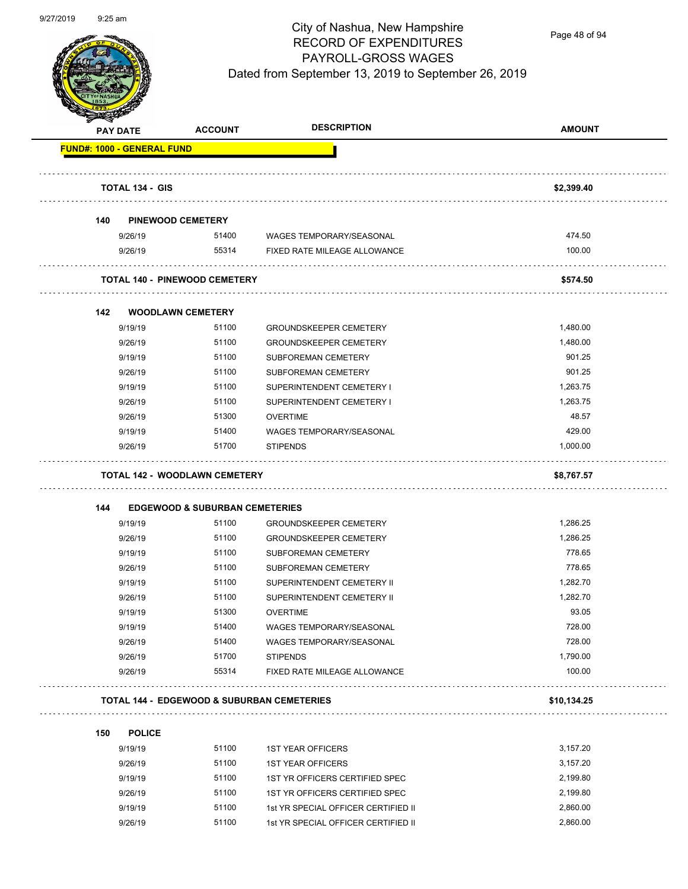

Page 48 of 94

|     | <b>PAY DATE</b>                   | <b>ACCOUNT</b>                                     | <b>DESCRIPTION</b>                                                    | <b>AMOUNT</b>        |
|-----|-----------------------------------|----------------------------------------------------|-----------------------------------------------------------------------|----------------------|
|     | <b>FUND#: 1000 - GENERAL FUND</b> |                                                    |                                                                       |                      |
|     | <b>TOTAL 134 - GIS</b>            |                                                    |                                                                       | \$2,399.40           |
|     |                                   |                                                    |                                                                       |                      |
| 140 |                                   | <b>PINEWOOD CEMETERY</b>                           |                                                                       |                      |
|     | 9/26/19                           | 51400                                              | WAGES TEMPORARY/SEASONAL                                              | 474.50               |
|     | 9/26/19                           | 55314                                              | FIXED RATE MILEAGE ALLOWANCE                                          | 100.00               |
|     |                                   | <b>TOTAL 140 - PINEWOOD CEMETERY</b>               |                                                                       | \$574.50             |
| 142 |                                   | <b>WOODLAWN CEMETERY</b>                           |                                                                       |                      |
|     | 9/19/19                           | 51100                                              | <b>GROUNDSKEEPER CEMETERY</b>                                         | 1,480.00             |
|     | 9/26/19                           | 51100                                              | <b>GROUNDSKEEPER CEMETERY</b>                                         | 1,480.00             |
|     | 9/19/19                           | 51100                                              | SUBFOREMAN CEMETERY                                                   | 901.25               |
|     | 9/26/19                           | 51100                                              | SUBFOREMAN CEMETERY                                                   | 901.25               |
|     | 9/19/19                           | 51100                                              | SUPERINTENDENT CEMETERY I                                             | 1,263.75             |
|     | 9/26/19                           | 51100                                              | SUPERINTENDENT CEMETERY I                                             | 1,263.75             |
|     | 9/26/19                           | 51300                                              | <b>OVERTIME</b>                                                       | 48.57                |
|     | 9/19/19                           | 51400                                              | <b>WAGES TEMPORARY/SEASONAL</b>                                       | 429.00               |
|     | 9/26/19                           | 51700                                              | <b>STIPENDS</b>                                                       | 1,000.00             |
|     |                                   | <b>TOTAL 142 - WOODLAWN CEMETERY</b>               |                                                                       | \$8,767.57           |
|     |                                   |                                                    |                                                                       |                      |
| 144 | 9/19/19                           | <b>EDGEWOOD &amp; SUBURBAN CEMETERIES</b><br>51100 | <b>GROUNDSKEEPER CEMETERY</b>                                         | 1,286.25             |
|     | 9/26/19                           | 51100                                              | <b>GROUNDSKEEPER CEMETERY</b>                                         | 1,286.25             |
|     | 9/19/19                           | 51100                                              | <b>SUBFOREMAN CEMETERY</b>                                            | 778.65               |
|     | 9/26/19                           | 51100                                              | SUBFOREMAN CEMETERY                                                   | 778.65               |
|     | 9/19/19                           | 51100                                              | SUPERINTENDENT CEMETERY II                                            | 1,282.70             |
|     | 9/26/19                           | 51100                                              | SUPERINTENDENT CEMETERY II                                            | 1,282.70             |
|     | 9/19/19                           | 51300                                              | <b>OVERTIME</b>                                                       | 93.05                |
|     | 9/19/19                           | 51400                                              | WAGES TEMPORARY/SEASONAL                                              | 728.00               |
|     | 9/26/19                           | 51400                                              | WAGES TEMPORARY/SEASONAL                                              | 728.00               |
|     | 9/26/19                           | 51700                                              | <b>STIPENDS</b>                                                       | 1,790.00             |
|     | 9/26/19                           | 55314                                              | FIXED RATE MILEAGE ALLOWANCE                                          | 100.00               |
|     |                                   |                                                    | <b>TOTAL 144 - EDGEWOOD &amp; SUBURBAN CEMETERIES</b>                 | \$10,134.25          |
|     | <b>POLICE</b>                     |                                                    |                                                                       |                      |
|     |                                   |                                                    |                                                                       |                      |
| 150 |                                   |                                                    |                                                                       |                      |
|     | 9/19/19                           | 51100                                              | <b>1ST YEAR OFFICERS</b>                                              | 3,157.20             |
|     | 9/26/19                           | 51100                                              | <b>1ST YEAR OFFICERS</b>                                              | 3,157.20             |
|     | 9/19/19                           | 51100                                              | 1ST YR OFFICERS CERTIFIED SPEC                                        | 2,199.80             |
|     | 9/26/19<br>9/19/19                | 51100<br>51100                                     | 1ST YR OFFICERS CERTIFIED SPEC<br>1st YR SPECIAL OFFICER CERTIFIED II | 2,199.80<br>2,860.00 |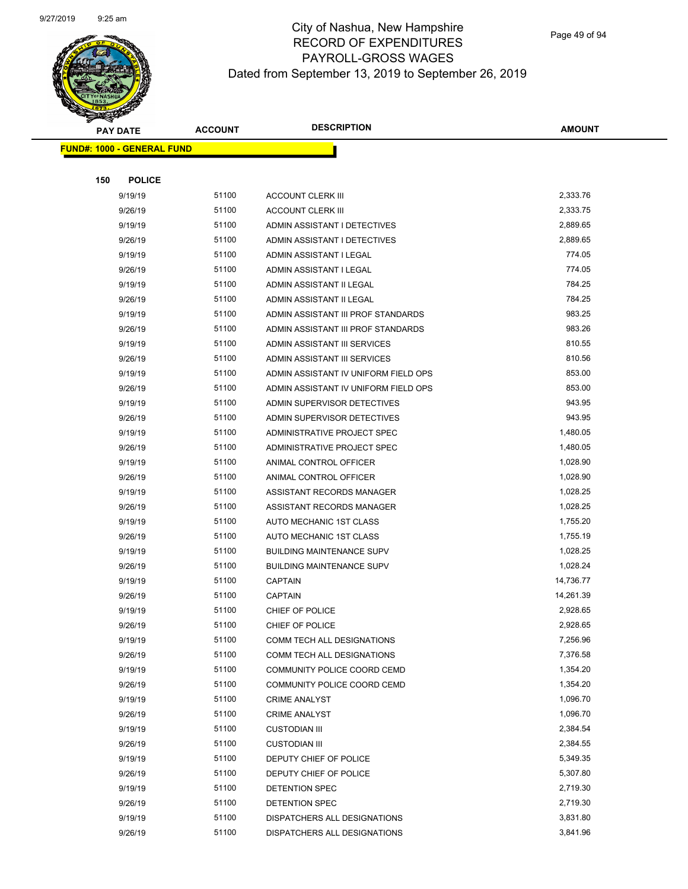

Page 49 of 94

|     | <b>PAY DATE</b>                   | <b>ACCOUNT</b> | <b>DESCRIPTION</b>                             | <b>AMOUNT</b>        |
|-----|-----------------------------------|----------------|------------------------------------------------|----------------------|
|     | <b>FUND#: 1000 - GENERAL FUND</b> |                |                                                |                      |
|     |                                   |                |                                                |                      |
| 150 | <b>POLICE</b>                     |                |                                                |                      |
|     | 9/19/19                           | 51100          | <b>ACCOUNT CLERK III</b>                       | 2,333.76             |
|     | 9/26/19                           | 51100          | <b>ACCOUNT CLERK III</b>                       | 2,333.75             |
|     | 9/19/19                           | 51100          | ADMIN ASSISTANT I DETECTIVES                   | 2,889.65             |
|     | 9/26/19                           | 51100          | ADMIN ASSISTANT I DETECTIVES                   | 2,889.65             |
|     | 9/19/19                           | 51100          | ADMIN ASSISTANT I LEGAL                        | 774.05               |
|     | 9/26/19                           | 51100          | ADMIN ASSISTANT I LEGAL                        | 774.05               |
|     | 9/19/19                           | 51100          | ADMIN ASSISTANT II LEGAL                       | 784.25               |
|     | 9/26/19                           | 51100          | ADMIN ASSISTANT II LEGAL                       | 784.25               |
|     | 9/19/19                           | 51100          | ADMIN ASSISTANT III PROF STANDARDS             | 983.25               |
|     | 9/26/19                           | 51100          | ADMIN ASSISTANT III PROF STANDARDS             | 983.26               |
|     | 9/19/19                           | 51100          | ADMIN ASSISTANT III SERVICES                   | 810.55               |
|     | 9/26/19                           | 51100          | ADMIN ASSISTANT III SERVICES                   | 810.56               |
|     | 9/19/19                           | 51100          | ADMIN ASSISTANT IV UNIFORM FIELD OPS           | 853.00               |
|     | 9/26/19                           | 51100          | ADMIN ASSISTANT IV UNIFORM FIELD OPS           | 853.00               |
|     | 9/19/19                           | 51100          | ADMIN SUPERVISOR DETECTIVES                    | 943.95               |
|     | 9/26/19                           | 51100          | ADMIN SUPERVISOR DETECTIVES                    | 943.95               |
|     | 9/19/19                           | 51100          | ADMINISTRATIVE PROJECT SPEC                    | 1,480.05             |
|     | 9/26/19                           | 51100          | ADMINISTRATIVE PROJECT SPEC                    | 1,480.05             |
|     | 9/19/19                           | 51100          | ANIMAL CONTROL OFFICER                         | 1,028.90             |
|     | 9/26/19                           | 51100          | ANIMAL CONTROL OFFICER                         | 1,028.90             |
|     | 9/19/19                           | 51100          | ASSISTANT RECORDS MANAGER                      | 1,028.25             |
|     | 9/26/19                           | 51100          | ASSISTANT RECORDS MANAGER                      | 1,028.25             |
|     | 9/19/19                           | 51100          | AUTO MECHANIC 1ST CLASS                        | 1,755.20             |
|     | 9/26/19                           | 51100          | AUTO MECHANIC 1ST CLASS                        | 1,755.19             |
|     | 9/19/19                           | 51100          | <b>BUILDING MAINTENANCE SUPV</b>               | 1,028.25             |
|     | 9/26/19                           | 51100          | <b>BUILDING MAINTENANCE SUPV</b>               | 1,028.24             |
|     | 9/19/19                           | 51100          | <b>CAPTAIN</b>                                 | 14,736.77            |
|     | 9/26/19                           | 51100          | <b>CAPTAIN</b>                                 | 14,261.39            |
|     | 9/19/19                           | 51100          | CHIEF OF POLICE                                | 2,928.65             |
|     | 9/26/19                           | 51100          | CHIEF OF POLICE                                | 2,928.65             |
|     | 9/19/19                           | 51100          | COMM TECH ALL DESIGNATIONS                     | 7,256.96             |
|     | 9/26/19                           | 51100          | COMM TECH ALL DESIGNATIONS                     | 7,376.58             |
|     | 9/19/19                           | 51100          | COMMUNITY POLICE COORD CEMD                    | 1,354.20             |
|     | 9/26/19                           | 51100          | COMMUNITY POLICE COORD CEMD                    | 1,354.20             |
|     | 9/19/19                           | 51100          | <b>CRIME ANALYST</b>                           | 1,096.70             |
|     | 9/26/19                           | 51100          | <b>CRIME ANALYST</b>                           | 1,096.70             |
|     | 9/19/19                           | 51100          | <b>CUSTODIAN III</b>                           | 2,384.54             |
|     | 9/26/19                           | 51100          | <b>CUSTODIAN III</b>                           | 2,384.55             |
|     | 9/19/19                           | 51100          | DEPUTY CHIEF OF POLICE                         | 5,349.35             |
|     | 9/26/19                           | 51100          | DEPUTY CHIEF OF POLICE                         | 5,307.80             |
|     | 9/19/19                           | 51100<br>51100 | DETENTION SPEC                                 | 2,719.30<br>2,719.30 |
|     | 9/26/19<br>9/19/19                | 51100          | DETENTION SPEC<br>DISPATCHERS ALL DESIGNATIONS | 3,831.80             |
|     | 9/26/19                           | 51100          |                                                | 3,841.96             |
|     |                                   |                | DISPATCHERS ALL DESIGNATIONS                   |                      |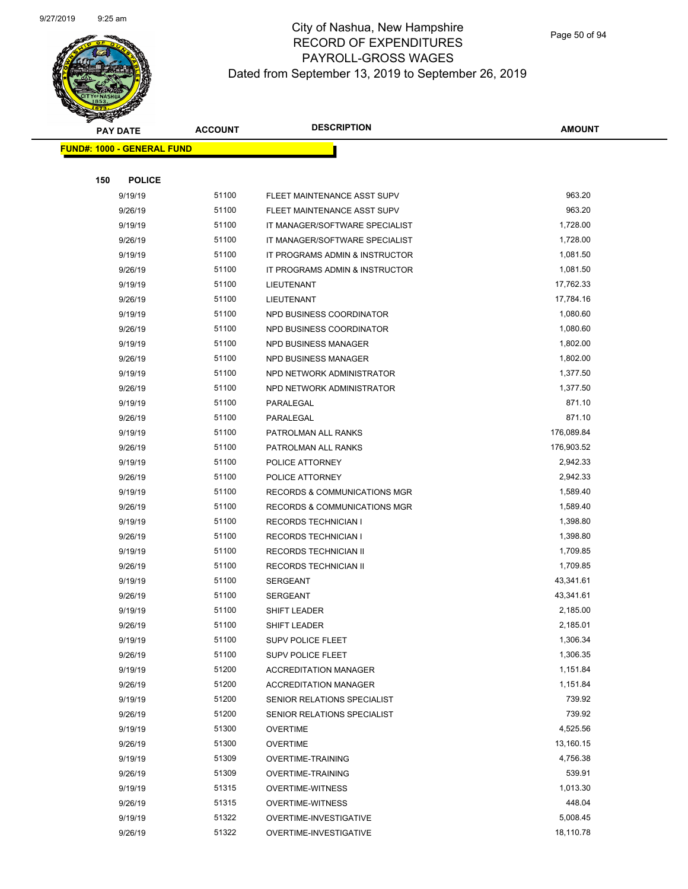

|     | <b>PAY DATE</b>                    | <b>ACCOUNT</b> | <b>DESCRIPTION</b>                      | <b>AMOUNT</b> |
|-----|------------------------------------|----------------|-----------------------------------------|---------------|
|     | <u> FUND#: 1000 - GENERAL FUND</u> |                |                                         |               |
|     |                                    |                |                                         |               |
| 150 | <b>POLICE</b>                      |                |                                         |               |
|     | 9/19/19                            | 51100          | FLEET MAINTENANCE ASST SUPV             | 963.20        |
|     | 9/26/19                            | 51100          | FLEET MAINTENANCE ASST SUPV             | 963.20        |
|     | 9/19/19                            | 51100          | IT MANAGER/SOFTWARE SPECIALIST          | 1,728.00      |
|     | 9/26/19                            | 51100          | IT MANAGER/SOFTWARE SPECIALIST          | 1,728.00      |
|     | 9/19/19                            | 51100          | IT PROGRAMS ADMIN & INSTRUCTOR          | 1,081.50      |
|     | 9/26/19                            | 51100          | IT PROGRAMS ADMIN & INSTRUCTOR          | 1,081.50      |
|     | 9/19/19                            | 51100          | LIEUTENANT                              | 17,762.33     |
|     | 9/26/19                            | 51100          | LIEUTENANT                              | 17,784.16     |
|     | 9/19/19                            | 51100          | NPD BUSINESS COORDINATOR                | 1,080.60      |
|     | 9/26/19                            | 51100          | NPD BUSINESS COORDINATOR                | 1,080.60      |
|     | 9/19/19                            | 51100          | NPD BUSINESS MANAGER                    | 1,802.00      |
|     | 9/26/19                            | 51100          | <b>NPD BUSINESS MANAGER</b>             | 1,802.00      |
|     | 9/19/19                            | 51100          | NPD NETWORK ADMINISTRATOR               | 1,377.50      |
|     | 9/26/19                            | 51100          | NPD NETWORK ADMINISTRATOR               | 1,377.50      |
|     | 9/19/19                            | 51100          | PARALEGAL                               | 871.10        |
|     | 9/26/19                            | 51100          | PARALEGAL                               | 871.10        |
|     | 9/19/19                            | 51100          | PATROLMAN ALL RANKS                     | 176,089.84    |
|     | 9/26/19                            | 51100          | PATROLMAN ALL RANKS                     | 176,903.52    |
|     | 9/19/19                            | 51100          | POLICE ATTORNEY                         | 2,942.33      |
|     | 9/26/19                            | 51100          | POLICE ATTORNEY                         | 2,942.33      |
|     | 9/19/19                            | 51100          | <b>RECORDS &amp; COMMUNICATIONS MGR</b> | 1,589.40      |
|     | 9/26/19                            | 51100          | <b>RECORDS &amp; COMMUNICATIONS MGR</b> | 1,589.40      |
|     | 9/19/19                            | 51100          | <b>RECORDS TECHNICIAN I</b>             | 1,398.80      |
|     | 9/26/19                            | 51100          | <b>RECORDS TECHNICIAN I</b>             | 1,398.80      |
|     | 9/19/19                            | 51100          | RECORDS TECHNICIAN II                   | 1,709.85      |
|     | 9/26/19                            | 51100          | RECORDS TECHNICIAN II                   | 1,709.85      |
|     | 9/19/19                            | 51100          | <b>SERGEANT</b>                         | 43,341.61     |
|     | 9/26/19                            | 51100          | <b>SERGEANT</b>                         | 43,341.61     |
|     | 9/19/19                            | 51100          | SHIFT LEADER                            | 2,185.00      |
|     | 9/26/19                            | 51100          | <b>SHIFT LEADER</b>                     | 2,185.01      |
|     | 9/19/19                            | 51100          | <b>SUPV POLICE FLEET</b>                | 1,306.34      |
|     | 9/26/19                            | 51100          | SUPV POLICE FLEET                       | 1,306.35      |
|     | 9/19/19                            | 51200          | <b>ACCREDITATION MANAGER</b>            | 1,151.84      |
|     | 9/26/19                            | 51200          | <b>ACCREDITATION MANAGER</b>            | 1,151.84      |
|     | 9/19/19                            | 51200          | SENIOR RELATIONS SPECIALIST             | 739.92        |
|     | 9/26/19                            | 51200          | SENIOR RELATIONS SPECIALIST             | 739.92        |
|     | 9/19/19                            | 51300          | <b>OVERTIME</b>                         | 4,525.56      |
|     | 9/26/19                            | 51300          | <b>OVERTIME</b>                         | 13,160.15     |
|     | 9/19/19                            | 51309          | <b>OVERTIME-TRAINING</b>                | 4,756.38      |
|     | 9/26/19                            | 51309          | <b>OVERTIME-TRAINING</b>                | 539.91        |
|     | 9/19/19                            | 51315          | <b>OVERTIME-WITNESS</b>                 | 1,013.30      |
|     | 9/26/19                            | 51315          | <b>OVERTIME-WITNESS</b>                 | 448.04        |
|     | 9/19/19                            | 51322          | OVERTIME-INVESTIGATIVE                  | 5,008.45      |
|     | 9/26/19                            | 51322          | OVERTIME-INVESTIGATIVE                  | 18,110.78     |
|     |                                    |                |                                         |               |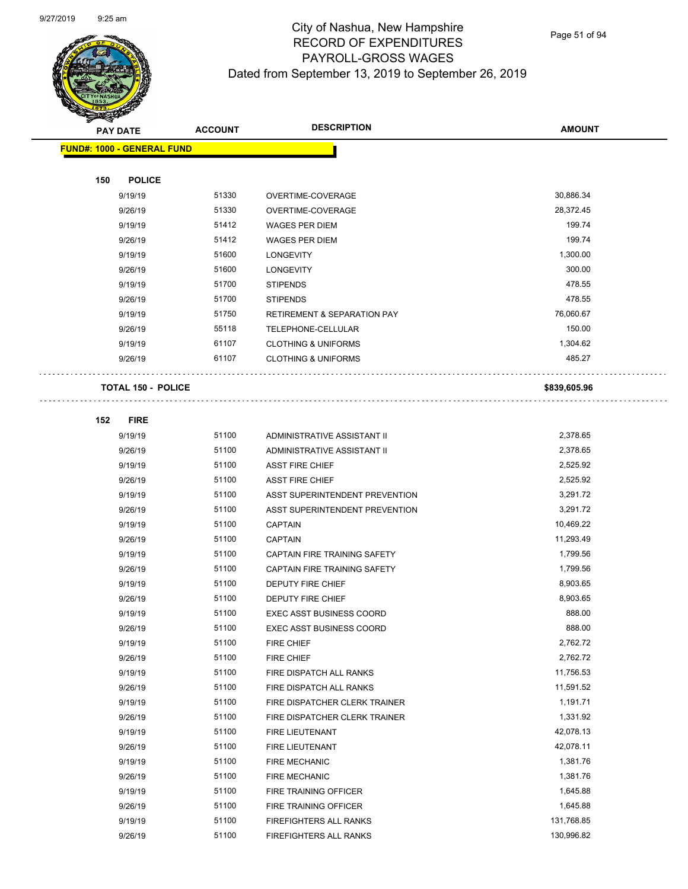

Page 51 of 94

|     | <b>PAY DATE</b>                   | <b>ACCOUNT</b> | <b>DESCRIPTION</b>                     | <b>AMOUNT</b> |
|-----|-----------------------------------|----------------|----------------------------------------|---------------|
|     | <b>FUND#: 1000 - GENERAL FUND</b> |                |                                        |               |
|     |                                   |                |                                        |               |
| 150 | <b>POLICE</b>                     |                |                                        |               |
|     | 9/19/19                           | 51330          | OVERTIME-COVERAGE                      | 30,886.34     |
|     | 9/26/19                           | 51330          | OVERTIME-COVERAGE                      | 28,372.45     |
|     | 9/19/19                           | 51412          | <b>WAGES PER DIEM</b>                  | 199.74        |
|     | 9/26/19                           | 51412          | <b>WAGES PER DIEM</b>                  | 199.74        |
|     | 9/19/19                           | 51600          | <b>LONGEVITY</b>                       | 1,300.00      |
|     | 9/26/19                           | 51600          | <b>LONGEVITY</b>                       | 300.00        |
|     | 9/19/19                           | 51700          | <b>STIPENDS</b>                        | 478.55        |
|     | 9/26/19                           | 51700          | <b>STIPENDS</b>                        | 478.55        |
|     | 9/19/19                           | 51750          | <b>RETIREMENT &amp; SEPARATION PAY</b> | 76,060.67     |
|     | 9/26/19                           | 55118          | TELEPHONE-CELLULAR                     | 150.00        |
|     | 9/19/19                           | 61107          | <b>CLOTHING &amp; UNIFORMS</b>         | 1,304.62      |
|     | 9/26/19                           | 61107          | <b>CLOTHING &amp; UNIFORMS</b>         | 485.27        |
|     |                                   |                |                                        |               |
|     | <b>TOTAL 150 - POLICE</b>         |                |                                        | \$839,605.96  |
|     |                                   |                |                                        |               |
| 152 | <b>FIRE</b>                       |                |                                        |               |
|     | 9/19/19                           | 51100          | ADMINISTRATIVE ASSISTANT II            | 2,378.65      |
|     | 9/26/19                           | 51100          | ADMINISTRATIVE ASSISTANT II            | 2,378.65      |
|     | 9/19/19                           | 51100          | <b>ASST FIRE CHIEF</b>                 | 2,525.92      |
|     | 9/26/19                           | 51100          | <b>ASST FIRE CHIEF</b>                 | 2,525.92      |
|     | 9/19/19                           | 51100          | ASST SUPERINTENDENT PREVENTION         | 3,291.72      |
|     | 9/26/19                           | 51100          | ASST SUPERINTENDENT PREVENTION         | 3,291.72      |
|     | 9/19/19                           | 51100          | <b>CAPTAIN</b>                         | 10,469.22     |
|     | 9/26/19                           | 51100          | <b>CAPTAIN</b>                         | 11,293.49     |
|     | 9/19/19                           | 51100          | CAPTAIN FIRE TRAINING SAFETY           | 1,799.56      |
|     | 9/26/19                           | 51100          | CAPTAIN FIRE TRAINING SAFETY           | 1,799.56      |
|     | 9/19/19                           | 51100          | DEPUTY FIRE CHIEF                      | 8,903.65      |
|     | 9/26/19                           | 51100          | DEPUTY FIRE CHIEF                      | 8,903.65      |
|     | 9/19/19                           | 51100          | <b>EXEC ASST BUSINESS COORD</b>        | 888.00        |
|     | 9/26/19                           | 51100          | <b>EXEC ASST BUSINESS COORD</b>        | 888.00        |
|     | 9/19/19                           | 51100          | <b>FIRE CHIEF</b>                      | 2,762.72      |
|     | 9/26/19                           | 51100          | FIRE CHIEF                             | 2,762.72      |
|     | 9/19/19                           | 51100          | FIRE DISPATCH ALL RANKS                | 11,756.53     |
|     | 9/26/19                           | 51100          | FIRE DISPATCH ALL RANKS                | 11,591.52     |
|     | 9/19/19                           | 51100          | FIRE DISPATCHER CLERK TRAINER          | 1,191.71      |
|     | 9/26/19                           | 51100          | FIRE DISPATCHER CLERK TRAINER          | 1,331.92      |
|     | 9/19/19                           | 51100          | FIRE LIEUTENANT                        | 42,078.13     |
|     | 9/26/19                           | 51100          | FIRE LIEUTENANT                        | 42,078.11     |
|     | 9/19/19                           | 51100          | <b>FIRE MECHANIC</b>                   | 1,381.76      |
|     | 9/26/19                           | 51100          | <b>FIRE MECHANIC</b>                   | 1,381.76      |
|     | 9/19/19                           | 51100          | FIRE TRAINING OFFICER                  | 1,645.88      |
|     | 9/26/19                           | 51100          | FIRE TRAINING OFFICER                  | 1,645.88      |
|     | 9/19/19                           | 51100          | FIREFIGHTERS ALL RANKS                 | 131,768.85    |
|     | 9/26/19                           | 51100          | FIREFIGHTERS ALL RANKS                 | 130,996.82    |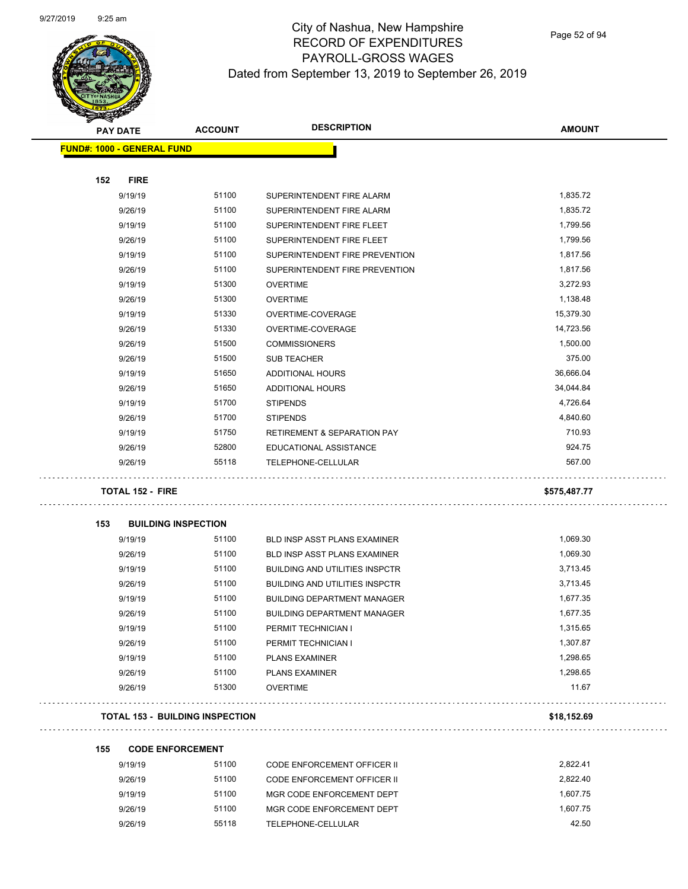

Page 52 of 94

| <b>AMOUNT</b><br>1,835.72<br>1,835.72<br>1,799.56<br>1,799.56<br>1,817.56<br>1,817.56<br>3,272.93<br>1,138.48<br>15,379.30 |
|----------------------------------------------------------------------------------------------------------------------------|
|                                                                                                                            |
|                                                                                                                            |
|                                                                                                                            |
|                                                                                                                            |
|                                                                                                                            |
|                                                                                                                            |
|                                                                                                                            |
|                                                                                                                            |
|                                                                                                                            |
|                                                                                                                            |
|                                                                                                                            |
|                                                                                                                            |
|                                                                                                                            |
| 14,723.56                                                                                                                  |
| 1,500.00                                                                                                                   |
| 375.00                                                                                                                     |
| 36,666.04                                                                                                                  |
| 34,044.84                                                                                                                  |
| 4,726.64                                                                                                                   |
| 4,840.60                                                                                                                   |
| 710.93                                                                                                                     |
| 924.75                                                                                                                     |
| 567.00                                                                                                                     |
| \$575,487.77                                                                                                               |
|                                                                                                                            |
| 1,069.30                                                                                                                   |
| 1,069.30                                                                                                                   |
| 3,713.45                                                                                                                   |
| 3,713.45                                                                                                                   |
| 1,677.35                                                                                                                   |
| 1,677.35                                                                                                                   |
| 1,315.65                                                                                                                   |
| 1,307.87                                                                                                                   |
| 1,298.65                                                                                                                   |
| 1,298.65                                                                                                                   |
| 11.67                                                                                                                      |
| \$18,152.69                                                                                                                |
|                                                                                                                            |
| 2,822.41                                                                                                                   |
| 2,822.40                                                                                                                   |
|                                                                                                                            |
|                                                                                                                            |

9/26/19 51100 MGR CODE ENFORCEMENT DEPT 1,607.75 9/26/19 55118 TELEPHONE-CELLULAR 42.50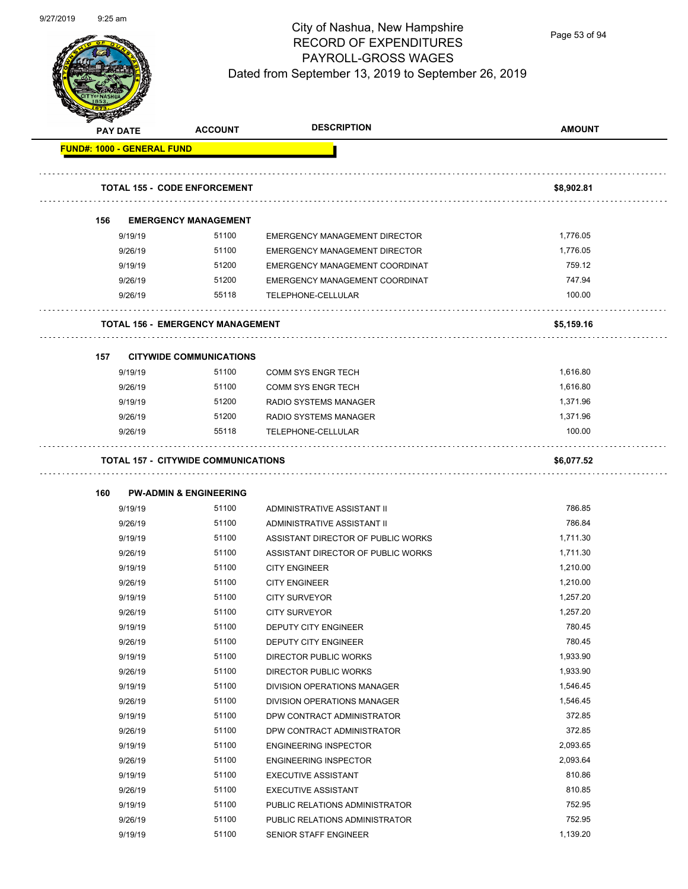

Page 53 of 94

| <b>PAY DATE</b>                   | <b>ACCOUNT</b>                             | <b>DESCRIPTION</b>                                                | <b>AMOUNT</b> |
|-----------------------------------|--------------------------------------------|-------------------------------------------------------------------|---------------|
| <b>FUND#: 1000 - GENERAL FUND</b> |                                            |                                                                   |               |
|                                   | <b>TOTAL 155 - CODE ENFORCEMENT</b>        |                                                                   | \$8,902.81    |
| 156                               | <b>EMERGENCY MANAGEMENT</b>                |                                                                   |               |
| 9/19/19                           | 51100                                      | <b>EMERGENCY MANAGEMENT DIRECTOR</b>                              | 1,776.05      |
| 9/26/19                           | 51100                                      | <b>EMERGENCY MANAGEMENT DIRECTOR</b>                              | 1,776.05      |
| 9/19/19                           | 51200                                      | EMERGENCY MANAGEMENT COORDINAT                                    | 759.12        |
| 9/26/19                           | 51200                                      | EMERGENCY MANAGEMENT COORDINAT                                    | 747.94        |
| 9/26/19                           | 55118                                      | TELEPHONE-CELLULAR                                                | 100.00        |
|                                   | <b>TOTAL 156 - EMERGENCY MANAGEMENT</b>    |                                                                   | \$5,159.16    |
|                                   |                                            |                                                                   |               |
| 157<br>9/19/19                    | <b>CITYWIDE COMMUNICATIONS</b><br>51100    | <b>COMM SYS ENGR TECH</b>                                         | 1,616.80      |
| 9/26/19                           | 51100                                      | <b>COMM SYS ENGR TECH</b>                                         | 1,616.80      |
| 9/19/19                           | 51200                                      | RADIO SYSTEMS MANAGER                                             | 1,371.96      |
| 9/26/19                           | 51200                                      | <b>RADIO SYSTEMS MANAGER</b>                                      | 1,371.96      |
| 9/26/19                           | 55118                                      | TELEPHONE-CELLULAR                                                | 100.00        |
|                                   | <b>TOTAL 157 - CITYWIDE COMMUNICATIONS</b> |                                                                   | \$6,077.52    |
|                                   |                                            |                                                                   |               |
| 160                               | <b>PW-ADMIN &amp; ENGINEERING</b><br>51100 |                                                                   | 786.85        |
| 9/19/19                           | 51100                                      | ADMINISTRATIVE ASSISTANT II                                       | 786.84        |
| 9/26/19                           | 51100                                      | ADMINISTRATIVE ASSISTANT II<br>ASSISTANT DIRECTOR OF PUBLIC WORKS | 1,711.30      |
| 9/19/19<br>9/26/19                | 51100                                      | ASSISTANT DIRECTOR OF PUBLIC WORKS                                | 1,711.30      |
| 9/19/19                           | 51100                                      | <b>CITY ENGINEER</b>                                              | 1,210.00      |
| 9/26/19                           | 51100                                      | <b>CITY ENGINEER</b>                                              | 1,210.00      |
| 9/19/19                           | 51100                                      | <b>CITY SURVEYOR</b>                                              | 1,257.20      |
| 9/26/19                           | 51100                                      | <b>CITY SURVEYOR</b>                                              | 1,257.20      |
| 9/19/19                           | 51100                                      | DEPUTY CITY ENGINEER                                              | 780.45        |
| 9/26/19                           | 51100                                      | DEPUTY CITY ENGINEER                                              | 780.45        |
| 9/19/19                           | 51100                                      | <b>DIRECTOR PUBLIC WORKS</b>                                      | 1,933.90      |
| 9/26/19                           | 51100                                      | <b>DIRECTOR PUBLIC WORKS</b>                                      | 1,933.90      |
| 9/19/19                           | 51100                                      | DIVISION OPERATIONS MANAGER                                       | 1,546.45      |
| 9/26/19                           | 51100                                      | DIVISION OPERATIONS MANAGER                                       | 1,546.45      |
| 9/19/19                           | 51100                                      | DPW CONTRACT ADMINISTRATOR                                        | 372.85        |
| 9/26/19                           | 51100                                      | DPW CONTRACT ADMINISTRATOR                                        | 372.85        |
| 9/19/19                           | 51100                                      | <b>ENGINEERING INSPECTOR</b>                                      | 2,093.65      |
| 9/26/19                           | 51100                                      | <b>ENGINEERING INSPECTOR</b>                                      | 2,093.64      |
| 9/19/19                           | 51100                                      | <b>EXECUTIVE ASSISTANT</b>                                        | 810.86        |
| 9/26/19                           | 51100                                      | <b>EXECUTIVE ASSISTANT</b>                                        | 810.85        |
| 9/19/19                           | 51100                                      | PUBLIC RELATIONS ADMINISTRATOR                                    | 752.95        |
| 9/26/19                           | 51100                                      | PUBLIC RELATIONS ADMINISTRATOR                                    | 752.95        |
| 9/19/19                           | 51100                                      | SENIOR STAFF ENGINEER                                             | 1,139.20      |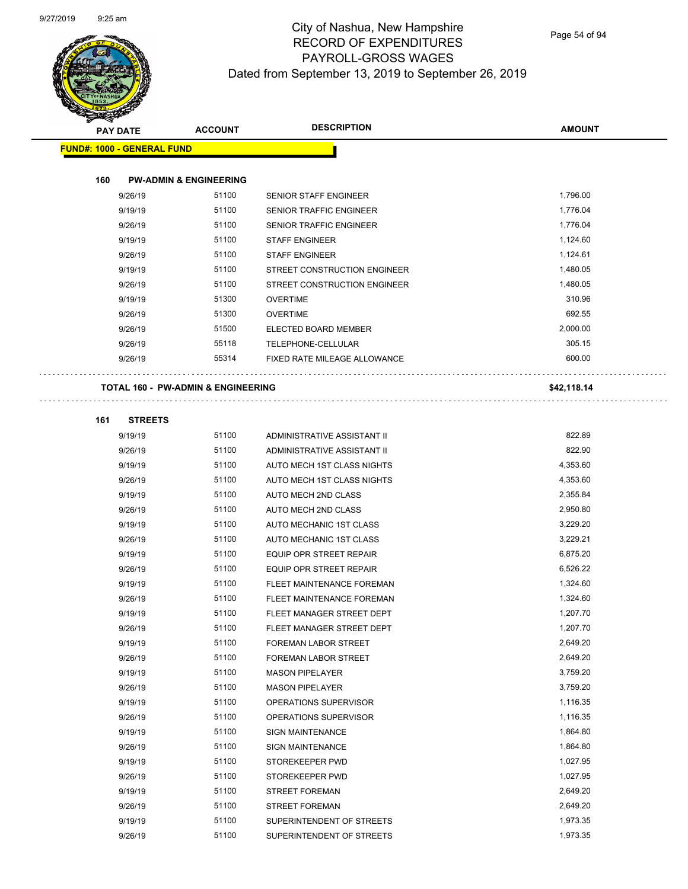

Page 54 of 94

| <b>PAY DATE</b>                   | <b>ACCOUNT</b>                                | <b>DESCRIPTION</b>               | <b>AMOUNT</b> |
|-----------------------------------|-----------------------------------------------|----------------------------------|---------------|
| <b>FUND#: 1000 - GENERAL FUND</b> |                                               |                                  |               |
|                                   |                                               |                                  |               |
| 160                               | <b>PW-ADMIN &amp; ENGINEERING</b>             |                                  |               |
| 9/26/19                           | 51100                                         | <b>SENIOR STAFF ENGINEER</b>     | 1,796.00      |
| 9/19/19                           | 51100                                         | SENIOR TRAFFIC ENGINEER          | 1,776.04      |
| 9/26/19                           | 51100                                         | <b>SENIOR TRAFFIC ENGINEER</b>   | 1,776.04      |
| 9/19/19                           | 51100                                         | <b>STAFF ENGINEER</b>            | 1,124.60      |
| 9/26/19                           | 51100                                         | <b>STAFF ENGINEER</b>            | 1,124.61      |
| 9/19/19                           | 51100                                         | STREET CONSTRUCTION ENGINEER     | 1,480.05      |
| 9/26/19                           | 51100                                         | STREET CONSTRUCTION ENGINEER     | 1,480.05      |
| 9/19/19                           | 51300                                         | <b>OVERTIME</b>                  | 310.96        |
| 9/26/19                           | 51300                                         | <b>OVERTIME</b>                  | 692.55        |
| 9/26/19                           | 51500                                         | ELECTED BOARD MEMBER             | 2,000.00      |
| 9/26/19                           | 55118                                         | TELEPHONE-CELLULAR               | 305.15        |
| 9/26/19                           | 55314                                         | FIXED RATE MILEAGE ALLOWANCE     | 600.00        |
|                                   | <b>TOTAL 160 - PW-ADMIN &amp; ENGINEERING</b> |                                  | \$42,118.14   |
| 161<br><b>STREETS</b>             |                                               |                                  |               |
| 9/19/19                           | 51100                                         | ADMINISTRATIVE ASSISTANT II      | 822.89        |
| 9/26/19                           | 51100                                         | ADMINISTRATIVE ASSISTANT II      | 822.90        |
| 9/19/19                           | 51100                                         | AUTO MECH 1ST CLASS NIGHTS       | 4,353.60      |
| 9/26/19                           | 51100                                         | AUTO MECH 1ST CLASS NIGHTS       | 4,353.60      |
| 9/19/19                           | 51100                                         | AUTO MECH 2ND CLASS              | 2,355.84      |
| 9/26/19                           | 51100                                         | AUTO MECH 2ND CLASS              | 2,950.80      |
| 9/19/19                           | 51100                                         | AUTO MECHANIC 1ST CLASS          | 3,229.20      |
| 9/26/19                           | 51100                                         | AUTO MECHANIC 1ST CLASS          | 3,229.21      |
| 9/19/19                           | 51100                                         | EQUIP OPR STREET REPAIR          | 6,875.20      |
| 9/26/19                           | 51100                                         | <b>EQUIP OPR STREET REPAIR</b>   | 6,526.22      |
| 9/19/19                           | 51100                                         | FLEET MAINTENANCE FOREMAN        | 1,324.60      |
| 9/26/19                           | 51100                                         | <b>FLEET MAINTENANCE FOREMAN</b> | 1,324.60      |
| 9/19/19                           | 51100                                         | FLEET MANAGER STREET DEPT        | 1,207.70      |
| 9/26/19                           | 51100                                         | FLEET MANAGER STREET DEPT        | 1,207.70      |
| 9/19/19                           | 51100                                         | FOREMAN LABOR STREET             | 2,649.20      |
| 9/26/19                           | 51100                                         | FOREMAN LABOR STREET             | 2,649.20      |
| 9/19/19                           | 51100                                         | <b>MASON PIPELAYER</b>           | 3,759.20      |
| 9/26/19                           | 51100                                         | <b>MASON PIPELAYER</b>           | 3,759.20      |
| 9/19/19                           | 51100                                         | OPERATIONS SUPERVISOR            | 1,116.35      |
| 9/26/19                           | 51100                                         | OPERATIONS SUPERVISOR            | 1,116.35      |
| 9/19/19                           | 51100                                         | <b>SIGN MAINTENANCE</b>          | 1,864.80      |
| 9/26/19                           | 51100                                         | <b>SIGN MAINTENANCE</b>          | 1,864.80      |
| 9/19/19                           | 51100                                         | STOREKEEPER PWD                  | 1,027.95      |
| 9/26/19                           | 51100                                         | STOREKEEPER PWD                  | 1,027.95      |
| 9/19/19                           | 51100                                         | <b>STREET FOREMAN</b>            | 2,649.20      |
| 9/26/19                           | 51100                                         | <b>STREET FOREMAN</b>            | 2,649.20      |
| 9/19/19                           | 51100                                         | SUPERINTENDENT OF STREETS        | 1,973.35      |
| 9/26/19                           | 51100                                         | SUPERINTENDENT OF STREETS        | 1,973.35      |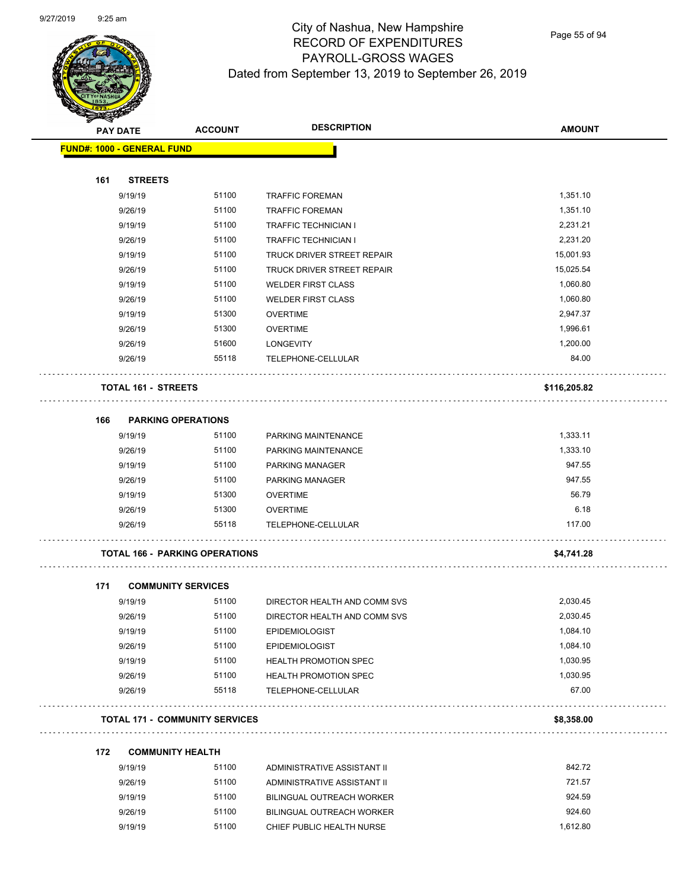

Page 55 of 94

| <b>PAY DATE</b><br><b>FUND#: 1000 - GENERAL FUND</b> |                                       |                              |              |
|------------------------------------------------------|---------------------------------------|------------------------------|--------------|
|                                                      |                                       |                              |              |
| 161<br><b>STREETS</b>                                |                                       |                              |              |
| 9/19/19                                              | 51100                                 | <b>TRAFFIC FOREMAN</b>       | 1,351.10     |
| 9/26/19                                              | 51100                                 | <b>TRAFFIC FOREMAN</b>       | 1,351.10     |
| 9/19/19                                              | 51100                                 | <b>TRAFFIC TECHNICIAN I</b>  | 2,231.21     |
| 9/26/19                                              | 51100                                 | <b>TRAFFIC TECHNICIAN I</b>  | 2,231.20     |
| 9/19/19                                              | 51100                                 | TRUCK DRIVER STREET REPAIR   | 15,001.93    |
| 9/26/19                                              | 51100                                 | TRUCK DRIVER STREET REPAIR   | 15,025.54    |
| 9/19/19                                              | 51100                                 | <b>WELDER FIRST CLASS</b>    | 1,060.80     |
| 9/26/19                                              | 51100                                 | <b>WELDER FIRST CLASS</b>    | 1,060.80     |
| 9/19/19                                              | 51300                                 | <b>OVERTIME</b>              | 2,947.37     |
| 9/26/19                                              | 51300                                 | <b>OVERTIME</b>              | 1,996.61     |
| 9/26/19                                              | 51600                                 | <b>LONGEVITY</b>             | 1,200.00     |
| 9/26/19                                              | 55118                                 | TELEPHONE-CELLULAR           | 84.00        |
| <b>TOTAL 161 - STREETS</b>                           |                                       |                              | \$116,205.82 |
| <b>PARKING OPERATIONS</b><br>166                     |                                       |                              |              |
| 9/19/19                                              | 51100                                 | PARKING MAINTENANCE          | 1,333.11     |
| 9/26/19                                              | 51100                                 | PARKING MAINTENANCE          | 1,333.10     |
| 9/19/19                                              | 51100                                 | PARKING MANAGER              | 947.55       |
| 9/26/19                                              | 51100                                 | PARKING MANAGER              | 947.55       |
| 9/19/19                                              | 51300                                 | <b>OVERTIME</b>              | 56.79        |
| 9/26/19                                              | 51300                                 | <b>OVERTIME</b>              | 6.18         |
| 9/26/19                                              | 55118                                 | TELEPHONE-CELLULAR           | 117.00       |
| <b>TOTAL 166 - PARKING OPERATIONS</b>                |                                       |                              | \$4,741.28   |
| 171<br><b>COMMUNITY SERVICES</b>                     |                                       |                              |              |
| 9/19/19                                              | 51100                                 | DIRECTOR HEALTH AND COMM SVS | 2,030.45     |
| 9/26/19                                              | 51100                                 | DIRECTOR HEALTH AND COMM SVS | 2,030.45     |
| 9/19/19                                              | 51100                                 | <b>EPIDEMIOLOGIST</b>        | 1,084.10     |
| 9/26/19                                              | 51100                                 | <b>EPIDEMIOLOGIST</b>        | 1,084.10     |
| 9/19/19                                              | 51100                                 | <b>HEALTH PROMOTION SPEC</b> | 1,030.95     |
| 9/26/19                                              | 51100                                 | <b>HEALTH PROMOTION SPEC</b> | 1,030.95     |
| 9/26/19                                              | 55118                                 | TELEPHONE-CELLULAR           | 67.00        |
|                                                      | <b>TOTAL 171 - COMMUNITY SERVICES</b> |                              | \$8,358.00   |

| 9/19/19 | 51100 | ADMINISTRATIVE ASSISTANT II | 842.72   |
|---------|-------|-----------------------------|----------|
| 9/26/19 | 51100 | ADMINISTRATIVE ASSISTANT II | 721.57   |
| 9/19/19 | 51100 | BILINGUAL OUTREACH WORKER   | 924.59   |
| 9/26/19 | 51100 | BILINGUAL OUTREACH WORKER   | 924.60   |
| 9/19/19 | 51100 | CHIEF PUBLIC HEALTH NURSE   | 1.612.80 |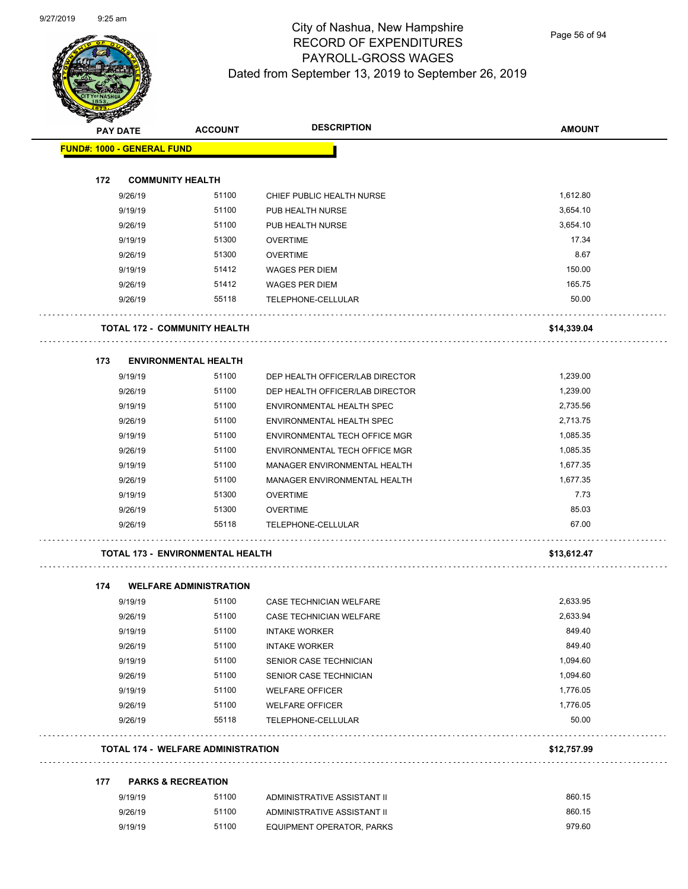

Page 56 of 94

| <b>PAY DATE</b> |                                           | <b>ACCOUNT</b> | <b>DESCRIPTION</b>                   | <b>AMOUNT</b> |
|-----------------|-------------------------------------------|----------------|--------------------------------------|---------------|
|                 | <b>FUND#: 1000 - GENERAL FUND</b>         |                |                                      |               |
| 172             | <b>COMMUNITY HEALTH</b>                   |                |                                      |               |
|                 | 9/26/19                                   | 51100          | CHIEF PUBLIC HEALTH NURSE            | 1,612.80      |
|                 | 9/19/19                                   | 51100          | PUB HEALTH NURSE                     | 3,654.10      |
|                 | 9/26/19                                   | 51100          | PUB HEALTH NURSE                     | 3,654.10      |
|                 | 9/19/19                                   | 51300          | <b>OVERTIME</b>                      | 17.34         |
|                 | 9/26/19                                   | 51300          | <b>OVERTIME</b>                      | 8.67          |
|                 | 9/19/19                                   | 51412          | <b>WAGES PER DIEM</b>                | 150.00        |
|                 | 9/26/19                                   | 51412          | <b>WAGES PER DIEM</b>                | 165.75        |
|                 | 9/26/19                                   | 55118          | TELEPHONE-CELLULAR                   | 50.00         |
|                 | <b>TOTAL 172 - COMMUNITY HEALTH</b>       |                |                                      | \$14,339.04   |
| 173             | <b>ENVIRONMENTAL HEALTH</b>               |                |                                      |               |
|                 | 9/19/19                                   | 51100          | DEP HEALTH OFFICER/LAB DIRECTOR      | 1,239.00      |
|                 | 9/26/19                                   | 51100          | DEP HEALTH OFFICER/LAB DIRECTOR      | 1,239.00      |
|                 | 9/19/19                                   | 51100          | ENVIRONMENTAL HEALTH SPEC            | 2,735.56      |
|                 | 9/26/19                                   | 51100          | ENVIRONMENTAL HEALTH SPEC            | 2,713.75      |
|                 | 9/19/19                                   | 51100          | <b>ENVIRONMENTAL TECH OFFICE MGR</b> | 1,085.35      |
|                 | 9/26/19                                   | 51100          | ENVIRONMENTAL TECH OFFICE MGR        | 1,085.35      |
|                 | 9/19/19                                   | 51100          | MANAGER ENVIRONMENTAL HEALTH         | 1,677.35      |
|                 | 9/26/19                                   | 51100          | MANAGER ENVIRONMENTAL HEALTH         | 1,677.35      |
|                 | 9/19/19                                   | 51300          | <b>OVERTIME</b>                      | 7.73          |
|                 | 9/26/19                                   | 51300          | <b>OVERTIME</b>                      | 85.03         |
|                 | 9/26/19                                   | 55118          | TELEPHONE-CELLULAR                   | 67.00         |
|                 | <b>TOTAL 173 - ENVIRONMENTAL HEALTH</b>   |                |                                      | \$13,612.47   |
| 174             | <b>WELFARE ADMINISTRATION</b>             |                |                                      |               |
|                 | 9/19/19                                   | 51100          | CASE TECHNICIAN WELFARE              | 2,633.95      |
|                 | 9/26/19                                   | 51100          | CASE TECHNICIAN WELFARE              | 2,633.94      |
|                 | 9/19/19                                   | 51100          | <b>INTAKE WORKER</b>                 | 849.40        |
|                 | 9/26/19                                   | 51100          | <b>INTAKE WORKER</b>                 | 849.40        |
|                 | 9/19/19                                   | 51100          | SENIOR CASE TECHNICIAN               | 1,094.60      |
|                 | 9/26/19                                   | 51100          | SENIOR CASE TECHNICIAN               | 1,094.60      |
|                 | 9/19/19                                   | 51100          | <b>WELFARE OFFICER</b>               | 1,776.05      |
|                 | 9/26/19                                   | 51100          | <b>WELFARE OFFICER</b>               | 1,776.05      |
|                 | 9/26/19                                   | 55118          | TELEPHONE-CELLULAR                   | 50.00         |
|                 | <b>TOTAL 174 - WELFARE ADMINISTRATION</b> |                |                                      | \$12,757.99   |
| 177             | <b>PARKS &amp; RECREATION</b>             |                |                                      |               |
|                 | 9/19/19                                   | 51100          | ADMINISTRATIVE ASSISTANT II          | 860.15        |

| 9/19/19 | 51100 | ADMINISTRATIVE ASSISTANT II | 860.15 |
|---------|-------|-----------------------------|--------|
| 9/26/19 | 51100 | ADMINISTRATIVE ASSISTANT II | 860.15 |
| 9/19/19 | 51100 | EQUIPMENT OPERATOR, PARKS   | 979.60 |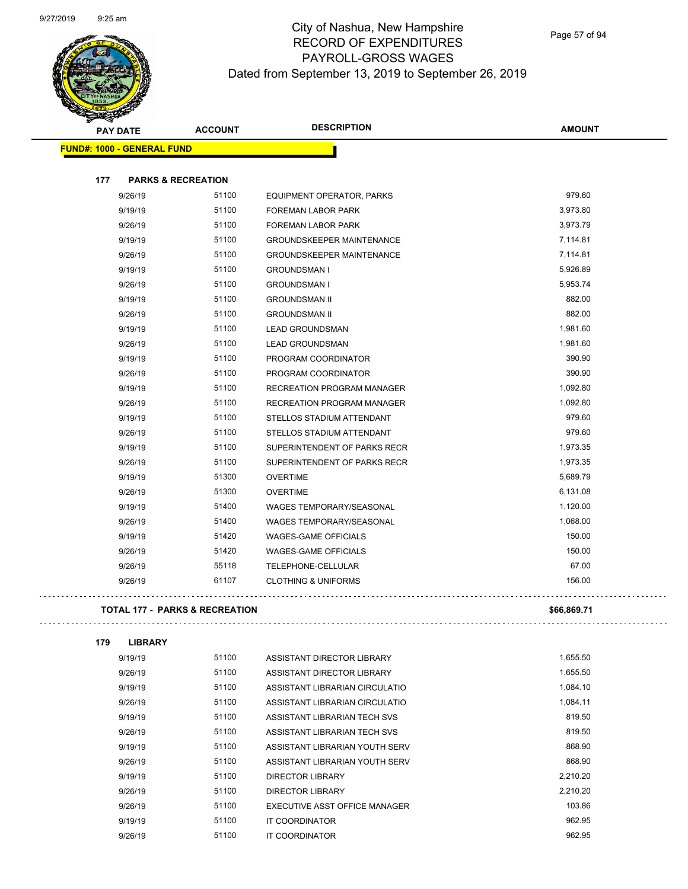

| $\blacktriangle$<br><b>PAY DATE</b>       | <b>ACCOUNT</b>                | <b>DESCRIPTION</b>                | <b>AMOUNT</b> |
|-------------------------------------------|-------------------------------|-----------------------------------|---------------|
| <b>FUND#: 1000 - GENERAL FUND</b>         |                               |                                   |               |
|                                           |                               |                                   |               |
| 177                                       | <b>PARKS &amp; RECREATION</b> |                                   |               |
| 9/26/19                                   | 51100                         | EQUIPMENT OPERATOR, PARKS         | 979.60        |
| 9/19/19                                   | 51100                         | FOREMAN LABOR PARK                | 3,973.80      |
| 9/26/19                                   | 51100                         | FOREMAN LABOR PARK                | 3,973.79      |
| 9/19/19                                   | 51100                         | <b>GROUNDSKEEPER MAINTENANCE</b>  | 7,114.81      |
| 9/26/19                                   | 51100                         | <b>GROUNDSKEEPER MAINTENANCE</b>  | 7,114.81      |
| 9/19/19                                   | 51100                         | <b>GROUNDSMAN I</b>               | 5,926.89      |
| 9/26/19                                   | 51100                         | <b>GROUNDSMAN I</b>               | 5,953.74      |
| 9/19/19                                   | 51100                         | <b>GROUNDSMAN II</b>              | 882.00        |
| 9/26/19                                   | 51100                         | <b>GROUNDSMAN II</b>              | 882.00        |
| 9/19/19                                   | 51100                         | <b>LEAD GROUNDSMAN</b>            | 1,981.60      |
| 9/26/19                                   | 51100                         | <b>LEAD GROUNDSMAN</b>            | 1,981.60      |
| 9/19/19                                   | 51100                         | PROGRAM COORDINATOR               | 390.90        |
| 9/26/19                                   | 51100                         | PROGRAM COORDINATOR               | 390.90        |
| 9/19/19                                   | 51100                         | RECREATION PROGRAM MANAGER        | 1,092.80      |
| 9/26/19                                   | 51100                         | <b>RECREATION PROGRAM MANAGER</b> | 1,092.80      |
| 9/19/19                                   | 51100                         | STELLOS STADIUM ATTENDANT         | 979.60        |
| 9/26/19                                   | 51100                         | STELLOS STADIUM ATTENDANT         | 979.60        |
| 9/19/19                                   | 51100                         | SUPERINTENDENT OF PARKS RECR      | 1,973.35      |
| 9/26/19                                   | 51100                         | SUPERINTENDENT OF PARKS RECR      | 1,973.35      |
| 9/19/19                                   | 51300                         | <b>OVERTIME</b>                   | 5,689.79      |
| 9/26/19                                   | 51300                         | <b>OVERTIME</b>                   | 6,131.08      |
| 9/19/19                                   | 51400                         | <b>WAGES TEMPORARY/SEASONAL</b>   | 1,120.00      |
| 9/26/19                                   | 51400                         | <b>WAGES TEMPORARY/SEASONAL</b>   | 1,068.00      |
| 9/19/19                                   | 51420                         | <b>WAGES-GAME OFFICIALS</b>       | 150.00        |
| 9/26/19                                   | 51420                         | WAGES-GAME OFFICIALS              | 150.00        |
| 9/26/19                                   | 55118                         | TELEPHONE-CELLULAR                | 67.00         |
| 9/26/19                                   | 61107                         | <b>CLOTHING &amp; UNIFORMS</b>    | 156.00        |
| <b>TOTAL 177 - PARKS &amp; RECREATION</b> |                               |                                   | \$66,869.71   |

 $\bar{\mathbb{Z}}$  .

| 179 | <b>LIBRARY</b> |       |                                |          |
|-----|----------------|-------|--------------------------------|----------|
|     | 9/19/19        | 51100 | ASSISTANT DIRECTOR LIBRARY     | 1,655.50 |
|     | 9/26/19        | 51100 | ASSISTANT DIRECTOR LIBRARY     | 1,655.50 |
|     | 9/19/19        | 51100 | ASSISTANT LIBRARIAN CIRCULATIO | 1,084.10 |
|     | 9/26/19        | 51100 | ASSISTANT LIBRARIAN CIRCULATIO | 1,084.11 |
|     | 9/19/19        | 51100 | ASSISTANT LIBRARIAN TECH SVS   | 819.50   |
|     | 9/26/19        | 51100 | ASSISTANT LIBRARIAN TECH SVS   | 819.50   |
|     | 9/19/19        | 51100 | ASSISTANT LIBRARIAN YOUTH SERV | 868.90   |
|     | 9/26/19        | 51100 | ASSISTANT LIBRARIAN YOUTH SERV | 868.90   |
|     | 9/19/19        | 51100 | DIRECTOR LIBRARY               | 2.210.20 |
|     | 9/26/19        | 51100 | DIRECTOR LIBRARY               | 2.210.20 |
|     | 9/26/19        | 51100 | EXECUTIVE ASST OFFICE MANAGER  | 103.86   |
|     | 9/19/19        | 51100 | IT COORDINATOR                 | 962.95   |
|     | 9/26/19        | 51100 | IT COORDINATOR                 | 962.95   |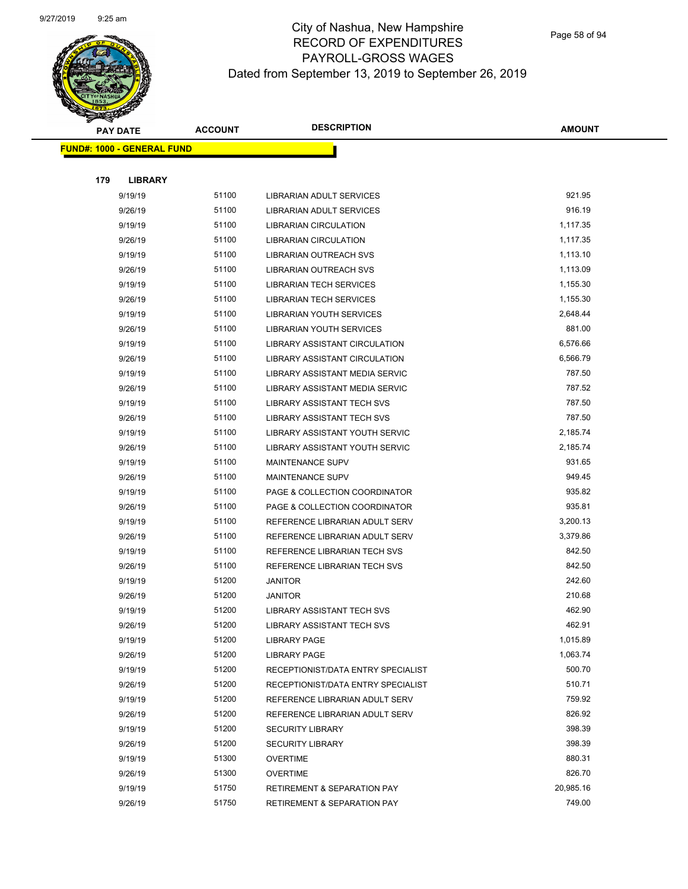

Page 58 of 94

|     | <b>PAY DATE</b>                    | <b>ACCOUNT</b> | <b>DESCRIPTION</b>                     | <b>AMOUNT</b> |  |
|-----|------------------------------------|----------------|----------------------------------------|---------------|--|
|     | <u> FUND#: 1000 - GENERAL FUND</u> |                |                                        |               |  |
|     |                                    |                |                                        |               |  |
| 179 | <b>LIBRARY</b>                     |                |                                        |               |  |
|     | 9/19/19                            | 51100          | LIBRARIAN ADULT SERVICES               | 921.95        |  |
|     | 9/26/19                            | 51100          | LIBRARIAN ADULT SERVICES               | 916.19        |  |
|     | 9/19/19                            | 51100          | <b>LIBRARIAN CIRCULATION</b>           | 1,117.35      |  |
|     | 9/26/19                            | 51100          | <b>LIBRARIAN CIRCULATION</b>           | 1,117.35      |  |
|     | 9/19/19                            | 51100          | <b>LIBRARIAN OUTREACH SVS</b>          | 1,113.10      |  |
|     | 9/26/19                            | 51100          | LIBRARIAN OUTREACH SVS                 | 1,113.09      |  |
|     | 9/19/19                            | 51100          | <b>LIBRARIAN TECH SERVICES</b>         | 1,155.30      |  |
|     | 9/26/19                            | 51100          | <b>LIBRARIAN TECH SERVICES</b>         | 1,155.30      |  |
|     | 9/19/19                            | 51100          | <b>LIBRARIAN YOUTH SERVICES</b>        | 2,648.44      |  |
|     | 9/26/19                            | 51100          | <b>LIBRARIAN YOUTH SERVICES</b>        | 881.00        |  |
|     | 9/19/19                            | 51100          | <b>LIBRARY ASSISTANT CIRCULATION</b>   | 6,576.66      |  |
|     | 9/26/19                            | 51100          | LIBRARY ASSISTANT CIRCULATION          | 6,566.79      |  |
|     | 9/19/19                            | 51100          | LIBRARY ASSISTANT MEDIA SERVIC         | 787.50        |  |
|     | 9/26/19                            | 51100          | LIBRARY ASSISTANT MEDIA SERVIC         | 787.52        |  |
|     | 9/19/19                            | 51100          | LIBRARY ASSISTANT TECH SVS             | 787.50        |  |
|     | 9/26/19                            | 51100          | <b>LIBRARY ASSISTANT TECH SVS</b>      | 787.50        |  |
|     | 9/19/19                            | 51100          | LIBRARY ASSISTANT YOUTH SERVIC         | 2,185.74      |  |
|     | 9/26/19                            | 51100          | <b>LIBRARY ASSISTANT YOUTH SERVIC</b>  | 2,185.74      |  |
|     | 9/19/19                            | 51100          | <b>MAINTENANCE SUPV</b>                | 931.65        |  |
|     | 9/26/19                            | 51100          | <b>MAINTENANCE SUPV</b>                | 949.45        |  |
|     | 9/19/19                            | 51100          | PAGE & COLLECTION COORDINATOR          | 935.82        |  |
|     | 9/26/19                            | 51100          | PAGE & COLLECTION COORDINATOR          | 935.81        |  |
|     | 9/19/19                            | 51100          | REFERENCE LIBRARIAN ADULT SERV         | 3,200.13      |  |
|     | 9/26/19                            | 51100          | REFERENCE LIBRARIAN ADULT SERV         | 3,379.86      |  |
|     | 9/19/19                            | 51100          | REFERENCE LIBRARIAN TECH SVS           | 842.50        |  |
|     | 9/26/19                            | 51100          | REFERENCE LIBRARIAN TECH SVS           | 842.50        |  |
|     | 9/19/19                            | 51200          | <b>JANITOR</b>                         | 242.60        |  |
|     | 9/26/19                            | 51200          | <b>JANITOR</b>                         | 210.68        |  |
|     | 9/19/19                            | 51200          | <b>LIBRARY ASSISTANT TECH SVS</b>      | 462.90        |  |
|     | 9/26/19                            | 51200          | <b>LIBRARY ASSISTANT TECH SVS</b>      | 462.91        |  |
|     | 9/19/19                            | 51200          | <b>LIBRARY PAGE</b>                    | 1,015.89      |  |
|     | 9/26/19                            | 51200          | <b>LIBRARY PAGE</b>                    | 1,063.74      |  |
|     | 9/19/19                            | 51200          | RECEPTIONIST/DATA ENTRY SPECIALIST     | 500.70        |  |
|     | 9/26/19                            | 51200          | RECEPTIONIST/DATA ENTRY SPECIALIST     | 510.71        |  |
|     | 9/19/19                            | 51200          | REFERENCE LIBRARIAN ADULT SERV         | 759.92        |  |
|     | 9/26/19                            | 51200          | REFERENCE LIBRARIAN ADULT SERV         | 826.92        |  |
|     | 9/19/19                            | 51200          | <b>SECURITY LIBRARY</b>                | 398.39        |  |
|     | 9/26/19                            | 51200          | <b>SECURITY LIBRARY</b>                | 398.39        |  |
|     | 9/19/19                            | 51300          | <b>OVERTIME</b>                        | 880.31        |  |
|     | 9/26/19                            | 51300          | <b>OVERTIME</b>                        | 826.70        |  |
|     | 9/19/19                            | 51750          | <b>RETIREMENT &amp; SEPARATION PAY</b> | 20,985.16     |  |
|     | 9/26/19                            | 51750          | <b>RETIREMENT &amp; SEPARATION PAY</b> | 749.00        |  |
|     |                                    |                |                                        |               |  |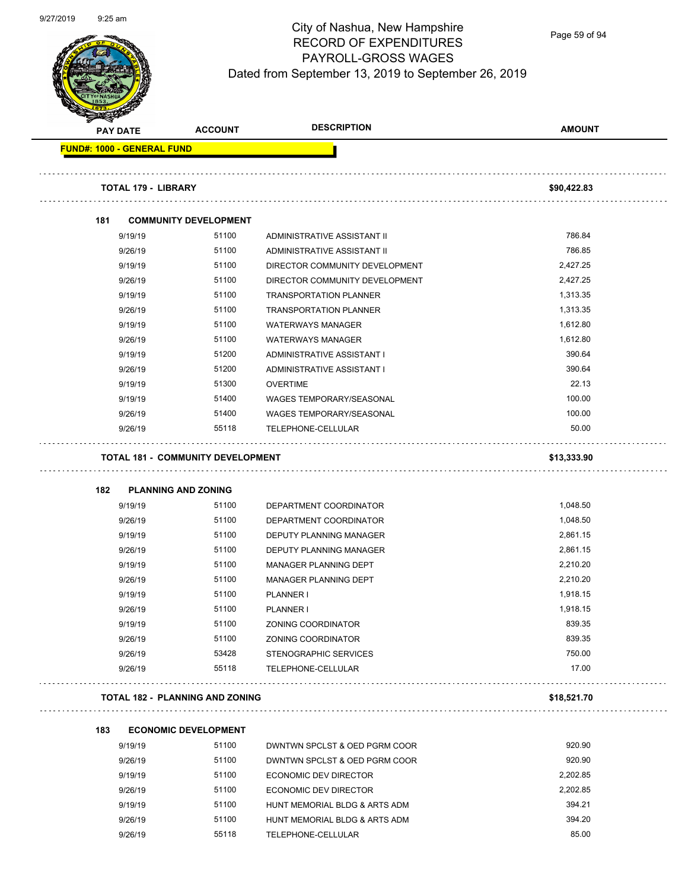

Page 59 of 94

|                                   |                     | <b>ACCOUNT</b>                           | <b>DESCRIPTION</b>                 | <b>AMOUNT</b>        |
|-----------------------------------|---------------------|------------------------------------------|------------------------------------|----------------------|
| <b>PAY DATE</b>                   |                     |                                          |                                    |                      |
| <b>FUND#: 1000 - GENERAL FUND</b> |                     |                                          |                                    |                      |
|                                   | TOTAL 179 - LIBRARY |                                          |                                    | \$90,422.83          |
| 181                               |                     | <b>COMMUNITY DEVELOPMENT</b>             |                                    |                      |
|                                   | 9/19/19             | 51100                                    | ADMINISTRATIVE ASSISTANT II        | 786.84               |
|                                   | 9/26/19             | 51100                                    | ADMINISTRATIVE ASSISTANT II        | 786.85               |
|                                   | 9/19/19             | 51100                                    | DIRECTOR COMMUNITY DEVELOPMENT     | 2,427.25             |
|                                   | 9/26/19             | 51100                                    | DIRECTOR COMMUNITY DEVELOPMENT     | 2,427.25             |
|                                   | 9/19/19             | 51100                                    | <b>TRANSPORTATION PLANNER</b>      | 1,313.35             |
|                                   | 9/26/19             | 51100                                    | <b>TRANSPORTATION PLANNER</b>      | 1,313.35             |
|                                   | 9/19/19             | 51100                                    | <b>WATERWAYS MANAGER</b>           | 1,612.80             |
|                                   | 9/26/19             | 51100                                    | <b>WATERWAYS MANAGER</b>           | 1,612.80             |
|                                   | 9/19/19             | 51200                                    | ADMINISTRATIVE ASSISTANT I         | 390.64               |
|                                   | 9/26/19             | 51200                                    | ADMINISTRATIVE ASSISTANT I         | 390.64               |
|                                   | 9/19/19             | 51300                                    | <b>OVERTIME</b>                    | 22.13                |
|                                   | 9/19/19             | 51400                                    | <b>WAGES TEMPORARY/SEASONAL</b>    | 100.00               |
|                                   | 9/26/19             | 51400                                    | <b>WAGES TEMPORARY/SEASONAL</b>    | 100.00               |
|                                   | 9/26/19             | 55118                                    | TELEPHONE-CELLULAR                 | 50.00                |
|                                   |                     | <b>TOTAL 181 - COMMUNITY DEVELOPMENT</b> |                                    | \$13,333.90          |
|                                   |                     |                                          |                                    |                      |
| 182                               |                     | <b>PLANNING AND ZONING</b><br>51100      |                                    |                      |
|                                   | 9/19/19             |                                          | DEPARTMENT COORDINATOR             | 1,048.50             |
|                                   | 9/26/19             | 51100                                    | DEPARTMENT COORDINATOR             | 1,048.50             |
|                                   | 9/19/19             | 51100<br>51100                           | DEPUTY PLANNING MANAGER            | 2,861.15<br>2,861.15 |
|                                   | 9/26/19             | 51100                                    | DEPUTY PLANNING MANAGER            | 2,210.20             |
|                                   | 9/19/19             | 51100                                    | MANAGER PLANNING DEPT              | 2,210.20             |
|                                   | 9/26/19<br>9/19/19  | 51100                                    | MANAGER PLANNING DEPT<br>PLANNER I | 1,918.15             |
|                                   |                     | 51100                                    |                                    | 1,918.15             |
|                                   | 9/26/19<br>9/19/19  | 51100                                    | PLANNER I<br>ZONING COORDINATOR    | 839.35               |
|                                   | 9/26/19             | 51100                                    | ZONING COORDINATOR                 | 839.35               |
|                                   | 9/26/19             | 53428                                    | STENOGRAPHIC SERVICES              | 750.00               |
|                                   | 9/26/19             | 55118                                    | TELEPHONE-CELLULAR                 | 17.00                |
|                                   |                     | <b>TOTAL 182 - PLANNING AND ZONING</b>   |                                    | \$18,521.70          |
|                                   |                     |                                          |                                    |                      |
| 183                               |                     | <b>ECONOMIC DEVELOPMENT</b>              |                                    |                      |
|                                   | 9/19/19             | 51100                                    | DWNTWN SPCLST & OED PGRM COOR      | 920.90               |
|                                   | 9/26/19             | 51100                                    | DWNTWN SPCLST & OED PGRM COOR      | 920.90               |
|                                   | 9/19/19             | 51100                                    | ECONOMIC DEV DIRECTOR              | 2,202.85             |
|                                   | 9/26/19             | 51100                                    | ECONOMIC DEV DIRECTOR              | 2,202.85             |
|                                   | 9/19/19             | 51100                                    | HUNT MEMORIAL BLDG & ARTS ADM      | 394.21               |
|                                   | 9/26/19             | 51100                                    | HUNT MEMORIAL BLDG & ARTS ADM      | 394.20               |
|                                   | 9/26/19             | 55118                                    | TELEPHONE-CELLULAR                 | 85.00                |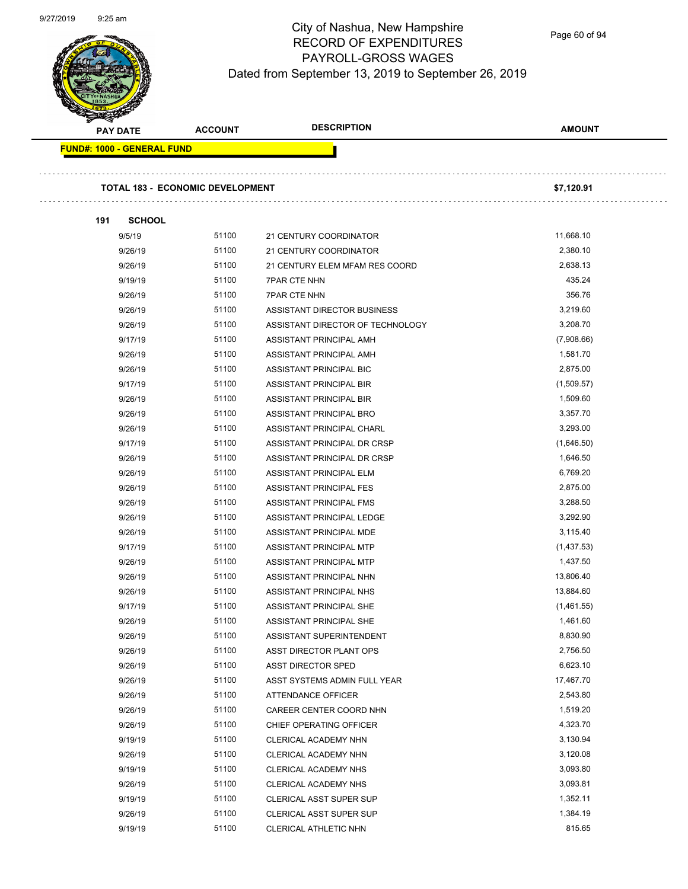

Page 60 of 94

| <b>PAY DATE</b>                   | <b>ACCOUNT</b>                          | <b>DESCRIPTION</b>               | <b>AMOUNT</b> |
|-----------------------------------|-----------------------------------------|----------------------------------|---------------|
| <b>FUND#: 1000 - GENERAL FUND</b> |                                         |                                  |               |
|                                   | <b>TOTAL 183 - ECONOMIC DEVELOPMENT</b> |                                  | \$7,120.91    |
| <b>SCHOOL</b><br>191              |                                         |                                  |               |
| 9/5/19                            | 51100                                   | 21 CENTURY COORDINATOR           | 11,668.10     |
| 9/26/19                           | 51100                                   | 21 CENTURY COORDINATOR           | 2,380.10      |
| 9/26/19                           | 51100                                   | 21 CENTURY ELEM MFAM RES COORD   | 2,638.13      |
| 9/19/19                           | 51100                                   | <b>7PAR CTE NHN</b>              | 435.24        |
| 9/26/19                           | 51100                                   | <b>7PAR CTE NHN</b>              | 356.76        |
| 9/26/19                           | 51100                                   | ASSISTANT DIRECTOR BUSINESS      | 3,219.60      |
| 9/26/19                           | 51100                                   | ASSISTANT DIRECTOR OF TECHNOLOGY | 3,208.70      |
| 9/17/19                           | 51100                                   |                                  | (7,908.66)    |
|                                   | 51100                                   | ASSISTANT PRINCIPAL AMH          | 1,581.70      |
| 9/26/19                           | 51100                                   | ASSISTANT PRINCIPAL AMH          | 2,875.00      |
| 9/26/19                           |                                         | ASSISTANT PRINCIPAL BIC          |               |
| 9/17/19                           | 51100                                   | ASSISTANT PRINCIPAL BIR          | (1,509.57)    |
| 9/26/19                           | 51100                                   | ASSISTANT PRINCIPAL BIR          | 1,509.60      |
| 9/26/19                           | 51100                                   | ASSISTANT PRINCIPAL BRO          | 3,357.70      |
| 9/26/19                           | 51100                                   | ASSISTANT PRINCIPAL CHARL        | 3,293.00      |
| 9/17/19                           | 51100                                   | ASSISTANT PRINCIPAL DR CRSP      | (1,646.50)    |
| 9/26/19                           | 51100                                   | ASSISTANT PRINCIPAL DR CRSP      | 1,646.50      |
| 9/26/19                           | 51100                                   | ASSISTANT PRINCIPAL ELM          | 6,769.20      |
| 9/26/19                           | 51100                                   | ASSISTANT PRINCIPAL FES          | 2,875.00      |
| 9/26/19                           | 51100                                   | ASSISTANT PRINCIPAL FMS          | 3,288.50      |
| 9/26/19                           | 51100                                   | ASSISTANT PRINCIPAL LEDGE        | 3,292.90      |
| 9/26/19                           | 51100                                   | ASSISTANT PRINCIPAL MDE          | 3,115.40      |
| 9/17/19                           | 51100                                   | ASSISTANT PRINCIPAL MTP          | (1,437.53)    |
| 9/26/19                           | 51100                                   | ASSISTANT PRINCIPAL MTP          | 1,437.50      |
| 9/26/19                           | 51100                                   | ASSISTANT PRINCIPAL NHN          | 13,806.40     |
| 9/26/19                           | 51100                                   | <b>ASSISTANT PRINCIPAL NHS</b>   | 13,884.60     |
| 9/17/19                           | 51100                                   | ASSISTANT PRINCIPAL SHE          | (1,461.55)    |
| 9/26/19                           | 51100                                   | ASSISTANT PRINCIPAL SHE          | 1,461.60      |
| 9/26/19                           | 51100                                   | ASSISTANT SUPERINTENDENT         | 8,830.90      |
| 9/26/19                           | 51100                                   | ASST DIRECTOR PLANT OPS          | 2,756.50      |
| 9/26/19                           | 51100                                   | ASST DIRECTOR SPED               | 6,623.10      |
| 9/26/19                           | 51100                                   | ASST SYSTEMS ADMIN FULL YEAR     | 17,467.70     |
| 9/26/19                           | 51100                                   | <b>ATTENDANCE OFFICER</b>        | 2,543.80      |
| 9/26/19                           | 51100                                   | CAREER CENTER COORD NHN          | 1,519.20      |
| 9/26/19                           | 51100                                   | CHIEF OPERATING OFFICER          | 4,323.70      |
| 9/19/19                           | 51100                                   | CLERICAL ACADEMY NHN             | 3,130.94      |
| 9/26/19                           | 51100                                   | CLERICAL ACADEMY NHN             | 3,120.08      |
| 9/19/19                           | 51100                                   | CLERICAL ACADEMY NHS             | 3,093.80      |
| 9/26/19                           | 51100                                   | CLERICAL ACADEMY NHS             | 3,093.81      |
| 9/19/19                           | 51100                                   | CLERICAL ASST SUPER SUP          | 1,352.11      |
| 9/26/19                           | 51100                                   | CLERICAL ASST SUPER SUP          | 1,384.19      |
| 9/19/19                           | 51100                                   | CLERICAL ATHLETIC NHN            | 815.65        |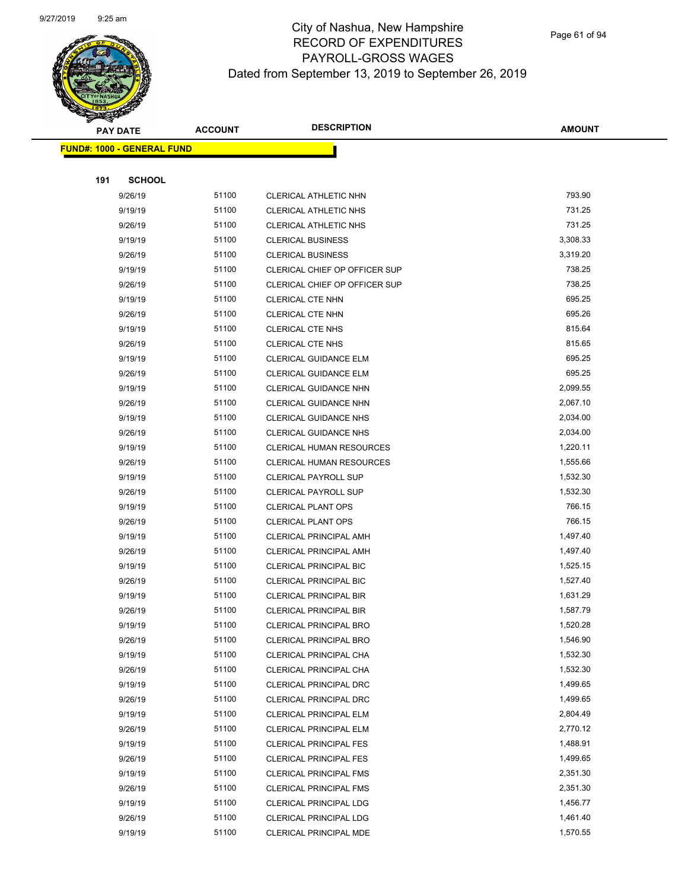

Page 61 of 94

|     | <b>PAY DATE</b>                   | <b>ACCOUNT</b> | <b>DESCRIPTION</b>                               | <b>AMOUNT</b>        |
|-----|-----------------------------------|----------------|--------------------------------------------------|----------------------|
|     | <b>FUND#: 1000 - GENERAL FUND</b> |                |                                                  |                      |
|     |                                   |                |                                                  |                      |
| 191 | <b>SCHOOL</b>                     |                |                                                  |                      |
|     | 9/26/19                           | 51100          | CLERICAL ATHLETIC NHN                            | 793.90               |
|     | 9/19/19                           | 51100          | <b>CLERICAL ATHLETIC NHS</b>                     | 731.25               |
|     | 9/26/19                           | 51100          | CLERICAL ATHLETIC NHS                            | 731.25               |
|     | 9/19/19                           | 51100          | <b>CLERICAL BUSINESS</b>                         | 3,308.33             |
|     | 9/26/19                           | 51100          | <b>CLERICAL BUSINESS</b>                         | 3,319.20             |
|     | 9/19/19                           | 51100          | CLERICAL CHIEF OP OFFICER SUP                    | 738.25               |
|     | 9/26/19                           | 51100          | CLERICAL CHIEF OP OFFICER SUP                    | 738.25               |
|     | 9/19/19                           | 51100          | CLERICAL CTE NHN                                 | 695.25               |
|     | 9/26/19                           | 51100          | CLERICAL CTE NHN                                 | 695.26               |
|     | 9/19/19                           | 51100          | <b>CLERICAL CTE NHS</b>                          | 815.64               |
|     | 9/26/19                           | 51100          | CLERICAL CTE NHS                                 | 815.65               |
|     | 9/19/19                           | 51100          | CLERICAL GUIDANCE ELM                            | 695.25               |
|     | 9/26/19                           | 51100          | CLERICAL GUIDANCE ELM                            | 695.25               |
|     | 9/19/19                           | 51100          | CLERICAL GUIDANCE NHN                            | 2,099.55             |
|     | 9/26/19                           | 51100          | CLERICAL GUIDANCE NHN                            | 2,067.10             |
|     | 9/19/19                           | 51100          | <b>CLERICAL GUIDANCE NHS</b>                     | 2,034.00             |
|     | 9/26/19                           | 51100          | <b>CLERICAL GUIDANCE NHS</b>                     | 2,034.00             |
|     | 9/19/19                           | 51100          | CLERICAL HUMAN RESOURCES                         | 1,220.11             |
|     | 9/26/19                           | 51100          | <b>CLERICAL HUMAN RESOURCES</b>                  | 1,555.66             |
|     | 9/19/19                           | 51100          | <b>CLERICAL PAYROLL SUP</b>                      | 1,532.30             |
|     | 9/26/19                           | 51100          | CLERICAL PAYROLL SUP                             | 1,532.30             |
|     | 9/19/19                           | 51100          | <b>CLERICAL PLANT OPS</b>                        | 766.15               |
|     | 9/26/19                           | 51100          | <b>CLERICAL PLANT OPS</b>                        | 766.15               |
|     | 9/19/19                           | 51100          | CLERICAL PRINCIPAL AMH                           | 1,497.40             |
|     | 9/26/19                           | 51100          | CLERICAL PRINCIPAL AMH                           | 1,497.40             |
|     | 9/19/19                           | 51100          | CLERICAL PRINCIPAL BIC                           | 1,525.15             |
|     | 9/26/19                           | 51100          | <b>CLERICAL PRINCIPAL BIC</b>                    | 1,527.40             |
|     | 9/19/19                           | 51100          | <b>CLERICAL PRINCIPAL BIR</b>                    | 1,631.29             |
|     | 9/26/19                           | 51100          | <b>CLERICAL PRINCIPAL BIR</b>                    | 1,587.79             |
|     | 9/19/19                           | 51100          | CLERICAL PRINCIPAL BRO                           | 1,520.28             |
|     | 9/26/19                           | 51100          | <b>CLERICAL PRINCIPAL BRO</b>                    | 1,546.90             |
|     | 9/19/19                           | 51100          | CLERICAL PRINCIPAL CHA                           | 1,532.30             |
|     | 9/26/19                           | 51100          | CLERICAL PRINCIPAL CHA                           | 1,532.30             |
|     | 9/19/19                           | 51100          | CLERICAL PRINCIPAL DRC                           | 1,499.65             |
|     | 9/26/19                           | 51100          | CLERICAL PRINCIPAL DRC                           | 1,499.65             |
|     | 9/19/19                           | 51100          | <b>CLERICAL PRINCIPAL ELM</b>                    | 2,804.49             |
|     | 9/26/19                           | 51100          | <b>CLERICAL PRINCIPAL ELM</b>                    | 2,770.12             |
|     | 9/19/19                           | 51100          | <b>CLERICAL PRINCIPAL FES</b>                    | 1,488.91             |
|     | 9/26/19                           | 51100          | <b>CLERICAL PRINCIPAL FES</b>                    | 1,499.65             |
|     | 9/19/19                           | 51100          | <b>CLERICAL PRINCIPAL FMS</b>                    | 2,351.30             |
|     | 9/26/19                           | 51100<br>51100 | <b>CLERICAL PRINCIPAL FMS</b>                    | 2,351.30             |
|     | 9/19/19                           | 51100          | <b>CLERICAL PRINCIPAL LDG</b>                    | 1,456.77<br>1,461.40 |
|     | 9/26/19<br>9/19/19                | 51100          | CLERICAL PRINCIPAL LDG<br>CLERICAL PRINCIPAL MDE | 1,570.55             |
|     |                                   |                |                                                  |                      |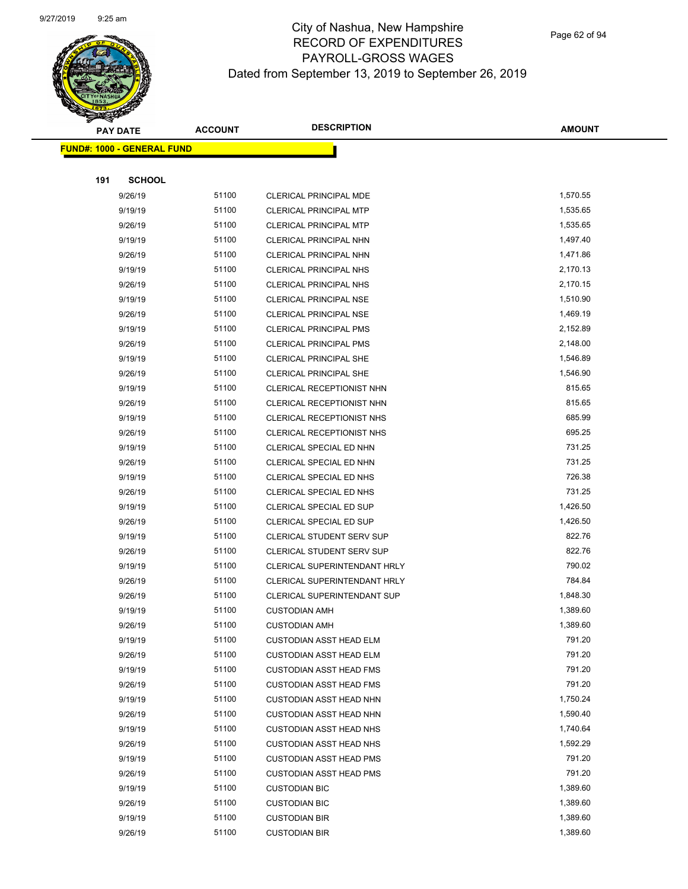

Page 62 of 94

|     | <b>PAY DATE</b>                    | <b>ACCOUNT</b> | <b>DESCRIPTION</b>                 | <b>AMOUNT</b> |
|-----|------------------------------------|----------------|------------------------------------|---------------|
|     | <u> FUND#: 1000 - GENERAL FUND</u> |                |                                    |               |
|     |                                    |                |                                    |               |
| 191 | <b>SCHOOL</b>                      |                |                                    |               |
|     | 9/26/19                            | 51100          | CLERICAL PRINCIPAL MDE             | 1,570.55      |
|     | 9/19/19                            | 51100          | <b>CLERICAL PRINCIPAL MTP</b>      | 1,535.65      |
|     | 9/26/19                            | 51100          | <b>CLERICAL PRINCIPAL MTP</b>      | 1,535.65      |
|     | 9/19/19                            | 51100          | CLERICAL PRINCIPAL NHN             | 1,497.40      |
|     | 9/26/19                            | 51100          | CLERICAL PRINCIPAL NHN             | 1,471.86      |
|     | 9/19/19                            | 51100          | <b>CLERICAL PRINCIPAL NHS</b>      | 2,170.13      |
|     | 9/26/19                            | 51100          | <b>CLERICAL PRINCIPAL NHS</b>      | 2,170.15      |
|     | 9/19/19                            | 51100          | <b>CLERICAL PRINCIPAL NSE</b>      | 1,510.90      |
|     | 9/26/19                            | 51100          | <b>CLERICAL PRINCIPAL NSE</b>      | 1,469.19      |
|     | 9/19/19                            | 51100          | <b>CLERICAL PRINCIPAL PMS</b>      | 2,152.89      |
|     | 9/26/19                            | 51100          | <b>CLERICAL PRINCIPAL PMS</b>      | 2,148.00      |
|     | 9/19/19                            | 51100          | <b>CLERICAL PRINCIPAL SHE</b>      | 1,546.89      |
|     | 9/26/19                            | 51100          | <b>CLERICAL PRINCIPAL SHE</b>      | 1,546.90      |
|     | 9/19/19                            | 51100          | CLERICAL RECEPTIONIST NHN          | 815.65        |
|     | 9/26/19                            | 51100          | CLERICAL RECEPTIONIST NHN          | 815.65        |
|     | 9/19/19                            | 51100          | CLERICAL RECEPTIONIST NHS          | 685.99        |
|     | 9/26/19                            | 51100          | CLERICAL RECEPTIONIST NHS          | 695.25        |
|     | 9/19/19                            | 51100          | CLERICAL SPECIAL ED NHN            | 731.25        |
|     | 9/26/19                            | 51100          | CLERICAL SPECIAL ED NHN            | 731.25        |
|     | 9/19/19                            | 51100          | CLERICAL SPECIAL ED NHS            | 726.38        |
|     | 9/26/19                            | 51100          | CLERICAL SPECIAL ED NHS            | 731.25        |
|     | 9/19/19                            | 51100          | CLERICAL SPECIAL ED SUP            | 1,426.50      |
|     | 9/26/19                            | 51100          | <b>CLERICAL SPECIAL ED SUP</b>     | 1,426.50      |
|     | 9/19/19                            | 51100          | CLERICAL STUDENT SERV SUP          | 822.76        |
|     | 9/26/19                            | 51100          | <b>CLERICAL STUDENT SERV SUP</b>   | 822.76        |
|     | 9/19/19                            | 51100          | CLERICAL SUPERINTENDANT HRLY       | 790.02        |
|     | 9/26/19                            | 51100          | CLERICAL SUPERINTENDANT HRLY       | 784.84        |
|     | 9/26/19                            | 51100          | <b>CLERICAL SUPERINTENDANT SUP</b> | 1,848.30      |
|     | 9/19/19                            | 51100          | <b>CUSTODIAN AMH</b>               | 1,389.60      |
|     | 9/26/19                            | 51100          | <b>CUSTODIAN AMH</b>               | 1,389.60      |
|     | 9/19/19                            | 51100          | <b>CUSTODIAN ASST HEAD ELM</b>     | 791.20        |
|     | 9/26/19                            | 51100          | <b>CUSTODIAN ASST HEAD ELM</b>     | 791.20        |
|     | 9/19/19                            | 51100          | <b>CUSTODIAN ASST HEAD FMS</b>     | 791.20        |
|     | 9/26/19                            | 51100          | <b>CUSTODIAN ASST HEAD FMS</b>     | 791.20        |
|     | 9/19/19                            | 51100          | <b>CUSTODIAN ASST HEAD NHN</b>     | 1,750.24      |
|     | 9/26/19                            | 51100          | <b>CUSTODIAN ASST HEAD NHN</b>     | 1,590.40      |
|     | 9/19/19                            | 51100          | <b>CUSTODIAN ASST HEAD NHS</b>     | 1,740.64      |
|     | 9/26/19                            | 51100          | <b>CUSTODIAN ASST HEAD NHS</b>     | 1,592.29      |
|     | 9/19/19                            | 51100          | <b>CUSTODIAN ASST HEAD PMS</b>     | 791.20        |
|     | 9/26/19                            | 51100          | <b>CUSTODIAN ASST HEAD PMS</b>     | 791.20        |
|     | 9/19/19                            | 51100          | <b>CUSTODIAN BIC</b>               | 1,389.60      |
|     | 9/26/19                            | 51100          | <b>CUSTODIAN BIC</b>               | 1,389.60      |
|     | 9/19/19                            | 51100          | <b>CUSTODIAN BIR</b>               | 1,389.60      |
|     | 9/26/19                            | 51100          | <b>CUSTODIAN BIR</b>               | 1,389.60      |
|     |                                    |                |                                    |               |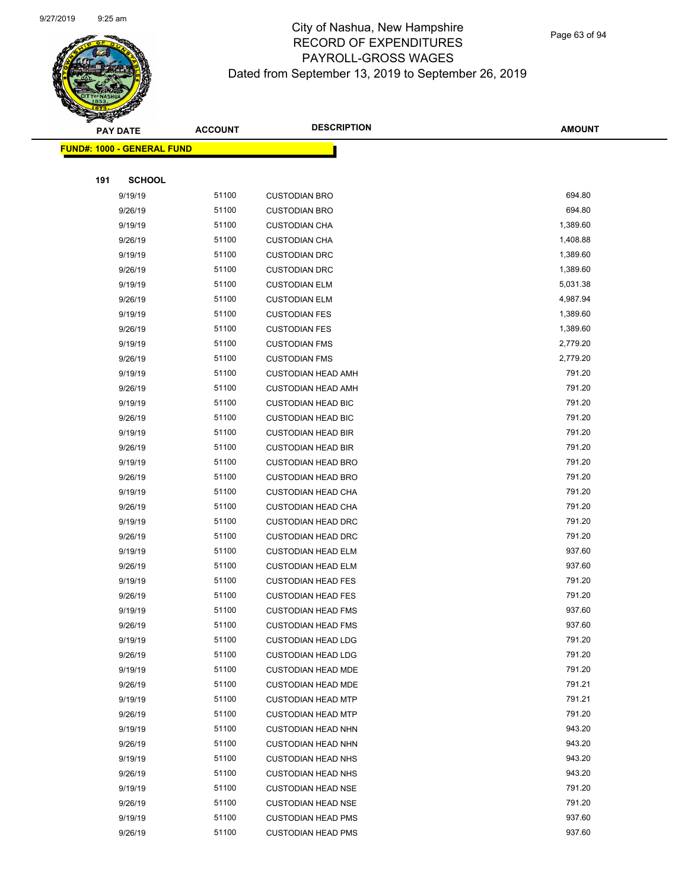

| <b>PAY DATE</b> |                                   | <b>DESCRIPTION</b><br><b>ACCOUNT</b> | <b>AMOUNT</b>             |          |
|-----------------|-----------------------------------|--------------------------------------|---------------------------|----------|
|                 | <b>FUND#: 1000 - GENERAL FUND</b> |                                      |                           |          |
|                 |                                   |                                      |                           |          |
| 191             | <b>SCHOOL</b>                     |                                      |                           |          |
|                 | 9/19/19                           | 51100                                | <b>CUSTODIAN BRO</b>      | 694.80   |
|                 | 9/26/19                           | 51100                                | <b>CUSTODIAN BRO</b>      | 694.80   |
|                 | 9/19/19                           | 51100                                | <b>CUSTODIAN CHA</b>      | 1,389.60 |
|                 | 9/26/19                           | 51100                                | <b>CUSTODIAN CHA</b>      | 1,408.88 |
|                 | 9/19/19                           | 51100                                | <b>CUSTODIAN DRC</b>      | 1,389.60 |
|                 | 9/26/19                           | 51100                                | <b>CUSTODIAN DRC</b>      | 1,389.60 |
|                 | 9/19/19                           | 51100                                | <b>CUSTODIAN ELM</b>      | 5,031.38 |
|                 | 9/26/19                           | 51100                                | <b>CUSTODIAN ELM</b>      | 4,987.94 |
|                 | 9/19/19                           | 51100                                | <b>CUSTODIAN FES</b>      | 1,389.60 |
|                 | 9/26/19                           | 51100                                | <b>CUSTODIAN FES</b>      | 1,389.60 |
|                 | 9/19/19                           | 51100                                | <b>CUSTODIAN FMS</b>      | 2,779.20 |
|                 | 9/26/19                           | 51100                                | <b>CUSTODIAN FMS</b>      | 2,779.20 |
|                 | 9/19/19                           | 51100                                | <b>CUSTODIAN HEAD AMH</b> | 791.20   |
|                 | 9/26/19                           | 51100                                | <b>CUSTODIAN HEAD AMH</b> | 791.20   |
|                 | 9/19/19                           | 51100                                | <b>CUSTODIAN HEAD BIC</b> | 791.20   |
|                 | 9/26/19                           | 51100                                | <b>CUSTODIAN HEAD BIC</b> | 791.20   |
|                 | 9/19/19                           | 51100                                | <b>CUSTODIAN HEAD BIR</b> | 791.20   |
|                 | 9/26/19                           | 51100                                | <b>CUSTODIAN HEAD BIR</b> | 791.20   |
|                 | 9/19/19                           | 51100                                | <b>CUSTODIAN HEAD BRO</b> | 791.20   |
|                 | 9/26/19                           | 51100                                | <b>CUSTODIAN HEAD BRO</b> | 791.20   |
|                 | 9/19/19                           | 51100                                | <b>CUSTODIAN HEAD CHA</b> | 791.20   |
|                 | 9/26/19                           | 51100                                | <b>CUSTODIAN HEAD CHA</b> | 791.20   |
|                 | 9/19/19                           | 51100                                | <b>CUSTODIAN HEAD DRC</b> | 791.20   |
|                 | 9/26/19                           | 51100                                | <b>CUSTODIAN HEAD DRC</b> | 791.20   |
|                 | 9/19/19                           | 51100                                | <b>CUSTODIAN HEAD ELM</b> | 937.60   |
|                 | 9/26/19                           | 51100                                | <b>CUSTODIAN HEAD ELM</b> | 937.60   |
|                 | 9/19/19                           | 51100                                | <b>CUSTODIAN HEAD FES</b> | 791.20   |
|                 | 9/26/19                           | 51100                                | <b>CUSTODIAN HEAD FES</b> | 791.20   |
|                 | 9/19/19                           | 51100                                | <b>CUSTODIAN HEAD FMS</b> | 937.60   |
|                 | 9/26/19                           | 51100                                | <b>CUSTODIAN HEAD FMS</b> | 937.60   |
|                 | 9/19/19                           | 51100                                | <b>CUSTODIAN HEAD LDG</b> | 791.20   |
|                 | 9/26/19                           | 51100                                | <b>CUSTODIAN HEAD LDG</b> | 791.20   |
|                 | 9/19/19                           | 51100                                | <b>CUSTODIAN HEAD MDE</b> | 791.20   |
|                 | 9/26/19                           | 51100                                | <b>CUSTODIAN HEAD MDE</b> | 791.21   |
|                 | 9/19/19                           | 51100                                | <b>CUSTODIAN HEAD MTP</b> | 791.21   |
|                 | 9/26/19                           | 51100                                | <b>CUSTODIAN HEAD MTP</b> | 791.20   |
|                 | 9/19/19                           | 51100                                | <b>CUSTODIAN HEAD NHN</b> | 943.20   |
|                 | 9/26/19                           | 51100                                | <b>CUSTODIAN HEAD NHN</b> | 943.20   |
|                 | 9/19/19                           | 51100                                | <b>CUSTODIAN HEAD NHS</b> | 943.20   |
|                 | 9/26/19                           | 51100                                | <b>CUSTODIAN HEAD NHS</b> | 943.20   |
|                 | 9/19/19                           | 51100                                | <b>CUSTODIAN HEAD NSE</b> | 791.20   |
|                 | 9/26/19                           | 51100                                | <b>CUSTODIAN HEAD NSE</b> | 791.20   |
|                 | 9/19/19                           | 51100                                | <b>CUSTODIAN HEAD PMS</b> | 937.60   |
|                 | 9/26/19                           | 51100                                | <b>CUSTODIAN HEAD PMS</b> | 937.60   |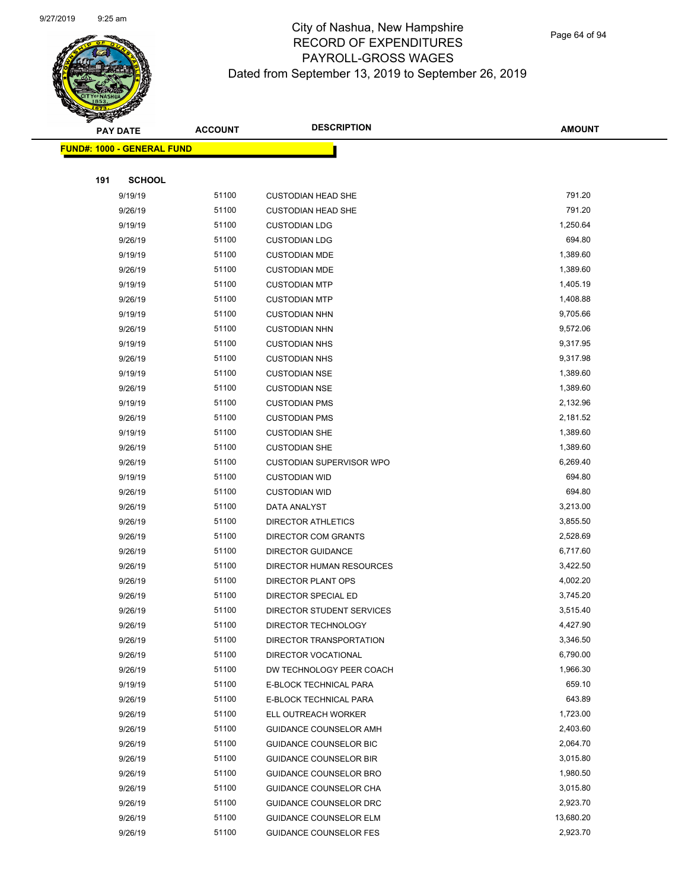

Page 64 of 94

|     | <b>PAY DATE</b>                    | <b>ACCOUNT</b> | <b>DESCRIPTION</b>              | <b>AMOUNT</b> |  |
|-----|------------------------------------|----------------|---------------------------------|---------------|--|
|     | <u> FUND#: 1000 - GENERAL FUND</u> |                |                                 |               |  |
|     |                                    |                |                                 |               |  |
| 191 | <b>SCHOOL</b>                      |                |                                 |               |  |
|     | 9/19/19                            | 51100          | <b>CUSTODIAN HEAD SHE</b>       | 791.20        |  |
|     | 9/26/19                            | 51100          | <b>CUSTODIAN HEAD SHE</b>       | 791.20        |  |
|     | 9/19/19                            | 51100          | <b>CUSTODIAN LDG</b>            | 1,250.64      |  |
|     | 9/26/19                            | 51100          | <b>CUSTODIAN LDG</b>            | 694.80        |  |
|     | 9/19/19                            | 51100          | <b>CUSTODIAN MDE</b>            | 1,389.60      |  |
|     | 9/26/19                            | 51100          | <b>CUSTODIAN MDE</b>            | 1,389.60      |  |
|     | 9/19/19                            | 51100          | <b>CUSTODIAN MTP</b>            | 1,405.19      |  |
|     | 9/26/19                            | 51100          | <b>CUSTODIAN MTP</b>            | 1,408.88      |  |
|     | 9/19/19                            | 51100          | <b>CUSTODIAN NHN</b>            | 9,705.66      |  |
|     | 9/26/19                            | 51100          | <b>CUSTODIAN NHN</b>            | 9,572.06      |  |
|     | 9/19/19                            | 51100          | <b>CUSTODIAN NHS</b>            | 9,317.95      |  |
|     | 9/26/19                            | 51100          | <b>CUSTODIAN NHS</b>            | 9,317.98      |  |
|     | 9/19/19                            | 51100          | <b>CUSTODIAN NSE</b>            | 1,389.60      |  |
|     | 9/26/19                            | 51100          | <b>CUSTODIAN NSE</b>            | 1,389.60      |  |
|     | 9/19/19                            | 51100          | <b>CUSTODIAN PMS</b>            | 2,132.96      |  |
|     | 9/26/19                            | 51100          | <b>CUSTODIAN PMS</b>            | 2,181.52      |  |
|     | 9/19/19                            | 51100          | <b>CUSTODIAN SHE</b>            | 1,389.60      |  |
|     | 9/26/19                            | 51100          | <b>CUSTODIAN SHE</b>            | 1,389.60      |  |
|     | 9/26/19                            | 51100          | <b>CUSTODIAN SUPERVISOR WPO</b> | 6,269.40      |  |
|     | 9/19/19                            | 51100          | <b>CUSTODIAN WID</b>            | 694.80        |  |
|     | 9/26/19                            | 51100          | <b>CUSTODIAN WID</b>            | 694.80        |  |
|     | 9/26/19                            | 51100          | DATA ANALYST                    | 3,213.00      |  |
|     | 9/26/19                            | 51100          | <b>DIRECTOR ATHLETICS</b>       | 3,855.50      |  |
|     | 9/26/19                            | 51100          | DIRECTOR COM GRANTS             | 2,528.69      |  |
|     | 9/26/19                            | 51100          | <b>DIRECTOR GUIDANCE</b>        | 6,717.60      |  |
|     | 9/26/19                            | 51100          | DIRECTOR HUMAN RESOURCES        | 3,422.50      |  |
|     | 9/26/19                            | 51100          | DIRECTOR PLANT OPS              | 4,002.20      |  |
|     | 9/26/19                            | 51100          | DIRECTOR SPECIAL ED             | 3,745.20      |  |
|     | 9/26/19                            | 51100          | DIRECTOR STUDENT SERVICES       | 3,515.40      |  |
|     | 9/26/19                            | 51100          | DIRECTOR TECHNOLOGY             | 4,427.90      |  |
|     | 9/26/19                            | 51100          | DIRECTOR TRANSPORTATION         | 3,346.50      |  |
|     | 9/26/19                            | 51100          | DIRECTOR VOCATIONAL             | 6,790.00      |  |
|     | 9/26/19                            | 51100          | DW TECHNOLOGY PEER COACH        | 1,966.30      |  |
|     | 9/19/19                            | 51100          | E-BLOCK TECHNICAL PARA          | 659.10        |  |
|     | 9/26/19                            | 51100          | E-BLOCK TECHNICAL PARA          | 643.89        |  |
|     | 9/26/19                            | 51100          | ELL OUTREACH WORKER             | 1,723.00      |  |
|     | 9/26/19                            | 51100          | GUIDANCE COUNSELOR AMH          | 2,403.60      |  |
|     | 9/26/19                            | 51100          | <b>GUIDANCE COUNSELOR BIC</b>   | 2,064.70      |  |
|     | 9/26/19                            | 51100          | <b>GUIDANCE COUNSELOR BIR</b>   | 3,015.80      |  |
|     | 9/26/19                            | 51100          | GUIDANCE COUNSELOR BRO          | 1,980.50      |  |
|     | 9/26/19                            | 51100          | GUIDANCE COUNSELOR CHA          | 3,015.80      |  |
|     | 9/26/19                            | 51100          | GUIDANCE COUNSELOR DRC          | 2,923.70      |  |
|     | 9/26/19                            | 51100          | GUIDANCE COUNSELOR ELM          | 13,680.20     |  |
|     | 9/26/19                            | 51100          | <b>GUIDANCE COUNSELOR FES</b>   | 2,923.70      |  |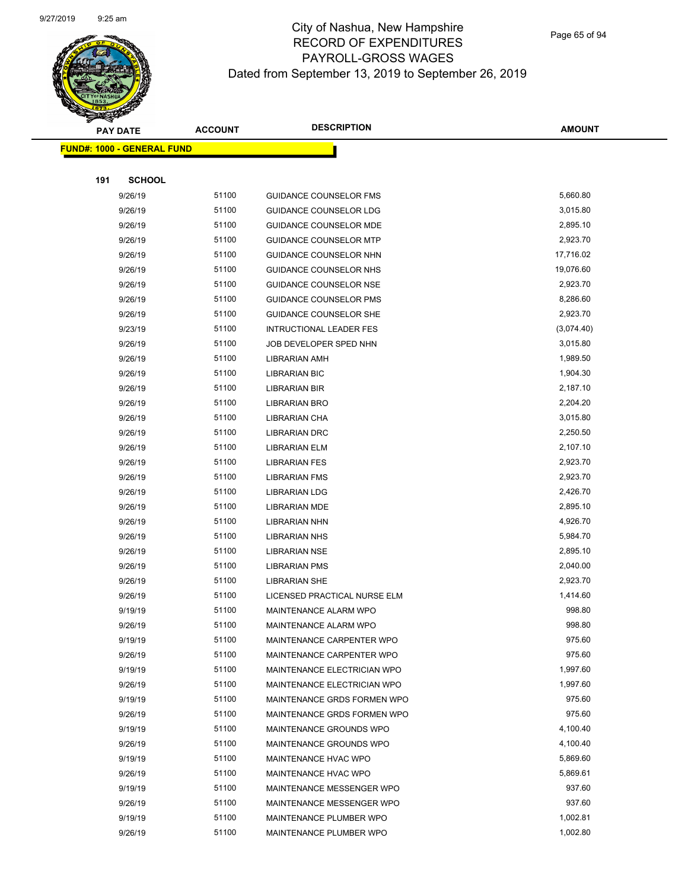

|     | <b>PAY DATE</b>                   | <b>ACCOUNT</b> | <b>DESCRIPTION</b>            | <b>AMOUNT</b> |
|-----|-----------------------------------|----------------|-------------------------------|---------------|
|     | <b>FUND#: 1000 - GENERAL FUND</b> |                |                               |               |
|     |                                   |                |                               |               |
| 191 | <b>SCHOOL</b>                     |                |                               |               |
|     | 9/26/19                           | 51100          | <b>GUIDANCE COUNSELOR FMS</b> | 5,660.80      |
|     | 9/26/19                           | 51100          | <b>GUIDANCE COUNSELOR LDG</b> | 3,015.80      |
|     | 9/26/19                           | 51100          | GUIDANCE COUNSELOR MDE        | 2,895.10      |
|     | 9/26/19                           | 51100          | <b>GUIDANCE COUNSELOR MTP</b> | 2,923.70      |
|     | 9/26/19                           | 51100          | GUIDANCE COUNSELOR NHN        | 17,716.02     |
|     | 9/26/19                           | 51100          | <b>GUIDANCE COUNSELOR NHS</b> | 19,076.60     |
|     | 9/26/19                           | 51100          | <b>GUIDANCE COUNSELOR NSE</b> | 2,923.70      |
|     | 9/26/19                           | 51100          | <b>GUIDANCE COUNSELOR PMS</b> | 8,286.60      |
|     | 9/26/19                           | 51100          | <b>GUIDANCE COUNSELOR SHE</b> | 2,923.70      |
|     | 9/23/19                           | 51100          | INTRUCTIONAL LEADER FES       | (3,074.40)    |
|     | 9/26/19                           | 51100          | JOB DEVELOPER SPED NHN        | 3,015.80      |
|     | 9/26/19                           | 51100          | <b>LIBRARIAN AMH</b>          | 1,989.50      |
|     | 9/26/19                           | 51100          | <b>LIBRARIAN BIC</b>          | 1,904.30      |
|     | 9/26/19                           | 51100          | <b>LIBRARIAN BIR</b>          | 2,187.10      |
|     | 9/26/19                           | 51100          | <b>LIBRARIAN BRO</b>          | 2,204.20      |
|     | 9/26/19                           | 51100          | LIBRARIAN CHA                 | 3,015.80      |
|     | 9/26/19                           | 51100          | <b>LIBRARIAN DRC</b>          | 2,250.50      |
|     | 9/26/19                           | 51100          | <b>LIBRARIAN ELM</b>          | 2,107.10      |
|     | 9/26/19                           | 51100          | <b>LIBRARIAN FES</b>          | 2,923.70      |
|     | 9/26/19                           | 51100          | <b>LIBRARIAN FMS</b>          | 2,923.70      |
|     | 9/26/19                           | 51100          | <b>LIBRARIAN LDG</b>          | 2,426.70      |
|     | 9/26/19                           | 51100          | <b>LIBRARIAN MDE</b>          | 2,895.10      |
|     | 9/26/19                           | 51100          | <b>LIBRARIAN NHN</b>          | 4,926.70      |
|     | 9/26/19                           | 51100          | <b>LIBRARIAN NHS</b>          | 5,984.70      |
|     | 9/26/19                           | 51100          | <b>LIBRARIAN NSE</b>          | 2,895.10      |
|     | 9/26/19                           | 51100          | <b>LIBRARIAN PMS</b>          | 2,040.00      |
|     | 9/26/19                           | 51100          | <b>LIBRARIAN SHE</b>          | 2,923.70      |
|     | 9/26/19                           | 51100          | LICENSED PRACTICAL NURSE ELM  | 1,414.60      |
|     | 9/19/19                           | 51100          | MAINTENANCE ALARM WPO         | 998.80        |
|     | 9/26/19                           | 51100          | MAINTENANCE ALARM WPO         | 998.80        |
|     | 9/19/19                           | 51100          | MAINTENANCE CARPENTER WPO     | 975.60        |
|     | 9/26/19                           | 51100          | MAINTENANCE CARPENTER WPO     | 975.60        |
|     | 9/19/19                           | 51100          | MAINTENANCE ELECTRICIAN WPO   | 1,997.60      |
|     | 9/26/19                           | 51100          | MAINTENANCE ELECTRICIAN WPO   | 1,997.60      |
|     | 9/19/19                           | 51100          | MAINTENANCE GRDS FORMEN WPO   | 975.60        |
|     | 9/26/19                           | 51100          | MAINTENANCE GRDS FORMEN WPO   | 975.60        |
|     | 9/19/19                           | 51100          | MAINTENANCE GROUNDS WPO       | 4,100.40      |
|     | 9/26/19                           | 51100          | MAINTENANCE GROUNDS WPO       | 4,100.40      |
|     | 9/19/19                           | 51100          | MAINTENANCE HVAC WPO          | 5,869.60      |
|     | 9/26/19                           | 51100          | MAINTENANCE HVAC WPO          | 5,869.61      |
|     | 9/19/19                           | 51100          | MAINTENANCE MESSENGER WPO     | 937.60        |
|     | 9/26/19                           | 51100          | MAINTENANCE MESSENGER WPO     | 937.60        |
|     | 9/19/19                           | 51100          | MAINTENANCE PLUMBER WPO       | 1,002.81      |
|     | 9/26/19                           | 51100          | MAINTENANCE PLUMBER WPO       | 1,002.80      |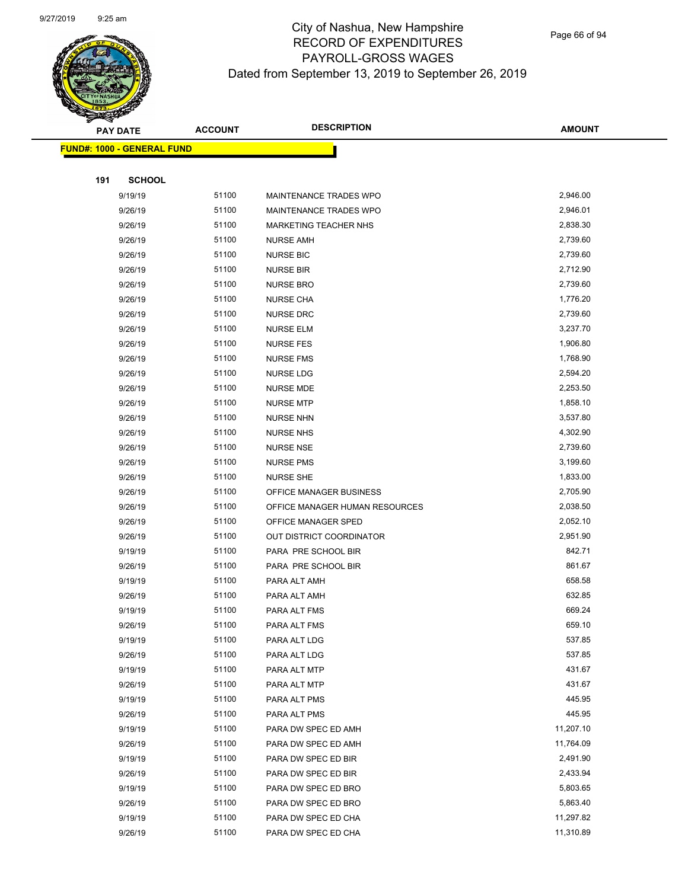

|     | <b>PAY DATE</b>                   | <b>ACCOUNT</b> | <b>DESCRIPTION</b>             | <b>AMOUNT</b>    |
|-----|-----------------------------------|----------------|--------------------------------|------------------|
|     | <b>FUND#: 1000 - GENERAL FUND</b> |                |                                |                  |
|     |                                   |                |                                |                  |
| 191 | <b>SCHOOL</b>                     |                |                                |                  |
|     | 9/19/19                           | 51100          | MAINTENANCE TRADES WPO         | 2,946.00         |
|     | 9/26/19                           | 51100          | MAINTENANCE TRADES WPO         | 2,946.01         |
|     | 9/26/19                           | 51100          | <b>MARKETING TEACHER NHS</b>   | 2,838.30         |
|     | 9/26/19                           | 51100          | <b>NURSE AMH</b>               | 2,739.60         |
|     | 9/26/19                           | 51100          | <b>NURSE BIC</b>               | 2,739.60         |
|     | 9/26/19                           | 51100          | <b>NURSE BIR</b>               | 2,712.90         |
|     | 9/26/19                           | 51100          | <b>NURSE BRO</b>               | 2,739.60         |
|     | 9/26/19                           | 51100          | <b>NURSE CHA</b>               | 1,776.20         |
|     | 9/26/19                           | 51100          | <b>NURSE DRC</b>               | 2,739.60         |
|     | 9/26/19                           | 51100          | <b>NURSE ELM</b>               | 3,237.70         |
|     | 9/26/19                           | 51100          | <b>NURSE FES</b>               | 1,906.80         |
|     | 9/26/19                           | 51100          | <b>NURSE FMS</b>               | 1,768.90         |
|     | 9/26/19                           | 51100          | <b>NURSE LDG</b>               | 2,594.20         |
|     | 9/26/19                           | 51100          | <b>NURSE MDE</b>               | 2,253.50         |
|     | 9/26/19                           | 51100          | <b>NURSE MTP</b>               | 1,858.10         |
|     | 9/26/19                           | 51100          | <b>NURSE NHN</b>               | 3,537.80         |
|     | 9/26/19                           | 51100          | <b>NURSE NHS</b>               | 4,302.90         |
|     | 9/26/19                           | 51100          | <b>NURSE NSE</b>               | 2,739.60         |
|     | 9/26/19                           | 51100          | <b>NURSE PMS</b>               | 3,199.60         |
|     | 9/26/19                           | 51100          | <b>NURSE SHE</b>               | 1,833.00         |
|     | 9/26/19                           | 51100          | OFFICE MANAGER BUSINESS        | 2,705.90         |
|     | 9/26/19                           | 51100          | OFFICE MANAGER HUMAN RESOURCES | 2,038.50         |
|     | 9/26/19                           | 51100          | OFFICE MANAGER SPED            | 2,052.10         |
|     | 9/26/19                           | 51100          | OUT DISTRICT COORDINATOR       | 2,951.90         |
|     | 9/19/19                           | 51100          | PARA PRE SCHOOL BIR            | 842.71           |
|     | 9/26/19                           | 51100          | PARA PRE SCHOOL BIR            | 861.67           |
|     | 9/19/19                           | 51100          | PARA ALT AMH                   | 658.58           |
|     | 9/26/19                           | 51100          | PARA ALT AMH                   | 632.85           |
|     | 9/19/19                           | 51100          | PARA ALT FMS                   | 669.24           |
|     | 9/26/19                           | 51100          | PARA ALT FMS                   | 659.10           |
|     | 9/19/19                           | 51100          | PARA ALT LDG                   | 537.85           |
|     | 9/26/19                           | 51100          | PARA ALT LDG                   | 537.85           |
|     | 9/19/19                           | 51100<br>51100 | PARA ALT MTP                   | 431.67<br>431.67 |
|     | 9/26/19                           | 51100          | PARA ALT MTP                   | 445.95           |
|     | 9/19/19<br>9/26/19                | 51100          | PARA ALT PMS<br>PARA ALT PMS   | 445.95           |
|     | 9/19/19                           | 51100          | PARA DW SPEC ED AMH            | 11,207.10        |
|     | 9/26/19                           | 51100          | PARA DW SPEC ED AMH            | 11,764.09        |
|     | 9/19/19                           | 51100          | PARA DW SPEC ED BIR            | 2,491.90         |
|     | 9/26/19                           | 51100          | PARA DW SPEC ED BIR            | 2,433.94         |
|     | 9/19/19                           | 51100          | PARA DW SPEC ED BRO            | 5,803.65         |
|     | 9/26/19                           | 51100          | PARA DW SPEC ED BRO            | 5,863.40         |
|     | 9/19/19                           | 51100          | PARA DW SPEC ED CHA            | 11,297.82        |
|     | 9/26/19                           | 51100          | PARA DW SPEC ED CHA            | 11,310.89        |
|     |                                   |                |                                |                  |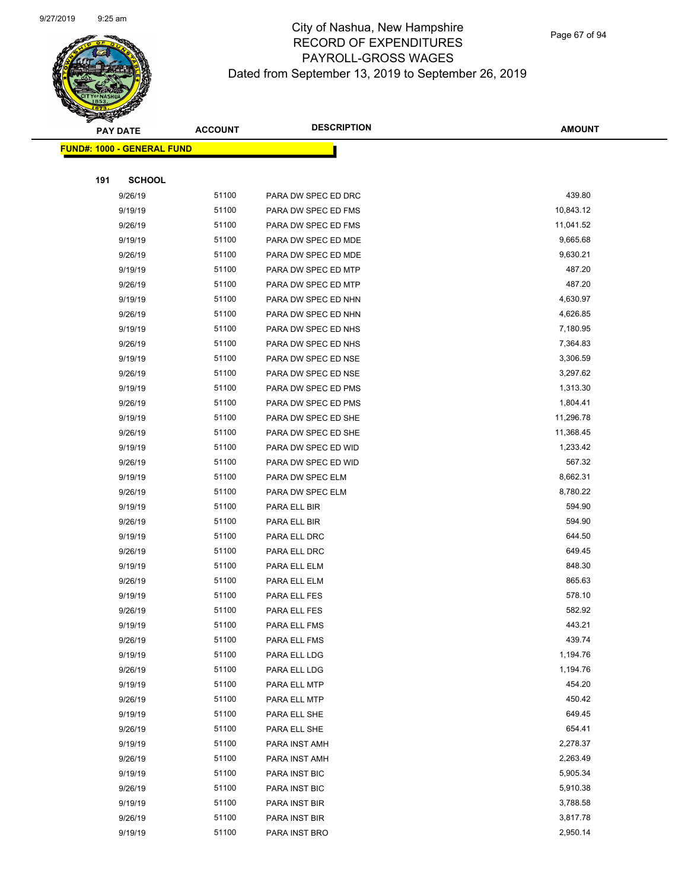

Page 67 of 94

| <b>PAY DATE</b>                    | <b>ACCOUNT</b> | <b>DESCRIPTION</b>             | <b>AMOUNT</b>        |
|------------------------------------|----------------|--------------------------------|----------------------|
| <u> FUND#: 1000 - GENERAL FUND</u> |                |                                |                      |
|                                    |                |                                |                      |
| <b>SCHOOL</b><br>191               |                |                                |                      |
| 9/26/19                            | 51100          | PARA DW SPEC ED DRC            | 439.80               |
| 9/19/19                            | 51100          | PARA DW SPEC ED FMS            | 10,843.12            |
| 9/26/19                            | 51100          | PARA DW SPEC ED FMS            | 11,041.52            |
| 9/19/19                            | 51100          | PARA DW SPEC ED MDE            | 9,665.68             |
| 9/26/19                            | 51100          | PARA DW SPEC ED MDE            | 9,630.21             |
| 9/19/19                            | 51100          | PARA DW SPEC ED MTP            | 487.20               |
| 9/26/19                            | 51100          | PARA DW SPEC ED MTP            | 487.20               |
| 9/19/19                            | 51100          | PARA DW SPEC ED NHN            | 4,630.97             |
| 9/26/19                            | 51100          | PARA DW SPEC ED NHN            | 4,626.85             |
| 9/19/19                            | 51100          | PARA DW SPEC ED NHS            | 7,180.95             |
| 9/26/19                            | 51100          | PARA DW SPEC ED NHS            | 7,364.83             |
| 9/19/19                            | 51100          | PARA DW SPEC ED NSE            | 3,306.59             |
| 9/26/19                            | 51100          | PARA DW SPEC ED NSE            | 3,297.62             |
| 9/19/19                            | 51100          | PARA DW SPEC ED PMS            | 1,313.30             |
| 9/26/19                            | 51100          | PARA DW SPEC ED PMS            | 1,804.41             |
| 9/19/19                            | 51100          | PARA DW SPEC ED SHE            | 11,296.78            |
| 9/26/19                            | 51100          | PARA DW SPEC ED SHE            | 11,368.45            |
| 9/19/19                            | 51100          | PARA DW SPEC ED WID            | 1,233.42             |
| 9/26/19                            | 51100          | PARA DW SPEC ED WID            | 567.32               |
| 9/19/19                            | 51100          | PARA DW SPEC ELM               | 8,662.31             |
| 9/26/19                            | 51100          | PARA DW SPEC ELM               | 8,780.22             |
| 9/19/19                            | 51100          | PARA ELL BIR                   | 594.90               |
| 9/26/19                            | 51100          | PARA ELL BIR                   | 594.90               |
| 9/19/19                            | 51100          | PARA ELL DRC                   | 644.50               |
| 9/26/19                            | 51100          | PARA ELL DRC                   | 649.45               |
| 9/19/19                            | 51100          | PARA ELL ELM                   | 848.30               |
| 9/26/19                            | 51100          | PARA ELL ELM                   | 865.63               |
| 9/19/19                            | 51100          | PARA ELL FES                   | 578.10               |
| 9/26/19                            | 51100          | PARA ELL FES                   | 582.92               |
| 9/19/19                            | 51100          | PARA ELL FMS                   | 443.21               |
| 9/26/19                            | 51100          | PARA ELL FMS                   | 439.74               |
| 9/19/19                            | 51100          | PARA ELL LDG                   | 1,194.76             |
| 9/26/19                            | 51100          | PARA ELL LDG                   | 1,194.76             |
| 9/19/19                            | 51100          | PARA ELL MTP                   | 454.20               |
| 9/26/19                            | 51100          | PARA ELL MTP                   | 450.42               |
| 9/19/19                            | 51100          | PARA ELL SHE                   | 649.45               |
| 9/26/19                            | 51100          | PARA ELL SHE                   | 654.41               |
| 9/19/19                            | 51100          | PARA INST AMH                  | 2,278.37             |
| 9/26/19                            | 51100<br>51100 | PARA INST AMH                  | 2,263.49             |
| 9/19/19                            | 51100          | PARA INST BIC                  | 5,905.34<br>5,910.38 |
| 9/26/19                            | 51100          | PARA INST BIC                  | 3,788.58             |
| 9/19/19<br>9/26/19                 | 51100          | PARA INST BIR                  | 3,817.78             |
| 9/19/19                            | 51100          | PARA INST BIR<br>PARA INST BRO | 2,950.14             |
|                                    |                |                                |                      |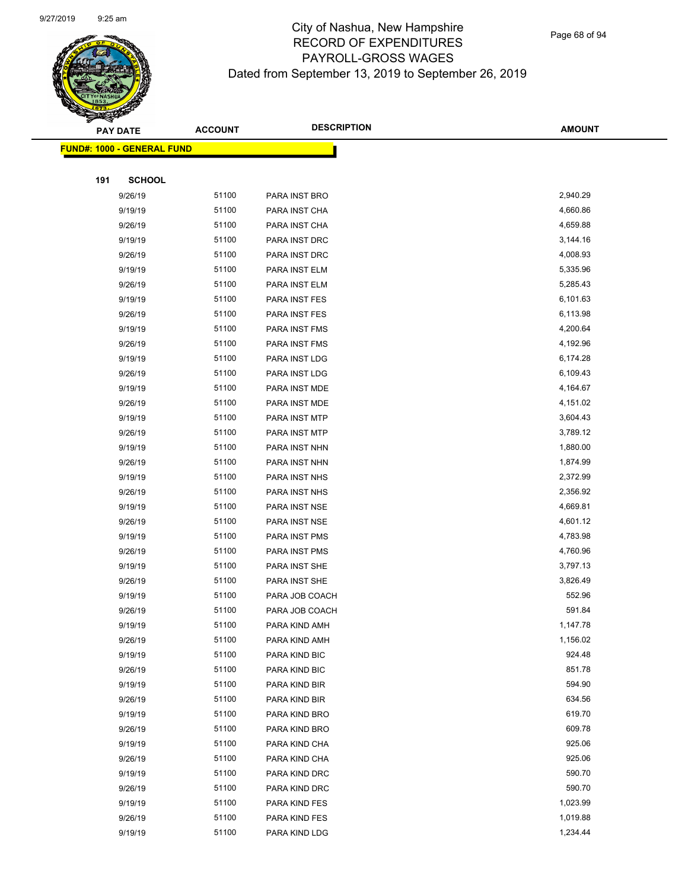

Page 68 of 94

|     | <b>PAY DATE</b>                    | <b>ACCOUNT</b> | <b>DESCRIPTION</b> | <b>AMOUNT</b> |
|-----|------------------------------------|----------------|--------------------|---------------|
|     | <u> FUND#: 1000 - GENERAL FUND</u> |                |                    |               |
|     |                                    |                |                    |               |
| 191 | <b>SCHOOL</b>                      |                |                    |               |
|     | 9/26/19                            | 51100          | PARA INST BRO      | 2,940.29      |
|     | 9/19/19                            | 51100          | PARA INST CHA      | 4,660.86      |
|     | 9/26/19                            | 51100          | PARA INST CHA      | 4,659.88      |
|     | 9/19/19                            | 51100          | PARA INST DRC      | 3,144.16      |
|     | 9/26/19                            | 51100          | PARA INST DRC      | 4,008.93      |
|     | 9/19/19                            | 51100          | PARA INST ELM      | 5,335.96      |
|     | 9/26/19                            | 51100          | PARA INST ELM      | 5,285.43      |
|     | 9/19/19                            | 51100          | PARA INST FES      | 6,101.63      |
|     | 9/26/19                            | 51100          | PARA INST FES      | 6,113.98      |
|     | 9/19/19                            | 51100          | PARA INST FMS      | 4,200.64      |
|     | 9/26/19                            | 51100          | PARA INST FMS      | 4,192.96      |
|     | 9/19/19                            | 51100          | PARA INST LDG      | 6,174.28      |
|     | 9/26/19                            | 51100          | PARA INST LDG      | 6,109.43      |
|     | 9/19/19                            | 51100          | PARA INST MDE      | 4,164.67      |
|     | 9/26/19                            | 51100          | PARA INST MDE      | 4,151.02      |
|     | 9/19/19                            | 51100          | PARA INST MTP      | 3,604.43      |
|     | 9/26/19                            | 51100          | PARA INST MTP      | 3,789.12      |
|     | 9/19/19                            | 51100          | PARA INST NHN      | 1,880.00      |
|     | 9/26/19                            | 51100          | PARA INST NHN      | 1,874.99      |
|     | 9/19/19                            | 51100          | PARA INST NHS      | 2,372.99      |
|     | 9/26/19                            | 51100          | PARA INST NHS      | 2,356.92      |
|     | 9/19/19                            | 51100          | PARA INST NSE      | 4,669.81      |
|     | 9/26/19                            | 51100          | PARA INST NSE      | 4,601.12      |
|     | 9/19/19                            | 51100          | PARA INST PMS      | 4,783.98      |
|     | 9/26/19                            | 51100          | PARA INST PMS      | 4,760.96      |
|     | 9/19/19                            | 51100          | PARA INST SHE      | 3,797.13      |
|     | 9/26/19                            | 51100          | PARA INST SHE      | 3,826.49      |
|     | 9/19/19                            | 51100          | PARA JOB COACH     | 552.96        |
|     | 9/26/19                            | 51100          | PARA JOB COACH     | 591.84        |
|     | 9/19/19                            | 51100          | PARA KIND AMH      | 1,147.78      |
|     | 9/26/19                            | 51100          | PARA KIND AMH      | 1,156.02      |
|     | 9/19/19                            | 51100          | PARA KIND BIC      | 924.48        |
|     | 9/26/19                            | 51100          | PARA KIND BIC      | 851.78        |
|     | 9/19/19                            | 51100          | PARA KIND BIR      | 594.90        |
|     | 9/26/19                            | 51100          | PARA KIND BIR      | 634.56        |
|     | 9/19/19                            | 51100          | PARA KIND BRO      | 619.70        |
|     | 9/26/19                            | 51100          | PARA KIND BRO      | 609.78        |
|     | 9/19/19                            | 51100          | PARA KIND CHA      | 925.06        |
|     | 9/26/19                            | 51100          | PARA KIND CHA      | 925.06        |
|     | 9/19/19                            | 51100          | PARA KIND DRC      | 590.70        |
|     | 9/26/19                            | 51100          | PARA KIND DRC      | 590.70        |
|     | 9/19/19                            | 51100          | PARA KIND FES      | 1,023.99      |
|     | 9/26/19                            | 51100          | PARA KIND FES      | 1,019.88      |
|     | 9/19/19                            | 51100          | PARA KIND LDG      | 1,234.44      |
|     |                                    |                |                    |               |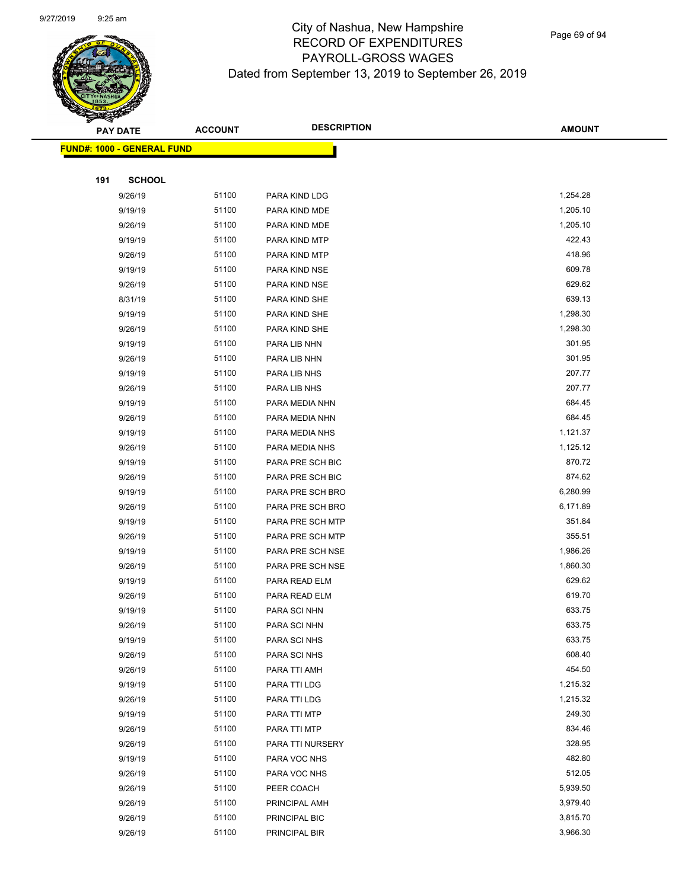

Page 69 of 94

|     | <b>PAY DATE</b>                    | <b>ACCOUNT</b> | <b>DESCRIPTION</b> | <b>AMOUNT</b> |
|-----|------------------------------------|----------------|--------------------|---------------|
|     | <u> FUND#: 1000 - GENERAL FUND</u> |                |                    |               |
|     |                                    |                |                    |               |
| 191 | <b>SCHOOL</b>                      |                |                    |               |
|     | 9/26/19                            | 51100          | PARA KIND LDG      | 1,254.28      |
|     | 9/19/19                            | 51100          | PARA KIND MDE      | 1,205.10      |
|     | 9/26/19                            | 51100          | PARA KIND MDE      | 1,205.10      |
|     | 9/19/19                            | 51100          | PARA KIND MTP      | 422.43        |
|     | 9/26/19                            | 51100          | PARA KIND MTP      | 418.96        |
|     | 9/19/19                            | 51100          | PARA KIND NSE      | 609.78        |
|     | 9/26/19                            | 51100          | PARA KIND NSE      | 629.62        |
|     | 8/31/19                            | 51100          | PARA KIND SHE      | 639.13        |
|     | 9/19/19                            | 51100          | PARA KIND SHE      | 1,298.30      |
|     | 9/26/19                            | 51100          | PARA KIND SHE      | 1,298.30      |
|     | 9/19/19                            | 51100          | PARA LIB NHN       | 301.95        |
|     | 9/26/19                            | 51100          | PARA LIB NHN       | 301.95        |
|     | 9/19/19                            | 51100          | PARA LIB NHS       | 207.77        |
|     | 9/26/19                            | 51100          | PARA LIB NHS       | 207.77        |
|     | 9/19/19                            | 51100          | PARA MEDIA NHN     | 684.45        |
|     | 9/26/19                            | 51100          | PARA MEDIA NHN     | 684.45        |
|     | 9/19/19                            | 51100          | PARA MEDIA NHS     | 1,121.37      |
|     | 9/26/19                            | 51100          | PARA MEDIA NHS     | 1,125.12      |
|     | 9/19/19                            | 51100          | PARA PRE SCH BIC   | 870.72        |
|     | 9/26/19                            | 51100          | PARA PRE SCH BIC   | 874.62        |
|     | 9/19/19                            | 51100          | PARA PRE SCH BRO   | 6,280.99      |
|     | 9/26/19                            | 51100          | PARA PRE SCH BRO   | 6,171.89      |
|     | 9/19/19                            | 51100          | PARA PRE SCH MTP   | 351.84        |
|     | 9/26/19                            | 51100          | PARA PRE SCH MTP   | 355.51        |
|     | 9/19/19                            | 51100          | PARA PRE SCH NSE   | 1,986.26      |
|     | 9/26/19                            | 51100          | PARA PRE SCH NSE   | 1,860.30      |
|     | 9/19/19                            | 51100          | PARA READ ELM      | 629.62        |
|     | 9/26/19                            | 51100          | PARA READ ELM      | 619.70        |
|     | 9/19/19                            | 51100          | PARA SCI NHN       | 633.75        |
|     | 9/26/19                            | 51100          | PARA SCI NHN       | 633.75        |
|     | 9/19/19                            | 51100          | PARA SCI NHS       | 633.75        |
|     | 9/26/19                            | 51100          | PARA SCI NHS       | 608.40        |
|     | 9/26/19                            | 51100          | PARA TTI AMH       | 454.50        |
|     | 9/19/19                            | 51100          | PARA TTI LDG       | 1,215.32      |
|     | 9/26/19                            | 51100          | PARA TTI LDG       | 1,215.32      |
|     | 9/19/19                            | 51100          | PARA TTI MTP       | 249.30        |
|     | 9/26/19                            | 51100          | PARA TTI MTP       | 834.46        |
|     | 9/26/19                            | 51100          | PARA TTI NURSERY   | 328.95        |
|     | 9/19/19                            | 51100          | PARA VOC NHS       | 482.80        |
|     | 9/26/19                            | 51100          | PARA VOC NHS       | 512.05        |
|     | 9/26/19                            | 51100          | PEER COACH         | 5,939.50      |
|     | 9/26/19                            | 51100          | PRINCIPAL AMH      | 3,979.40      |
|     | 9/26/19                            | 51100          | PRINCIPAL BIC      | 3,815.70      |
|     | 9/26/19                            | 51100          | PRINCIPAL BIR      | 3,966.30      |
|     |                                    |                |                    |               |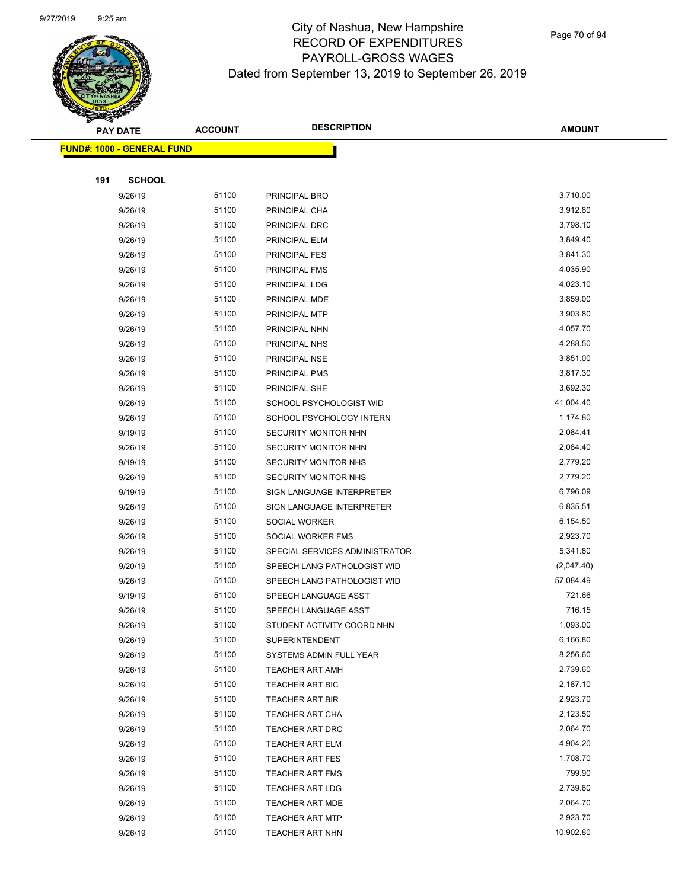

Page 70 of 94

|     | <b>PAY DATE</b>                    | <b>ACCOUNT</b> | <b>DESCRIPTION</b>                        | <b>AMOUNT</b>        |  |
|-----|------------------------------------|----------------|-------------------------------------------|----------------------|--|
|     | <u> FUND#: 1000 - GENERAL FUND</u> |                |                                           |                      |  |
|     |                                    |                |                                           |                      |  |
| 191 | <b>SCHOOL</b>                      |                |                                           |                      |  |
|     | 9/26/19                            | 51100          | PRINCIPAL BRO                             | 3,710.00             |  |
|     | 9/26/19                            | 51100          | PRINCIPAL CHA                             | 3,912.80             |  |
|     | 9/26/19                            | 51100          | PRINCIPAL DRC                             | 3,798.10             |  |
|     | 9/26/19                            | 51100          | PRINCIPAL ELM                             | 3,849.40             |  |
|     | 9/26/19                            | 51100          | <b>PRINCIPAL FES</b>                      | 3,841.30             |  |
|     | 9/26/19                            | 51100          | PRINCIPAL FMS                             | 4,035.90             |  |
|     | 9/26/19                            | 51100          | PRINCIPAL LDG                             | 4,023.10             |  |
|     | 9/26/19                            | 51100          | PRINCIPAL MDE                             | 3,859.00             |  |
|     | 9/26/19                            | 51100          | PRINCIPAL MTP                             | 3,903.80             |  |
|     | 9/26/19                            | 51100          | PRINCIPAL NHN                             | 4,057.70             |  |
|     | 9/26/19                            | 51100          | PRINCIPAL NHS                             | 4,288.50             |  |
|     | 9/26/19                            | 51100          | PRINCIPAL NSE                             | 3,851.00             |  |
|     | 9/26/19                            | 51100          | PRINCIPAL PMS                             | 3,817.30             |  |
|     | 9/26/19                            | 51100          | PRINCIPAL SHE                             | 3,692.30             |  |
|     | 9/26/19                            | 51100          | SCHOOL PSYCHOLOGIST WID                   | 41,004.40            |  |
|     | 9/26/19                            | 51100          | SCHOOL PSYCHOLOGY INTERN                  | 1,174.80             |  |
|     | 9/19/19                            | 51100          | SECURITY MONITOR NHN                      | 2,084.41             |  |
|     | 9/26/19                            | 51100          | SECURITY MONITOR NHN                      | 2,084.40             |  |
|     | 9/19/19                            | 51100          | SECURITY MONITOR NHS                      | 2,779.20             |  |
|     | 9/26/19                            | 51100          | SECURITY MONITOR NHS                      | 2,779.20             |  |
|     | 9/19/19                            | 51100          | SIGN LANGUAGE INTERPRETER                 | 6,796.09             |  |
|     | 9/26/19                            | 51100          | SIGN LANGUAGE INTERPRETER                 | 6,835.51             |  |
|     | 9/26/19                            | 51100          | SOCIAL WORKER                             | 6,154.50             |  |
|     | 9/26/19                            | 51100          | SOCIAL WORKER FMS                         | 2,923.70             |  |
|     | 9/26/19                            | 51100          | SPECIAL SERVICES ADMINISTRATOR            | 5,341.80             |  |
|     | 9/20/19                            | 51100          | SPEECH LANG PATHOLOGIST WID               | (2,047.40)           |  |
|     | 9/26/19                            | 51100          | SPEECH LANG PATHOLOGIST WID               | 57,084.49            |  |
|     | 9/19/19                            | 51100          | SPEECH LANGUAGE ASST                      | 721.66               |  |
|     | 9/26/19                            | 51100          | SPEECH LANGUAGE ASST                      | 716.15               |  |
|     | 9/26/19                            | 51100          | STUDENT ACTIVITY COORD NHN                | 1,093.00             |  |
|     | 9/26/19                            | 51100          | <b>SUPERINTENDENT</b>                     | 6,166.80             |  |
|     | 9/26/19                            | 51100          | SYSTEMS ADMIN FULL YEAR                   | 8,256.60             |  |
|     | 9/26/19                            | 51100          | <b>TEACHER ART AMH</b>                    | 2,739.60             |  |
|     | 9/26/19                            | 51100          | TEACHER ART BIC                           | 2,187.10             |  |
|     | 9/26/19                            | 51100<br>51100 | <b>TEACHER ART BIR</b>                    | 2,923.70<br>2,123.50 |  |
|     | 9/26/19                            | 51100          | <b>TEACHER ART CHA</b>                    | 2,064.70             |  |
|     | 9/26/19                            | 51100          | <b>TEACHER ART DRC</b>                    |                      |  |
|     | 9/26/19                            | 51100          | TEACHER ART ELM                           | 4,904.20<br>1,708.70 |  |
|     | 9/26/19                            |                | <b>TEACHER ART FES</b>                    |                      |  |
|     | 9/26/19                            | 51100<br>51100 | <b>TEACHER ART FMS</b>                    | 799.90<br>2,739.60   |  |
|     | 9/26/19<br>9/26/19                 | 51100          | <b>TEACHER ART LDG</b>                    | 2,064.70             |  |
|     | 9/26/19                            | 51100          | TEACHER ART MDE<br><b>TEACHER ART MTP</b> | 2,923.70             |  |
|     | 9/26/19                            | 51100          | <b>TEACHER ART NHN</b>                    | 10,902.80            |  |
|     |                                    |                |                                           |                      |  |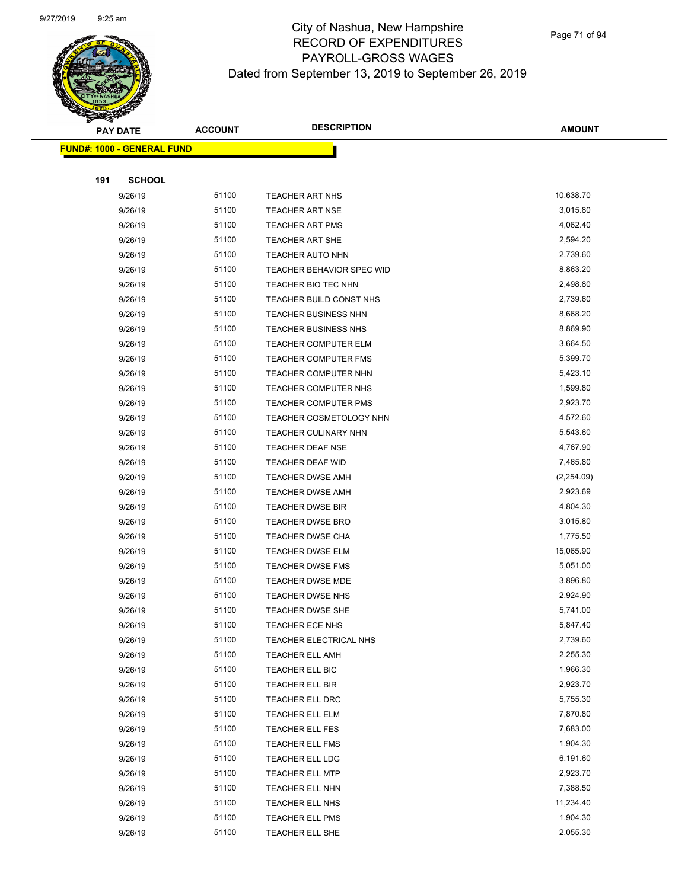

| <b>PAY DATE</b>                    | <b>ACCOUNT</b> | <b>DESCRIPTION</b>          | <b>AMOUNT</b> |
|------------------------------------|----------------|-----------------------------|---------------|
| <u> FUND#: 1000 - GENERAL FUND</u> |                |                             |               |
|                                    |                |                             |               |
| 191<br><b>SCHOOL</b>               |                |                             |               |
| 9/26/19                            | 51100          | <b>TEACHER ART NHS</b>      | 10,638.70     |
| 9/26/19                            | 51100          | <b>TEACHER ART NSE</b>      | 3,015.80      |
| 9/26/19                            | 51100          | <b>TEACHER ART PMS</b>      | 4,062.40      |
| 9/26/19                            | 51100          | <b>TEACHER ART SHE</b>      | 2,594.20      |
| 9/26/19                            | 51100          | <b>TEACHER AUTO NHN</b>     | 2,739.60      |
| 9/26/19                            | 51100          | TEACHER BEHAVIOR SPEC WID   | 8,863.20      |
| 9/26/19                            | 51100          | TEACHER BIO TEC NHN         | 2,498.80      |
| 9/26/19                            | 51100          | TEACHER BUILD CONST NHS     | 2,739.60      |
| 9/26/19                            | 51100          | TEACHER BUSINESS NHN        | 8,668.20      |
| 9/26/19                            | 51100          | <b>TEACHER BUSINESS NHS</b> | 8,869.90      |
| 9/26/19                            | 51100          | <b>TEACHER COMPUTER ELM</b> | 3,664.50      |
| 9/26/19                            | 51100          | <b>TEACHER COMPUTER FMS</b> | 5,399.70      |
| 9/26/19                            | 51100          | TEACHER COMPUTER NHN        | 5,423.10      |
| 9/26/19                            | 51100          | TEACHER COMPUTER NHS        | 1,599.80      |
| 9/26/19                            | 51100          | <b>TEACHER COMPUTER PMS</b> | 2,923.70      |
| 9/26/19                            | 51100          | TEACHER COSMETOLOGY NHN     | 4,572.60      |
| 9/26/19                            | 51100          | <b>TEACHER CULINARY NHN</b> | 5,543.60      |
| 9/26/19                            | 51100          | <b>TEACHER DEAF NSE</b>     | 4,767.90      |
| 9/26/19                            | 51100          | <b>TEACHER DEAF WID</b>     | 7,465.80      |
| 9/20/19                            | 51100          | <b>TEACHER DWSE AMH</b>     | (2,254.09)    |
| 9/26/19                            | 51100          | <b>TEACHER DWSE AMH</b>     | 2,923.69      |
| 9/26/19                            | 51100          | <b>TEACHER DWSE BIR</b>     | 4,804.30      |
| 9/26/19                            | 51100          | <b>TEACHER DWSE BRO</b>     | 3,015.80      |
| 9/26/19                            | 51100          | <b>TEACHER DWSE CHA</b>     | 1,775.50      |
| 9/26/19                            | 51100          | <b>TEACHER DWSE ELM</b>     | 15,065.90     |
| 9/26/19                            | 51100          | <b>TEACHER DWSE FMS</b>     | 5,051.00      |
| 9/26/19                            | 51100          | <b>TEACHER DWSE MDE</b>     | 3,896.80      |
| 9/26/19                            | 51100          | <b>TEACHER DWSE NHS</b>     | 2,924.90      |
| 9/26/19                            | 51100          | <b>TEACHER DWSE SHE</b>     | 5,741.00      |
| 9/26/19                            | 51100          | <b>TEACHER ECE NHS</b>      | 5,847.40      |
| 9/26/19                            | 51100          | TEACHER ELECTRICAL NHS      | 2,739.60      |
| 9/26/19                            | 51100          | <b>TEACHER ELL AMH</b>      | 2,255.30      |
| 9/26/19                            | 51100          | TEACHER ELL BIC             | 1,966.30      |
| 9/26/19                            | 51100          | TEACHER ELL BIR             | 2,923.70      |
| 9/26/19                            | 51100          | <b>TEACHER ELL DRC</b>      | 5,755.30      |
| 9/26/19                            | 51100          | TEACHER ELL ELM             | 7,870.80      |
| 9/26/19                            | 51100          | TEACHER ELL FES             | 7,683.00      |
| 9/26/19                            | 51100          | TEACHER ELL FMS             | 1,904.30      |
| 9/26/19                            | 51100          | TEACHER ELL LDG             | 6,191.60      |
| 9/26/19                            | 51100          | <b>TEACHER ELL MTP</b>      | 2,923.70      |
| 9/26/19                            | 51100          | TEACHER ELL NHN             | 7,388.50      |
| 9/26/19                            | 51100          | TEACHER ELL NHS             | 11,234.40     |
| 9/26/19                            | 51100          | TEACHER ELL PMS             | 1,904.30      |
| 9/26/19                            | 51100          | TEACHER ELL SHE             | 2,055.30      |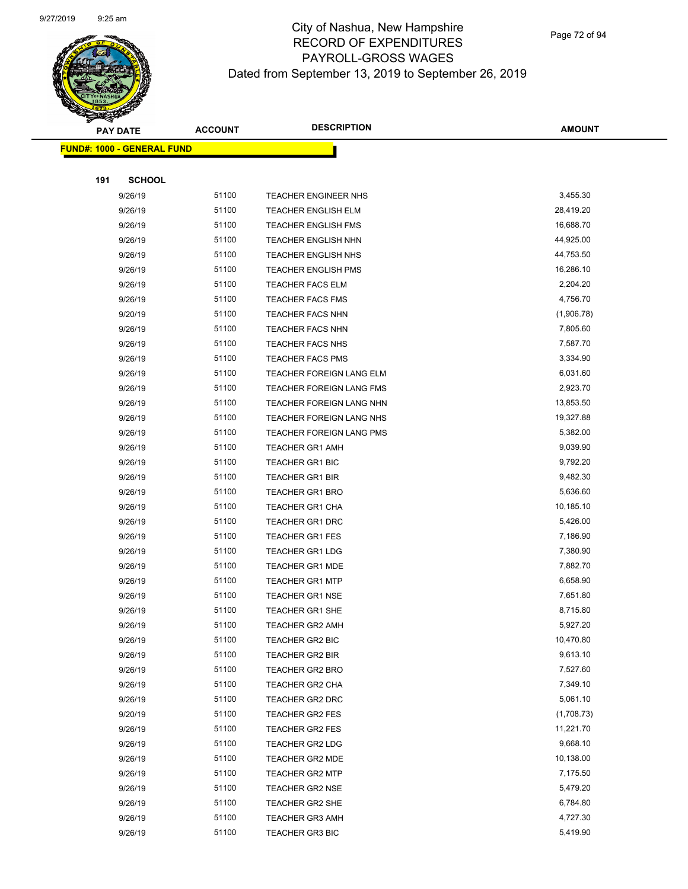

Page 72 of 94

|     | <b>PAY DATE</b>                    | <b>ACCOUNT</b> | <b>DESCRIPTION</b>                 | <b>AMOUNT</b>        |
|-----|------------------------------------|----------------|------------------------------------|----------------------|
|     | <u> FUND#: 1000 - GENERAL FUND</u> |                |                                    |                      |
|     |                                    |                |                                    |                      |
| 191 | <b>SCHOOL</b>                      |                |                                    |                      |
|     | 9/26/19                            | 51100          | <b>TEACHER ENGINEER NHS</b>        | 3,455.30             |
|     | 9/26/19                            | 51100          | <b>TEACHER ENGLISH ELM</b>         | 28,419.20            |
|     | 9/26/19                            | 51100          | <b>TEACHER ENGLISH FMS</b>         | 16,688.70            |
|     | 9/26/19                            | 51100          | <b>TEACHER ENGLISH NHN</b>         | 44,925.00            |
|     | 9/26/19                            | 51100          | <b>TEACHER ENGLISH NHS</b>         | 44,753.50            |
|     | 9/26/19                            | 51100          | <b>TEACHER ENGLISH PMS</b>         | 16,286.10            |
|     | 9/26/19                            | 51100          | <b>TEACHER FACS ELM</b>            | 2,204.20             |
|     | 9/26/19                            | 51100          | <b>TEACHER FACS FMS</b>            | 4,756.70             |
|     | 9/20/19                            | 51100          | <b>TEACHER FACS NHN</b>            | (1,906.78)           |
|     | 9/26/19                            | 51100          | <b>TEACHER FACS NHN</b>            | 7,805.60             |
|     | 9/26/19                            | 51100          | <b>TEACHER FACS NHS</b>            | 7,587.70             |
|     | 9/26/19                            | 51100          | <b>TEACHER FACS PMS</b>            | 3,334.90             |
|     | 9/26/19                            | 51100          | TEACHER FOREIGN LANG ELM           | 6,031.60             |
|     | 9/26/19                            | 51100          | TEACHER FOREIGN LANG FMS           | 2,923.70             |
|     | 9/26/19                            | 51100          | TEACHER FOREIGN LANG NHN           | 13,853.50            |
|     | 9/26/19                            | 51100          | TEACHER FOREIGN LANG NHS           | 19,327.88            |
|     | 9/26/19                            | 51100          | TEACHER FOREIGN LANG PMS           | 5,382.00             |
|     | 9/26/19                            | 51100          | <b>TEACHER GR1 AMH</b>             | 9,039.90             |
|     | 9/26/19                            | 51100          | <b>TEACHER GR1 BIC</b>             | 9,792.20             |
|     | 9/26/19                            | 51100          | <b>TEACHER GR1 BIR</b>             | 9,482.30             |
|     | 9/26/19                            | 51100          | <b>TEACHER GR1 BRO</b>             | 5,636.60             |
|     | 9/26/19                            | 51100          | <b>TEACHER GR1 CHA</b>             | 10,185.10            |
|     | 9/26/19                            | 51100          | <b>TEACHER GR1 DRC</b>             | 5,426.00             |
|     | 9/26/19                            | 51100          | <b>TEACHER GR1 FES</b>             | 7,186.90             |
|     | 9/26/19                            | 51100          | <b>TEACHER GR1 LDG</b>             | 7,380.90             |
|     | 9/26/19                            | 51100          | <b>TEACHER GR1 MDE</b>             | 7,882.70             |
|     | 9/26/19                            | 51100          | <b>TEACHER GR1 MTP</b>             | 6,658.90             |
|     | 9/26/19                            | 51100          | <b>TEACHER GR1 NSE</b>             | 7,651.80             |
|     | 9/26/19                            | 51100<br>51100 | <b>TEACHER GR1 SHE</b>             | 8,715.80<br>5,927.20 |
|     | 9/26/19                            | 51100          | TEACHER GR2 AMH                    | 10,470.80            |
|     | 9/26/19<br>9/26/19                 | 51100          | TEACHER GR2 BIC<br>TEACHER GR2 BIR | 9,613.10             |
|     | 9/26/19                            | 51100          | <b>TEACHER GR2 BRO</b>             | 7,527.60             |
|     | 9/26/19                            | 51100          | <b>TEACHER GR2 CHA</b>             | 7,349.10             |
|     | 9/26/19                            | 51100          | TEACHER GR2 DRC                    | 5,061.10             |
|     | 9/20/19                            | 51100          | <b>TEACHER GR2 FES</b>             | (1,708.73)           |
|     | 9/26/19                            | 51100          | TEACHER GR2 FES                    | 11,221.70            |
|     | 9/26/19                            | 51100          | <b>TEACHER GR2 LDG</b>             | 9,668.10             |
|     | 9/26/19                            | 51100          | TEACHER GR2 MDE                    | 10,138.00            |
|     | 9/26/19                            | 51100          | <b>TEACHER GR2 MTP</b>             | 7,175.50             |
|     | 9/26/19                            | 51100          | <b>TEACHER GR2 NSE</b>             | 5,479.20             |
|     | 9/26/19                            | 51100          | <b>TEACHER GR2 SHE</b>             | 6,784.80             |
|     | 9/26/19                            | 51100          | <b>TEACHER GR3 AMH</b>             | 4,727.30             |
|     | 9/26/19                            | 51100          | <b>TEACHER GR3 BIC</b>             | 5,419.90             |
|     |                                    |                |                                    |                      |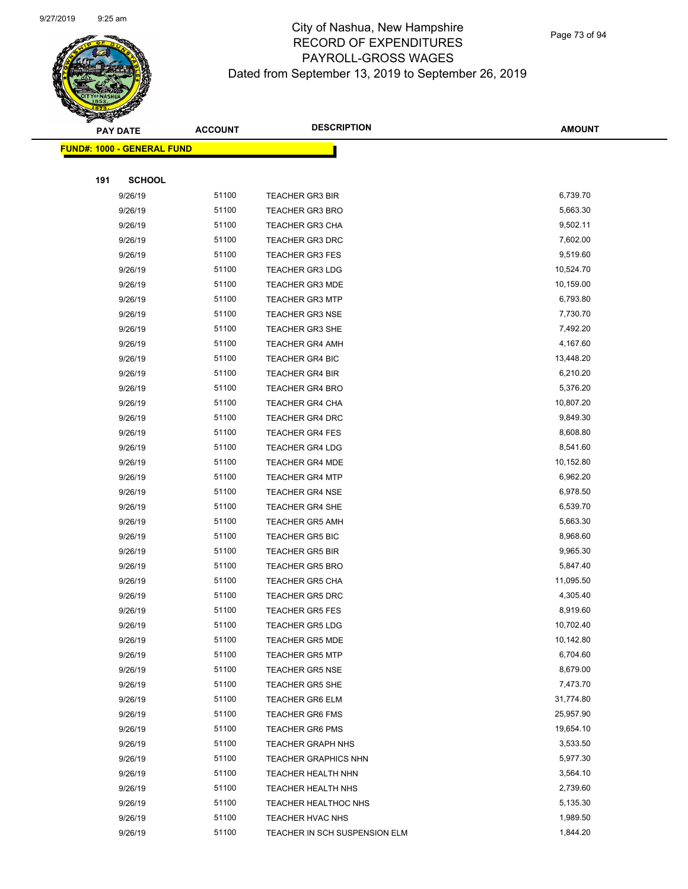

Page 73 of 94

|     | <b>PAY DATE</b>                    | <b>ACCOUNT</b> | <b>DESCRIPTION</b>            | <b>AMOUNT</b> |
|-----|------------------------------------|----------------|-------------------------------|---------------|
|     | <u> FUND#: 1000 - GENERAL FUND</u> |                |                               |               |
|     |                                    |                |                               |               |
| 191 | <b>SCHOOL</b>                      |                |                               |               |
|     | 9/26/19                            | 51100          | <b>TEACHER GR3 BIR</b>        | 6,739.70      |
|     | 9/26/19                            | 51100          | <b>TEACHER GR3 BRO</b>        | 5,663.30      |
|     | 9/26/19                            | 51100          | <b>TEACHER GR3 CHA</b>        | 9,502.11      |
|     | 9/26/19                            | 51100          | TEACHER GR3 DRC               | 7,602.00      |
|     | 9/26/19                            | 51100          | <b>TEACHER GR3 FES</b>        | 9,519.60      |
|     | 9/26/19                            | 51100          | <b>TEACHER GR3 LDG</b>        | 10,524.70     |
|     | 9/26/19                            | 51100          | <b>TEACHER GR3 MDE</b>        | 10,159.00     |
|     | 9/26/19                            | 51100          | <b>TEACHER GR3 MTP</b>        | 6,793.80      |
|     | 9/26/19                            | 51100          | <b>TEACHER GR3 NSE</b>        | 7,730.70      |
|     | 9/26/19                            | 51100          | <b>TEACHER GR3 SHE</b>        | 7,492.20      |
|     | 9/26/19                            | 51100          | <b>TEACHER GR4 AMH</b>        | 4,167.60      |
|     | 9/26/19                            | 51100          | <b>TEACHER GR4 BIC</b>        | 13,448.20     |
|     | 9/26/19                            | 51100          | <b>TEACHER GR4 BIR</b>        | 6,210.20      |
|     | 9/26/19                            | 51100          | <b>TEACHER GR4 BRO</b>        | 5,376.20      |
|     | 9/26/19                            | 51100          | <b>TEACHER GR4 CHA</b>        | 10,807.20     |
|     | 9/26/19                            | 51100          | <b>TEACHER GR4 DRC</b>        | 9,849.30      |
|     | 9/26/19                            | 51100          | <b>TEACHER GR4 FES</b>        | 8,608.80      |
|     | 9/26/19                            | 51100          | <b>TEACHER GR4 LDG</b>        | 8,541.60      |
|     | 9/26/19                            | 51100          | <b>TEACHER GR4 MDE</b>        | 10,152.80     |
|     | 9/26/19                            | 51100          | <b>TEACHER GR4 MTP</b>        | 6,962.20      |
|     | 9/26/19                            | 51100          | <b>TEACHER GR4 NSE</b>        | 6,978.50      |
|     | 9/26/19                            | 51100          | <b>TEACHER GR4 SHE</b>        | 6,539.70      |
|     | 9/26/19                            | 51100          | <b>TEACHER GR5 AMH</b>        | 5,663.30      |
|     | 9/26/19                            | 51100          | <b>TEACHER GR5 BIC</b>        | 8,968.60      |
|     | 9/26/19                            | 51100          | <b>TEACHER GR5 BIR</b>        | 9,965.30      |
|     | 9/26/19                            | 51100          | <b>TEACHER GR5 BRO</b>        | 5,847.40      |
|     | 9/26/19                            | 51100          | <b>TEACHER GR5 CHA</b>        | 11,095.50     |
|     | 9/26/19                            | 51100          | <b>TEACHER GR5 DRC</b>        | 4,305.40      |
|     | 9/26/19                            | 51100          | <b>TEACHER GR5 FES</b>        | 8,919.60      |
|     | 9/26/19                            | 51100          | <b>TEACHER GR5 LDG</b>        | 10,702.40     |
|     | 9/26/19                            | 51100          | <b>TEACHER GR5 MDE</b>        | 10,142.80     |
|     | 9/26/19                            | 51100          | <b>TEACHER GR5 MTP</b>        | 6,704.60      |
|     | 9/26/19                            | 51100          | <b>TEACHER GR5 NSE</b>        | 8,679.00      |
|     | 9/26/19                            | 51100          | TEACHER GR5 SHE               | 7,473.70      |
|     | 9/26/19                            | 51100          | <b>TEACHER GR6 ELM</b>        | 31,774.80     |
|     | 9/26/19                            | 51100          | <b>TEACHER GR6 FMS</b>        | 25,957.90     |
|     | 9/26/19                            | 51100          | <b>TEACHER GR6 PMS</b>        | 19,654.10     |
|     | 9/26/19                            | 51100          | <b>TEACHER GRAPH NHS</b>      | 3,533.50      |
|     | 9/26/19                            | 51100          | <b>TEACHER GRAPHICS NHN</b>   | 5,977.30      |
|     | 9/26/19                            | 51100          | <b>TEACHER HEALTH NHN</b>     | 3,564.10      |
|     | 9/26/19                            | 51100          | TEACHER HEALTH NHS            | 2,739.60      |
|     | 9/26/19                            | 51100          | TEACHER HEALTHOC NHS          | 5,135.30      |
|     | 9/26/19                            | 51100          | TEACHER HVAC NHS              | 1,989.50      |
|     | 9/26/19                            | 51100          | TEACHER IN SCH SUSPENSION ELM | 1,844.20      |
|     |                                    |                |                               |               |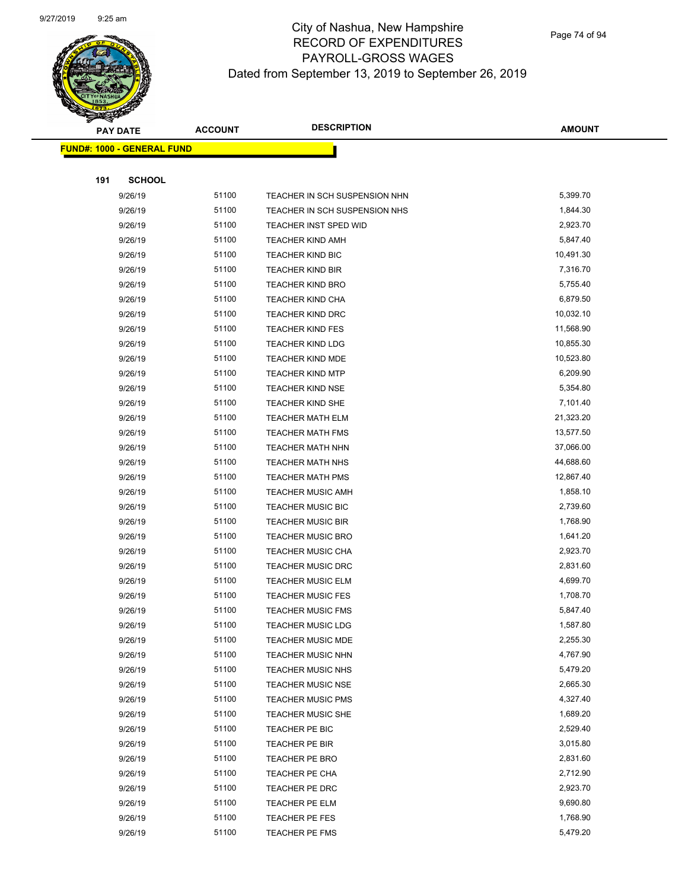

| <b>PAY DATE</b>                    | <b>ACCOUNT</b> | <b>DESCRIPTION</b>            | <b>AMOUNT</b> |
|------------------------------------|----------------|-------------------------------|---------------|
| <u> FUND#: 1000 - GENERAL FUND</u> |                |                               |               |
|                                    |                |                               |               |
| 191<br><b>SCHOOL</b>               |                |                               |               |
| 9/26/19                            | 51100          | TEACHER IN SCH SUSPENSION NHN | 5,399.70      |
| 9/26/19                            | 51100          | TEACHER IN SCH SUSPENSION NHS | 1,844.30      |
| 9/26/19                            | 51100          | TEACHER INST SPED WID         | 2,923.70      |
| 9/26/19                            | 51100          | <b>TEACHER KIND AMH</b>       | 5,847.40      |
| 9/26/19                            | 51100          | <b>TEACHER KIND BIC</b>       | 10,491.30     |
| 9/26/19                            | 51100          | <b>TEACHER KIND BIR</b>       | 7,316.70      |
| 9/26/19                            | 51100          | <b>TEACHER KIND BRO</b>       | 5,755.40      |
| 9/26/19                            | 51100          | <b>TEACHER KIND CHA</b>       | 6,879.50      |
| 9/26/19                            | 51100          | <b>TEACHER KIND DRC</b>       | 10,032.10     |
| 9/26/19                            | 51100          | <b>TEACHER KIND FES</b>       | 11,568.90     |
| 9/26/19                            | 51100          | <b>TEACHER KIND LDG</b>       | 10,855.30     |
| 9/26/19                            | 51100          | <b>TEACHER KIND MDE</b>       | 10,523.80     |
| 9/26/19                            | 51100          | <b>TEACHER KIND MTP</b>       | 6,209.90      |
| 9/26/19                            | 51100          | <b>TEACHER KIND NSE</b>       | 5,354.80      |
| 9/26/19                            | 51100          | <b>TEACHER KIND SHE</b>       | 7,101.40      |
| 9/26/19                            | 51100          | <b>TEACHER MATH ELM</b>       | 21,323.20     |
| 9/26/19                            | 51100          | <b>TEACHER MATH FMS</b>       | 13,577.50     |
| 9/26/19                            | 51100          | <b>TEACHER MATH NHN</b>       | 37,066.00     |
| 9/26/19                            | 51100          | <b>TEACHER MATH NHS</b>       | 44,688.60     |
| 9/26/19                            | 51100          | <b>TEACHER MATH PMS</b>       | 12,867.40     |
| 9/26/19                            | 51100          | <b>TEACHER MUSIC AMH</b>      | 1,858.10      |
| 9/26/19                            | 51100          | <b>TEACHER MUSIC BIC</b>      | 2,739.60      |
| 9/26/19                            | 51100          | <b>TEACHER MUSIC BIR</b>      | 1,768.90      |
| 9/26/19                            | 51100          | <b>TEACHER MUSIC BRO</b>      | 1,641.20      |
| 9/26/19                            | 51100          | <b>TEACHER MUSIC CHA</b>      | 2,923.70      |
| 9/26/19                            | 51100          | TEACHER MUSIC DRC             | 2,831.60      |
| 9/26/19                            | 51100          | <b>TEACHER MUSIC ELM</b>      | 4,699.70      |
| 9/26/19                            | 51100          | <b>TEACHER MUSIC FES</b>      | 1,708.70      |
| 9/26/19                            | 51100          | <b>TEACHER MUSIC FMS</b>      | 5,847.40      |
| 9/26/19                            | 51100          | <b>TEACHER MUSIC LDG</b>      | 1,587.80      |
| 9/26/19                            | 51100          | <b>TEACHER MUSIC MDE</b>      | 2,255.30      |
| 9/26/19                            | 51100          | <b>TEACHER MUSIC NHN</b>      | 4,767.90      |
| 9/26/19                            | 51100          | <b>TEACHER MUSIC NHS</b>      | 5,479.20      |
| 9/26/19                            | 51100          | <b>TEACHER MUSIC NSE</b>      | 2,665.30      |
| 9/26/19                            | 51100          | <b>TEACHER MUSIC PMS</b>      | 4,327.40      |
| 9/26/19                            | 51100          | <b>TEACHER MUSIC SHE</b>      | 1,689.20      |
| 9/26/19                            | 51100          | TEACHER PE BIC                | 2,529.40      |
| 9/26/19                            | 51100          | TEACHER PE BIR                | 3,015.80      |
| 9/26/19                            | 51100          | TEACHER PE BRO                | 2,831.60      |
| 9/26/19                            | 51100          | TEACHER PE CHA                | 2,712.90      |
| 9/26/19                            | 51100          | TEACHER PE DRC                | 2,923.70      |
| 9/26/19                            | 51100          | TEACHER PE ELM                | 9,690.80      |
| 9/26/19                            | 51100          | TEACHER PE FES                | 1,768.90      |
| 9/26/19                            | 51100          | TEACHER PE FMS                | 5,479.20      |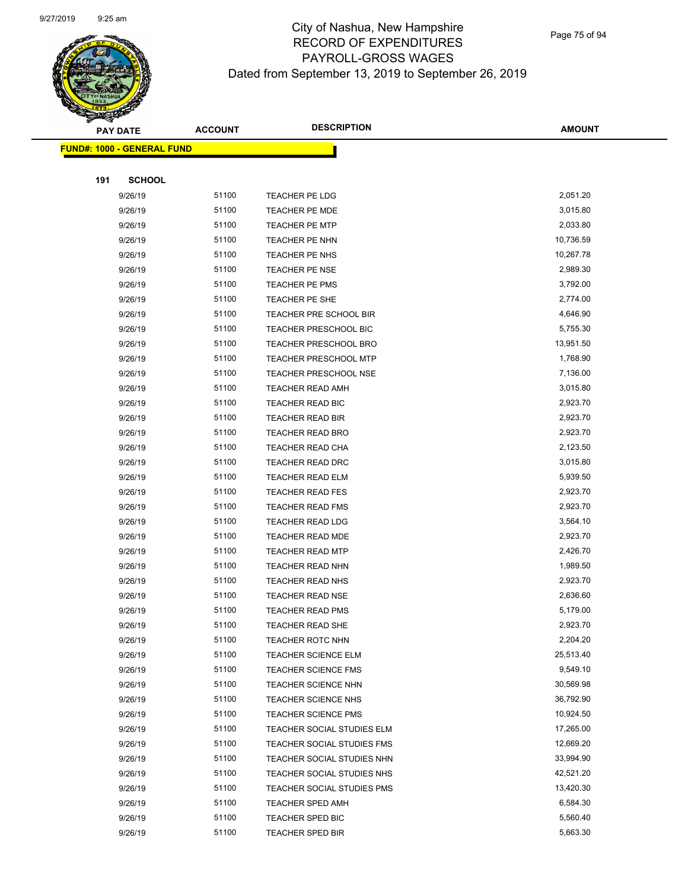

|     | <b>PAY DATE</b>                    | <b>ACCOUNT</b> | <b>DESCRIPTION</b>           | <b>AMOUNT</b> |
|-----|------------------------------------|----------------|------------------------------|---------------|
|     | <u> FUND#: 1000 - GENERAL FUND</u> |                |                              |               |
|     |                                    |                |                              |               |
| 191 | <b>SCHOOL</b>                      |                |                              |               |
|     | 9/26/19                            | 51100          | TEACHER PE LDG               | 2,051.20      |
|     | 9/26/19                            | 51100          | <b>TEACHER PE MDE</b>        | 3,015.80      |
|     | 9/26/19                            | 51100          | <b>TEACHER PE MTP</b>        | 2,033.80      |
|     | 9/26/19                            | 51100          | TEACHER PE NHN               | 10,736.59     |
|     | 9/26/19                            | 51100          | TEACHER PE NHS               | 10,267.78     |
|     | 9/26/19                            | 51100          | <b>TEACHER PE NSE</b>        | 2,989.30      |
|     | 9/26/19                            | 51100          | TEACHER PE PMS               | 3,792.00      |
|     | 9/26/19                            | 51100          | TEACHER PE SHE               | 2,774.00      |
|     | 9/26/19                            | 51100          | TEACHER PRE SCHOOL BIR       | 4,646.90      |
|     | 9/26/19                            | 51100          | TEACHER PRESCHOOL BIC        | 5,755.30      |
|     | 9/26/19                            | 51100          | TEACHER PRESCHOOL BRO        | 13,951.50     |
|     | 9/26/19                            | 51100          | <b>TEACHER PRESCHOOL MTP</b> | 1,768.90      |
|     | 9/26/19                            | 51100          | <b>TEACHER PRESCHOOL NSE</b> | 7,136.00      |
|     | 9/26/19                            | 51100          | <b>TEACHER READ AMH</b>      | 3,015.80      |
|     | 9/26/19                            | 51100          | TEACHER READ BIC             | 2,923.70      |
|     | 9/26/19                            | 51100          | <b>TEACHER READ BIR</b>      | 2,923.70      |
|     | 9/26/19                            | 51100          | <b>TEACHER READ BRO</b>      | 2,923.70      |
|     | 9/26/19                            | 51100          | <b>TEACHER READ CHA</b>      | 2,123.50      |
|     | 9/26/19                            | 51100          | TEACHER READ DRC             | 3,015.80      |
|     | 9/26/19                            | 51100          | TEACHER READ ELM             | 5,939.50      |
|     | 9/26/19                            | 51100          | <b>TEACHER READ FES</b>      | 2,923.70      |
|     | 9/26/19                            | 51100          | <b>TEACHER READ FMS</b>      | 2,923.70      |
|     | 9/26/19                            | 51100          | <b>TEACHER READ LDG</b>      | 3,564.10      |
|     | 9/26/19                            | 51100          | TEACHER READ MDE             | 2,923.70      |
|     | 9/26/19                            | 51100          | <b>TEACHER READ MTP</b>      | 2,426.70      |
|     | 9/26/19                            | 51100          | <b>TEACHER READ NHN</b>      | 1,989.50      |
|     | 9/26/19                            | 51100          | <b>TEACHER READ NHS</b>      | 2,923.70      |
|     | 9/26/19                            | 51100          | <b>TEACHER READ NSE</b>      | 2,636.60      |
|     | 9/26/19                            | 51100          | <b>TEACHER READ PMS</b>      | 5,179.00      |
|     | 9/26/19                            | 51100          | TEACHER READ SHE             | 2,923.70      |
|     | 9/26/19                            | 51100          | <b>TEACHER ROTC NHN</b>      | 2,204.20      |
|     | 9/26/19                            | 51100          | <b>TEACHER SCIENCE ELM</b>   | 25,513.40     |
|     | 9/26/19                            | 51100          | <b>TEACHER SCIENCE FMS</b>   | 9,549.10      |
|     | 9/26/19                            | 51100          | <b>TEACHER SCIENCE NHN</b>   | 30,569.98     |
|     | 9/26/19                            | 51100          | <b>TEACHER SCIENCE NHS</b>   | 36,792.90     |
|     | 9/26/19                            | 51100          | <b>TEACHER SCIENCE PMS</b>   | 10,924.50     |
|     | 9/26/19                            | 51100          | TEACHER SOCIAL STUDIES ELM   | 17,265.00     |
|     | 9/26/19                            | 51100          | TEACHER SOCIAL STUDIES FMS   | 12,669.20     |
|     | 9/26/19                            | 51100          | TEACHER SOCIAL STUDIES NHN   | 33,994.90     |
|     | 9/26/19                            | 51100          | TEACHER SOCIAL STUDIES NHS   | 42,521.20     |
|     | 9/26/19                            | 51100          | TEACHER SOCIAL STUDIES PMS   | 13,420.30     |
|     | 9/26/19                            | 51100          | <b>TEACHER SPED AMH</b>      | 6,584.30      |
|     | 9/26/19                            | 51100          | <b>TEACHER SPED BIC</b>      | 5,560.40      |
|     | 9/26/19                            | 51100          | TEACHER SPED BIR             | 5,663.30      |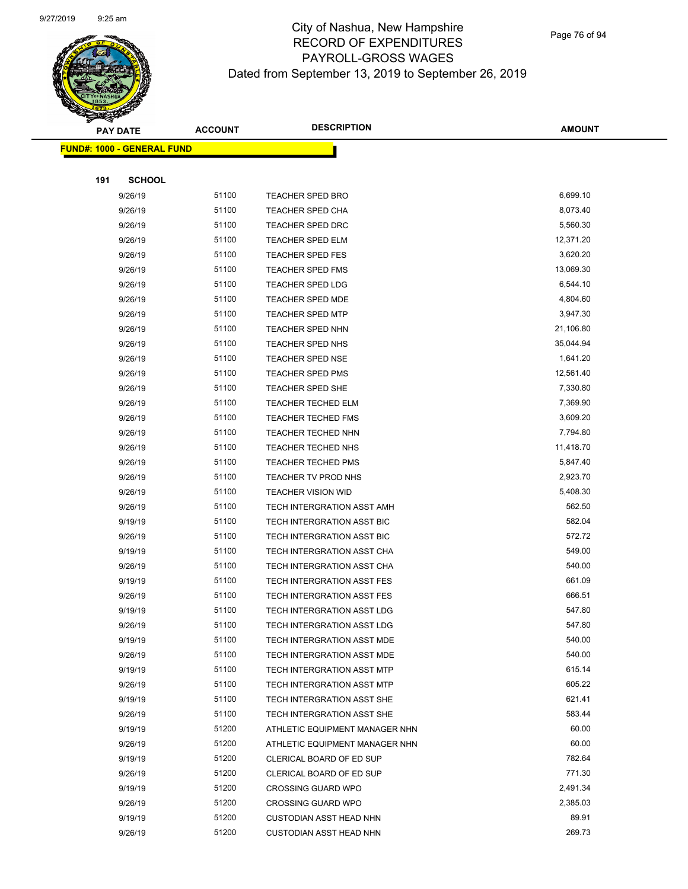

Page 76 of 94

 $\overline{\phantom{0}}$ 

|     | <b>PAY DATE</b>                         | <b>ACCOUNT</b> | <b>DESCRIPTION</b>                | <b>AMOUNT</b> |  |
|-----|-----------------------------------------|----------------|-----------------------------------|---------------|--|
|     | <mark>FUND#: 1000 - GENERAL FUND</mark> |                |                                   |               |  |
|     |                                         |                |                                   |               |  |
| 191 | <b>SCHOOL</b>                           |                |                                   |               |  |
|     | 9/26/19                                 | 51100          | <b>TEACHER SPED BRO</b>           | 6,699.10      |  |
|     | 9/26/19                                 | 51100          | <b>TEACHER SPED CHA</b>           | 8,073.40      |  |
|     | 9/26/19                                 | 51100          | <b>TEACHER SPED DRC</b>           | 5,560.30      |  |
|     | 9/26/19                                 | 51100          | <b>TEACHER SPED ELM</b>           | 12,371.20     |  |
|     | 9/26/19                                 | 51100          | <b>TEACHER SPED FES</b>           | 3,620.20      |  |
|     | 9/26/19                                 | 51100          | TEACHER SPED FMS                  | 13,069.30     |  |
|     | 9/26/19                                 | 51100          | <b>TEACHER SPED LDG</b>           | 6,544.10      |  |
|     | 9/26/19                                 | 51100          | <b>TEACHER SPED MDE</b>           | 4,804.60      |  |
|     | 9/26/19                                 | 51100          | <b>TEACHER SPED MTP</b>           | 3,947.30      |  |
|     | 9/26/19                                 | 51100          | <b>TEACHER SPED NHN</b>           | 21,106.80     |  |
|     | 9/26/19                                 | 51100          | <b>TEACHER SPED NHS</b>           | 35,044.94     |  |
|     | 9/26/19                                 | 51100          | <b>TEACHER SPED NSE</b>           | 1,641.20      |  |
|     | 9/26/19                                 | 51100          | <b>TEACHER SPED PMS</b>           | 12,561.40     |  |
|     | 9/26/19                                 | 51100          | <b>TEACHER SPED SHE</b>           | 7,330.80      |  |
|     | 9/26/19                                 | 51100          | <b>TEACHER TECHED ELM</b>         | 7,369.90      |  |
|     | 9/26/19                                 | 51100          | <b>TEACHER TECHED FMS</b>         | 3,609.20      |  |
|     | 9/26/19                                 | 51100          | TEACHER TECHED NHN                | 7,794.80      |  |
|     | 9/26/19                                 | 51100          | <b>TEACHER TECHED NHS</b>         | 11,418.70     |  |
|     | 9/26/19                                 | 51100          | <b>TEACHER TECHED PMS</b>         | 5,847.40      |  |
|     | 9/26/19                                 | 51100          | TEACHER TV PROD NHS               | 2,923.70      |  |
|     | 9/26/19                                 | 51100          | <b>TEACHER VISION WID</b>         | 5,408.30      |  |
|     | 9/26/19                                 | 51100          | TECH INTERGRATION ASST AMH        | 562.50        |  |
|     | 9/19/19                                 | 51100          | TECH INTERGRATION ASST BIC        | 582.04        |  |
|     | 9/26/19                                 | 51100          | TECH INTERGRATION ASST BIC        | 572.72        |  |
|     | 9/19/19                                 | 51100          | TECH INTERGRATION ASST CHA        | 549.00        |  |
|     | 9/26/19                                 | 51100          | TECH INTERGRATION ASST CHA        | 540.00        |  |
|     | 9/19/19                                 | 51100          | TECH INTERGRATION ASST FES        | 661.09        |  |
|     | 9/26/19                                 | 51100          | TECH INTERGRATION ASST FES        | 666.51        |  |
|     | 9/19/19                                 | 51100          | TECH INTERGRATION ASST LDG        | 547.80        |  |
|     | 9/26/19                                 | 51100          | TECH INTERGRATION ASST LDG        | 547.80        |  |
|     | 9/19/19                                 | 51100          | TECH INTERGRATION ASST MDE        | 540.00        |  |
|     | 9/26/19                                 | 51100          | TECH INTERGRATION ASST MDE        | 540.00        |  |
|     | 9/19/19                                 | 51100          | TECH INTERGRATION ASST MTP        | 615.14        |  |
|     | 9/26/19                                 | 51100          | <b>TECH INTERGRATION ASST MTP</b> | 605.22        |  |
|     | 9/19/19                                 | 51100          | TECH INTERGRATION ASST SHE        | 621.41        |  |
|     | 9/26/19                                 | 51100          | TECH INTERGRATION ASST SHE        | 583.44        |  |
|     | 9/19/19                                 | 51200          | ATHLETIC EQUIPMENT MANAGER NHN    | 60.00         |  |
|     | 9/26/19                                 | 51200          | ATHLETIC EQUIPMENT MANAGER NHN    | 60.00         |  |
|     | 9/19/19                                 | 51200          | CLERICAL BOARD OF ED SUP          | 782.64        |  |
|     | 9/26/19                                 | 51200          | CLERICAL BOARD OF ED SUP          | 771.30        |  |
|     | 9/19/19                                 | 51200          | <b>CROSSING GUARD WPO</b>         | 2,491.34      |  |
|     | 9/26/19                                 | 51200          | <b>CROSSING GUARD WPO</b>         | 2,385.03      |  |
|     | 9/19/19                                 | 51200          | <b>CUSTODIAN ASST HEAD NHN</b>    | 89.91         |  |
|     | 9/26/19                                 | 51200          | <b>CUSTODIAN ASST HEAD NHN</b>    | 269.73        |  |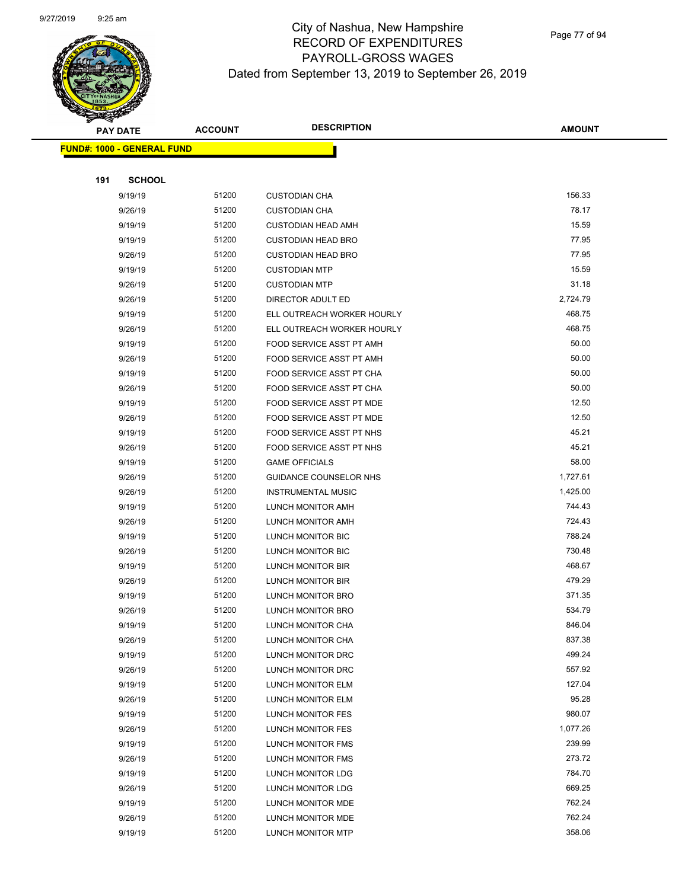

Page 77 of 94

|     | <b>PAY DATE</b>                   | <b>ACCOUNT</b> | <b>DESCRIPTION</b>            | <b>AMOUNT</b> |
|-----|-----------------------------------|----------------|-------------------------------|---------------|
|     | <b>FUND#: 1000 - GENERAL FUND</b> |                |                               |               |
|     |                                   |                |                               |               |
| 191 | <b>SCHOOL</b>                     |                |                               |               |
|     | 9/19/19                           | 51200          | <b>CUSTODIAN CHA</b>          | 156.33        |
|     | 9/26/19                           | 51200          | <b>CUSTODIAN CHA</b>          | 78.17         |
|     | 9/19/19                           | 51200          | <b>CUSTODIAN HEAD AMH</b>     | 15.59         |
|     | 9/19/19                           | 51200          | <b>CUSTODIAN HEAD BRO</b>     | 77.95         |
|     | 9/26/19                           | 51200          | <b>CUSTODIAN HEAD BRO</b>     | 77.95         |
|     | 9/19/19                           | 51200          | <b>CUSTODIAN MTP</b>          | 15.59         |
|     | 9/26/19                           | 51200          | <b>CUSTODIAN MTP</b>          | 31.18         |
|     | 9/26/19                           | 51200          | DIRECTOR ADULT ED             | 2,724.79      |
|     | 9/19/19                           | 51200          | ELL OUTREACH WORKER HOURLY    | 468.75        |
|     | 9/26/19                           | 51200          | ELL OUTREACH WORKER HOURLY    | 468.75        |
|     | 9/19/19                           | 51200          | FOOD SERVICE ASST PT AMH      | 50.00         |
|     | 9/26/19                           | 51200          | FOOD SERVICE ASST PT AMH      | 50.00         |
|     | 9/19/19                           | 51200          | FOOD SERVICE ASST PT CHA      | 50.00         |
|     | 9/26/19                           | 51200          | FOOD SERVICE ASST PT CHA      | 50.00         |
|     | 9/19/19                           | 51200          | FOOD SERVICE ASST PT MDE      | 12.50         |
|     | 9/26/19                           | 51200          | FOOD SERVICE ASST PT MDE      | 12.50         |
|     | 9/19/19                           | 51200          | FOOD SERVICE ASST PT NHS      | 45.21         |
|     | 9/26/19                           | 51200          | FOOD SERVICE ASST PT NHS      | 45.21         |
|     | 9/19/19                           | 51200          | <b>GAME OFFICIALS</b>         | 58.00         |
|     | 9/26/19                           | 51200          | <b>GUIDANCE COUNSELOR NHS</b> | 1,727.61      |
|     | 9/26/19                           | 51200          | <b>INSTRUMENTAL MUSIC</b>     | 1,425.00      |
|     | 9/19/19                           | 51200          | LUNCH MONITOR AMH             | 744.43        |
|     | 9/26/19                           | 51200          | LUNCH MONITOR AMH             | 724.43        |
|     | 9/19/19                           | 51200          | LUNCH MONITOR BIC             | 788.24        |
|     | 9/26/19                           | 51200          | LUNCH MONITOR BIC             | 730.48        |
|     | 9/19/19                           | 51200          | LUNCH MONITOR BIR             | 468.67        |
|     | 9/26/19                           | 51200          | LUNCH MONITOR BIR             | 479.29        |
|     | 9/19/19                           | 51200          | LUNCH MONITOR BRO             | 371.35        |
|     | 9/26/19                           | 51200          | LUNCH MONITOR BRO             | 534.79        |
|     | 9/19/19                           | 51200          | LUNCH MONITOR CHA             | 846.04        |
|     | 9/26/19                           | 51200          | LUNCH MONITOR CHA             | 837.38        |
|     | 9/19/19                           | 51200          | LUNCH MONITOR DRC             | 499.24        |
|     | 9/26/19                           | 51200          | LUNCH MONITOR DRC             | 557.92        |
|     | 9/19/19                           | 51200          | LUNCH MONITOR ELM             | 127.04        |
|     | 9/26/19                           | 51200          | LUNCH MONITOR ELM             | 95.28         |
|     | 9/19/19                           | 51200          | LUNCH MONITOR FES             | 980.07        |
|     | 9/26/19                           | 51200          | LUNCH MONITOR FES             | 1,077.26      |
|     | 9/19/19                           | 51200          | <b>LUNCH MONITOR FMS</b>      | 239.99        |
|     | 9/26/19                           | 51200          | LUNCH MONITOR FMS             | 273.72        |
|     | 9/19/19                           | 51200          | LUNCH MONITOR LDG             | 784.70        |
|     | 9/26/19                           | 51200          | LUNCH MONITOR LDG             | 669.25        |
|     | 9/19/19                           | 51200          | LUNCH MONITOR MDE             | 762.24        |
|     | 9/26/19                           | 51200          | LUNCH MONITOR MDE             | 762.24        |
|     | 9/19/19                           | 51200          | <b>LUNCH MONITOR MTP</b>      | 358.06        |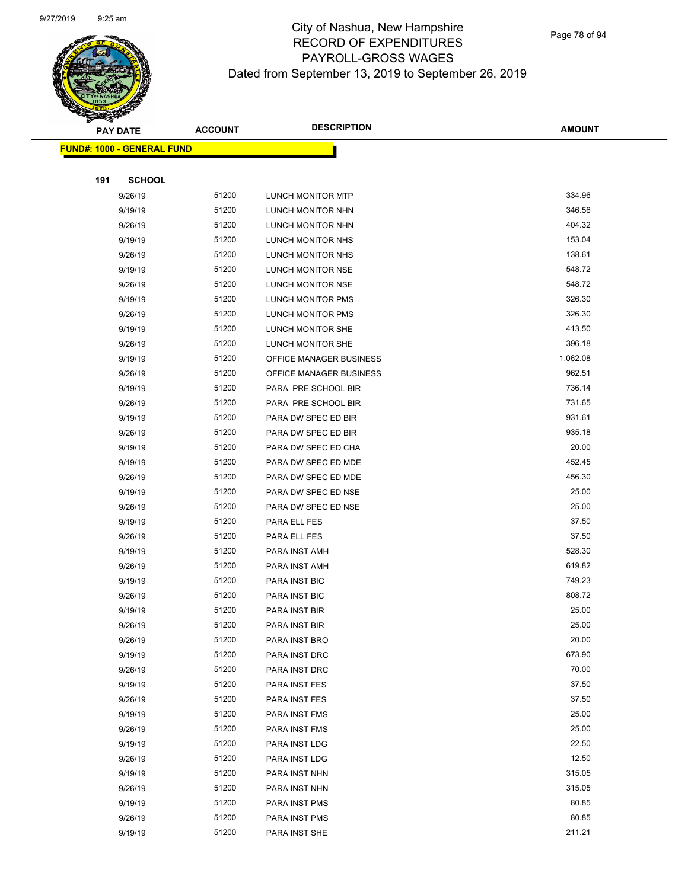

Page 78 of 94

|     | <b>PAY DATE</b>                    | <b>ACCOUNT</b> | <b>DESCRIPTION</b>      | <b>AMOUNT</b> |
|-----|------------------------------------|----------------|-------------------------|---------------|
|     | <u> FUND#: 1000 - GENERAL FUND</u> |                |                         |               |
|     |                                    |                |                         |               |
| 191 | <b>SCHOOL</b>                      |                |                         |               |
|     | 9/26/19                            | 51200          | LUNCH MONITOR MTP       | 334.96        |
|     | 9/19/19                            | 51200          | LUNCH MONITOR NHN       | 346.56        |
|     | 9/26/19                            | 51200          | LUNCH MONITOR NHN       | 404.32        |
|     | 9/19/19                            | 51200          | LUNCH MONITOR NHS       | 153.04        |
|     | 9/26/19                            | 51200          | LUNCH MONITOR NHS       | 138.61        |
|     | 9/19/19                            | 51200          | LUNCH MONITOR NSE       | 548.72        |
|     | 9/26/19                            | 51200          | LUNCH MONITOR NSE       | 548.72        |
|     | 9/19/19                            | 51200          | LUNCH MONITOR PMS       | 326.30        |
|     | 9/26/19                            | 51200          | LUNCH MONITOR PMS       | 326.30        |
|     | 9/19/19                            | 51200          | LUNCH MONITOR SHE       | 413.50        |
|     | 9/26/19                            | 51200          | LUNCH MONITOR SHE       | 396.18        |
|     | 9/19/19                            | 51200          | OFFICE MANAGER BUSINESS | 1,062.08      |
|     | 9/26/19                            | 51200          | OFFICE MANAGER BUSINESS | 962.51        |
|     | 9/19/19                            | 51200          | PARA PRE SCHOOL BIR     | 736.14        |
|     | 9/26/19                            | 51200          | PARA PRE SCHOOL BIR     | 731.65        |
|     | 9/19/19                            | 51200          | PARA DW SPEC ED BIR     | 931.61        |
|     | 9/26/19                            | 51200          | PARA DW SPEC ED BIR     | 935.18        |
|     | 9/19/19                            | 51200          | PARA DW SPEC ED CHA     | 20.00         |
|     | 9/19/19                            | 51200          | PARA DW SPEC ED MDE     | 452.45        |
|     | 9/26/19                            | 51200          | PARA DW SPEC ED MDE     | 456.30        |
|     | 9/19/19                            | 51200          | PARA DW SPEC ED NSE     | 25.00         |
|     | 9/26/19                            | 51200          | PARA DW SPEC ED NSE     | 25.00         |
|     | 9/19/19                            | 51200          | PARA ELL FES            | 37.50         |
|     | 9/26/19                            | 51200          | PARA ELL FES            | 37.50         |
|     | 9/19/19                            | 51200          | PARA INST AMH           | 528.30        |
|     | 9/26/19                            | 51200          | PARA INST AMH           | 619.82        |
|     | 9/19/19                            | 51200          | PARA INST BIC           | 749.23        |
|     | 9/26/19                            | 51200          | PARA INST BIC           | 808.72        |
|     | 9/19/19                            | 51200          | PARA INST BIR           | 25.00         |
|     | 9/26/19                            | 51200          | PARA INST BIR           | 25.00         |
|     | 9/26/19                            | 51200          | PARA INST BRO           | 20.00         |
|     | 9/19/19                            | 51200          | PARA INST DRC           | 673.90        |
|     | 9/26/19                            | 51200          | PARA INST DRC           | 70.00         |
|     | 9/19/19                            | 51200          | PARA INST FES           | 37.50         |
|     | 9/26/19                            | 51200          | PARA INST FES           | 37.50         |
|     | 9/19/19                            | 51200          | PARA INST FMS           | 25.00         |
|     | 9/26/19                            | 51200          | PARA INST FMS           | 25.00         |
|     | 9/19/19                            | 51200          | PARA INST LDG           | 22.50         |
|     | 9/26/19                            | 51200          | PARA INST LDG           | 12.50         |
|     | 9/19/19                            | 51200          | PARA INST NHN           | 315.05        |
|     | 9/26/19                            | 51200          | PARA INST NHN           | 315.05        |
|     | 9/19/19                            | 51200          | PARA INST PMS           | 80.85         |
|     | 9/26/19                            | 51200          | PARA INST PMS           | 80.85         |
|     | 9/19/19                            | 51200          | PARA INST SHE           | 211.21        |
|     |                                    |                |                         |               |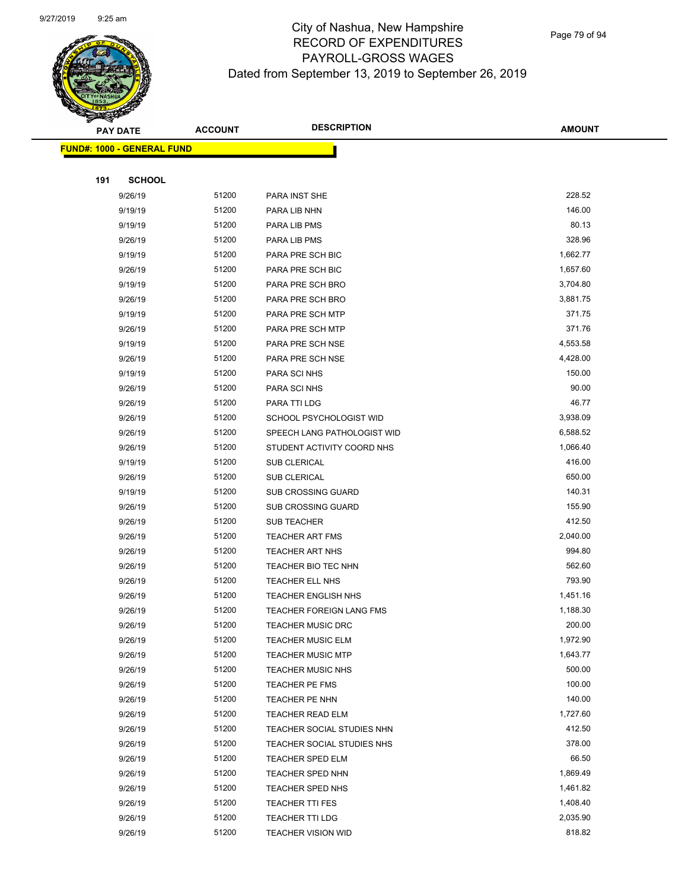

|     | <b>PAY DATE</b>                    | <b>ACCOUNT</b> | <b>DESCRIPTION</b>          | <b>AMOUNT</b> |
|-----|------------------------------------|----------------|-----------------------------|---------------|
|     | <u> FUND#: 1000 - GENERAL FUND</u> |                |                             |               |
|     |                                    |                |                             |               |
| 191 | <b>SCHOOL</b>                      |                |                             |               |
|     | 9/26/19                            | 51200          | PARA INST SHE               | 228.52        |
|     | 9/19/19                            | 51200          | PARA LIB NHN                | 146.00        |
|     | 9/19/19                            | 51200          | PARA LIB PMS                | 80.13         |
|     | 9/26/19                            | 51200          | PARA LIB PMS                | 328.96        |
|     | 9/19/19                            | 51200          | PARA PRE SCH BIC            | 1,662.77      |
|     | 9/26/19                            | 51200          | PARA PRE SCH BIC            | 1,657.60      |
|     | 9/19/19                            | 51200          | PARA PRE SCH BRO            | 3,704.80      |
|     | 9/26/19                            | 51200          | PARA PRE SCH BRO            | 3,881.75      |
|     | 9/19/19                            | 51200          | PARA PRE SCH MTP            | 371.75        |
|     | 9/26/19                            | 51200          | PARA PRE SCH MTP            | 371.76        |
|     | 9/19/19                            | 51200          | PARA PRE SCH NSE            | 4,553.58      |
|     | 9/26/19                            | 51200          | PARA PRE SCH NSE            | 4,428.00      |
|     | 9/19/19                            | 51200          | PARA SCI NHS                | 150.00        |
|     | 9/26/19                            | 51200          | PARA SCI NHS                | 90.00         |
|     | 9/26/19                            | 51200          | PARA TTI LDG                | 46.77         |
|     | 9/26/19                            | 51200          | SCHOOL PSYCHOLOGIST WID     | 3,938.09      |
|     | 9/26/19                            | 51200          | SPEECH LANG PATHOLOGIST WID | 6,588.52      |
|     | 9/26/19                            | 51200          | STUDENT ACTIVITY COORD NHS  | 1,066.40      |
|     | 9/19/19                            | 51200          | SUB CLERICAL                | 416.00        |
|     | 9/26/19                            | 51200          | SUB CLERICAL                | 650.00        |
|     | 9/19/19                            | 51200          | <b>SUB CROSSING GUARD</b>   | 140.31        |
|     | 9/26/19                            | 51200          | <b>SUB CROSSING GUARD</b>   | 155.90        |
|     | 9/26/19                            | 51200          | <b>SUB TEACHER</b>          | 412.50        |
|     | 9/26/19                            | 51200          | <b>TEACHER ART FMS</b>      | 2,040.00      |
|     | 9/26/19                            | 51200          | <b>TEACHER ART NHS</b>      | 994.80        |
|     | 9/26/19                            | 51200          | TEACHER BIO TEC NHN         | 562.60        |
|     | 9/26/19                            | 51200          | TEACHER ELL NHS             | 793.90        |
|     | 9/26/19                            | 51200          | <b>TEACHER ENGLISH NHS</b>  | 1,451.16      |
|     | 9/26/19                            | 51200          | TEACHER FOREIGN LANG FMS    | 1,188.30      |
|     | 9/26/19                            | 51200          | <b>TEACHER MUSIC DRC</b>    | 200.00        |
|     | 9/26/19                            | 51200          | <b>TEACHER MUSIC ELM</b>    | 1,972.90      |
|     | 9/26/19                            | 51200          | <b>TEACHER MUSIC MTP</b>    | 1,643.77      |
|     | 9/26/19                            | 51200          | <b>TEACHER MUSIC NHS</b>    | 500.00        |
|     | 9/26/19                            | 51200          | TEACHER PE FMS              | 100.00        |
|     | 9/26/19                            | 51200          | TEACHER PE NHN              | 140.00        |
|     | 9/26/19                            | 51200          | TEACHER READ ELM            | 1,727.60      |
|     | 9/26/19                            | 51200          | TEACHER SOCIAL STUDIES NHN  | 412.50        |
|     | 9/26/19                            | 51200          | TEACHER SOCIAL STUDIES NHS  | 378.00        |
|     | 9/26/19                            | 51200          | <b>TEACHER SPED ELM</b>     | 66.50         |
|     | 9/26/19                            | 51200          | TEACHER SPED NHN            | 1,869.49      |
|     | 9/26/19                            | 51200          | <b>TEACHER SPED NHS</b>     | 1,461.82      |
|     | 9/26/19                            | 51200          | <b>TEACHER TTI FES</b>      | 1,408.40      |
|     | 9/26/19                            | 51200          | TEACHER TTI LDG             | 2,035.90      |
|     | 9/26/19                            | 51200          | <b>TEACHER VISION WID</b>   | 818.82        |
|     |                                    |                |                             |               |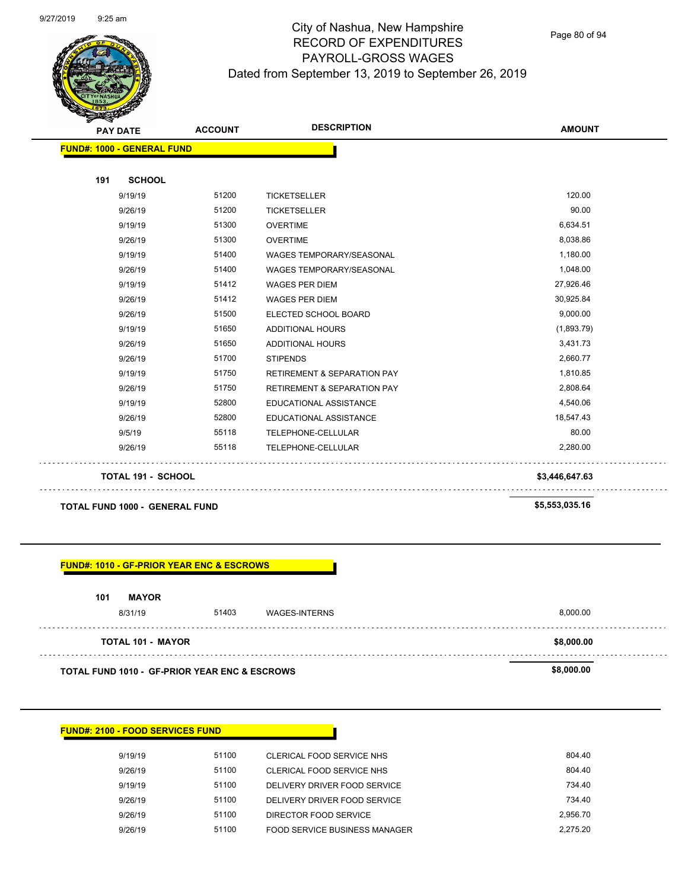

Page 80 of 94

| <b>FUND#: 1000 - GENERAL FUND</b> |                                        |                |
|-----------------------------------|----------------------------------------|----------------|
|                                   |                                        |                |
|                                   |                                        |                |
|                                   |                                        |                |
| 51200                             | <b>TICKETSELLER</b>                    | 120.00         |
| 51200                             | <b>TICKETSELLER</b>                    | 90.00          |
| 51300                             | <b>OVERTIME</b>                        | 6,634.51       |
| 51300                             | <b>OVERTIME</b>                        | 8,038.86       |
| 51400                             | <b>WAGES TEMPORARY/SEASONAL</b>        | 1,180.00       |
| 51400                             | <b>WAGES TEMPORARY/SEASONAL</b>        | 1,048.00       |
| 51412                             | <b>WAGES PER DIEM</b>                  | 27,926.46      |
| 51412                             | <b>WAGES PER DIEM</b>                  | 30,925.84      |
| 51500                             | ELECTED SCHOOL BOARD                   | 9,000.00       |
| 51650                             | <b>ADDITIONAL HOURS</b>                | (1,893.79)     |
| 51650                             | <b>ADDITIONAL HOURS</b>                | 3,431.73       |
| 51700                             | <b>STIPENDS</b>                        | 2,660.77       |
| 51750                             | <b>RETIREMENT &amp; SEPARATION PAY</b> | 1,810.85       |
| 51750                             | <b>RETIREMENT &amp; SEPARATION PAY</b> | 2,808.64       |
| 52800                             | <b>EDUCATIONAL ASSISTANCE</b>          | 4,540.06       |
| 52800                             | <b>EDUCATIONAL ASSISTANCE</b>          | 18,547.43      |
| 55118                             | TELEPHONE-CELLULAR                     | 80.00          |
| 55118                             | TELEPHONE-CELLULAR                     | 2,280.00       |
|                                   |                                        | \$3,446,647.63 |
|                                   | <b>TOTAL 191 - SCHOOL</b>              |                |

**TOTAL FUND 1000 - GENERAL FUND \$5,553,035.16** 

## **FUND#: 1010 - GF-PRIOR YEAR ENC & ESCROWS**

| 101 | <b>MAYOR</b> |
|-----|--------------|
|     |              |

| 8/31/19                                                  | 51403 | WAGES-INTERNS | 8,000.00   |  |
|----------------------------------------------------------|-------|---------------|------------|--|
| <b>TOTAL 101 - MAYOR</b>                                 |       |               | \$8,000.00 |  |
| <b>TOTAL FUND 1010 - GF-PRIOR YEAR ENC &amp; ESCROWS</b> |       |               | \$8,000.00 |  |

|  |  | <b>FUND#: 2100 - FOOD SERVICES FUND</b> |  |
|--|--|-----------------------------------------|--|
|--|--|-----------------------------------------|--|

| 9/19/19 | 51100 | CLERICAL FOOD SERVICE NHS     | 804.40   |
|---------|-------|-------------------------------|----------|
| 9/26/19 | 51100 | CLERICAL FOOD SERVICE NHS     | 804.40   |
| 9/19/19 | 51100 | DELIVERY DRIVER FOOD SERVICE  | 734.40   |
| 9/26/19 | 51100 | DELIVERY DRIVER FOOD SERVICE  | 734.40   |
| 9/26/19 | 51100 | DIRECTOR FOOD SERVICE         | 2.956.70 |
| 9/26/19 | 51100 | FOOD SERVICE BUSINESS MANAGER | 2.275.20 |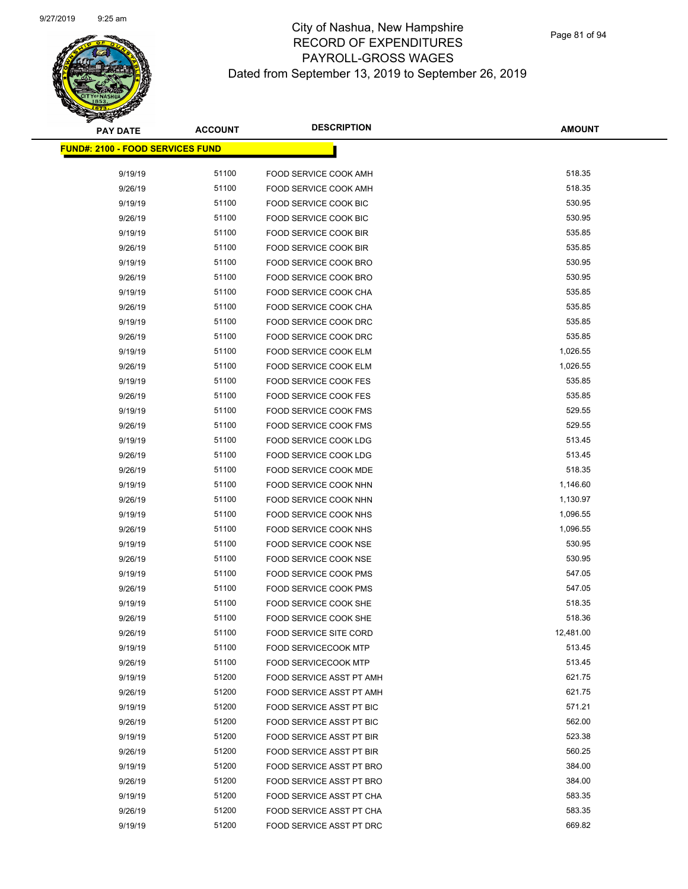| <b>PAY DATE</b>                          | <b>ACCOUNT</b> | <b>DESCRIPTION</b>            | <b>AMOUNT</b> |
|------------------------------------------|----------------|-------------------------------|---------------|
| <u> FUND#: 2100 - FOOD SERVICES FUND</u> |                |                               |               |
|                                          |                |                               |               |
| 9/19/19                                  | 51100          | FOOD SERVICE COOK AMH         | 518.35        |
| 9/26/19                                  | 51100          | FOOD SERVICE COOK AMH         | 518.35        |
| 9/19/19                                  | 51100          | FOOD SERVICE COOK BIC         | 530.95        |
| 9/26/19                                  | 51100          | FOOD SERVICE COOK BIC         | 530.95        |
| 9/19/19                                  | 51100          | <b>FOOD SERVICE COOK BIR</b>  | 535.85        |
| 9/26/19                                  | 51100          | FOOD SERVICE COOK BIR         | 535.85        |
| 9/19/19                                  | 51100          | FOOD SERVICE COOK BRO         | 530.95        |
| 9/26/19                                  | 51100          | FOOD SERVICE COOK BRO         | 530.95        |
| 9/19/19                                  | 51100          | FOOD SERVICE COOK CHA         | 535.85        |
| 9/26/19                                  | 51100          | FOOD SERVICE COOK CHA         | 535.85        |
| 9/19/19                                  | 51100          | FOOD SERVICE COOK DRC         | 535.85        |
| 9/26/19                                  | 51100          | FOOD SERVICE COOK DRC         | 535.85        |
| 9/19/19                                  | 51100          | FOOD SERVICE COOK ELM         | 1,026.55      |
| 9/26/19                                  | 51100          | <b>FOOD SERVICE COOK ELM</b>  | 1,026.55      |
| 9/19/19                                  | 51100          | <b>FOOD SERVICE COOK FES</b>  | 535.85        |
| 9/26/19                                  | 51100          | FOOD SERVICE COOK FES         | 535.85        |
| 9/19/19                                  | 51100          | <b>FOOD SERVICE COOK FMS</b>  | 529.55        |
| 9/26/19                                  | 51100          | FOOD SERVICE COOK FMS         | 529.55        |
| 9/19/19                                  | 51100          | FOOD SERVICE COOK LDG         | 513.45        |
| 9/26/19                                  | 51100          | FOOD SERVICE COOK LDG         | 513.45        |
| 9/26/19                                  | 51100          | FOOD SERVICE COOK MDE         | 518.35        |
| 9/19/19                                  | 51100          | FOOD SERVICE COOK NHN         | 1,146.60      |
| 9/26/19                                  | 51100          | FOOD SERVICE COOK NHN         | 1,130.97      |
| 9/19/19                                  | 51100          | FOOD SERVICE COOK NHS         | 1,096.55      |
| 9/26/19                                  | 51100          | FOOD SERVICE COOK NHS         | 1,096.55      |
| 9/19/19                                  | 51100          | FOOD SERVICE COOK NSE         | 530.95        |
| 9/26/19                                  | 51100          | FOOD SERVICE COOK NSE         | 530.95        |
| 9/19/19                                  | 51100          | <b>FOOD SERVICE COOK PMS</b>  | 547.05        |
| 9/26/19                                  | 51100          | FOOD SERVICE COOK PMS         | 547.05        |
| 9/19/19                                  | 51100          | FOOD SERVICE COOK SHE         | 518.35        |
| 9/26/19                                  | 51100          | FOOD SERVICE COOK SHE         | 518.36        |
| 9/26/19                                  | 51100          | <b>FOOD SERVICE SITE CORD</b> | 12,481.00     |
| 9/19/19                                  | 51100          | <b>FOOD SERVICECOOK MTP</b>   | 513.45        |
| 9/26/19                                  | 51100          | <b>FOOD SERVICECOOK MTP</b>   | 513.45        |
| 9/19/19                                  | 51200          | FOOD SERVICE ASST PT AMH      | 621.75        |
| 9/26/19                                  | 51200          | FOOD SERVICE ASST PT AMH      | 621.75        |
| 9/19/19                                  | 51200          | FOOD SERVICE ASST PT BIC      | 571.21        |
| 9/26/19                                  | 51200          | FOOD SERVICE ASST PT BIC      | 562.00        |
| 9/19/19                                  | 51200          | FOOD SERVICE ASST PT BIR      | 523.38        |
| 9/26/19                                  | 51200          | FOOD SERVICE ASST PT BIR      | 560.25        |
| 9/19/19                                  | 51200          | FOOD SERVICE ASST PT BRO      | 384.00        |
| 9/26/19                                  | 51200          | FOOD SERVICE ASST PT BRO      | 384.00        |
| 9/19/19                                  | 51200          | FOOD SERVICE ASST PT CHA      | 583.35        |
| 9/26/19                                  | 51200          | FOOD SERVICE ASST PT CHA      | 583.35        |
| 9/19/19                                  | 51200          | FOOD SERVICE ASST PT DRC      | 669.82        |
|                                          |                |                               |               |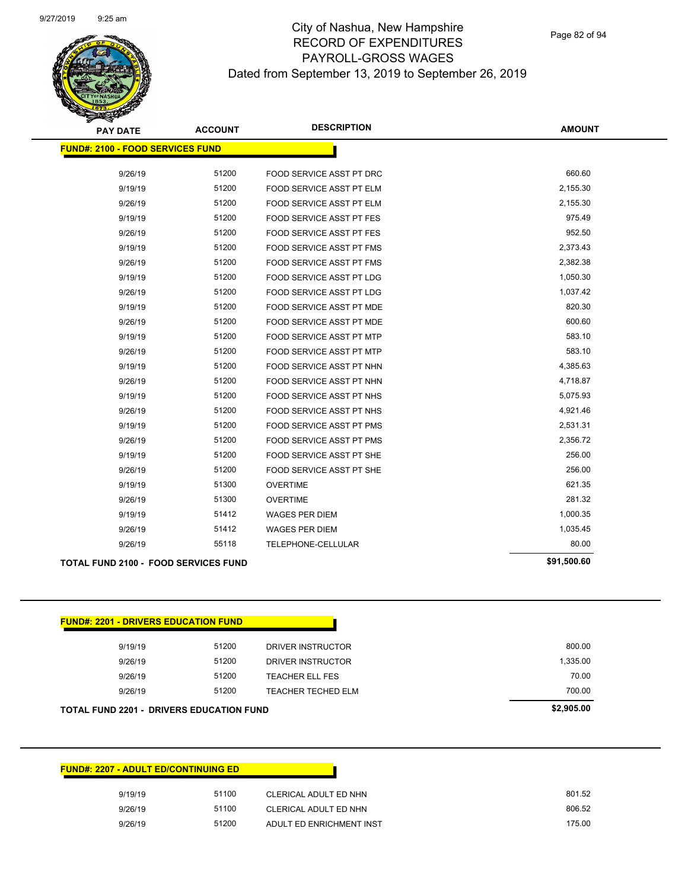Page 82 of 94

| <b>PAY DATE</b>                             | <b>ACCOUNT</b> | <b>DESCRIPTION</b>              | <b>AMOUNT</b> |
|---------------------------------------------|----------------|---------------------------------|---------------|
| <b>FUND#: 2100 - FOOD SERVICES FUND</b>     |                |                                 |               |
| 9/26/19                                     | 51200          | <b>FOOD SERVICE ASST PT DRC</b> | 660.60        |
| 9/19/19                                     | 51200          | FOOD SERVICE ASST PT ELM        | 2,155.30      |
| 9/26/19                                     | 51200          | <b>FOOD SERVICE ASST PT ELM</b> | 2,155.30      |
|                                             | 51200          | <b>FOOD SERVICE ASST PT FES</b> | 975.49        |
| 9/19/19                                     | 51200          |                                 | 952.50        |
| 9/26/19                                     |                | <b>FOOD SERVICE ASST PT FES</b> |               |
| 9/19/19                                     | 51200          | <b>FOOD SERVICE ASST PT FMS</b> | 2,373.43      |
| 9/26/19                                     | 51200          | FOOD SERVICE ASST PT FMS        | 2,382.38      |
| 9/19/19                                     | 51200          | <b>FOOD SERVICE ASST PT LDG</b> | 1,050.30      |
| 9/26/19                                     | 51200          | FOOD SERVICE ASST PT LDG        | 1,037.42      |
| 9/19/19                                     | 51200          | <b>FOOD SERVICE ASST PT MDE</b> | 820.30        |
| 9/26/19                                     | 51200          | FOOD SERVICE ASST PT MDE        | 600.60        |
| 9/19/19                                     | 51200          | <b>FOOD SERVICE ASST PT MTP</b> | 583.10        |
| 9/26/19                                     | 51200          | <b>FOOD SERVICE ASST PT MTP</b> | 583.10        |
| 9/19/19                                     | 51200          | FOOD SERVICE ASST PT NHN        | 4,385.63      |
| 9/26/19                                     | 51200          | FOOD SERVICE ASST PT NHN        | 4,718.87      |
| 9/19/19                                     | 51200          | FOOD SERVICE ASST PT NHS        | 5,075.93      |
| 9/26/19                                     | 51200          | FOOD SERVICE ASST PT NHS        | 4,921.46      |
| 9/19/19                                     | 51200          | <b>FOOD SERVICE ASST PT PMS</b> | 2,531.31      |
| 9/26/19                                     | 51200          | <b>FOOD SERVICE ASST PT PMS</b> | 2,356.72      |
| 9/19/19                                     | 51200          | FOOD SERVICE ASST PT SHE        | 256.00        |
| 9/26/19                                     | 51200          | FOOD SERVICE ASST PT SHE        | 256.00        |
| 9/19/19                                     | 51300          | <b>OVERTIME</b>                 | 621.35        |
| 9/26/19                                     | 51300          | <b>OVERTIME</b>                 | 281.32        |
| 9/19/19                                     | 51412          | <b>WAGES PER DIEM</b>           | 1,000.35      |
| 9/26/19                                     | 51412          | <b>WAGES PER DIEM</b>           | 1,035.45      |
| 9/26/19                                     | 55118          | TELEPHONE-CELLULAR              | 80.00         |
| <b>TOTAL FUND 2100 - FOOD SERVICES FUND</b> |                |                                 | \$91,500.60   |
|                                             |                |                                 |               |

| <b>FUND#: 2201 - DRIVERS EDUCATION FUND</b>     |       |                    |            |
|-------------------------------------------------|-------|--------------------|------------|
| 9/19/19                                         | 51200 | DRIVER INSTRUCTOR  | 800.00     |
| 9/26/19                                         | 51200 | DRIVER INSTRUCTOR  | 1,335.00   |
| 9/26/19                                         | 51200 | TEACHER ELL FES    | 70.00      |
| 9/26/19                                         | 51200 | TEACHER TECHED ELM | 700.00     |
| <b>TOTAL FUND 2201 - DRIVERS EDUCATION FUND</b> |       |                    | \$2,905.00 |

| <b>FUND#: 2207 - ADULT ED/CONTINUING ED</b> |       |                          |        |
|---------------------------------------------|-------|--------------------------|--------|
| 9/19/19                                     | 51100 | CLERICAL ADULT ED NHN    | 801.52 |
| 9/26/19                                     | 51100 | CLERICAL ADULT ED NHN    | 806.52 |
| 9/26/19                                     | 51200 | ADULT ED ENRICHMENT INST | 175.00 |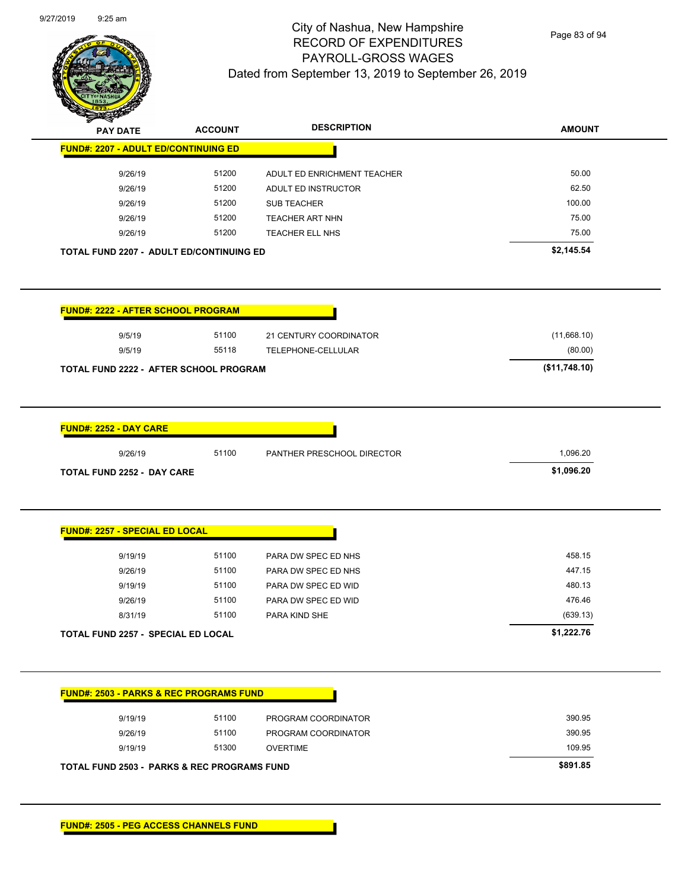

Page 83 of 94

| <b>PAY DATE</b>                                    | <b>ACCOUNT</b> | <b>DESCRIPTION</b>          | <b>AMOUNT</b> |
|----------------------------------------------------|----------------|-----------------------------|---------------|
| <b>FUND#: 2207 - ADULT ED/CONTINUING ED</b>        |                |                             |               |
| 9/26/19                                            | 51200          | ADULT ED ENRICHMENT TEACHER | 50.00         |
| 9/26/19                                            | 51200          | ADULT ED INSTRUCTOR         | 62.50         |
| 9/26/19                                            | 51200          | <b>SUB TEACHER</b>          | 100.00        |
| 9/26/19                                            | 51200          | <b>TEACHER ART NHN</b>      | 75.00         |
| 9/26/19                                            | 51200          | TEACHER ELL NHS             | 75.00         |
| <b>TOTAL FUND 2207 - ADULT ED/CONTINUING ED</b>    |                |                             | \$2,145.54    |
| <b>FUND#: 2222 - AFTER SCHOOL PROGRAM</b>          |                |                             |               |
| 9/5/19                                             | 51100          | 21 CENTURY COORDINATOR      | (11,668.10)   |
| 9/5/19                                             | 55118          | TELEPHONE-CELLULAR          | (80.00)       |
| TOTAL FUND 2222 - AFTER SCHOOL PROGRAM             |                |                             | (\$11,748.10) |
|                                                    |                |                             |               |
| <b>FUND#: 2252 - DAY CARE</b>                      |                |                             |               |
| 9/26/19                                            | 51100          | PANTHER PRESCHOOL DIRECTOR  | 1,096.20      |
| <b>TOTAL FUND 2252 - DAY CARE</b>                  |                |                             | \$1,096.20    |
| <b>FUND#: 2257 - SPECIAL ED LOCAL</b>              |                |                             |               |
|                                                    | 51100          | PARA DW SPEC ED NHS         | 458.15        |
| 9/19/19                                            |                |                             |               |
| 9/26/19                                            | 51100          | PARA DW SPEC ED NHS         | 447.15        |
| 9/19/19                                            | 51100          | PARA DW SPEC ED WID         | 480.13        |
| 9/26/19                                            | 51100          | PARA DW SPEC ED WID         | 476.46        |
| 8/31/19                                            | 51100          | PARA KIND SHE               | (639.13)      |
| TOTAL FUND 2257 - SPECIAL ED LOCAL                 |                |                             | \$1,222.76    |
| <b>FUND#: 2503 - PARKS &amp; REC PROGRAMS FUND</b> |                |                             |               |
| 9/19/19                                            | 51100          | PROGRAM COORDINATOR         | 390.95        |
| 9/26/19                                            | 51100          | PROGRAM COORDINATOR         | 390.95        |
| 9/19/19                                            | 51300          | <b>OVERTIME</b>             | 109.95        |
|                                                    |                |                             |               |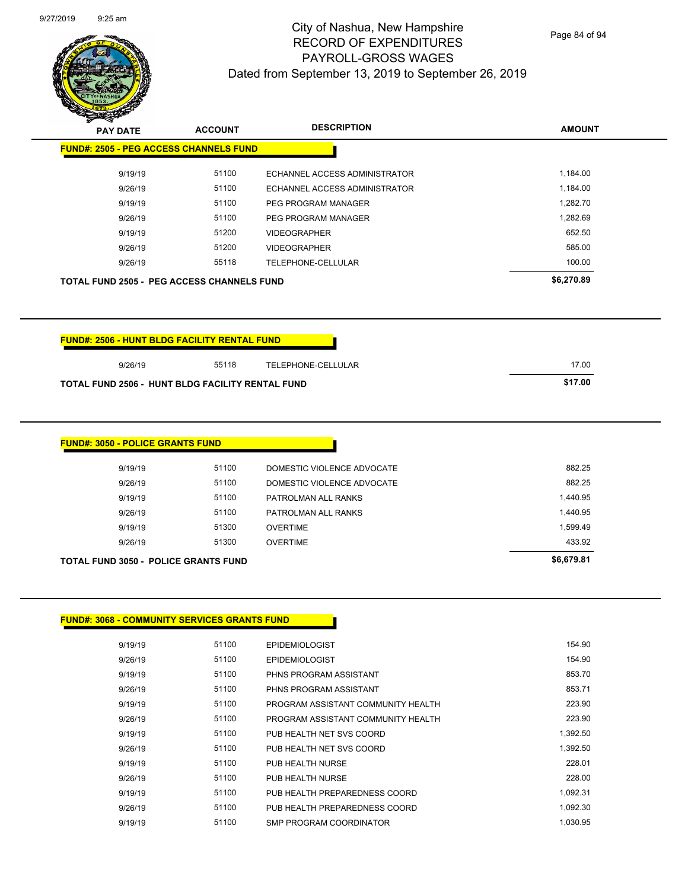**AMOUNT PAY DATE ACCOUNT DESCRIPTION**

| <b>FUND#: 2505 - PEG ACCESS CHANNELS FUND</b>                                                           |       |                               |            |
|---------------------------------------------------------------------------------------------------------|-------|-------------------------------|------------|
| 9/19/19                                                                                                 | 51100 | ECHANNEL ACCESS ADMINISTRATOR | 1,184.00   |
| 9/26/19                                                                                                 | 51100 | ECHANNEL ACCESS ADMINISTRATOR | 1,184.00   |
|                                                                                                         |       |                               |            |
| 9/19/19                                                                                                 | 51100 | PEG PROGRAM MANAGER           | 1,282.70   |
| 9/26/19                                                                                                 | 51100 | PEG PROGRAM MANAGER           | 1,282.69   |
| 9/19/19                                                                                                 | 51200 | <b>VIDEOGRAPHER</b>           | 652.50     |
| 9/26/19                                                                                                 | 51200 | <b>VIDEOGRAPHER</b>           | 585.00     |
| 9/26/19                                                                                                 | 55118 | TELEPHONE-CELLULAR            | 100.00     |
| <b>TOTAL FUND 2505 - PEG ACCESS CHANNELS FUND</b>                                                       |       |                               |            |
|                                                                                                         |       |                               | \$6,270.89 |
|                                                                                                         |       |                               |            |
| 9/26/19                                                                                                 | 55118 | TELEPHONE-CELLULAR            | 17.00      |
|                                                                                                         |       |                               | \$17.00    |
| <b>FUND#: 2506 - HUNT BLDG FACILITY RENTAL FUND</b><br>TOTAL FUND 2506 - HUNT BLDG FACILITY RENTAL FUND |       |                               |            |
|                                                                                                         |       |                               |            |
|                                                                                                         |       |                               |            |
| <b>FUND#: 3050 - POLICE GRANTS FUND</b><br>9/19/19                                                      | 51100 | DOMESTIC VIOLENCE ADVOCATE    | 882.25     |

| <b>TOTAL FUND 3050 - POLICE GRANTS FUND</b> |       |                     |          |  |
|---------------------------------------------|-------|---------------------|----------|--|
| 9/26/19                                     | 51300 | <b>OVERTIME</b>     | 433.92   |  |
| 9/19/19                                     | 51300 | <b>OVERTIME</b>     | 1.599.49 |  |
| 9/26/19                                     | 51100 | PATROLMAN ALL RANKS | 1.440.95 |  |
| 9/19/19                                     | 51100 | PATROLMAN ALL RANKS | 1,440.95 |  |
|                                             | .     |                     | ------   |  |

## **FUND#: 3068 - COMMUNITY SERVICES GRANTS FUND**

| 9/19/19 | 51100 | <b>EPIDEMIOLOGIST</b>              | 154.90   |
|---------|-------|------------------------------------|----------|
| 9/26/19 | 51100 | <b>EPIDEMIOLOGIST</b>              | 154.90   |
| 9/19/19 | 51100 | PHNS PROGRAM ASSISTANT             | 853.70   |
| 9/26/19 | 51100 | PHNS PROGRAM ASSISTANT             | 853.71   |
| 9/19/19 | 51100 | PROGRAM ASSISTANT COMMUNITY HEALTH | 223.90   |
| 9/26/19 | 51100 | PROGRAM ASSISTANT COMMUNITY HEALTH | 223.90   |
| 9/19/19 | 51100 | PUB HEALTH NET SVS COORD           | 1,392.50 |
| 9/26/19 | 51100 | PUB HEALTH NET SVS COORD           | 1.392.50 |
| 9/19/19 | 51100 | PUB HEALTH NURSE                   | 228.01   |
| 9/26/19 | 51100 | PUB HEALTH NURSE                   | 228.00   |
| 9/19/19 | 51100 | PUB HEALTH PREPAREDNESS COORD      | 1,092.31 |
| 9/26/19 | 51100 | PUB HEALTH PREPAREDNESS COORD      | 1,092.30 |
| 9/19/19 | 51100 | SMP PROGRAM COORDINATOR            | 1.030.95 |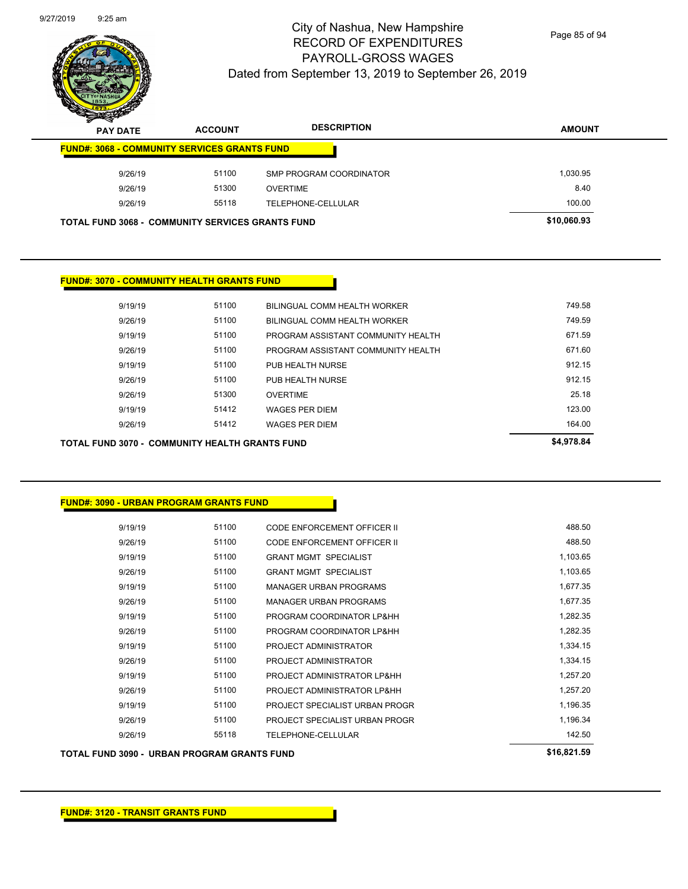| TOTAL FUND 3090 -  URBAN PROGRAM GRANTS FUND | \$16,821.59 |                                    |          |
|----------------------------------------------|-------------|------------------------------------|----------|
| 9/26/19                                      | 55118       | TELEPHONE-CELLULAR                 | 142.50   |
| 9/26/19                                      | 51100       | PROJECT SPECIALIST URBAN PROGR     | 1,196.34 |
| 9/19/19                                      | 51100       | PROJECT SPECIALIST URBAN PROGR     | 1,196.35 |
| 9/26/19                                      | 51100       | PROJECT ADMINISTRATOR LP&HH        | 1,257.20 |
| 9/19/19                                      | 51100       | PROJECT ADMINISTRATOR LP&HH        | 1,257.20 |
| 9/26/19                                      | 51100       | PROJECT ADMINISTRATOR              | 1,334.15 |
| 9/19/19                                      | 51100       | PROJECT ADMINISTRATOR              | 1,334.15 |
| 9/26/19                                      | 51100       | PROGRAM COORDINATOR LP&HH          | 1,282.35 |
| 9/19/19                                      | 51100       | PROGRAM COORDINATOR LP&HH          | 1,282.35 |
| 9/26/19                                      | 51100       | <b>MANAGER URBAN PROGRAMS</b>      | 1,677.35 |
| 9/19/19                                      | 51100       | <b>MANAGER URBAN PROGRAMS</b>      | 1,677.35 |
| 9/26/19                                      | 51100       | <b>GRANT MGMT SPECIALIST</b>       | 1,103.65 |
| 9/19/19                                      | 51100       | <b>GRANT MGMT SPECIALIST</b>       | 1,103.65 |
| 9/26/19                                      | 51100       | CODE ENFORCEMENT OFFICER II        | 488.50   |
| 9/19/19                                      | 51100       | <b>CODE ENFORCEMENT OFFICER II</b> | 488.50   |

| <b>FUND#: 3090 - URBAN PROGRAM GRANTS FUND</b> |  |
|------------------------------------------------|--|

| TOTAL FUND 3070 -  COMMUNITY HEALTH GRANTS FUND |       |                                    | \$4,978.84 |
|-------------------------------------------------|-------|------------------------------------|------------|
| 9/26/19                                         | 51412 | <b>WAGES PER DIEM</b>              | 164.00     |
| 9/19/19                                         | 51412 | <b>WAGES PER DIEM</b>              | 123.00     |
| 9/26/19                                         | 51300 | <b>OVERTIME</b>                    | 25.18      |
| 9/26/19                                         | 51100 | PUB HEALTH NURSE                   | 912.15     |
| 9/19/19                                         | 51100 | PUB HEALTH NURSE                   | 912.15     |
| 9/26/19                                         | 51100 | PROGRAM ASSISTANT COMMUNITY HEALTH | 671.60     |
| 9/19/19                                         | 51100 | PROGRAM ASSISTANT COMMUNITY HEALTH | 671.59     |
| 9/26/19                                         | 51100 | BILINGUAL COMM HEALTH WORKER       | 749.59     |
| 9/19/19                                         | 51100 | BILINGUAL COMM HEALTH WORKER       | 749.58     |

## **FUND#: 3070 - COMMUNITY HEALTH GRANTS FUND**

# **AMOUNT PAY DATE ACCOUNT DESCRIPTION FUND#: 3068 - COMMUNITY SERVICES GRANTS FUND** 9/26/19 51100 SMP PROGRAM COORDINATOR 51400 51,030.95 9/26/19 51300 OVERTIME 8.40 9/26/19 55118 TELEPHONE-CELLULAR 100.00 **TOTAL FUND 3068 - COMMUNITY SERVICES GRANTS FUND \$10,060.93**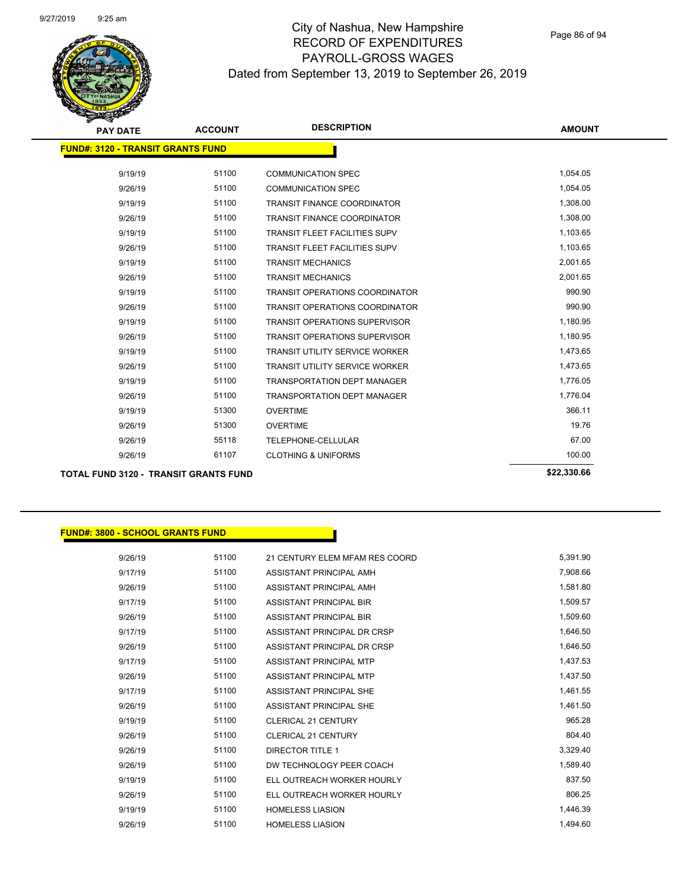

| <b>PAY DATE</b>                              | <b>ACCOUNT</b> | <b>DESCRIPTION</b>                    | <b>AMOUNT</b> |
|----------------------------------------------|----------------|---------------------------------------|---------------|
| <b>FUND#: 3120 - TRANSIT GRANTS FUND</b>     |                |                                       |               |
| 9/19/19                                      | 51100          | <b>COMMUNICATION SPEC</b>             | 1,054.05      |
| 9/26/19                                      | 51100          | <b>COMMUNICATION SPEC</b>             | 1,054.05      |
| 9/19/19                                      | 51100          | <b>TRANSIT FINANCE COORDINATOR</b>    | 1,308.00      |
| 9/26/19                                      | 51100          | <b>TRANSIT FINANCE COORDINATOR</b>    | 1,308.00      |
| 9/19/19                                      | 51100          | <b>TRANSIT FLEET FACILITIES SUPV</b>  | 1,103.65      |
| 9/26/19                                      | 51100          | <b>TRANSIT FLEET FACILITIES SUPV</b>  | 1,103.65      |
| 9/19/19                                      | 51100          | <b>TRANSIT MECHANICS</b>              | 2,001.65      |
|                                              | 51100          |                                       | 2,001.65      |
| 9/26/19                                      |                | <b>TRANSIT MECHANICS</b>              |               |
| 9/19/19                                      | 51100          | <b>TRANSIT OPERATIONS COORDINATOR</b> | 990.90        |
| 9/26/19                                      | 51100          | <b>TRANSIT OPERATIONS COORDINATOR</b> | 990.90        |
| 9/19/19                                      | 51100          | <b>TRANSIT OPERATIONS SUPERVISOR</b>  | 1,180.95      |
| 9/26/19                                      | 51100          | <b>TRANSIT OPERATIONS SUPERVISOR</b>  | 1,180.95      |
| 9/19/19                                      | 51100          | <b>TRANSIT UTILITY SERVICE WORKER</b> | 1,473.65      |
| 9/26/19                                      | 51100          | TRANSIT UTILITY SERVICE WORKER        | 1,473.65      |
| 9/19/19                                      | 51100          | <b>TRANSPORTATION DEPT MANAGER</b>    | 1,776.05      |
| 9/26/19                                      | 51100          | <b>TRANSPORTATION DEPT MANAGER</b>    | 1,776.04      |
| 9/19/19                                      | 51300          | <b>OVERTIME</b>                       | 366.11        |
| 9/26/19                                      | 51300          | <b>OVERTIME</b>                       | 19.76         |
| 9/26/19                                      | 55118          | TELEPHONE-CELLULAR                    | 67.00         |
| 9/26/19                                      | 61107          | <b>CLOTHING &amp; UNIFORMS</b>        | 100.00        |
| <b>TOTAL FUND 3120 - TRANSIT GRANTS FUND</b> |                |                                       | \$22,330.66   |

## **FUND#: 3800 - SCHOOL GRANTS FUND**

| 9/26/19 | 51100 | 21 CENTURY ELEM MFAM RES COORD | 5,391.90 |
|---------|-------|--------------------------------|----------|
| 9/17/19 | 51100 | ASSISTANT PRINCIPAL AMH        | 7,908.66 |
| 9/26/19 | 51100 | ASSISTANT PRINCIPAL AMH        | 1,581.80 |
| 9/17/19 | 51100 | ASSISTANT PRINCIPAL BIR        | 1,509.57 |
| 9/26/19 | 51100 | <b>ASSISTANT PRINCIPAL BIR</b> | 1,509.60 |
| 9/17/19 | 51100 | ASSISTANT PRINCIPAL DR CRSP    | 1,646.50 |
| 9/26/19 | 51100 | ASSISTANT PRINCIPAL DR CRSP    | 1,646.50 |
| 9/17/19 | 51100 | ASSISTANT PRINCIPAL MTP        | 1,437.53 |
| 9/26/19 | 51100 | ASSISTANT PRINCIPAL MTP        | 1,437.50 |
| 9/17/19 | 51100 | ASSISTANT PRINCIPAL SHE        | 1,461.55 |
| 9/26/19 | 51100 | ASSISTANT PRINCIPAL SHE        | 1,461.50 |
| 9/19/19 | 51100 | <b>CLERICAL 21 CENTURY</b>     | 965.28   |
| 9/26/19 | 51100 | <b>CLERICAL 21 CENTURY</b>     | 804.40   |
| 9/26/19 | 51100 | <b>DIRECTOR TITLE 1</b>        | 3,329.40 |
| 9/26/19 | 51100 | DW TECHNOLOGY PEER COACH       | 1,589.40 |
| 9/19/19 | 51100 | ELL OUTREACH WORKER HOURLY     | 837.50   |
| 9/26/19 | 51100 | ELL OUTREACH WORKER HOURLY     | 806.25   |
| 9/19/19 | 51100 | <b>HOMELESS LIASION</b>        | 1,446.39 |
| 9/26/19 | 51100 | <b>HOMELESS LIASION</b>        | 1,494.60 |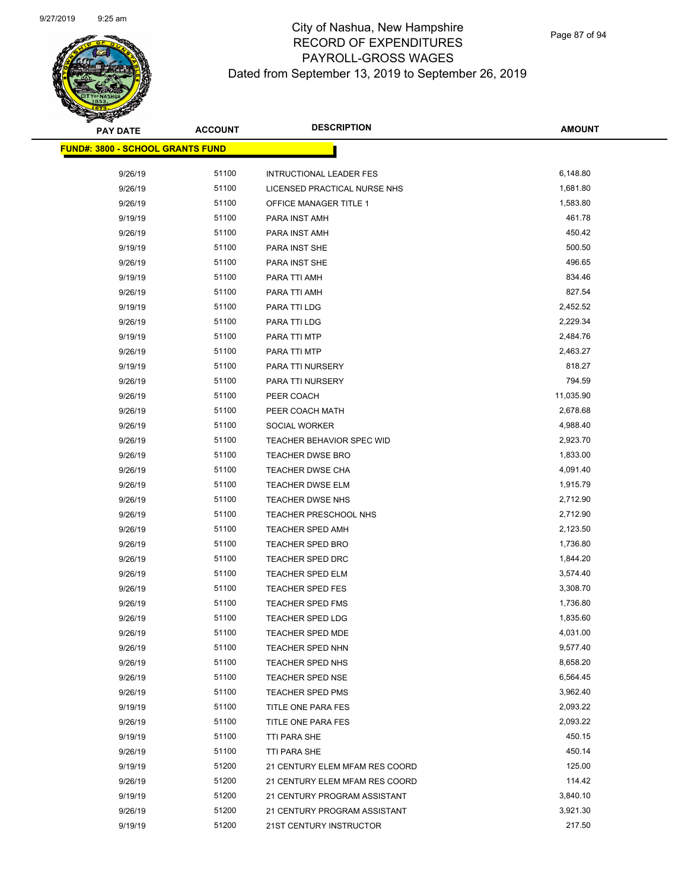

| <b>PAY DATE</b>                          | <b>ACCOUNT</b> | <b>DESCRIPTION</b>                                 | <b>AMOUNT</b>         |
|------------------------------------------|----------------|----------------------------------------------------|-----------------------|
| <u> FUND#: 3800 - SCHOOL GRANTS FUND</u> |                |                                                    |                       |
|                                          |                |                                                    |                       |
| 9/26/19                                  | 51100          | <b>INTRUCTIONAL LEADER FES</b>                     | 6,148.80<br>1,681.80  |
| 9/26/19                                  | 51100          | LICENSED PRACTICAL NURSE NHS                       |                       |
| 9/26/19                                  | 51100          | OFFICE MANAGER TITLE 1                             | 1,583.80              |
| 9/19/19                                  | 51100          | PARA INST AMH                                      | 461.78                |
| 9/26/19                                  | 51100          | PARA INST AMH                                      | 450.42                |
| 9/19/19                                  | 51100          | PARA INST SHE                                      | 500.50<br>496.65      |
| 9/26/19                                  | 51100          | PARA INST SHE                                      |                       |
| 9/19/19                                  | 51100          | PARA TTI AMH                                       | 834.46<br>827.54      |
| 9/26/19                                  | 51100          | PARA TTI AMH                                       |                       |
| 9/19/19                                  | 51100          | PARA TTI LDG                                       | 2,452.52              |
| 9/26/19                                  | 51100          | PARA TTI LDG                                       | 2,229.34              |
| 9/19/19                                  | 51100          | PARA TTI MTP                                       | 2,484.76              |
| 9/26/19                                  | 51100          | PARA TTI MTP                                       | 2,463.27<br>818.27    |
| 9/19/19                                  | 51100          | PARA TTI NURSERY                                   | 794.59                |
| 9/26/19                                  | 51100          | PARA TTI NURSERY                                   |                       |
| 9/26/19                                  | 51100<br>51100 | PEER COACH                                         | 11,035.90<br>2,678.68 |
| 9/26/19                                  | 51100          | PEER COACH MATH                                    | 4,988.40              |
| 9/26/19                                  | 51100          | SOCIAL WORKER                                      | 2,923.70              |
| 9/26/19                                  | 51100          | <b>TEACHER BEHAVIOR SPEC WID</b>                   | 1,833.00              |
| 9/26/19<br>9/26/19                       | 51100          | <b>TEACHER DWSE BRO</b><br><b>TEACHER DWSE CHA</b> | 4,091.40              |
| 9/26/19                                  | 51100          | <b>TEACHER DWSE ELM</b>                            | 1,915.79              |
| 9/26/19                                  | 51100          | <b>TEACHER DWSE NHS</b>                            | 2,712.90              |
| 9/26/19                                  | 51100          | TEACHER PRESCHOOL NHS                              | 2,712.90              |
| 9/26/19                                  | 51100          | <b>TEACHER SPED AMH</b>                            | 2,123.50              |
| 9/26/19                                  | 51100          | <b>TEACHER SPED BRO</b>                            | 1,736.80              |
| 9/26/19                                  | 51100          | <b>TEACHER SPED DRC</b>                            | 1,844.20              |
| 9/26/19                                  | 51100          | <b>TEACHER SPED ELM</b>                            | 3,574.40              |
| 9/26/19                                  | 51100          | TEACHER SPED FES                                   | 3,308.70              |
| 9/26/19                                  | 51100          | <b>TEACHER SPED FMS</b>                            | 1,736.80              |
| 9/26/19                                  | 51100          | <b>TEACHER SPED LDG</b>                            | 1,835.60              |
| 9/26/19                                  | 51100          | <b>TEACHER SPED MDE</b>                            | 4,031.00              |
| 9/26/19                                  | 51100          | TEACHER SPED NHN                                   | 9,577.40              |
| 9/26/19                                  | 51100          | TEACHER SPED NHS                                   | 8,658.20              |
| 9/26/19                                  | 51100          | TEACHER SPED NSE                                   | 6,564.45              |
| 9/26/19                                  | 51100          | TEACHER SPED PMS                                   | 3,962.40              |
| 9/19/19                                  | 51100          | TITLE ONE PARA FES                                 | 2,093.22              |
| 9/26/19                                  | 51100          | TITLE ONE PARA FES                                 | 2,093.22              |
| 9/19/19                                  | 51100          | TTI PARA SHE                                       | 450.15                |
| 9/26/19                                  | 51100          | TTI PARA SHE                                       | 450.14                |
| 9/19/19                                  | 51200          | 21 CENTURY ELEM MFAM RES COORD                     | 125.00                |
| 9/26/19                                  | 51200          | 21 CENTURY ELEM MFAM RES COORD                     | 114.42                |
| 9/19/19                                  | 51200          | 21 CENTURY PROGRAM ASSISTANT                       | 3,840.10              |
| 9/26/19                                  | 51200          | 21 CENTURY PROGRAM ASSISTANT                       | 3,921.30              |
| 9/19/19                                  | 51200          | 21ST CENTURY INSTRUCTOR                            | 217.50                |
|                                          |                |                                                    |                       |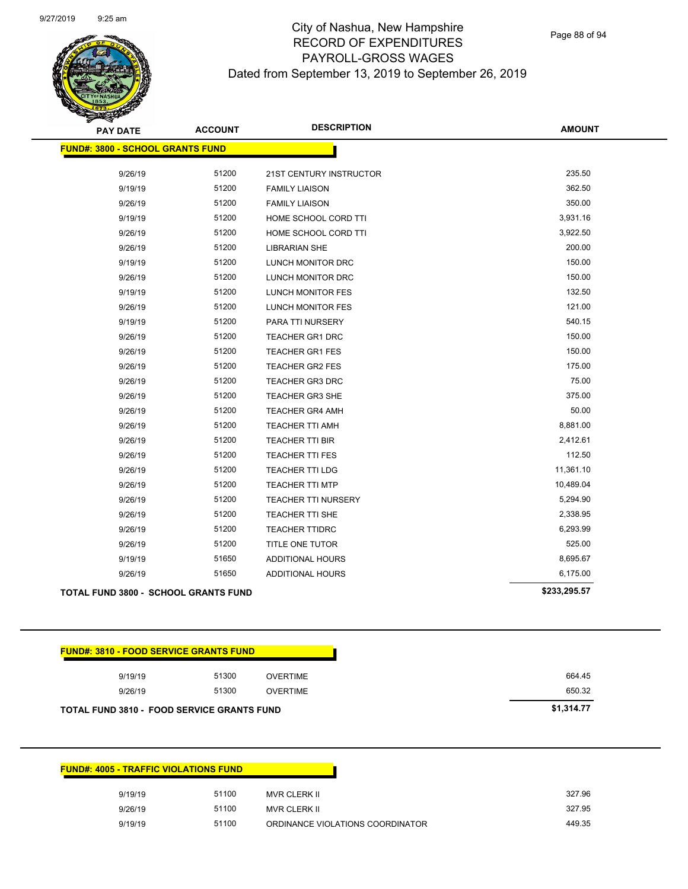Page 88 of 94

| <b>PAY DATE</b>                                   | <b>ACCOUNT</b> | <b>DESCRIPTION</b>      | <b>AMOUNT</b> |
|---------------------------------------------------|----------------|-------------------------|---------------|
| <b>FUND#: 3800 - SCHOOL GRANTS FUND</b>           |                |                         |               |
| 9/26/19                                           | 51200          | 21ST CENTURY INSTRUCTOR | 235.50        |
| 9/19/19                                           | 51200          | <b>FAMILY LIAISON</b>   | 362.50        |
| 9/26/19                                           | 51200          | <b>FAMILY LIAISON</b>   | 350.00        |
| 9/19/19                                           | 51200          | HOME SCHOOL CORD TTI    | 3,931.16      |
| 9/26/19                                           | 51200          | HOME SCHOOL CORD TTI    | 3,922.50      |
| 9/26/19                                           | 51200          | <b>LIBRARIAN SHE</b>    | 200.00        |
| 9/19/19                                           | 51200          | LUNCH MONITOR DRC       | 150.00        |
| 9/26/19                                           | 51200          | LUNCH MONITOR DRC       | 150.00        |
| 9/19/19                                           | 51200          | LUNCH MONITOR FES       | 132.50        |
| 9/26/19                                           | 51200          | LUNCH MONITOR FES       | 121.00        |
| 9/19/19                                           | 51200          | PARA TTI NURSERY        | 540.15        |
| 9/26/19                                           | 51200          | <b>TEACHER GR1 DRC</b>  | 150.00        |
| 9/26/19                                           | 51200          | TEACHER GR1 FES         | 150.00        |
| 9/26/19                                           | 51200          | <b>TEACHER GR2 FES</b>  | 175.00        |
| 9/26/19                                           | 51200          | <b>TEACHER GR3 DRC</b>  | 75.00         |
| 9/26/19                                           | 51200          | <b>TEACHER GR3 SHE</b>  | 375.00        |
| 9/26/19                                           | 51200          | <b>TEACHER GR4 AMH</b>  | 50.00         |
| 9/26/19                                           | 51200          | TEACHER TTI AMH         | 8,881.00      |
| 9/26/19                                           | 51200          | TEACHER TTI BIR         | 2,412.61      |
| 9/26/19                                           | 51200          | TEACHER TTI FES         | 112.50        |
| 9/26/19                                           | 51200          | <b>TEACHER TTI LDG</b>  | 11,361.10     |
| 9/26/19                                           | 51200          | <b>TEACHER TTI MTP</b>  | 10,489.04     |
| 9/26/19                                           | 51200          | TEACHER TTI NURSERY     | 5,294.90      |
| 9/26/19                                           | 51200          | TEACHER TTI SHE         | 2,338.95      |
| 9/26/19                                           | 51200          | <b>TEACHER TTIDRC</b>   | 6,293.99      |
| 9/26/19                                           | 51200          | TITLE ONE TUTOR         | 525.00        |
| 9/19/19                                           | 51650          | <b>ADDITIONAL HOURS</b> | 8,695.67      |
| 9/26/19                                           | 51650          | <b>ADDITIONAL HOURS</b> | 6,175.00      |
| <b>TOTAL FUND 3800 - SCHOOL GRANTS FUND</b>       |                |                         | \$233,295.57  |
|                                                   |                |                         |               |
| <b>FUND#: 3810 - FOOD SERVICE GRANTS FUND</b>     |                |                         |               |
| 9/19/19                                           | 51300          | <b>OVERTIME</b>         | 664.45        |
| 9/26/19                                           | 51300          | <b>OVERTIME</b>         | 650.32        |
| <b>TOTAL FUND 3810 - FOOD SERVICE GRANTS FUND</b> |                |                         | \$1,314.77    |
|                                                   |                |                         |               |
| <b>FUND#: 4005 - TRAFFIC VIOLATIONS FUND</b>      |                |                         |               |
| 9/19/19                                           | 51100          | MVR CLERK II            | 327.96        |

9/26/19 51100 MVR CLERK II 327.95 9/19/19 51100 ORDINANCE VIOLATIONS COORDINATOR 449.35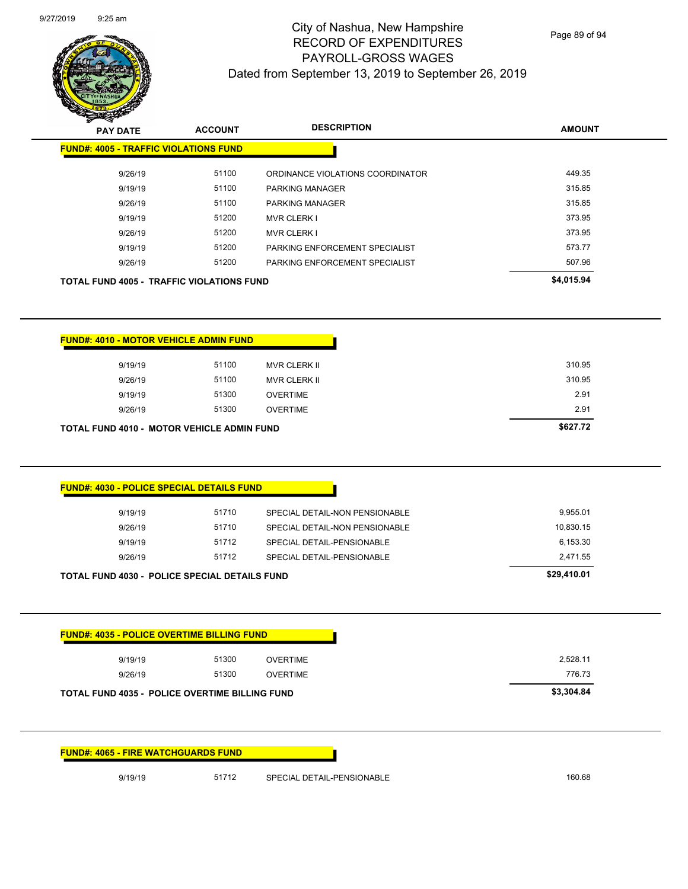

|                                                   | <b>ACCOUNT</b> | <b>DESCRIPTION</b>               | <b>AMOUNT</b> |
|---------------------------------------------------|----------------|----------------------------------|---------------|
| <b>FUND#: 4005 - TRAFFIC VIOLATIONS FUND</b>      |                |                                  |               |
| 9/26/19                                           | 51100          | ORDINANCE VIOLATIONS COORDINATOR | 449.35        |
| 9/19/19                                           | 51100          | <b>PARKING MANAGER</b>           | 315.85        |
| 9/26/19                                           | 51100          | <b>PARKING MANAGER</b>           | 315.85        |
| 9/19/19                                           | 51200          | <b>MVR CLERK I</b>               | 373.95        |
| 9/26/19                                           | 51200          | <b>MVR CLERK I</b>               | 373.95        |
| 9/19/19                                           | 51200          | PARKING ENFORCEMENT SPECIALIST   | 573.77        |
| 9/26/19                                           | 51200          | PARKING ENFORCEMENT SPECIALIST   | 507.96        |
| <b>TOTAL FUND 4005 - TRAFFIC VIOLATIONS FUND</b>  |                |                                  | \$4,015.94    |
|                                                   |                |                                  |               |
|                                                   |                |                                  |               |
| <b>FUND#: 4010 - MOTOR VEHICLE ADMIN FUND</b>     |                |                                  |               |
| 9/19/19                                           | 51100          | MVR CLERK II                     | 310.95        |
|                                                   | 51100          | MVR CLERK II                     | 310.95        |
| 9/26/19                                           |                | <b>OVERTIME</b>                  | 2.91          |
| 9/19/19                                           | 51300          |                                  |               |
| 9/26/19                                           | 51300          | <b>OVERTIME</b>                  | 2.91          |
|                                                   |                |                                  | \$627.72      |
|                                                   |                |                                  |               |
|                                                   |                |                                  |               |
| <b>TOTAL FUND 4010 - MOTOR VEHICLE ADMIN FUND</b> |                |                                  |               |
| <b>FUND#: 4030 - POLICE SPECIAL DETAILS FUND</b>  |                |                                  |               |
| 9/19/19                                           | 51710          | SPECIAL DETAIL-NON PENSIONABLE   | 9,955.01      |
| 9/26/19                                           | 51710          | SPECIAL DETAIL-NON PENSIONABLE   | 10,830.15     |
| 9/19/19                                           | 51712          | SPECIAL DETAIL-PENSIONABLE       | 6,153.30      |
| 9/26/19                                           | 51712          | SPECIAL DETAIL-PENSIONABLE       | 2,471.55      |



**FUND#: 4065 - FIRE WATCHGUARDS FUND**

9/19/19 51712 SPECIAL DETAIL-PENSIONABLE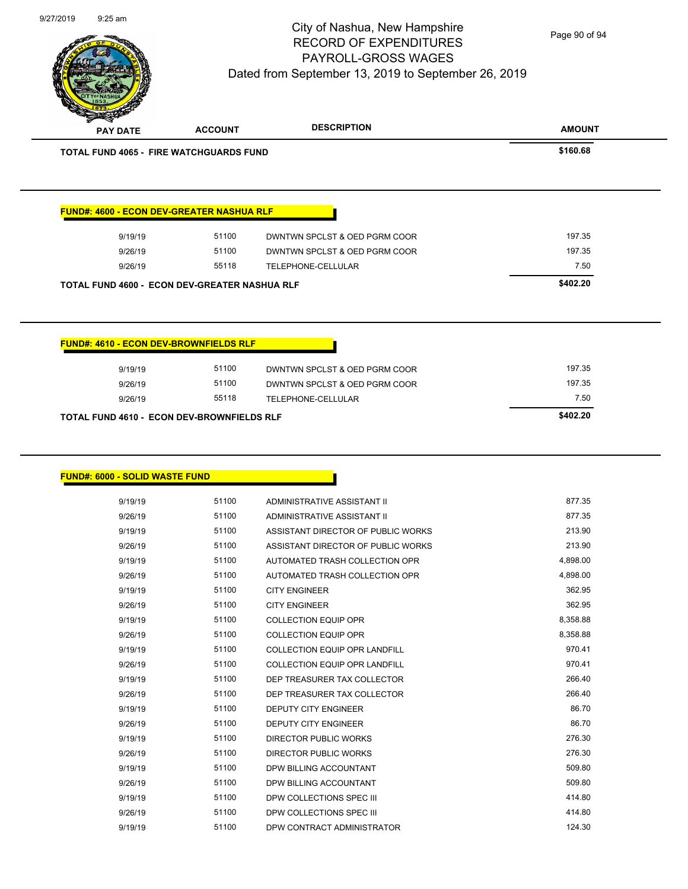

Page 90 of 94

| <b>FUND#: 4600 - ECON DEV-GREATER NASHUA RLF</b>      |       |                               |                  |
|-------------------------------------------------------|-------|-------------------------------|------------------|
| 9/19/19                                               | 51100 | DWNTWN SPCLST & OED PGRM COOR | 197.35           |
| 9/26/19                                               | 51100 | DWNTWN SPCLST & OED PGRM COOR | 197.35           |
| 9/26/19                                               | 55118 | TELEPHONE-CELLULAR            | 7.50             |
| TOTAL FUND 4600 - ECON DEV-GREATER NASHUA RLF         |       |                               | \$402.20         |
|                                                       |       |                               |                  |
| <b>FUND#: 4610 - ECON DEV-BROWNFIELDS RLF</b>         |       |                               |                  |
| 9/19/19                                               | 51100 | DWNTWN SPCLST & OED PGRM COOR | 197.35           |
| 9/26/19                                               | 51100 | DWNTWN SPCLST & OED PGRM COOR | 197.35           |
| 9/26/19<br>TOTAL FUND 4610 - ECON DEV-BROWNFIELDS RLF | 55118 | TELEPHONE-CELLULAR            | 7.50<br>\$402.20 |

| 9/19/19 | טטווכ | ADMINISTRATIVE ASSISTANT II          | 877.35   |
|---------|-------|--------------------------------------|----------|
| 9/26/19 | 51100 | ADMINISTRATIVE ASSISTANT II          | 877.35   |
| 9/19/19 | 51100 | ASSISTANT DIRECTOR OF PUBLIC WORKS   | 213.90   |
| 9/26/19 | 51100 | ASSISTANT DIRECTOR OF PUBLIC WORKS   | 213.90   |
| 9/19/19 | 51100 | AUTOMATED TRASH COLLECTION OPR       | 4,898.00 |
| 9/26/19 | 51100 | AUTOMATED TRASH COLLECTION OPR       | 4,898.00 |
| 9/19/19 | 51100 | <b>CITY ENGINEER</b>                 | 362.95   |
| 9/26/19 | 51100 | <b>CITY ENGINEER</b>                 | 362.95   |
| 9/19/19 | 51100 | <b>COLLECTION EQUIP OPR</b>          | 8,358.88 |
| 9/26/19 | 51100 | <b>COLLECTION EQUIP OPR</b>          | 8,358.88 |
| 9/19/19 | 51100 | <b>COLLECTION EQUIP OPR LANDFILL</b> | 970.41   |
| 9/26/19 | 51100 | COLLECTION EQUIP OPR LANDFILL        | 970.41   |
| 9/19/19 | 51100 | DEP TREASURER TAX COLLECTOR          | 266.40   |
| 9/26/19 | 51100 | DEP TREASURER TAX COLLECTOR          | 266.40   |
| 9/19/19 | 51100 | <b>DEPUTY CITY ENGINEER</b>          | 86.70    |
| 9/26/19 | 51100 | <b>DEPUTY CITY ENGINEER</b>          | 86.70    |
| 9/19/19 | 51100 | <b>DIRECTOR PUBLIC WORKS</b>         | 276.30   |
| 9/26/19 | 51100 | <b>DIRECTOR PUBLIC WORKS</b>         | 276.30   |
| 9/19/19 | 51100 | DPW BILLING ACCOUNTANT               | 509.80   |
| 9/26/19 | 51100 | DPW BILLING ACCOUNTANT               | 509.80   |
| 9/19/19 | 51100 | DPW COLLECTIONS SPEC III             | 414.80   |
| 9/26/19 | 51100 | DPW COLLECTIONS SPEC III             | 414.80   |
| 9/19/19 | 51100 | DPW CONTRACT ADMINISTRATOR           | 124.30   |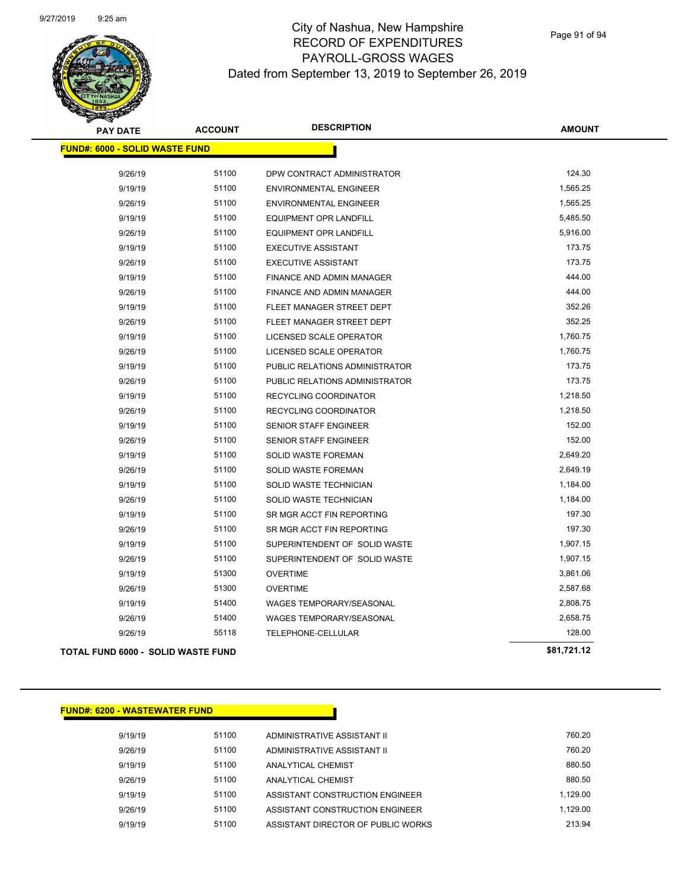

| <b>PAY DATE</b>                        | <b>ACCOUNT</b> | <b>DESCRIPTION</b>             | <b>AMOUNT</b> |
|----------------------------------------|----------------|--------------------------------|---------------|
| <u> FUND#: 6000 - SOLID WASTE FUND</u> |                |                                |               |
| 9/26/19                                | 51100          | DPW CONTRACT ADMINISTRATOR     | 124.30        |
| 9/19/19                                | 51100          | <b>ENVIRONMENTAL ENGINEER</b>  | 1,565.25      |
| 9/26/19                                | 51100          | <b>ENVIRONMENTAL ENGINEER</b>  | 1,565.25      |
| 9/19/19                                | 51100          | <b>EQUIPMENT OPR LANDFILL</b>  | 5,485.50      |
| 9/26/19                                | 51100          | <b>EQUIPMENT OPR LANDFILL</b>  | 5,916.00      |
| 9/19/19                                | 51100          | <b>EXECUTIVE ASSISTANT</b>     | 173.75        |
| 9/26/19                                | 51100          | <b>EXECUTIVE ASSISTANT</b>     | 173.75        |
| 9/19/19                                | 51100          | FINANCE AND ADMIN MANAGER      | 444.00        |
| 9/26/19                                | 51100          | FINANCE AND ADMIN MANAGER      | 444.00        |
| 9/19/19                                | 51100          | FLEET MANAGER STREET DEPT      | 352.26        |
| 9/26/19                                | 51100          | FLEET MANAGER STREET DEPT      | 352.25        |
| 9/19/19                                | 51100          | LICENSED SCALE OPERATOR        | 1,760.75      |
| 9/26/19                                | 51100          | LICENSED SCALE OPERATOR        | 1,760.75      |
| 9/19/19                                | 51100          | PUBLIC RELATIONS ADMINISTRATOR | 173.75        |
| 9/26/19                                | 51100          | PUBLIC RELATIONS ADMINISTRATOR | 173.75        |
| 9/19/19                                | 51100          | RECYCLING COORDINATOR          | 1,218.50      |
| 9/26/19                                | 51100          | RECYCLING COORDINATOR          | 1,218.50      |
| 9/19/19                                | 51100          | <b>SENIOR STAFF ENGINEER</b>   | 152.00        |
| 9/26/19                                | 51100          | <b>SENIOR STAFF ENGINEER</b>   | 152.00        |
| 9/19/19                                | 51100          | <b>SOLID WASTE FOREMAN</b>     | 2,649.20      |
| 9/26/19                                | 51100          | <b>SOLID WASTE FOREMAN</b>     | 2,649.19      |
| 9/19/19                                | 51100          | SOLID WASTE TECHNICIAN         | 1,184.00      |
| 9/26/19                                | 51100          | SOLID WASTE TECHNICIAN         | 1,184.00      |
| 9/19/19                                | 51100          | SR MGR ACCT FIN REPORTING      | 197.30        |
| 9/26/19                                | 51100          | SR MGR ACCT FIN REPORTING      | 197.30        |
| 9/19/19                                | 51100          | SUPERINTENDENT OF SOLID WASTE  | 1,907.15      |
| 9/26/19                                | 51100          | SUPERINTENDENT OF SOLID WASTE  | 1,907.15      |
| 9/19/19                                | 51300          | <b>OVERTIME</b>                | 3,861.06      |
| 9/26/19                                | 51300          | <b>OVERTIME</b>                | 2,587.68      |
| 9/19/19                                | 51400          | WAGES TEMPORARY/SEASONAL       | 2,808.75      |
| 9/26/19                                | 51400          | WAGES TEMPORARY/SEASONAL       | 2,658.75      |
| 9/26/19                                | 55118          | TELEPHONE-CELLULAR             | 128.00        |
| TOTAL FUND 6000 - SOLID WASTE FUND     |                |                                | \$81,721.12   |

### **FUND#: 6200 - WASTEWATER FUND**

9/19/19 51100 ADMINISTRATIVE ASSISTANT II 760.20 9/26/19 51100 ADMINISTRATIVE ASSISTANT II 760.20 9/19/19 51100 ANALYTICAL CHEMIST 880.50 9/26/19 51100 ANALYTICAL CHEMIST 880.50 9/19/19 51100 ASSISTANT CONSTRUCTION ENGINEER 1,129.00 9/26/19 51100 ASSISTANT CONSTRUCTION ENGINEER 1,129.00 9/19/19 51100 ASSISTANT DIRECTOR OF PUBLIC WORKS 213.94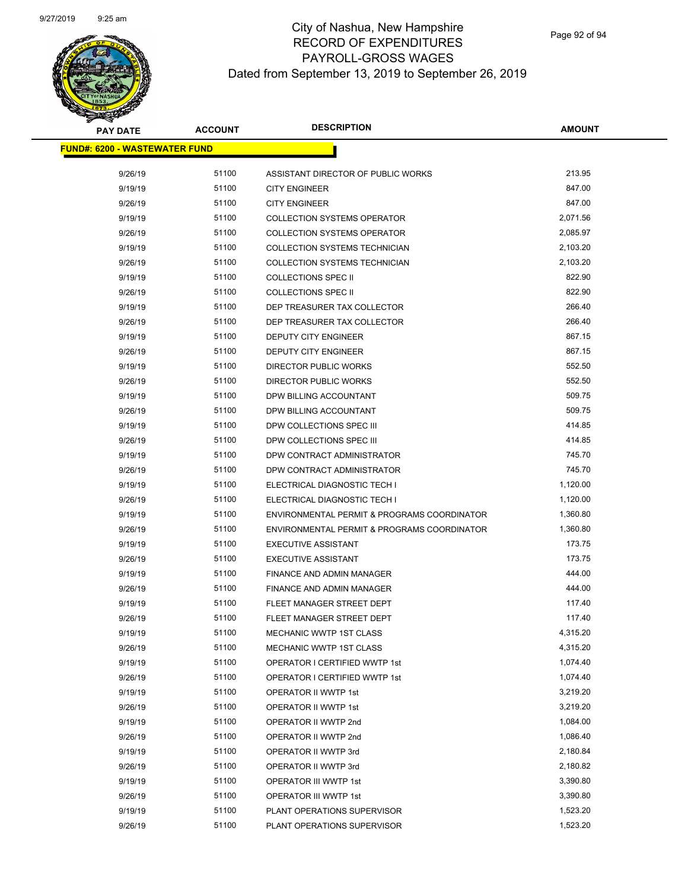# **PAY DATE ACCOUNT DESCRIPTION**

| <b>PAY DATE</b>                       | <b>ACCOUNT</b> | <b>DESCRIPTION</b>                                     | <b>AMOUNT</b>    |
|---------------------------------------|----------------|--------------------------------------------------------|------------------|
| <u> FUND#: 6200 - WASTEWATER FUND</u> |                |                                                        |                  |
|                                       |                |                                                        |                  |
| 9/26/19                               | 51100          | ASSISTANT DIRECTOR OF PUBLIC WORKS                     | 213.95           |
| 9/19/19                               | 51100          | <b>CITY ENGINEER</b>                                   | 847.00           |
| 9/26/19                               | 51100          | <b>CITY ENGINEER</b>                                   | 847.00           |
| 9/19/19                               | 51100          | <b>COLLECTION SYSTEMS OPERATOR</b>                     | 2,071.56         |
| 9/26/19                               | 51100          | <b>COLLECTION SYSTEMS OPERATOR</b>                     | 2,085.97         |
| 9/19/19                               | 51100          | <b>COLLECTION SYSTEMS TECHNICIAN</b>                   | 2,103.20         |
| 9/26/19                               | 51100          | <b>COLLECTION SYSTEMS TECHNICIAN</b>                   | 2,103.20         |
| 9/19/19                               | 51100          | <b>COLLECTIONS SPEC II</b>                             | 822.90           |
| 9/26/19                               | 51100          | <b>COLLECTIONS SPEC II</b>                             | 822.90           |
| 9/19/19                               | 51100          | DEP TREASURER TAX COLLECTOR                            | 266.40           |
| 9/26/19                               | 51100          | DEP TREASURER TAX COLLECTOR                            | 266.40           |
| 9/19/19                               | 51100          | DEPUTY CITY ENGINEER                                   | 867.15           |
| 9/26/19                               | 51100          | DEPUTY CITY ENGINEER                                   | 867.15           |
| 9/19/19                               | 51100          | DIRECTOR PUBLIC WORKS                                  | 552.50           |
| 9/26/19                               | 51100          | DIRECTOR PUBLIC WORKS                                  | 552.50           |
| 9/19/19                               | 51100          | DPW BILLING ACCOUNTANT                                 | 509.75           |
| 9/26/19                               | 51100          | DPW BILLING ACCOUNTANT                                 | 509.75           |
| 9/19/19                               | 51100          | DPW COLLECTIONS SPEC III                               | 414.85           |
| 9/26/19                               | 51100          | DPW COLLECTIONS SPEC III                               | 414.85           |
| 9/19/19                               | 51100          | DPW CONTRACT ADMINISTRATOR                             | 745.70           |
| 9/26/19                               | 51100          | DPW CONTRACT ADMINISTRATOR                             | 745.70           |
| 9/19/19                               | 51100          | ELECTRICAL DIAGNOSTIC TECH I                           | 1,120.00         |
| 9/26/19                               | 51100          | ELECTRICAL DIAGNOSTIC TECH I                           | 1,120.00         |
| 9/19/19                               | 51100          | ENVIRONMENTAL PERMIT & PROGRAMS COORDINATOR            | 1,360.80         |
| 9/26/19                               | 51100          | ENVIRONMENTAL PERMIT & PROGRAMS COORDINATOR            | 1,360.80         |
| 9/19/19                               | 51100<br>51100 | <b>EXECUTIVE ASSISTANT</b>                             | 173.75<br>173.75 |
| 9/26/19                               | 51100          | <b>EXECUTIVE ASSISTANT</b>                             | 444.00           |
| 9/19/19                               | 51100          | FINANCE AND ADMIN MANAGER                              | 444.00           |
| 9/26/19                               | 51100          | FINANCE AND ADMIN MANAGER<br>FLEET MANAGER STREET DEPT | 117.40           |
| 9/19/19<br>9/26/19                    | 51100          | FLEET MANAGER STREET DEPT                              | 117.40           |
| 9/19/19                               | 51100          | MECHANIC WWTP 1ST CLASS                                | 4,315.20         |
| 9/26/19                               | 51100          | <b>MECHANIC WWTP 1ST CLASS</b>                         | 4,315.20         |
| 9/19/19                               | 51100          | OPERATOR I CERTIFIED WWTP 1st                          | 1,074.40         |
| 9/26/19                               | 51100          | <b>OPERATOR I CERTIFIED WWTP 1st</b>                   | 1,074.40         |
| 9/19/19                               | 51100          | <b>OPERATOR II WWTP 1st</b>                            | 3,219.20         |
| 9/26/19                               | 51100          | OPERATOR II WWTP 1st                                   | 3,219.20         |
| 9/19/19                               | 51100          | OPERATOR II WWTP 2nd                                   | 1,084.00         |
| 9/26/19                               | 51100          | OPERATOR II WWTP 2nd                                   | 1,086.40         |
| 9/19/19                               | 51100          | OPERATOR II WWTP 3rd                                   | 2,180.84         |
| 9/26/19                               | 51100          | OPERATOR II WWTP 3rd                                   | 2,180.82         |
| 9/19/19                               | 51100          | OPERATOR III WWTP 1st                                  | 3,390.80         |
| 9/26/19                               | 51100          | OPERATOR III WWTP 1st                                  | 3,390.80         |
| 9/19/19                               | 51100          | PLANT OPERATIONS SUPERVISOR                            | 1,523.20         |
| 9/26/19                               | 51100          | PLANT OPERATIONS SUPERVISOR                            | 1,523.20         |
|                                       |                |                                                        |                  |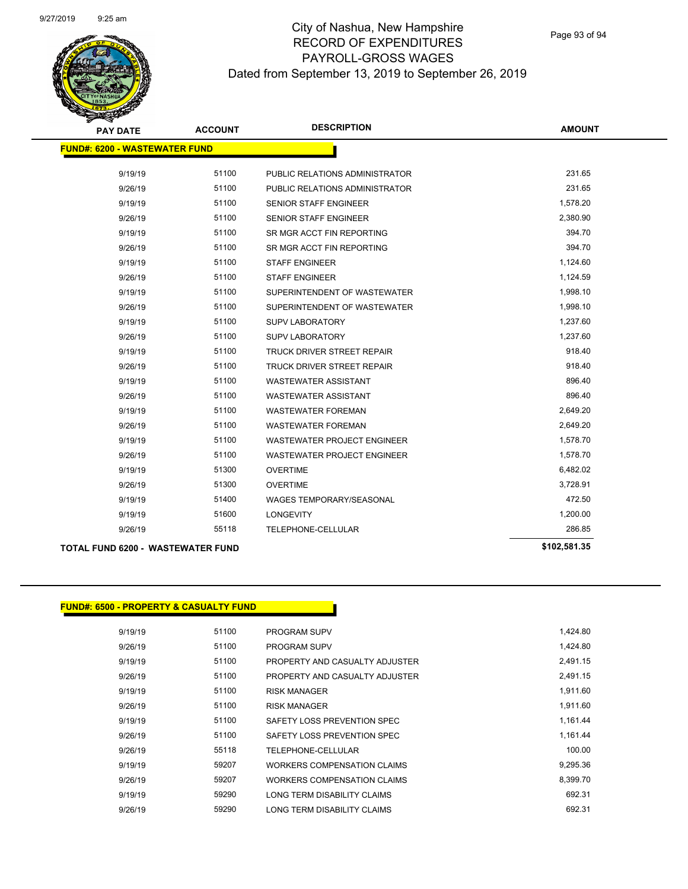

| <b>PAY DATE</b>                          | <b>ACCOUNT</b> | <b>DESCRIPTION</b>                | <b>AMOUNT</b> |
|------------------------------------------|----------------|-----------------------------------|---------------|
| <b>FUND#: 6200 - WASTEWATER FUND</b>     |                |                                   |               |
|                                          |                |                                   |               |
| 9/19/19                                  | 51100          | PUBLIC RELATIONS ADMINISTRATOR    | 231.65        |
| 9/26/19                                  | 51100          | PUBLIC RELATIONS ADMINISTRATOR    | 231.65        |
| 9/19/19                                  | 51100          | <b>SENIOR STAFF ENGINEER</b>      | 1,578.20      |
| 9/26/19                                  | 51100          | <b>SENIOR STAFF ENGINEER</b>      | 2,380.90      |
| 9/19/19                                  | 51100          | SR MGR ACCT FIN REPORTING         | 394.70        |
| 9/26/19                                  | 51100          | SR MGR ACCT FIN REPORTING         | 394.70        |
| 9/19/19                                  | 51100          | <b>STAFF ENGINEER</b>             | 1,124.60      |
| 9/26/19                                  | 51100          | <b>STAFF ENGINEER</b>             | 1,124.59      |
| 9/19/19                                  | 51100          | SUPERINTENDENT OF WASTEWATER      | 1,998.10      |
| 9/26/19                                  | 51100          | SUPERINTENDENT OF WASTEWATER      | 1,998.10      |
| 9/19/19                                  | 51100          | <b>SUPV LABORATORY</b>            | 1,237.60      |
| 9/26/19                                  | 51100          | <b>SUPV LABORATORY</b>            | 1,237.60      |
| 9/19/19                                  | 51100          | TRUCK DRIVER STREET REPAIR        | 918.40        |
| 9/26/19                                  | 51100          | <b>TRUCK DRIVER STREET REPAIR</b> | 918.40        |
| 9/19/19                                  | 51100          | <b>WASTEWATER ASSISTANT</b>       | 896.40        |
| 9/26/19                                  | 51100          | <b>WASTEWATER ASSISTANT</b>       | 896.40        |
| 9/19/19                                  | 51100          | <b>WASTEWATER FOREMAN</b>         | 2,649.20      |
| 9/26/19                                  | 51100          | <b>WASTEWATER FOREMAN</b>         | 2,649.20      |
| 9/19/19                                  | 51100          | WASTEWATER PROJECT ENGINEER       | 1,578.70      |
| 9/26/19                                  | 51100          | WASTEWATER PROJECT ENGINEER       | 1,578.70      |
| 9/19/19                                  | 51300          | <b>OVERTIME</b>                   | 6,482.02      |
| 9/26/19                                  | 51300          | <b>OVERTIME</b>                   | 3,728.91      |
| 9/19/19                                  | 51400          | <b>WAGES TEMPORARY/SEASONAL</b>   | 472.50        |
| 9/19/19                                  | 51600          | <b>LONGEVITY</b>                  | 1,200.00      |
| 9/26/19                                  | 55118          | TELEPHONE-CELLULAR                | 286.85        |
| <b>TOTAL FUND 6200 - WASTEWATER FUND</b> |                |                                   | \$102,581.35  |

## **FUND#: 6500 - PROPERTY & CASUALTY FUND**

| 9/19/19 | 51100 | <b>PROGRAM SUPV</b>            | 1,424.80 |
|---------|-------|--------------------------------|----------|
| 9/26/19 | 51100 | <b>PROGRAM SUPV</b>            | 1,424.80 |
| 9/19/19 | 51100 | PROPERTY AND CASUALTY ADJUSTER | 2,491.15 |
| 9/26/19 | 51100 | PROPERTY AND CASUALTY ADJUSTER | 2,491.15 |
| 9/19/19 | 51100 | <b>RISK MANAGER</b>            | 1,911.60 |
| 9/26/19 | 51100 | <b>RISK MANAGER</b>            | 1,911.60 |
| 9/19/19 | 51100 | SAFETY LOSS PREVENTION SPEC    | 1,161.44 |
| 9/26/19 | 51100 | SAFETY LOSS PREVENTION SPEC    | 1.161.44 |
| 9/26/19 | 55118 | TELEPHONE-CELLULAR             | 100.00   |
| 9/19/19 | 59207 | WORKERS COMPENSATION CLAIMS    | 9.295.36 |
| 9/26/19 | 59207 | WORKERS COMPENSATION CLAIMS    | 8,399.70 |
| 9/19/19 | 59290 | LONG TERM DISABILITY CLAIMS    | 692.31   |
| 9/26/19 | 59290 | LONG TERM DISABILITY CLAIMS    | 692.31   |